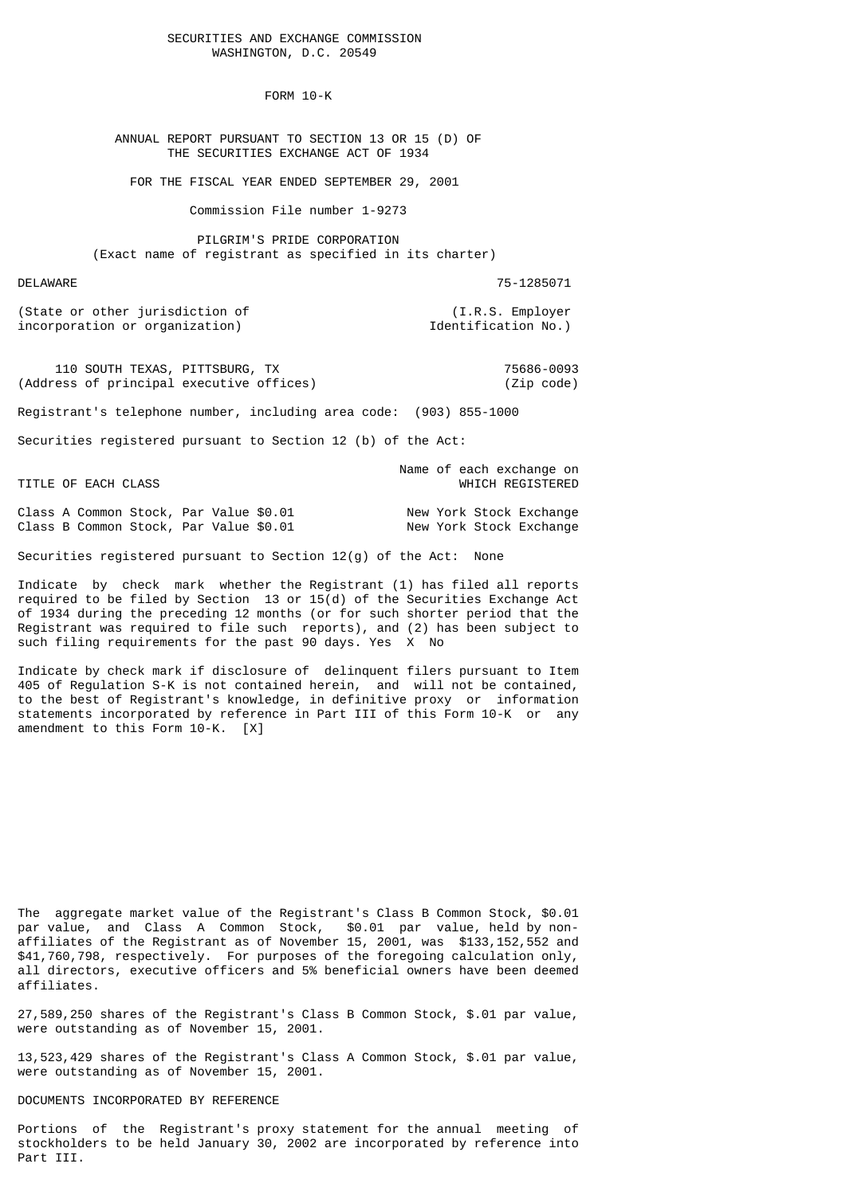#### SECURITIES AND EXCHANGE COMMISSION WASHINGTON, D.C. 20549

FORM 10-K

 ANNUAL REPORT PURSUANT TO SECTION 13 OR 15 (D) OF THE SECURITIES EXCHANGE ACT OF 1934

FOR THE FISCAL YEAR ENDED SEPTEMBER 29, 2001

Commission File number 1-9273

 PILGRIM'S PRIDE CORPORATION (Exact name of registrant as specified in its charter)

DELAWARE 75-1285071

(State or other jurisdiction of (I.R.S. Employer incorporation or organization) and the intervals of  $\sim$  Identification No.)

110 SOUTH TEXAS, PITTSBURG, TX<br>
ress of principal executive offices) (Zip code) (Address of principal executive offices)

Registrant's telephone number, including area code: (903) 855-1000

Securities registered pursuant to Section 12 (b) of the Act:

 Name of each exchange on TITLE OF EACH CLASS **WHICH REGISTERED** 

Class A Common Stock, Par Value \$0.01 New York Stock Exchange<br>Class B Common Stock, Par Value \$0.01 New York Stock Exchange Class B Common Stock, Par Value  $$0.01$ 

Securities registered pursuant to Section 12(g) of the Act: None

Indicate by check mark whether the Registrant (1) has filed all reports required to be filed by Section 13 or  $15(d)$  of the Securities Exchange Act of 1934 during the preceding 12 months (or for such shorter period that the Registrant was required to file such reports), and (2) has been subject to such filing requirements for the past 90 days. Yes X No

Indicate by check mark if disclosure of delinquent filers pursuant to Item 405 of Regulation S-K is not contained herein, and will not be contained, to the best of Registrant's knowledge, in definitive proxy or information statements incorporated by reference in Part III of this Form 10-K or any amendment to this Form 10-K. [X]

The aggregate market value of the Registrant's Class B Common Stock, \$0.01 par value, and Class A Common Stock, \$0.01 par value, held by nonaffiliates of the Registrant as of November 15, 2001, was \$133,152,552 and \$41,760,798, respectively. For purposes of the foregoing calculation only, all directors, executive officers and 5% beneficial owners have been deemed affiliates.

27,589,250 shares of the Registrant's Class B Common Stock, \$.01 par value, were outstanding as of November 15, 2001.

13,523,429 shares of the Registrant's Class A Common Stock, \$.01 par value, were outstanding as of November 15, 2001.

## DOCUMENTS INCORPORATED BY REFERENCE

Portions of the Registrant's proxy statement for the annual meeting of stockholders to be held January 30, 2002 are incorporated by reference into Part III.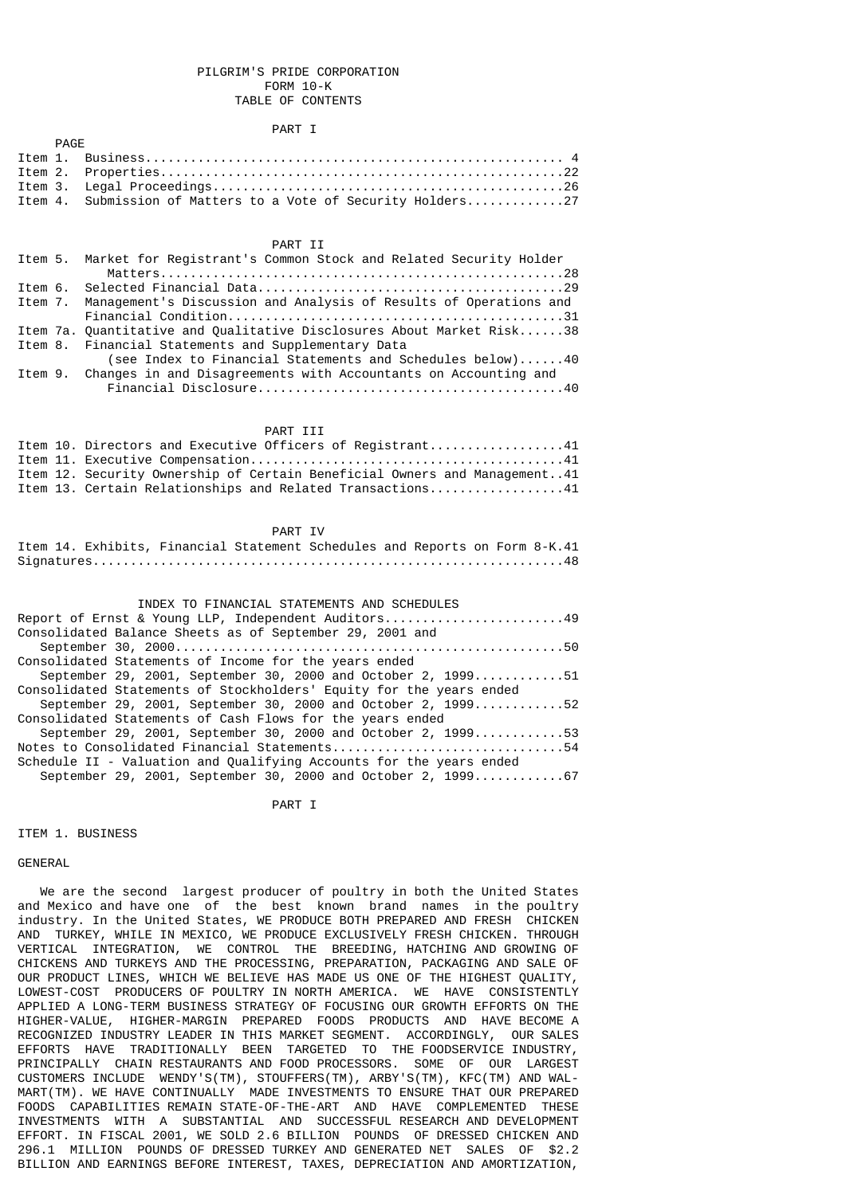## PILGRIM'S PRIDE CORPORATION FORM 10-K TABLE OF CONTENTS

#### PART I

|  | Item 4. Submission of Matters to a Vote of Security Holders27 |
|--|---------------------------------------------------------------|

## PART II

|  | Item 5. Market for Registrant's Common Stock and Related Security Holder  |
|--|---------------------------------------------------------------------------|
|  |                                                                           |
|  |                                                                           |
|  | Item 7. Management's Discussion and Analysis of Results of Operations and |
|  |                                                                           |
|  | Item 7a. Ouantitative and Oualitative Disclosures About Market Risk38     |
|  | Item 8. Financial Statements and Supplementary Data                       |
|  | (see Index to Financial Statements and Schedules below)40                 |
|  | Item 9. Changes in and Disagreements with Accountants on Accounting and   |
|  |                                                                           |

## PART III

|  | Item 10. Directors and Executive Officers of Registrant41                 |
|--|---------------------------------------------------------------------------|
|  |                                                                           |
|  | Item 12. Security Ownership of Certain Beneficial Owners and Management41 |
|  | Item 13. Certain Relationships and Related Transactions41                 |

#### PART IV

## Item 14. Exhibits, Financial Statement Schedules and Reports on Form 8-K.41 Signatures...............................................................48

| INDEX TO FINANCIAL STATEMENTS AND SCHEDULES                         |
|---------------------------------------------------------------------|
| Report of Ernst & Young LLP, Independent Auditors49                 |
| Consolidated Balance Sheets as of September 29, 2001 and            |
|                                                                     |
| Consolidated Statements of Income for the years ended               |
| September 29, 2001, September 30, 2000 and October 2, 199951        |
| Consolidated Statements of Stockholders' Equity for the years ended |
| September 29, 2001, September 30, 2000 and October 2, 199952        |
| Consolidated Statements of Cash Flows for the years ended           |
| September 29, 2001, September 30, 2000 and October 2, 199953        |
| Notes to Consolidated Financial Statements54                        |
| Schedule II - Valuation and Qualifying Accounts for the years ended |
| September 29, 2001, September 30, 2000 and October 2, 1999          |

PART I

### ITEM 1. BUSINESS

PAGE

**GENERAL** 

 We are the second largest producer of poultry in both the United States and Mexico and have one of the best known brand names in the poultry industry. In the United States, WE PRODUCE BOTH PREPARED AND FRESH CHICKEN AND TURKEY, WHILE IN MEXICO, WE PRODUCE EXCLUSIVELY FRESH CHICKEN. THROUGH VERTICAL INTEGRATION, WE CONTROL THE BREEDING, HATCHING AND GROWING OF CHICKENS AND TURKEYS AND THE PROCESSING, PREPARATION, PACKAGING AND SALE OF OUR PRODUCT LINES, WHICH WE BELIEVE HAS MADE US ONE OF THE HIGHEST QUALITY, LOWEST-COST PRODUCERS OF POULTRY IN NORTH AMERICA. WE HAVE CONSISTENTLY APPLIED A LONG-TERM BUSINESS STRATEGY OF FOCUSING OUR GROWTH EFFORTS ON THE HIGHER-VALUE, HIGHER-MARGIN PREPARED FOODS PRODUCTS AND HAVE BECOME A RECOGNIZED INDUSTRY LEADER IN THIS MARKET SEGMENT. ACCORDINGLY, OUR SALES EFFORTS HAVE TRADITIONALLY BEEN TARGETED TO THE FOODSERVICE INDUSTRY, PRINCIPALLY CHAIN RESTAURANTS AND FOOD PROCESSORS. SOME OF OUR LARGEST CUSTOMERS INCLUDE WENDY'S(TM), STOUFFERS(TM), ARBY'S(TM), KFC(TM) AND WAL-MART(TM). WE HAVE CONTINUALLY MADE INVESTMENTS TO ENSURE THAT OUR PREPARED FOODS CAPABILITIES REMAIN STATE-OF-THE-ART AND HAVE COMPLEMENTED THESE INVESTMENTS WITH A SUBSTANTIAL AND SUCCESSFUL RESEARCH AND DEVELOPMENT EFFORT. IN FISCAL 2001, WE SOLD 2.6 BILLION POUNDS OF DRESSED CHICKEN AND 296.1 MILLION POUNDS OF DRESSED TURKEY AND GENERATED NET SALES OF \$2.2 BILLION AND EARNINGS BEFORE INTEREST, TAXES, DEPRECIATION AND AMORTIZATION,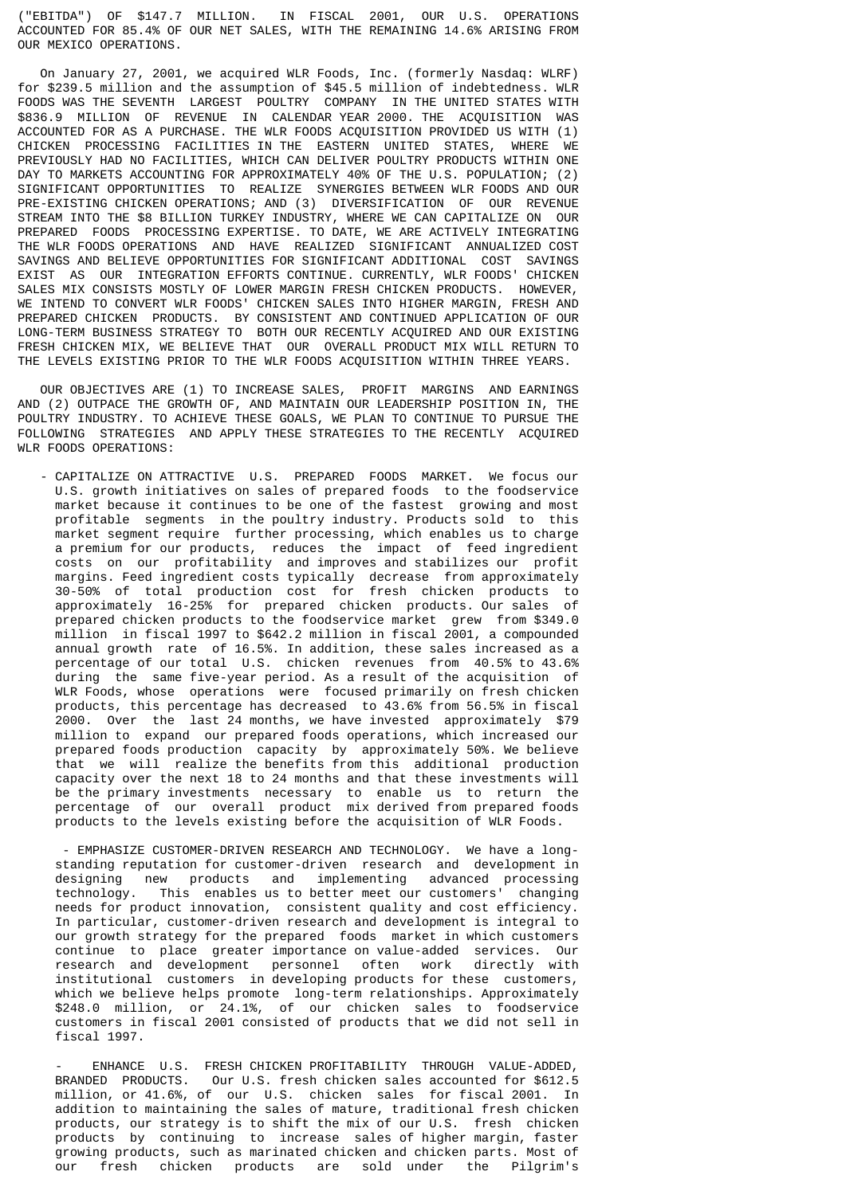("EBITDA") OF \$147.7 MILLION. IN FISCAL 2001, OUR U.S. OPERATIONS ACCOUNTED FOR 85.4% OF OUR NET SALES, WITH THE REMAINING 14.6% ARISING FROM OUR MEXICO OPERATIONS.

 On January 27, 2001, we acquired WLR Foods, Inc. (formerly Nasdaq: WLRF) for \$239.5 million and the assumption of \$45.5 million of indebtedness. WLR FOODS WAS THE SEVENTH LARGEST POULTRY COMPANY IN THE UNITED STATES WITH \$836.9 MILLION OF REVENUE IN CALENDAR YEAR 2000. THE ACQUISITION WAS ACCOUNTED FOR AS A PURCHASE. THE WLR FOODS ACQUISITION PROVIDED US WITH (1) CHICKEN PROCESSING FACILITIES IN THE EASTERN UNITED STATES, WHERE WE PREVIOUSLY HAD NO FACILITIES, WHICH CAN DELIVER POULTRY PRODUCTS WITHIN ONE DAY TO MARKETS ACCOUNTING FOR APPROXIMATELY 40% OF THE U.S. POPULATION; (2) SIGNIFICANT OPPORTUNITIES TO REALIZE SYNERGIES BETWEEN WLR FOODS AND OUR PRE-EXISTING CHICKEN OPERATIONS; AND (3) DIVERSIFICATION OF OUR REVENUE STREAM INTO THE \$8 BILLION TURKEY INDUSTRY, WHERE WE CAN CAPITALIZE ON OUR PREPARED FOODS PROCESSING EXPERTISE. TO DATE, WE ARE ACTIVELY INTEGRATING THE WLR FOODS OPERATIONS AND HAVE REALIZED SIGNIFICANT ANNUALIZED COST SAVINGS AND BELIEVE OPPORTUNITIES FOR SIGNIFICANT ADDITIONAL COST SAVINGS EXIST AS OUR INTEGRATION EFFORTS CONTINUE. CURRENTLY, WLR FOODS' CHICKEN SALES MIX CONSISTS MOSTLY OF LOWER MARGIN FRESH CHICKEN PRODUCTS. HOWEVER, WE INTEND TO CONVERT WLR FOODS' CHICKEN SALES INTO HIGHER MARGIN, FRESH AND PREPARED CHICKEN PRODUCTS. BY CONSISTENT AND CONTINUED APPLICATION OF OUR LONG-TERM BUSINESS STRATEGY TO BOTH OUR RECENTLY ACQUIRED AND OUR EXISTING FRESH CHICKEN MIX, WE BELIEVE THAT OUR OVERALL PRODUCT MIX WILL RETURN TO THE LEVELS EXISTING PRIOR TO THE WLR FOODS ACQUISITION WITHIN THREE YEARS.

 OUR OBJECTIVES ARE (1) TO INCREASE SALES, PROFIT MARGINS AND EARNINGS AND (2) OUTPACE THE GROWTH OF, AND MAINTAIN OUR LEADERSHIP POSITION IN, THE POULTRY INDUSTRY. TO ACHIEVE THESE GOALS, WE PLAN TO CONTINUE TO PURSUE THE FOLLOWING STRATEGIES AND APPLY THESE STRATEGIES TO THE RECENTLY ACQUIRED WLR FOODS OPERATIONS:

 - CAPITALIZE ON ATTRACTIVE U.S. PREPARED FOODS MARKET. We focus our U.S. growth initiatives on sales of prepared foods to the foodservice market because it continues to be one of the fastest growing and most profitable segments in the poultry industry. Products sold to this market segment require further processing, which enables us to charge a premium for our products, reduces the impact of feed ingredient costs on our profitability and improves and stabilizes our profit margins. Feed ingredient costs typically decrease from approximately 30-50% of total production cost for fresh chicken products to approximately 16-25% for prepared chicken products. Our sales of prepared chicken products to the foodservice market grew from \$349.0 million in fiscal 1997 to \$642.2 million in fiscal 2001, a compounded annual growth rate of 16.5%. In addition, these sales increased as a percentage of our total U.S. chicken revenues from 40.5% to 43.6% during the same five-year period. As a result of the acquisition of WLR Foods, whose operations were focused primarily on fresh chicken products, this percentage has decreased to 43.6% from 56.5% in fiscal 2000. Over the last 24 months, we have invested approximately \$79 million to expand our prepared foods operations, which increased our prepared foods production capacity by approximately 50%. We believe that we will realize the benefits from this additional production capacity over the next 18 to 24 months and that these investments will be the primary investments necessary to enable us to return the percentage of our overall product mix derived from prepared foods products to the levels existing before the acquisition of WLR Foods.

 - EMPHASIZE CUSTOMER-DRIVEN RESEARCH AND TECHNOLOGY. We have a long standing reputation for customer-driven research and development in designing new products and implementing advanced processing<br>technology. This enables us to better meet our customers' changing technology. This enables us to better meet our customers' needs for product innovation, consistent quality and cost efficiency. In particular, customer-driven research and development is integral to our growth strategy for the prepared foods market in which customers continue to place greater importance on value-added services. Our research and development personnel often work directly with institutional customers in developing products for these customers, which we believe helps promote long-term relationships. Approximately \$248.0 million, or 24.1%, of our chicken sales to foodservice customers in fiscal 2001 consisted of products that we did not sell in fiscal 1997.

ENHANCE U.S. FRESH CHICKEN PROFITABILITY THROUGH VALUE-ADDED, BRANDED PRODUCTS. Our U.S. fresh chicken sales accounted for \$612.5 million, or 41.6%, of our U.S. chicken sales for fiscal 2001. In addition to maintaining the sales of mature, traditional fresh chicken products, our strategy is to shift the mix of our U.S. fresh chicken products by continuing to increase sales of higher margin, faster growing products, such as marinated chicken and chicken parts. Most of our fresh chicken products are sold under the Pilgrim's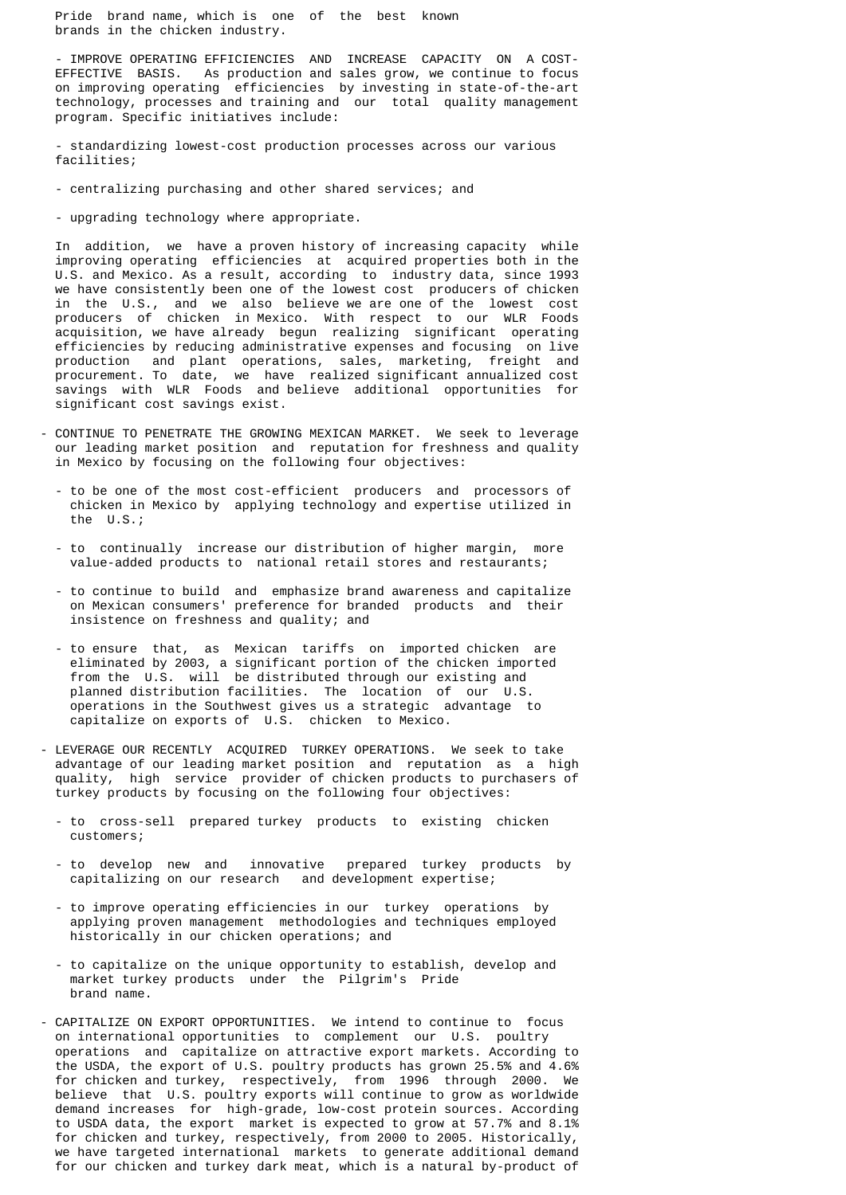Pride brand name, which is one of the best known brands in the chicken industry.

 - IMPROVE OPERATING EFFICIENCIES AND INCREASE CAPACITY ON A COST- EFFECTIVE BASIS. As production and sales grow, we continue to focus on improving operating efficiencies by investing in state-of-the-art technology, processes and training and our total quality management program. Specific initiatives include:

 - standardizing lowest-cost production processes across our various facilities;

- centralizing purchasing and other shared services; and
- upgrading technology where appropriate.

 In addition, we have a proven history of increasing capacity while improving operating efficiencies at acquired properties both in the U.S. and Mexico. As a result, according to industry data, since 1993 we have consistently been one of the lowest cost producers of chicken in the U.S., and we also believe we are one of the lowest cost producers of chicken in Mexico. With respect to our WLR Foods acquisition, we have already begun realizing significant operating efficiencies by reducing administrative expenses and focusing on live production and plant operations, sales, marketing, freight and procurement. To date, we have realized significant annualized cost savings with WLR Foods and believe additional opportunities for significant cost savings exist.

- CONTINUE TO PENETRATE THE GROWING MEXICAN MARKET. We seek to leverage our leading market position and reputation for freshness and quality in Mexico by focusing on the following four objectives:
	- to be one of the most cost-efficient producers and processors of chicken in Mexico by applying technology and expertise utilized in the U.S.;
	- to continually increase our distribution of higher margin, more value-added products to national retail stores and restaurants;
- to continue to build and emphasize brand awareness and capitalize on Mexican consumers' preference for branded products and their insistence on freshness and quality; and
	- to ensure that, as Mexican tariffs on imported chicken are eliminated by 2003, a significant portion of the chicken imported from the U.S. will be distributed through our existing and planned distribution facilities. The location of our U.S. operations in the Southwest gives us a strategic advantage to capitalize on exports of U.S. chicken to Mexico.
	- LEVERAGE OUR RECENTLY ACQUIRED TURKEY OPERATIONS. We seek to take advantage of our leading market position and reputation as a high quality, high service provider of chicken products to purchasers of turkey products by focusing on the following four objectives:
		- to cross-sell prepared turkey products to existing chicken customers;
		- to develop new and innovative prepared turkey products by capitalizing on our research and development expertise;
		- to improve operating efficiencies in our turkey operations by applying proven management methodologies and techniques employed historically in our chicken operations; and
		- to capitalize on the unique opportunity to establish, develop and market turkey products under the Pilgrim's Pride brand name.
- CAPITALIZE ON EXPORT OPPORTUNITIES. We intend to continue to focus on international opportunities to complement our U.S. poultry operations and capitalize on attractive export markets. According to the USDA, the export of U.S. poultry products has grown 25.5% and 4.6% for chicken and turkey, respectively, from 1996 through 2000. We believe that U.S. poultry exports will continue to grow as worldwide demand increases for high-grade, low-cost protein sources. According to USDA data, the export market is expected to grow at 57.7% and 8.1% for chicken and turkey, respectively, from 2000 to 2005. Historically, we have targeted international markets to generate additional demand for our chicken and turkey dark meat, which is a natural by-product of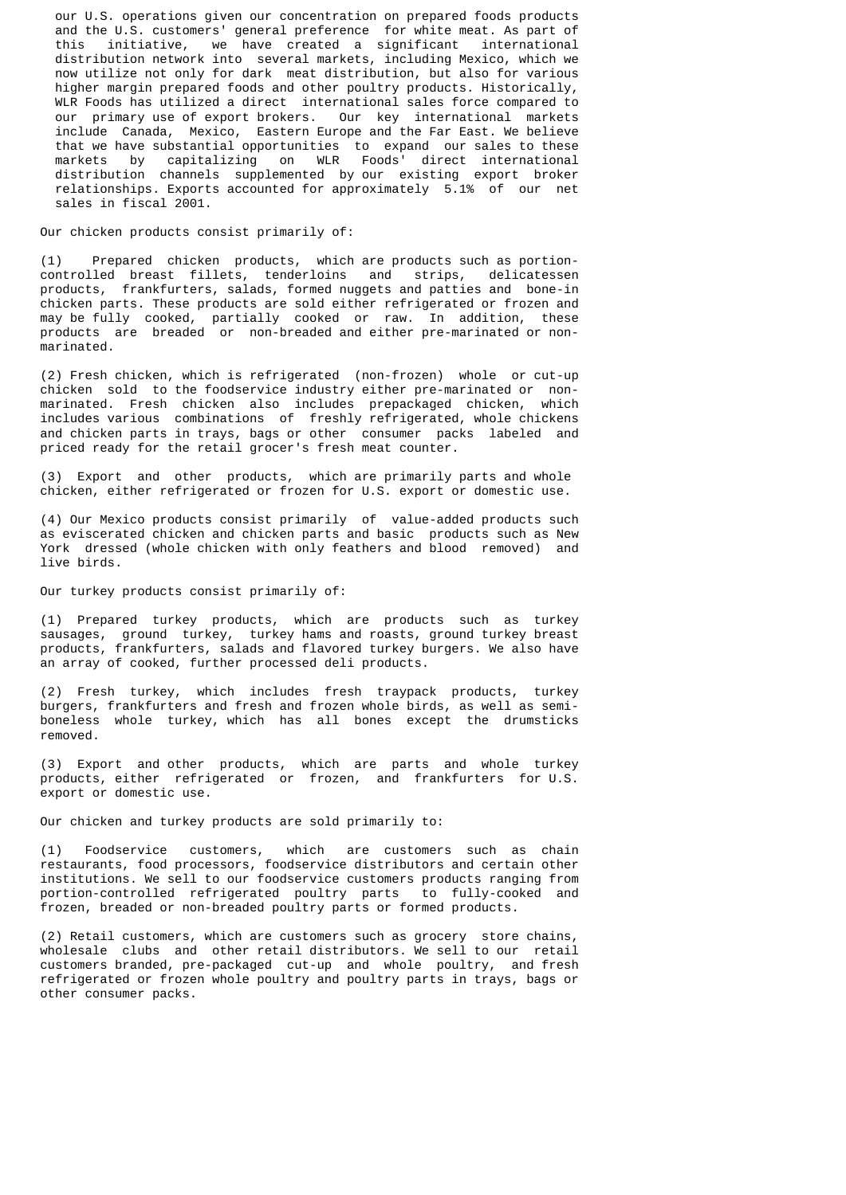our U.S. operations given our concentration on prepared foods products and the U.S. customers' general preference for white meat. As part of this initiative, we have created a significant international distribution network into several markets, including Mexico, which we now utilize not only for dark meat distribution, but also for various higher margin prepared foods and other poultry products. Historically, WLR Foods has utilized a direct international sales force compared to our primary use of export brokers. Our key international markets include Canada, Mexico, Eastern Europe and the Far East. We believe that we have substantial opportunities to expand our sales to these markets by capitalizing on WLR Foods' direct international distribution channels supplemented by our existing export broker relationships. Exports accounted for approximately 5.1% of our net sales in fiscal 2001.

## Our chicken products consist primarily of:

 (1) Prepared chicken products, which are products such as portion controlled breast fillets, tenderloins and products, frankfurters, salads, formed nuggets and patties and bone-in chicken parts. These products are sold either refrigerated or frozen and may be fully cooked, partially cooked or raw. In addition, these products are breaded or non-breaded and either pre-marinated or non marinated.

 (2) Fresh chicken, which is refrigerated (non-frozen) whole or cut-up chicken sold to the foodservice industry either pre-marinated or non marinated. Fresh chicken also includes prepackaged chicken, which includes various combinations of freshly refrigerated, whole chickens and chicken parts in trays, bags or other consumer packs labeled and priced ready for the retail grocer's fresh meat counter.

 (3) Export and other products, which are primarily parts and whole chicken, either refrigerated or frozen for U.S. export or domestic use.

 (4) Our Mexico products consist primarily of value-added products such as eviscerated chicken and chicken parts and basic products such as New York dressed (whole chicken with only feathers and blood removed) and live birds.

## Our turkey products consist primarily of:

 (1) Prepared turkey products, which are products such as turkey sausages, ground turkey, turkey hams and roasts, ground turkey breast products, frankfurters, salads and flavored turkey burgers. We also have an array of cooked, further processed deli products.

 (2) Fresh turkey, which includes fresh traypack products, turkey burgers, frankfurters and fresh and frozen whole birds, as well as semi boneless whole turkey, which has all bones except the drumsticks removed.

 (3) Export and other products, which are parts and whole turkey products, either refrigerated or frozen, and frankfurters for U.S. export or domestic use.

Our chicken and turkey products are sold primarily to:

 (1) Foodservice customers, which are customers such as chain restaurants, food processors, foodservice distributors and certain other institutions. We sell to our foodservice customers products ranging from portion-controlled refrigerated poultry parts to fully-cooked and frozen, breaded or non-breaded poultry parts or formed products.

 (2) Retail customers, which are customers such as grocery store chains, wholesale clubs and other retail distributors. We sell to our retail customers branded, pre-packaged cut-up and whole poultry, and fresh refrigerated or frozen whole poultry and poultry parts in trays, bags or other consumer packs.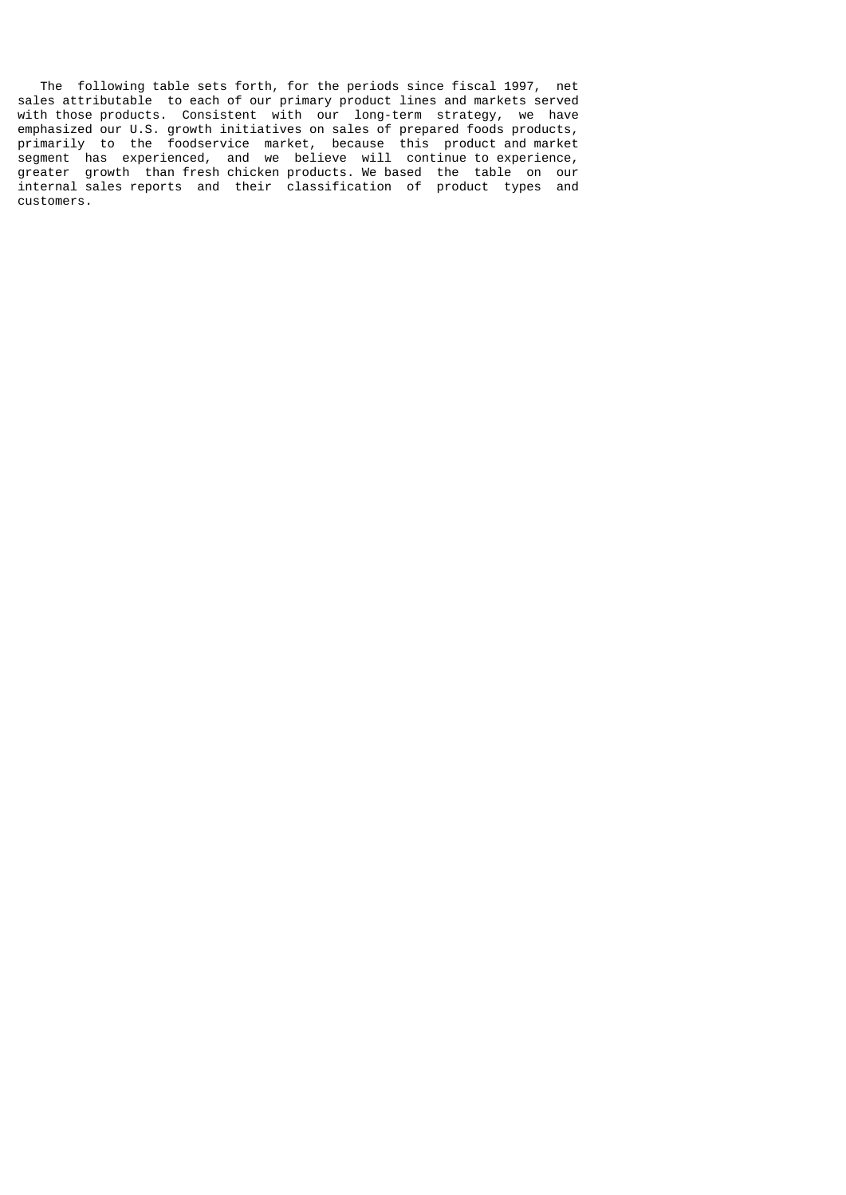The following table sets forth, for the periods since fiscal 1997, net sales attributable to each of our primary product lines and markets served with those products. Consistent with our long-term strategy, we have emphasized our U.S. growth initiatives on sales of prepared foods products, primarily to the foodservice market, because this product and market segment has experienced, and we believe will continue to experience, greater growth than fresh chicken products. We based the table on our internal sales reports and their classification of product types and customers.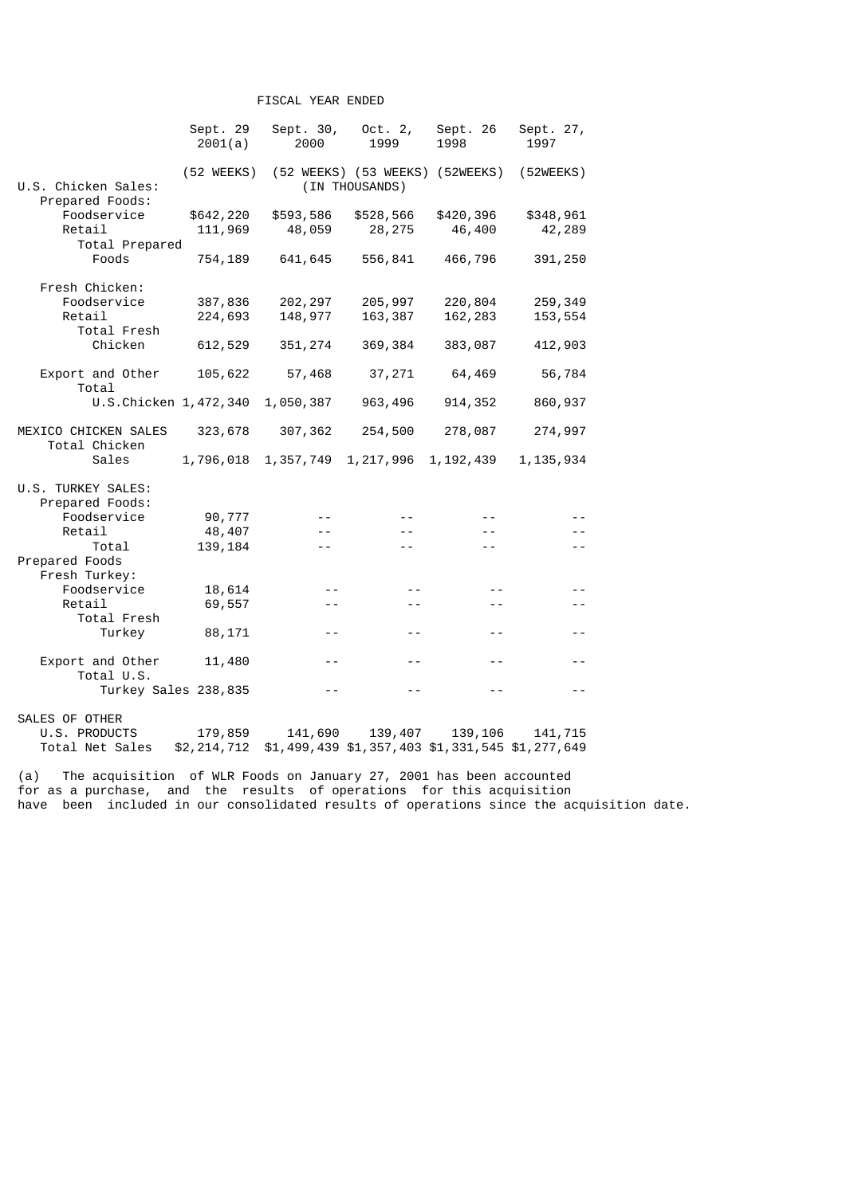# FISCAL YEAR ENDED

|                                        | Sept. 29<br>2001(a)    | Sept. 30,<br>2000 | Oct. $2,$<br>1999                                 | Sept. 26<br>1998 | Sept. 27,<br>1997 |
|----------------------------------------|------------------------|-------------------|---------------------------------------------------|------------------|-------------------|
| U.S. Chicken Sales:<br>Prepared Foods: | $(52 \, \text{WEEKS})$ |                   | (52 WEEKS) (53 WEEKS) (52WEEKS)<br>(IN THOUSANDS) |                  | (52WEEKS)         |
| Foodservice                            | \$642,220              | \$593,586         | \$528,566                                         | \$420,396        | \$348,961         |
| Retail                                 | 111,969                | 48,059            | 28,275                                            | 46,400           | 42,289            |
| Total Prepared                         |                        |                   |                                                   |                  |                   |
| Foods                                  | 754,189                | 641,645           | 556,841                                           | 466,796          | 391,250           |
| Fresh Chicken:                         |                        |                   |                                                   |                  |                   |
| Foodservice                            | 387,836                | 202, 297          | 205,997                                           | 220,804          | 259, 349          |
| Retail                                 | 224,693                | 148,977           | 163,387                                           | 162,283          | 153, 554          |
| Total Fresh                            |                        |                   |                                                   |                  |                   |
| Chicken                                | 612,529                | 351, 274          | 369,384                                           | 383,087          | 412,903           |
| Export and Other<br>Total              | 105,622                | 57,468            | 37,271                                            | 64,469           | 56,784            |
| U.S.Chicken 1, 472, 340                |                        | 1,050,387         | 963,496                                           | 914, 352         | 860,937           |
| MEXICO CHICKEN SALES<br>Total Chicken  | 323,678                | 307, 362          | 254,500                                           | 278,087          | 274,997           |
| Sales                                  | 1,796,018              | 1,357,749         | 1, 217, 996                                       | 1, 192, 439      | 1, 135, 934       |
| U.S. TURKEY SALES:<br>Prepared Foods:  |                        |                   |                                                   |                  |                   |
| Foodservice                            | 90,777                 |                   |                                                   |                  |                   |
| Retail                                 | 48,407                 |                   |                                                   |                  |                   |
| Total                                  | 139,184                |                   |                                                   |                  |                   |
| Prepared Foods<br>Fresh Turkey:        |                        |                   |                                                   |                  |                   |
| Foodservice                            | 18,614                 |                   |                                                   |                  |                   |
| Retail                                 | 69,557                 |                   |                                                   |                  |                   |
| Total Fresh                            |                        |                   |                                                   |                  |                   |
| Turkey                                 | 88,171                 | - -               |                                                   | - -              |                   |
| Export and Other<br>Total U.S.         | 11,480                 |                   |                                                   |                  |                   |
|                                        | Turkey Sales 238,835   | $ -$              | $ -$                                              | $ -$             | $-$               |
| SALES OF OTHER                         |                        |                   |                                                   |                  |                   |
| U.S. PRODUCTS                          | 179,859                | 141,690           | 139,407                                           | 139,106          | 141, 715          |
| Total Net Sales                        | \$2,214,712            |                   | \$1,499,439 \$1,357,403 \$1,331,545 \$1,277,649   |                  |                   |

(a) The acquisition of WLR Foods on January 27, 2001 has been accounted for as a purchase, and the results of operations for this acquisition have been included in our consolidated results of operations since the acquisition date.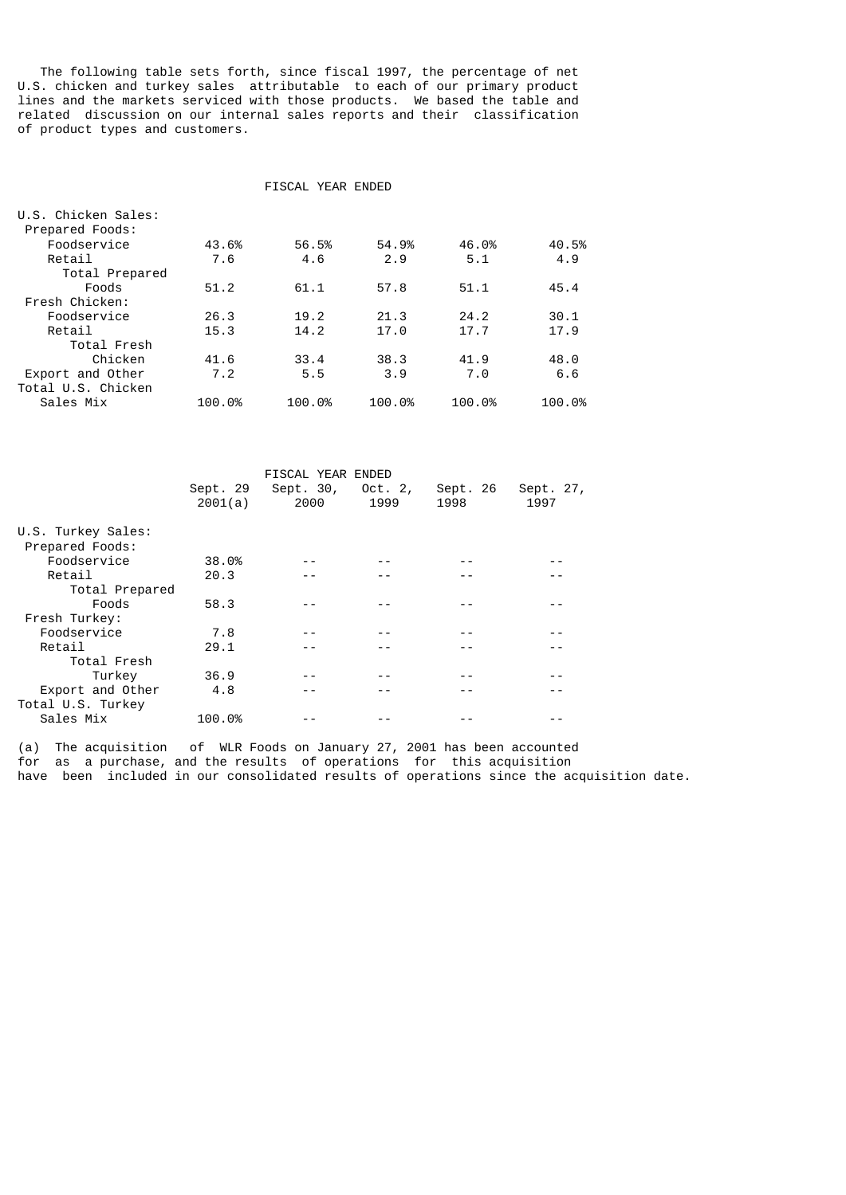The following table sets forth, since fiscal 1997, the percentage of net U.S. chicken and turkey sales attributable to each of our primary product lines and the markets serviced with those products. We based the table and related discussion on our internal sales reports and their classification of product types and customers.

### FISCAL YEAR ENDED

| U.S. Chicken Sales: |        |        |        |        |        |
|---------------------|--------|--------|--------|--------|--------|
| Prepared Foods:     |        |        |        |        |        |
| Foodservice         | 43.6%  | 56.5%  | 54.9%  | 46.0%  | 40.5%  |
| Retail              | 7.6    | 4.6    | 2.9    | 5.1    | 4.9    |
| Total Prepared      |        |        |        |        |        |
| Foods               | 51.2   | 61.1   | 57.8   | 51.1   | 45.4   |
| Fresh Chicken:      |        |        |        |        |        |
| Foodservice         | 26.3   | 19.2   | 21.3   | 24.2   | 30.1   |
| Retail              | 15.3   | 14.2   | 17.0   | 17.7   | 17.9   |
| Total Fresh         |        |        |        |        |        |
| Chicken             | 41.6   | 33.4   | 38.3   | 41.9   | 48.0   |
| Export and Other    | 7.2    | 5.5    | 3.9    | 7.0    | 6.6    |
| Total U.S. Chicken  |        |        |        |        |        |
| Sales Mix           | 100.0% | 100.0% | 100.0% | 100.0% | 100.0% |
|                     |        |        |        |        |        |

|                    |          | FISCAL YEAR ENDED |         |          |           |  |
|--------------------|----------|-------------------|---------|----------|-----------|--|
|                    | Sept. 29 | Sept. 30,         | Oct. 2, | Sept. 26 | Sept. 27, |  |
|                    | 2001(a)  | 2000              | 1999    | 1998     | 1997      |  |
|                    |          |                   |         |          |           |  |
| U.S. Turkey Sales: |          |                   |         |          |           |  |
| Prepared Foods:    |          |                   |         |          |           |  |
| Foodservice        | 38.0%    |                   |         |          |           |  |
| Retail             | 20.3     |                   |         |          |           |  |
| Total Prepared     |          |                   |         |          |           |  |
| Foods              | 58.3     |                   |         |          |           |  |
| Fresh Turkey:      |          |                   |         |          |           |  |
| Foodservice        | 7.8      |                   |         |          |           |  |
| Retail             | 29.1     |                   |         |          |           |  |
| Total Fresh        |          |                   |         |          |           |  |
| Turkey             | 36.9     |                   |         |          |           |  |
| Export and Other   | 4.8      |                   |         |          |           |  |
| Total U.S. Turkey  |          |                   |         |          |           |  |
| Sales Mix          | 100.0%   |                   |         |          |           |  |

(a) The acquisition of WLR Foods on January 27, 2001 has been accounted for as a purchase, and the results of operations for this acquisition have been included in our consolidated results of operations since the acquisition date.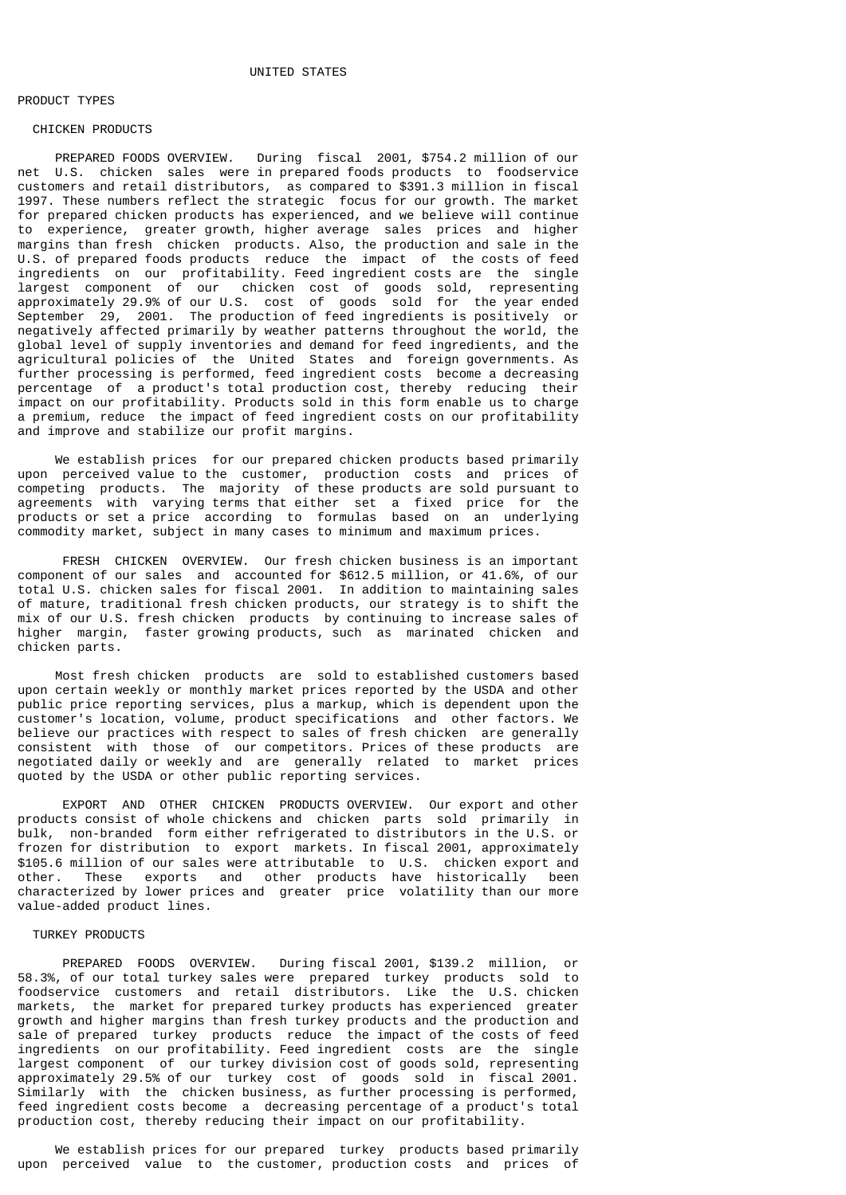## PRODUCT TYPES

### CHICKEN PRODUCTS

 PREPARED FOODS OVERVIEW. During fiscal 2001, \$754.2 million of our net U.S. chicken sales were in prepared foods products to foodservice customers and retail distributors, as compared to \$391.3 million in fiscal 1997. These numbers reflect the strategic focus for our growth. The market for prepared chicken products has experienced, and we believe will continue to experience, greater growth, higher average sales prices and higher margins than fresh chicken products. Also, the production and sale in the U.S. of prepared foods products reduce the impact of the costs of feed ingredients on our profitability. Feed ingredient costs are the single largest component of our chicken cost of goods sold, representing approximately 29.9% of our U.S. cost of goods sold for the year ended September 29, 2001. The production of feed ingredients is positively or negatively affected primarily by weather patterns throughout the world, the global level of supply inventories and demand for feed ingredients, and the agricultural policies of the United States and foreign governments. As further processing is performed, feed ingredient costs become a decreasing percentage of a product's total production cost, thereby reducing their impact on our profitability. Products sold in this form enable us to charge a premium, reduce the impact of feed ingredient costs on our profitability and improve and stabilize our profit margins.

 We establish prices for our prepared chicken products based primarily upon perceived value to the customer, production costs and prices of competing products. The majority of these products are sold pursuant to agreements with varying terms that either set a fixed price for the products or set a price according to formulas based on an underlying commodity market, subject in many cases to minimum and maximum prices.

 FRESH CHICKEN OVERVIEW. Our fresh chicken business is an important component of our sales and accounted for \$612.5 million, or 41.6%, of our total U.S. chicken sales for fiscal 2001. In addition to maintaining sales of mature, traditional fresh chicken products, our strategy is to shift the mix of our U.S. fresh chicken products by continuing to increase sales of higher margin, faster growing products, such as marinated chicken and chicken parts.

 Most fresh chicken products are sold to established customers based upon certain weekly or monthly market prices reported by the USDA and other public price reporting services, plus a markup, which is dependent upon the customer's location, volume, product specifications and other factors. We believe our practices with respect to sales of fresh chicken are generally consistent with those of our competitors. Prices of these products are negotiated daily or weekly and are generally related to market prices quoted by the USDA or other public reporting services.

 EXPORT AND OTHER CHICKEN PRODUCTS OVERVIEW. Our export and other products consist of whole chickens and chicken parts sold primarily in bulk, non-branded form either refrigerated to distributors in the U.S. or frozen for distribution to export markets. In fiscal 2001, approximately \$105.6 million of our sales were attributable to U.S. chicken export and other. These exports and other products have historically been characterized by lower prices and greater price volatility than our more value-added product lines.

### TURKEY PRODUCTS

 PREPARED FOODS OVERVIEW. During fiscal 2001, \$139.2 million, or 58.3%, of our total turkey sales were prepared turkey products sold to foodservice customers and retail distributors. Like the U.S. chicken markets, the market for prepared turkey products has experienced greater growth and higher margins than fresh turkey products and the production and sale of prepared turkey products reduce the impact of the costs of feed ingredients on our profitability. Feed ingredient costs are the single largest component of our turkey division cost of goods sold, representing approximately 29.5% of our turkey cost of goods sold in fiscal 2001. Similarly with the chicken business, as further processing is performed, feed ingredient costs become a decreasing percentage of a product's total production cost, thereby reducing their impact on our profitability.

 We establish prices for our prepared turkey products based primarily upon perceived value to the customer, production costs and prices of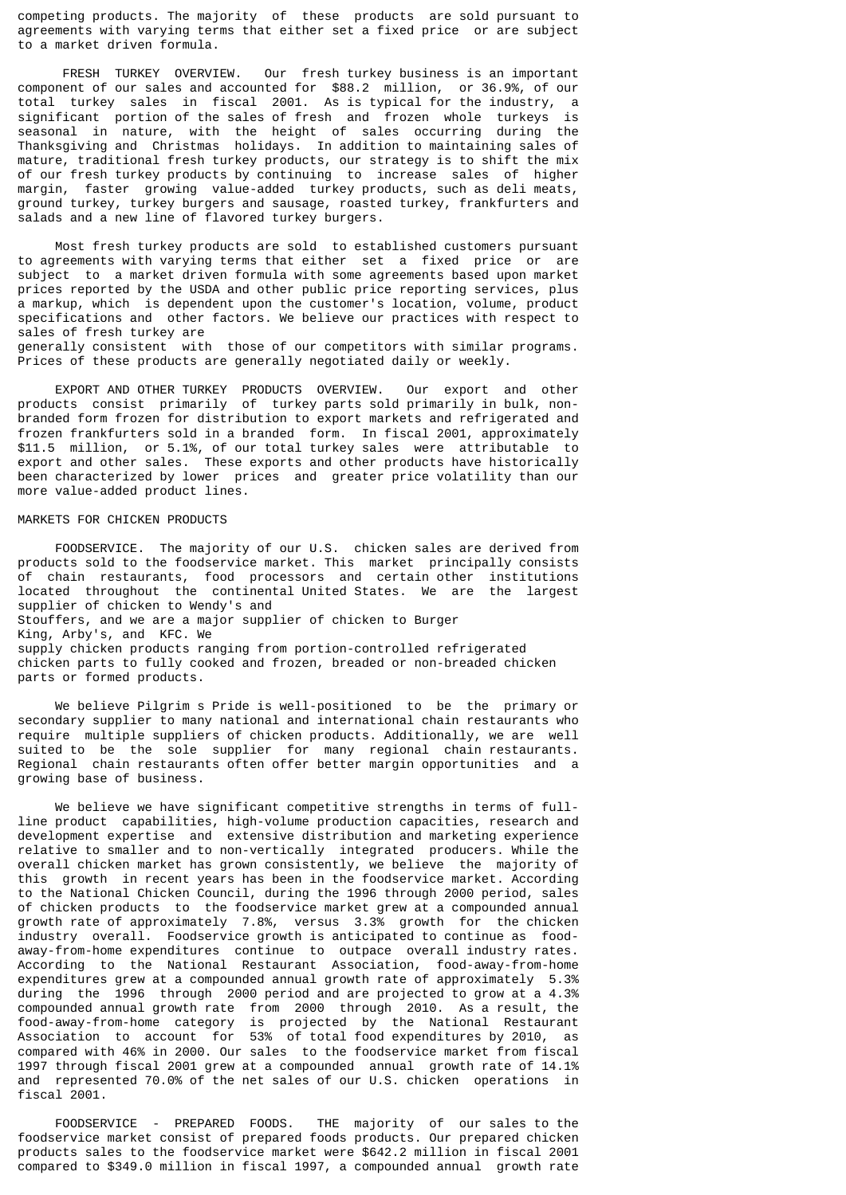competing products. The majority of these products are sold pursuant to agreements with varying terms that either set a fixed price or are subject to a market driven formula.

 FRESH TURKEY OVERVIEW. Our fresh turkey business is an important component of our sales and accounted for \$88.2 million, or 36.9%, of our total turkey sales in fiscal 2001. As is typical for the industry, a significant portion of the sales of fresh and frozen whole turkeys is seasonal in nature, with the height of sales occurring during the Thanksgiving and Christmas holidays. In addition to maintaining sales of mature, traditional fresh turkey products, our strategy is to shift the mix of our fresh turkey products by continuing to increase sales of higher margin, faster growing value-added turkey products, such as deli meats, ground turkey, turkey burgers and sausage, roasted turkey, frankfurters and salads and a new line of flavored turkey burgers.

 Most fresh turkey products are sold to established customers pursuant to agreements with varying terms that either set a fixed price or are subject to a market driven formula with some agreements based upon market prices reported by the USDA and other public price reporting services, plus a markup, which is dependent upon the customer's location, volume, product specifications and other factors. We believe our practices with respect to sales of fresh turkey are generally consistent with those of our competitors with similar programs.

Prices of these products are generally negotiated daily or weekly.

 EXPORT AND OTHER TURKEY PRODUCTS OVERVIEW. Our export and other products consist primarily of turkey parts sold primarily in bulk, nonbranded form frozen for distribution to export markets and refrigerated and frozen frankfurters sold in a branded form. In fiscal 2001, approximately \$11.5 million, or 5.1%, of our total turkey sales were attributable to export and other sales. These exports and other products have historically been characterized by lower prices and greater price volatility than our more value-added product lines.

## MARKETS FOR CHICKEN PRODUCTS

 FOODSERVICE. The majority of our U.S. chicken sales are derived from products sold to the foodservice market. This market principally consists of chain restaurants, food processors and certain other institutions located throughout the continental United States. We are the largest supplier of chicken to Wendy's and Stouffers, and we are a major supplier of chicken to Burger King, Arby's, and KFC. We supply chicken products ranging from portion-controlled refrigerated chicken parts to fully cooked and frozen, breaded or non-breaded chicken parts or formed products.

 We believe Pilgrim s Pride is well-positioned to be the primary or secondary supplier to many national and international chain restaurants who require multiple suppliers of chicken products. Additionally, we are well suited to be the sole supplier for many regional chain restaurants. Regional chain restaurants often offer better margin opportunities and a growing base of business.

 We believe we have significant competitive strengths in terms of fullline product capabilities, high-volume production capacities, research and development expertise and extensive distribution and marketing experience relative to smaller and to non-vertically integrated producers. While the overall chicken market has grown consistently, we believe the majority of this growth in recent years has been in the foodservice market. According to the National Chicken Council, during the 1996 through 2000 period, sales of chicken products to the foodservice market grew at a compounded annual growth rate of approximately 7.8%, versus 3.3% growth for the chicken industry overall. Foodservice growth is anticipated to continue as foodaway-from-home expenditures continue to outpace overall industry rates. According to the National Restaurant Association, food-away-from-home expenditures grew at a compounded annual growth rate of approximately 5.3% during the 1996 through 2000 period and are projected to grow at a 4.3% compounded annual growth rate from 2000 through 2010. As a result, the food-away-from-home category is projected by the National Restaurant Association to account for 53% of total food expenditures by 2010, as compared with 46% in 2000. Our sales to the foodservice market from fiscal 1997 through fiscal 2001 grew at a compounded annual growth rate of 14.1% and represented 70.0% of the net sales of our U.S. chicken operations in fiscal 2001.

 FOODSERVICE - PREPARED FOODS. THE majority of our sales to the foodservice market consist of prepared foods products. Our prepared chicken products sales to the foodservice market were \$642.2 million in fiscal 2001 compared to \$349.0 million in fiscal 1997, a compounded annual growth rate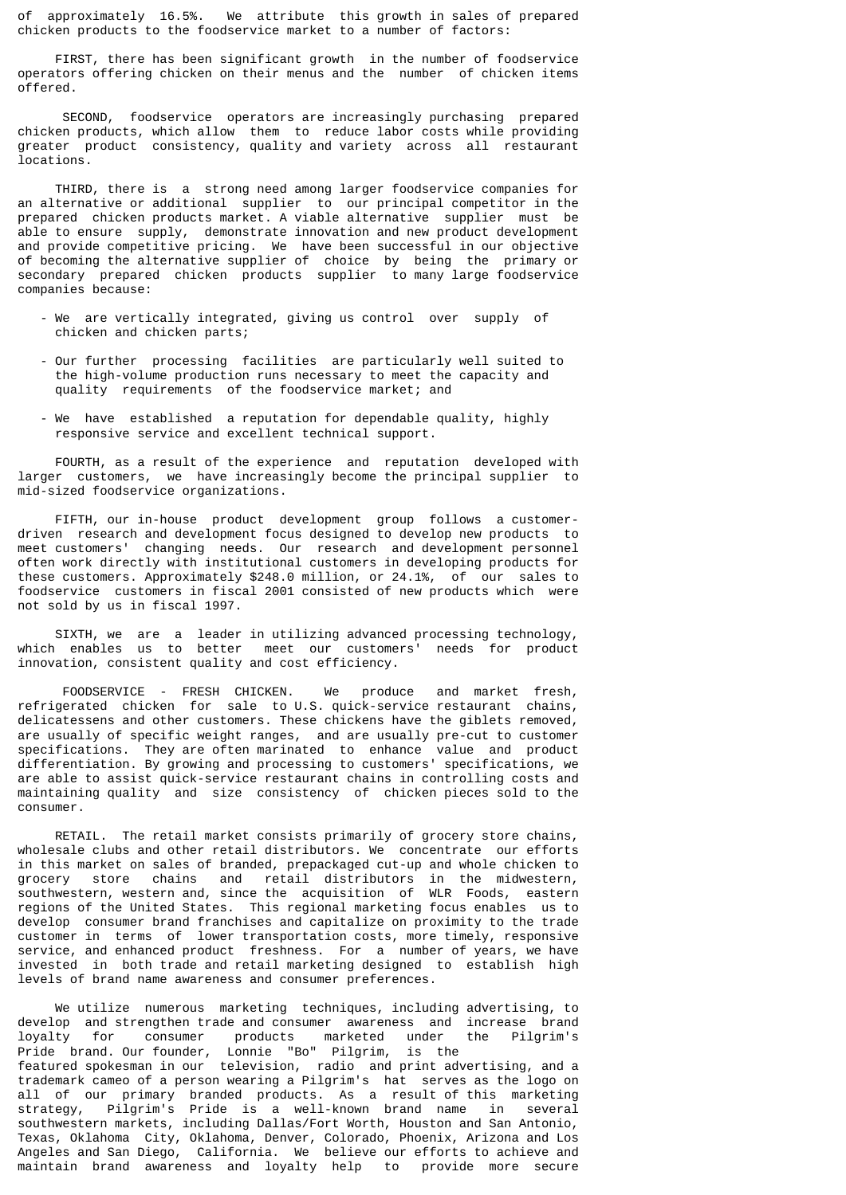of approximately 16.5%. We attribute this growth in sales of prepared chicken products to the foodservice market to a number of factors:

 FIRST, there has been significant growth in the number of foodservice operators offering chicken on their menus and the number of chicken items offered.

 SECOND, foodservice operators are increasingly purchasing prepared chicken products, which allow them to reduce labor costs while providing greater product consistency, quality and variety across all restaurant locations.

 THIRD, there is a strong need among larger foodservice companies for an alternative or additional supplier to our principal competitor in the prepared chicken products market. A viable alternative supplier must be able to ensure supply, demonstrate innovation and new product development and provide competitive pricing. We have been successful in our objective of becoming the alternative supplier of choice by being the primary or secondary prepared chicken products supplier to many large foodservice companies because:

- We are vertically integrated, giving us control over supply of chicken and chicken parts;
- Our further processing facilities are particularly well suited to the high-volume production runs necessary to meet the capacity and quality requirements of the foodservice market; and
- We have established a reputation for dependable quality, highly responsive service and excellent technical support.

 FOURTH, as a result of the experience and reputation developed with larger customers, we have increasingly become the principal supplier to mid-sized foodservice organizations.

 FIFTH, our in-house product development group follows a customerdriven research and development focus designed to develop new products to meet customers' changing needs. Our research and development personnel often work directly with institutional customers in developing products for these customers. Approximately \$248.0 million, or 24.1%, of our sales to foodservice customers in fiscal 2001 consisted of new products which were not sold by us in fiscal 1997.

 SIXTH, we are a leader in utilizing advanced processing technology, which enables us to better meet our customers' needs for product innovation, consistent quality and cost efficiency.

 FOODSERVICE - FRESH CHICKEN. We produce and market fresh, refrigerated chicken for sale to U.S. quick-service restaurant chains, delicatessens and other customers. These chickens have the giblets removed, are usually of specific weight ranges, and are usually pre-cut to customer specifications. They are often marinated to enhance value and product differentiation. By growing and processing to customers' specifications, we are able to assist quick-service restaurant chains in controlling costs and maintaining quality and size consistency of chicken pieces sold to the consumer.

 RETAIL. The retail market consists primarily of grocery store chains, wholesale clubs and other retail distributors. We concentrate our efforts in this market on sales of branded, prepackaged cut-up and whole chicken to grocery store chains and retail distributors in the midwestern, southwestern, western and, since the acquisition of WLR Foods, eastern regions of the United States. This regional marketing focus enables us to develop consumer brand franchises and capitalize on proximity to the trade customer in terms of lower transportation costs, more timely, responsive service, and enhanced product freshness. For a number of years, we have invested in both trade and retail marketing designed to establish high levels of brand name awareness and consumer preferences.

 We utilize numerous marketing techniques, including advertising, to develop and strengthen trade and consumer awareness and increase brand<br>loyalty for consumer products marketed under the Pilgrim's loyalty for consumer products marketed under the Pilgrim's Pride brand. Our founder, Lonnie "Bo" Pilgrim, is the featured spokesman in our television, radio and print advertising, and a trademark cameo of a person wearing a Pilgrim's hat serves as the logo on all of our primary branded products. As a result of this marketing strategy, Pilgrim's Pride is a well-known brand name in several southwestern markets, including Dallas/Fort Worth, Houston and San Antonio, Texas, Oklahoma City, Oklahoma, Denver, Colorado, Phoenix, Arizona and Los Angeles and San Diego, California. We believe our efforts to achieve and maintain brand awareness and loyalty help to provide more secure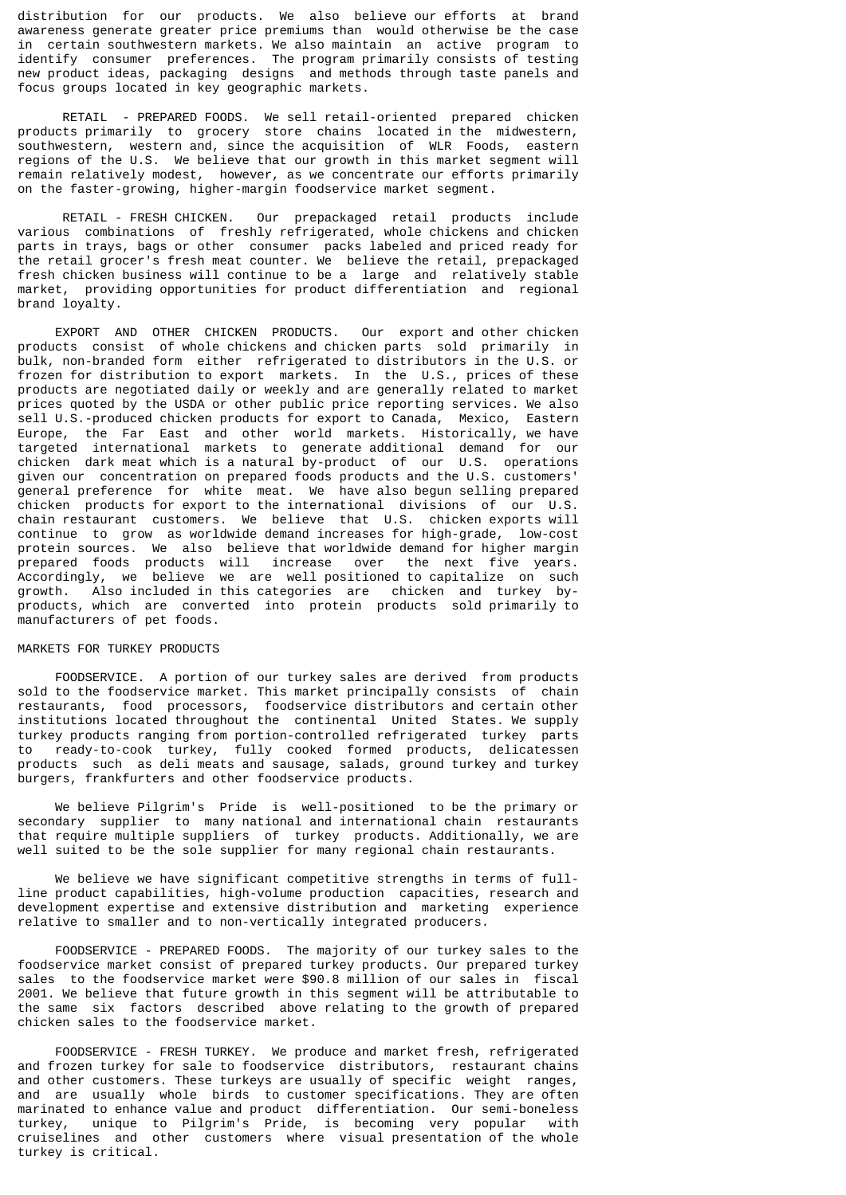distribution for our products. We also believe our efforts at brand awareness generate greater price premiums than would otherwise be the case in certain southwestern markets. We also maintain an active program to identify consumer preferences. The program primarily consists of testing new product ideas, packaging designs and methods through taste panels and focus groups located in key geographic markets.

 RETAIL - PREPARED FOODS. We sell retail-oriented prepared chicken products primarily to grocery store chains located in the midwestern, southwestern, western and, since the acquisition of WLR Foods, eastern regions of the U.S. We believe that our growth in this market segment will remain relatively modest, however, as we concentrate our efforts primarily on the faster-growing, higher-margin foodservice market segment.

 RETAIL - FRESH CHICKEN. Our prepackaged retail products include various combinations of freshly refrigerated, whole chickens and chicken parts in trays, bags or other consumer packs labeled and priced ready for the retail grocer's fresh meat counter. We believe the retail, prepackaged fresh chicken business will continue to be a large and relatively stable market, providing opportunities for product differentiation and regional brand loyalty.

 EXPORT AND OTHER CHICKEN PRODUCTS. Our export and other chicken products consist of whole chickens and chicken parts sold primarily in bulk, non-branded form either refrigerated to distributors in the U.S. or frozen for distribution to export markets. In the U.S., prices of these products are negotiated daily or weekly and are generally related to market prices quoted by the USDA or other public price reporting services. We also sell U.S.-produced chicken products for export to Canada, Mexico, Eastern Europe, the Far East and other world markets. Historically, we have targeted international markets to generate additional demand for our chicken dark meat which is a natural by-product of our U.S. operations given our concentration on prepared foods products and the U.S. customers' general preference for white meat. We have also begun selling prepared chicken products for export to the international divisions of our U.S. chain restaurant customers. We believe that U.S. chicken exports will continue to grow as worldwide demand increases for high-grade, low-cost protein sources. We also believe that worldwide demand for higher margin prepared foods products will increase over the next five years. Accordingly, we believe we are well positioned to capitalize on such growth. Also included in this categories are chicken and turkey byproducts, which are converted into protein products sold primarily to manufacturers of pet foods.

### MARKETS FOR TURKEY PRODUCTS

 FOODSERVICE. A portion of our turkey sales are derived from products sold to the foodservice market. This market principally consists of chain restaurants, food processors, foodservice distributors and certain other institutions located throughout the continental United States. We supply turkey products ranging from portion-controlled refrigerated turkey parts to ready-to-cook turkey, fully cooked formed products, delicatessen products such as deli meats and sausage, salads, ground turkey and turkey burgers, frankfurters and other foodservice products.

 We believe Pilgrim's Pride is well-positioned to be the primary or secondary supplier to many national and international chain restaurants that require multiple suppliers of turkey products. Additionally, we are well suited to be the sole supplier for many regional chain restaurants.

 We believe we have significant competitive strengths in terms of fullline product capabilities, high-volume production capacities, research and development expertise and extensive distribution and marketing experience relative to smaller and to non-vertically integrated producers.

 FOODSERVICE - PREPARED FOODS. The majority of our turkey sales to the foodservice market consist of prepared turkey products. Our prepared turkey sales to the foodservice market were \$90.8 million of our sales in fiscal 2001. We believe that future growth in this segment will be attributable to the same six factors described above relating to the growth of prepared chicken sales to the foodservice market.

 FOODSERVICE - FRESH TURKEY. We produce and market fresh, refrigerated and frozen turkey for sale to foodservice distributors, restaurant chains and other customers. These turkeys are usually of specific weight ranges, and are usually whole birds to customer specifications. They are often marinated to enhance value and product differentiation. Our semi-boneless turkey, unique to Pilgrim's Pride, is becoming very popular with cruiselines and other customers where visual presentation of the whole turkey is critical.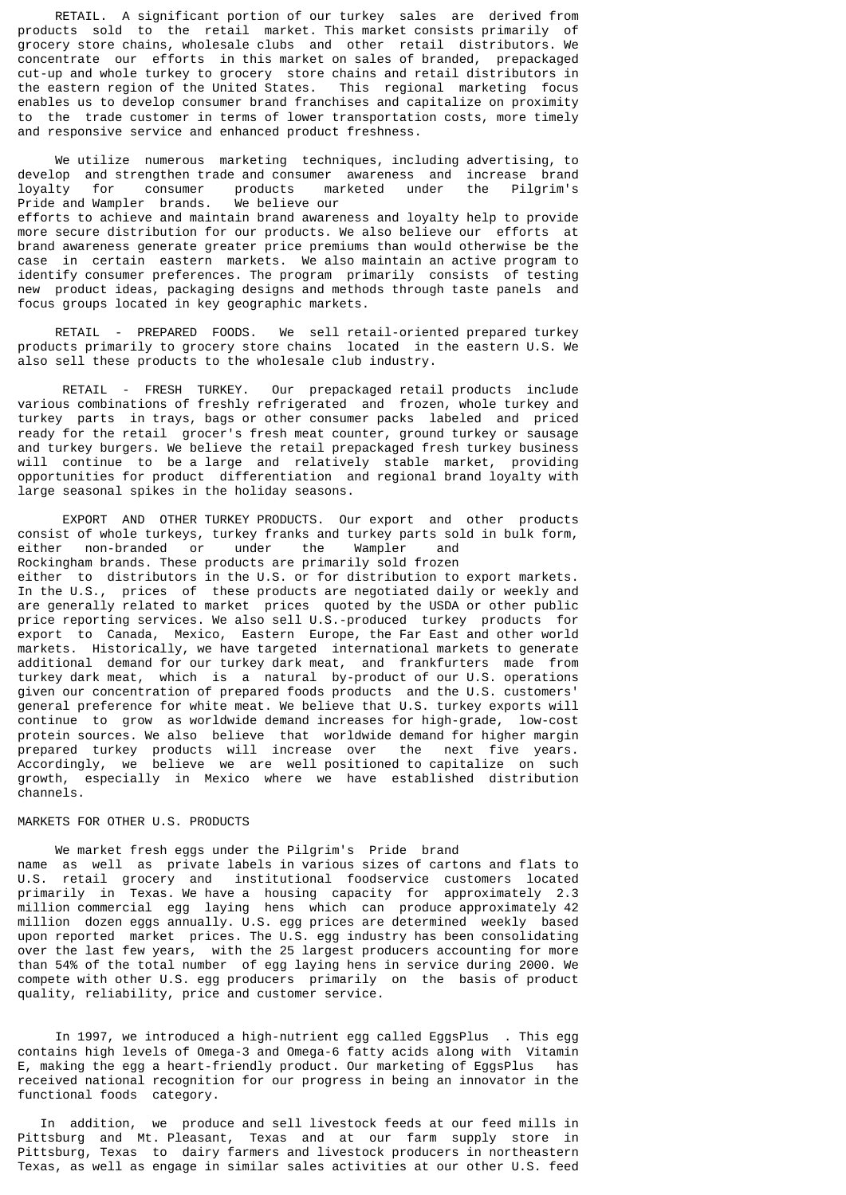RETAIL. A significant portion of our turkey sales are derived from products sold to the retail market. This market consists primarily of grocery store chains, wholesale clubs and other retail distributors. We concentrate our efforts in this market on sales of branded, prepackaged cut-up and whole turkey to grocery store chains and retail distributors in the eastern region of the United States. This regional marketing focus enables us to develop consumer brand franchises and capitalize on proximity to the trade customer in terms of lower transportation costs, more timely and responsive service and enhanced product freshness.

 We utilize numerous marketing techniques, including advertising, to develop and strengthen trade and consumer awareness and increase brand<br>lovalty for consumer products marketed under the Pilgrim's loyalty for consumer products marketed under the Pilgrim's Pride and Wampler brands. We believe our efforts to achieve and maintain brand awareness and loyalty help to provide more secure distribution for our products. We also believe our efforts at brand awareness generate greater price premiums than would otherwise be the case in certain eastern markets. We also maintain an active program to identify consumer preferences. The program primarily consists of testing new product ideas, packaging designs and methods through taste panels and focus groups located in key geographic markets.

 RETAIL - PREPARED FOODS. We sell retail-oriented prepared turkey products primarily to grocery store chains located in the eastern U.S. We also sell these products to the wholesale club industry.

 RETAIL - FRESH TURKEY. Our prepackaged retail products include various combinations of freshly refrigerated and frozen, whole turkey and turkey parts in trays, bags or other consumer packs labeled and priced ready for the retail grocer's fresh meat counter, ground turkey or sausage and turkey burgers. We believe the retail prepackaged fresh turkey business will continue to be a large and relatively stable market, providing opportunities for product differentiation and regional brand loyalty with large seasonal spikes in the holiday seasons.

 EXPORT AND OTHER TURKEY PRODUCTS. Our export and other products consist of whole turkeys, turkey franks and turkey parts sold in bulk form, either non-branded or under the Wampler and Rockingham brands. These products are primarily sold frozen either to distributors in the U.S. or for distribution to export markets. In the U.S., prices of these products are negotiated daily or weekly and are generally related to market prices quoted by the USDA or other public price reporting services. We also sell U.S.-produced turkey products for export to Canada, Mexico, Eastern Europe, the Far East and other world markets. Historically, we have targeted international markets to generate additional demand for our turkey dark meat, and frankfurters made from turkey dark meat, which is a natural by-product of our U.S. operations given our concentration of prepared foods products and the U.S. customers' general preference for white meat. We believe that U.S. turkey exports will continue to grow as worldwide demand increases for high-grade, low-cost protein sources. We also believe that worldwide demand for higher margin prepared turkey products will increase over the next five years. Accordingly, we believe we are well positioned to capitalize on such growth, especially in Mexico where we have established distribution channels.

### MARKETS FOR OTHER U.S. PRODUCTS

 We market fresh eggs under the Pilgrim's Pride brand name as well as private labels in various sizes of cartons and flats to U.S. retail grocery and institutional foodservice customers located primarily in Texas. We have a housing capacity for approximately 2.3 million commercial egg laying hens which can produce approximately 42 million dozen eggs annually. U.S. egg prices are determined weekly based upon reported market prices. The U.S. egg industry has been consolidating over the last few years, with the 25 largest producers accounting for more than 54% of the total number of egg laying hens in service during 2000. We compete with other U.S. egg producers primarily on the basis of product quality, reliability, price and customer service.

 In 1997, we introduced a high-nutrient egg called EggsPlus . This egg contains high levels of Omega-3 and Omega-6 fatty acids along with Vitamin E, making the egg a heart-friendly product. Our marketing of EggsPlus has received national recognition for our progress in being an innovator in the functional foods category.

 In addition, we produce and sell livestock feeds at our feed mills in Pittsburg and Mt. Pleasant, Texas and at our farm supply store in Pittsburg, Texas to dairy farmers and livestock producers in northeastern Texas, as well as engage in similar sales activities at our other U.S. feed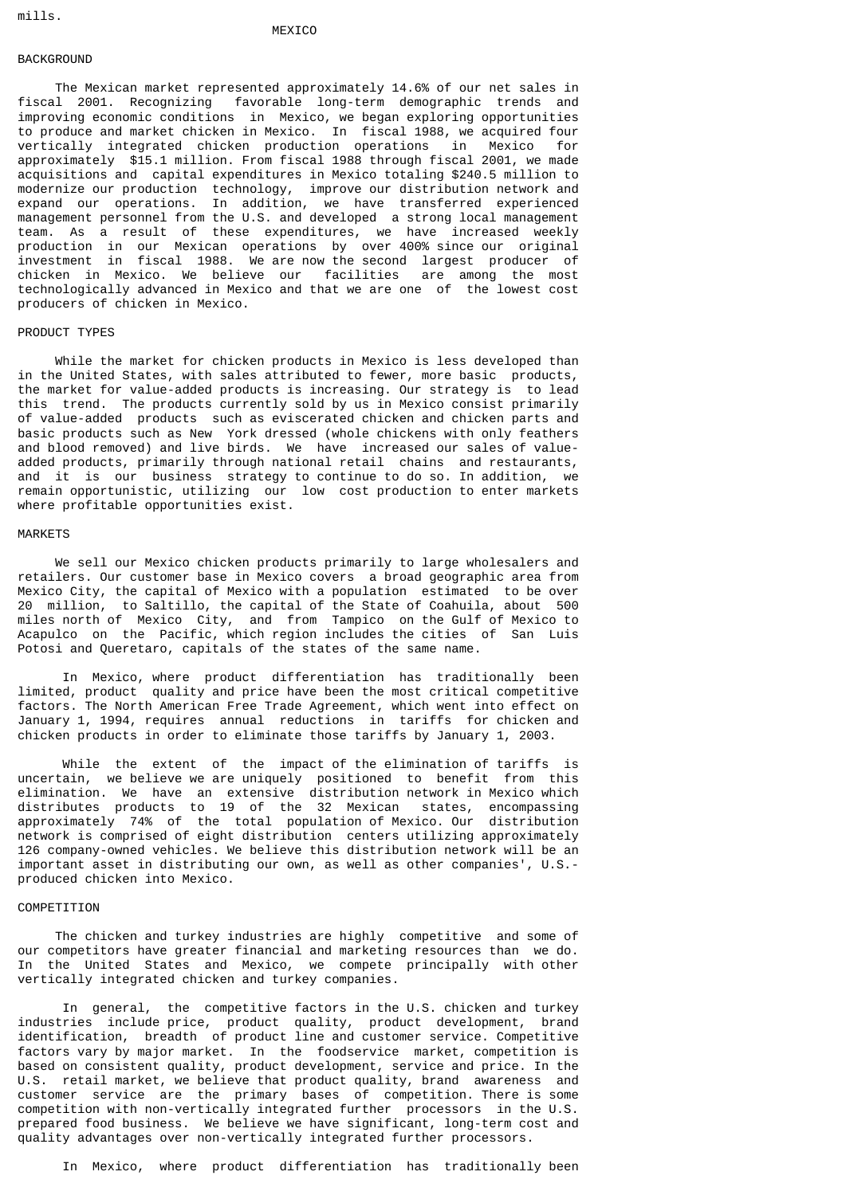#### **MEXICO**

## BACKGROUND

 The Mexican market represented approximately 14.6% of our net sales in fiscal 2001. Recognizing favorable long-term demographic trends and improving economic conditions in Mexico, we began exploring opportunities to produce and market chicken in Mexico. In fiscal 1988, we acquired four vertically integrated chicken production operations in Mexico for approximately \$15.1 million. From fiscal 1988 through fiscal 2001, we made acquisitions and capital expenditures in Mexico totaling \$240.5 million to modernize our production technology, improve our distribution network and expand our operations. In addition, we have transferred experienced management personnel from the U.S. and developed a strong local management team. As a result of these expenditures, we have increased weekly production in our Mexican operations by over 400% since our original investment in fiscal 1988. We are now the second largest producer of chicken in Mexico. We believe our facilities are among the most technologically advanced in Mexico and that we are one of the lowest cost producers of chicken in Mexico.

### PRODUCT TYPES

 While the market for chicken products in Mexico is less developed than in the United States, with sales attributed to fewer, more basic products, the market for value-added products is increasing. Our strategy is to lead this trend. The products currently sold by us in Mexico consist primarily of value-added products such as eviscerated chicken and chicken parts and basic products such as New York dressed (whole chickens with only feathers and blood removed) and live birds. We have increased our sales of valueadded products, primarily through national retail chains and restaurants, and it is our business strategy to continue to do so. In addition, we remain opportunistic, utilizing our low cost production to enter markets where profitable opportunities exist.

#### MARKETS

 We sell our Mexico chicken products primarily to large wholesalers and retailers. Our customer base in Mexico covers a broad geographic area from Mexico City, the capital of Mexico with a population estimated to be over 20 million, to Saltillo, the capital of the State of Coahuila, about 500 miles north of Mexico City, and from Tampico on the Gulf of Mexico to Acapulco on the Pacific, which region includes the cities of San Luis Potosi and Queretaro, capitals of the states of the same name.

 In Mexico, where product differentiation has traditionally been limited, product quality and price have been the most critical competitive factors. The North American Free Trade Agreement, which went into effect on January 1, 1994, requires annual reductions in tariffs for chicken and chicken products in order to eliminate those tariffs by January 1, 2003.

 While the extent of the impact of the elimination of tariffs is uncertain, we believe we are uniquely positioned to benefit from this elimination. We have an extensive distribution network in Mexico which distributes products to 19 of the 32 Mexican states, encompassing approximately 74% of the total population of Mexico. Our distribution network is comprised of eight distribution centers utilizing approximately 126 company-owned vehicles. We believe this distribution network will be an important asset in distributing our own, as well as other companies', U.S. produced chicken into Mexico.

### COMPETITION

 The chicken and turkey industries are highly competitive and some of our competitors have greater financial and marketing resources than we do. In the United States and Mexico, we compete principally with other vertically integrated chicken and turkey companies.

 In general, the competitive factors in the U.S. chicken and turkey industries include price, product quality, product development, brand identification, breadth of product line and customer service. Competitive factors vary by major market. In the foodservice market, competition is based on consistent quality, product development, service and price. In the U.S. retail market, we believe that product quality, brand awareness and customer service are the primary bases of competition. There is some competition with non-vertically integrated further processors in the U.S. prepared food business. We believe we have significant, long-term cost and quality advantages over non-vertically integrated further processors.

In Mexico, where product differentiation has traditionally been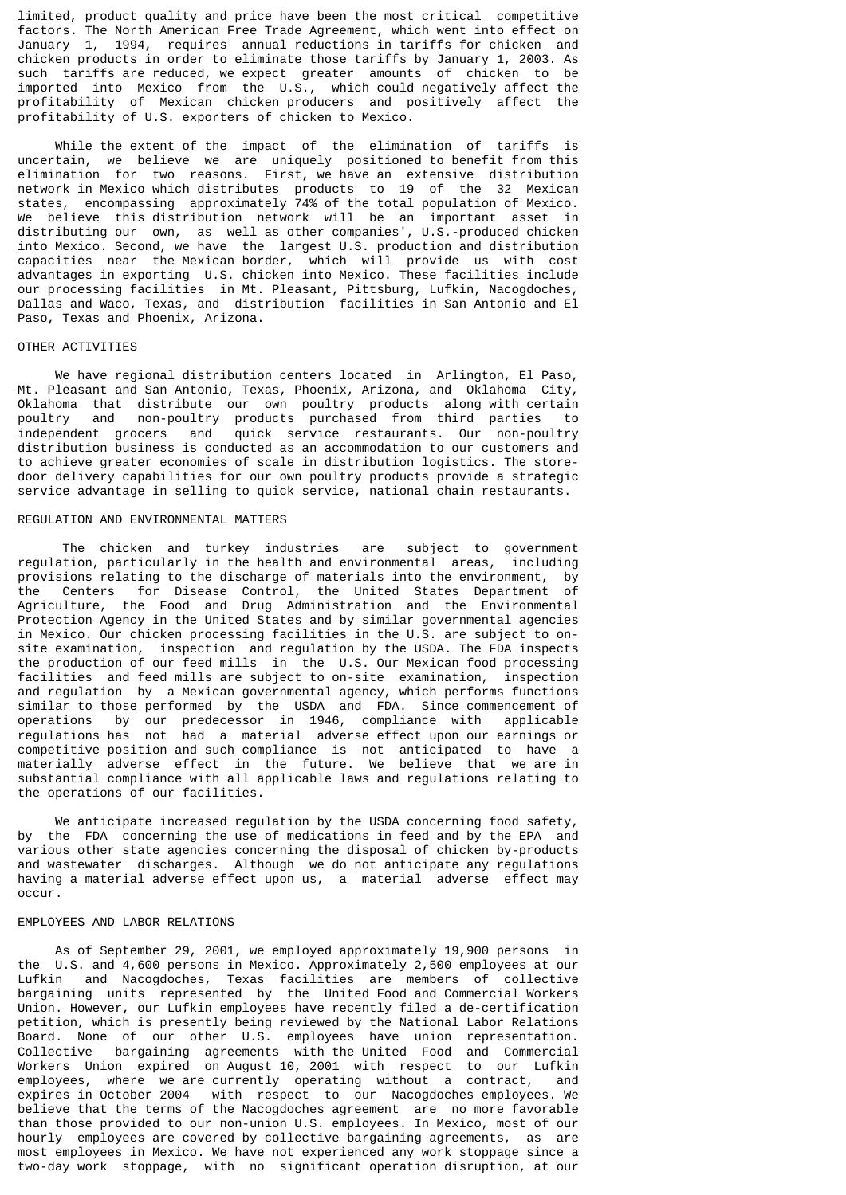limited, product quality and price have been the most critical competitive factors. The North American Free Trade Agreement, which went into effect on January 1, 1994, requires annual reductions in tariffs for chicken and chicken products in order to eliminate those tariffs by January 1, 2003. As such tariffs are reduced, we expect greater amounts of chicken to be imported into Mexico from the U.S., which could negatively affect the profitability of Mexican chicken producers and positively affect the profitability of U.S. exporters of chicken to Mexico.

 While the extent of the impact of the elimination of tariffs is uncertain, we believe we are uniquely positioned to benefit from this elimination for two reasons. First, we have an extensive distribution network in Mexico which distributes products to 19 of the 32 Mexican states, encompassing approximately 74% of the total population of Mexico. We believe this distribution network will be an important asset in distributing our own, as well as other companies', U.S.-produced chicken into Mexico. Second, we have the largest U.S. production and distribution capacities near the Mexican border, which will provide us with cost advantages in exporting U.S. chicken into Mexico. These facilities include our processing facilities in Mt. Pleasant, Pittsburg, Lufkin, Nacogdoches, Dallas and Waco, Texas, and distribution facilities in San Antonio and El Paso, Texas and Phoenix, Arizona.

### OTHER ACTIVITIES

 We have regional distribution centers located in Arlington, El Paso, Mt. Pleasant and San Antonio, Texas, Phoenix, Arizona, and Oklahoma City, Oklahoma that distribute our own poultry products along with certain<br>poultry and non-poultry products purchased from third parties to poultry and non-poultry products purchased from third parties to independent grocers and quick service restaurants. Our non-poultry distribution business is conducted as an accommodation to our customers and to achieve greater economies of scale in distribution logistics. The storedoor delivery capabilities for our own poultry products provide a strategic service advantage in selling to quick service, national chain restaurants.

## REGULATION AND ENVIRONMENTAL MATTERS

 The chicken and turkey industries are subject to government regulation, particularly in the health and environmental areas, including provisions relating to the discharge of materials into the environment, by the Centers for Disease Control, the United States Department of Agriculture, the Food and Drug Administration and the Environmental Protection Agency in the United States and by similar governmental agencies in Mexico. Our chicken processing facilities in the U.S. are subject to onsite examination, inspection and regulation by the USDA. The FDA inspects the production of our feed mills in the U.S. Our Mexican food processing facilities and feed mills are subject to on-site examination, inspection and regulation by a Mexican governmental agency, which performs functions similar to those performed by the USDA and FDA. Since commencement of operations by our predecessor in 1946, compliance with applicable regulations has not had a material adverse effect upon our earnings or competitive position and such compliance is not anticipated to have a materially adverse effect in the future. We believe that we are in substantial compliance with all applicable laws and regulations relating to the operations of our facilities.

 We anticipate increased regulation by the USDA concerning food safety, by the FDA concerning the use of medications in feed and by the EPA and various other state agencies concerning the disposal of chicken by-products and wastewater discharges. Although we do not anticipate any regulations having a material adverse effect upon us, a material adverse effect may occur.

### EMPLOYEES AND LABOR RELATIONS

 As of September 29, 2001, we employed approximately 19,900 persons in the U.S. and 4,600 persons in Mexico. Approximately 2,500 employees at our Lufkin and Nacogdoches, Texas facilities are members of collective bargaining units represented by the United Food and Commercial Workers Union. However, our Lufkin employees have recently filed a de-certification petition, which is presently being reviewed by the National Labor Relations Board. None of our other U.S. employees have union representation. Collective bargaining agreements with the United Food and Commercial Workers Union expired on August 10, 2001 with respect to our Lufkin employees, where we are currently operating without a contract, and expires in October 2004 with respect to our Nacogdoches employees. We believe that the terms of the Nacogdoches agreement are no more favorable than those provided to our non-union U.S. employees. In Mexico, most of our hourly employees are covered by collective bargaining agreements, as are most employees in Mexico. We have not experienced any work stoppage since a two-day work stoppage, with no significant operation disruption, at our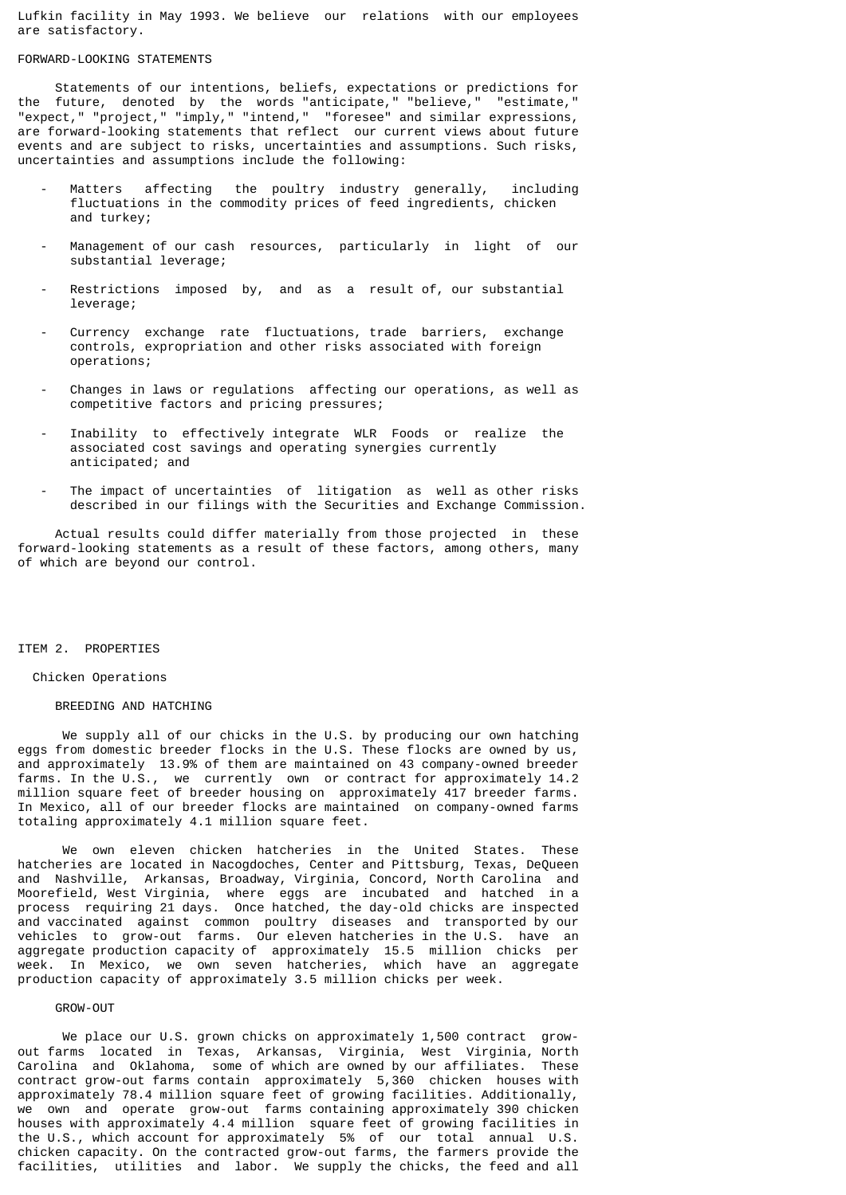Lufkin facility in May 1993. We believe our relations with our employees are satisfactory.

### FORWARD-LOOKING STATEMENTS

 Statements of our intentions, beliefs, expectations or predictions for the future, denoted by the words "anticipate," "believe," "estimate," "expect," "project," "imply," "intend," "foresee" and similar expressions, are forward-looking statements that reflect our current views about future events and are subject to risks, uncertainties and assumptions. Such risks, uncertainties and assumptions include the following:

- Matters affecting the poultry industry generally, including fluctuations in the commodity prices of feed ingredients, chicken and turkey;
- Management of our cash resources, particularly in light of our substantial leverage;
- Restrictions imposed by, and as a result of, our substantial leverage;
- Currency exchange rate fluctuations, trade barriers, exchange controls, expropriation and other risks associated with foreign operations;
- Changes in laws or regulations affecting our operations, as well as competitive factors and pricing pressures;
- Inability to effectively integrate WLR Foods or realize the associated cost savings and operating synergies currently anticipated; and
- The impact of uncertainties of litigation as well as other risks described in our filings with the Securities and Exchange Commission.

 Actual results could differ materially from those projected in these forward-looking statements as a result of these factors, among others, many of which are beyond our control.

### ITEM 2. PROPERTIES

### Chicken Operations

## BREEDING AND HATCHING

 We supply all of our chicks in the U.S. by producing our own hatching eggs from domestic breeder flocks in the U.S. These flocks are owned by us, and approximately 13.9% of them are maintained on 43 company-owned breeder farms. In the U.S., we currently own or contract for approximately 14.2 million square feet of breeder housing on approximately 417 breeder farms. In Mexico, all of our breeder flocks are maintained on company-owned farms totaling approximately 4.1 million square feet.

 We own eleven chicken hatcheries in the United States. These hatcheries are located in Nacogdoches, Center and Pittsburg, Texas, DeQueen and Nashville, Arkansas, Broadway, Virginia, Concord, North Carolina and Moorefield, West Virginia, where eggs are incubated and hatched in a process requiring 21 days. Once hatched, the day-old chicks are inspected and vaccinated against common poultry diseases and transported by our vehicles to grow-out farms. Our eleven hatcheries in the U.S. have an aggregate production capacity of approximately 15.5 million chicks per week. In Mexico, we own seven hatcheries, which have an aggregate production capacity of approximately 3.5 million chicks per week.

#### GROW-OUT

We place our U.S. grown chicks on approximately 1,500 contract growout farms located in Texas, Arkansas, Virginia, West Virginia, North Carolina and Oklahoma, some of which are owned by our affiliates. These contract grow-out farms contain approximately 5,360 chicken houses with approximately 78.4 million square feet of growing facilities. Additionally, we own and operate grow-out farms containing approximately 390 chicken houses with approximately 4.4 million square feet of growing facilities in the U.S., which account for approximately 5% of our total annual U.S. chicken capacity. On the contracted grow-out farms, the farmers provide the facilities, utilities and labor. We supply the chicks, the feed and all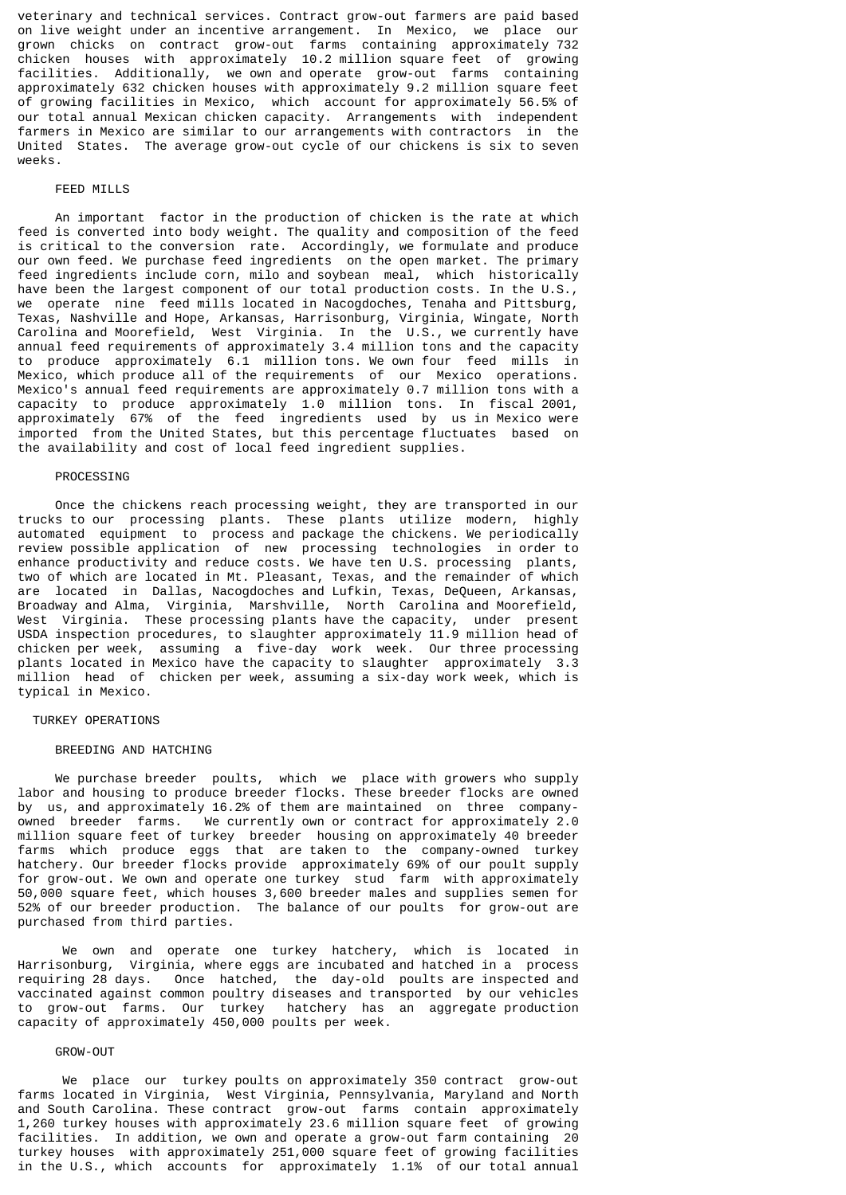veterinary and technical services. Contract grow-out farmers are paid based on live weight under an incentive arrangement. In Mexico, we place our grown chicks on contract grow-out farms containing approximately 732 chicken houses with approximately 10.2 million square feet of growing facilities. Additionally, we own and operate grow-out farms containing approximately 632 chicken houses with approximately 9.2 million square feet of growing facilities in Mexico, which account for approximately 56.5% of our total annual Mexican chicken capacity. Arrangements with independent farmers in Mexico are similar to our arrangements with contractors in the United States. The average grow-out cycle of our chickens is six to seven weeks.

### FEED MILLS

 An important factor in the production of chicken is the rate at which feed is converted into body weight. The quality and composition of the feed is critical to the conversion rate. Accordingly, we formulate and produce our own feed. We purchase feed ingredients on the open market. The primary feed ingredients include corn, milo and soybean meal, which historically have been the largest component of our total production costs. In the U.S., we operate nine feed mills located in Nacogdoches, Tenaha and Pittsburg, Texas, Nashville and Hope, Arkansas, Harrisonburg, Virginia, Wingate, North Carolina and Moorefield, West Virginia. In the U.S., we currently have annual feed requirements of approximately 3.4 million tons and the capacity to produce approximately 6.1 million tons. We own four feed mills in Mexico, which produce all of the requirements of our Mexico operations. Mexico's annual feed requirements are approximately 0.7 million tons with a capacity to produce approximately 1.0 million tons. In fiscal 2001, approximately 67% of the feed ingredients used by us in Mexico were imported from the United States, but this percentage fluctuates based on the availability and cost of local feed ingredient supplies.

#### PROCESSING

 Once the chickens reach processing weight, they are transported in our trucks to our processing plants. These plants utilize modern, highly automated equipment to process and package the chickens. We periodically review possible application of new processing technologies in order to enhance productivity and reduce costs. We have ten U.S. processing plants, two of which are located in Mt. Pleasant, Texas, and the remainder of which are located in Dallas, Nacogdoches and Lufkin, Texas, DeQueen, Arkansas, Broadway and Alma, Virginia, Marshville, North Carolina and Moorefield, West Virginia. These processing plants have the capacity, under present USDA inspection procedures, to slaughter approximately 11.9 million head of chicken per week, assuming a five-day work week. Our three processing plants located in Mexico have the capacity to slaughter approximately 3.3 million head of chicken per week, assuming a six-day work week, which is typical in Mexico.

### TURKEY OPERATIONS

#### BREEDING AND HATCHING

 We purchase breeder poults, which we place with growers who supply labor and housing to produce breeder flocks. These breeder flocks are owned by us, and approximately 16.2% of them are maintained on three companyowned breeder farms. We currently own or contract for approximately 2.0 million square feet of turkey breeder housing on approximately 40 breeder farms which produce eggs that are taken to the company-owned turkey hatchery. Our preeder flocks provide approximately 69% of our poult supply for grow-out. We own and operate one turkey stud farm with approximately 50,000 square feet, which houses 3,600 breeder males and supplies semen for 52% of our breeder production. The balance of our poults for grow-out are purchased from third parties.

 We own and operate one turkey hatchery, which is located in Harrisonburg, Virginia, where eggs are incubated and hatched in a process requiring 28 days. Once hatched, the day-old poults are inspected and Once hatched, the day-old poults are inspected and vaccinated against common poultry diseases and transported by our vehicles to grow-out farms. Our turkey hatchery has an aggregate production capacity of approximately 450,000 poults per week.

## GROW-OUT

 We place our turkey poults on approximately 350 contract grow-out farms located in Virginia, West Virginia, Pennsylvania, Maryland and North and South Carolina. These contract grow-out farms contain approximately 1,260 turkey houses with approximately 23.6 million square feet of growing facilities. In addition, we own and operate a grow-out farm containing 20 turkey houses with approximately 251,000 square feet of growing facilities in the U.S., which accounts for approximately 1.1% of our total annual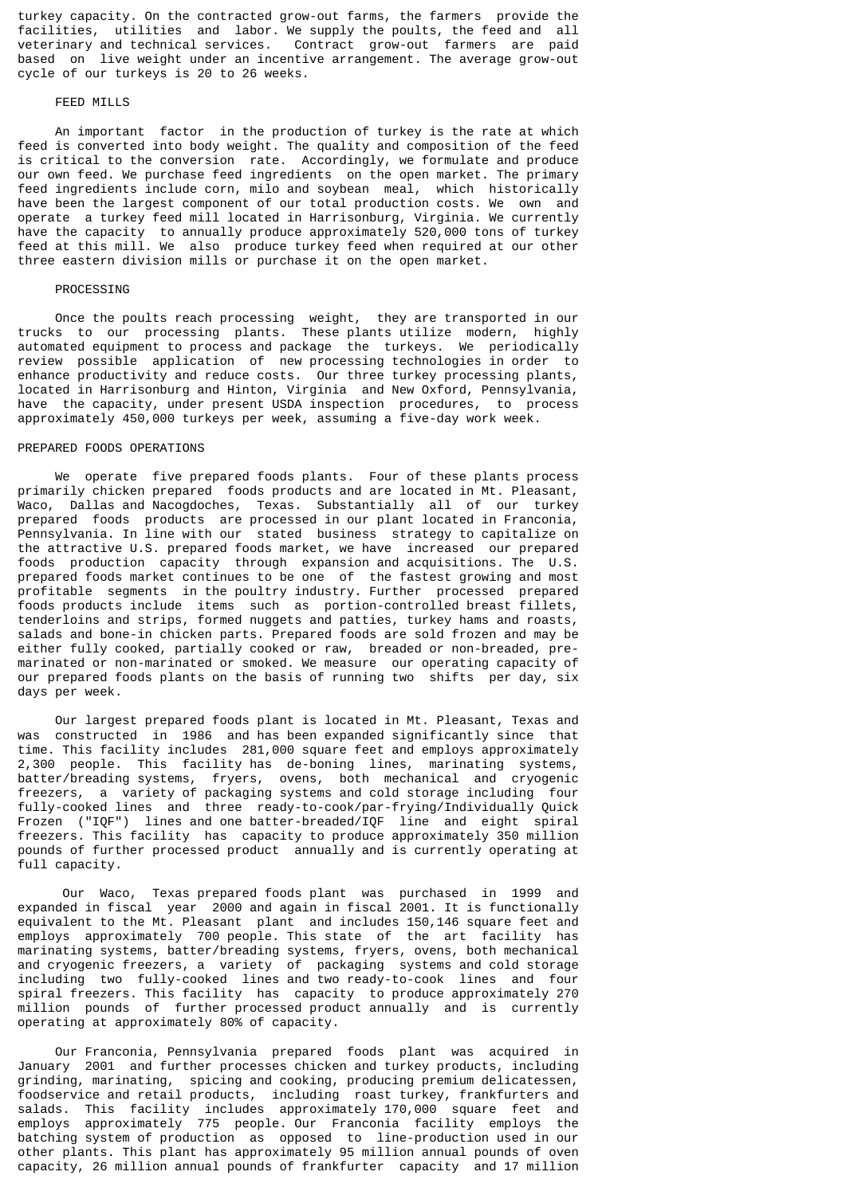turkey capacity. On the contracted grow-out farms, the farmers provide the facilities, utilities and labor. We supply the poults, the feed and all veterinary and technical services. Contract grow-out farmers are paid based on live weight under an incentive arrangement. The average grow-out cycle of our turkeys is 20 to 26 weeks.

## FEED MILLS

 An important factor in the production of turkey is the rate at which feed is converted into body weight. The quality and composition of the feed is critical to the conversion rate. Accordingly, we formulate and produce our own feed. We purchase feed ingredients on the open market. The primary feed ingredients include corn, milo and soybean meal, which historically have been the largest component of our total production costs. We own and operate a turkey feed mill located in Harrisonburg, Virginia. We currently have the capacity to annually produce approximately 520,000 tons of turkey feed at this mill. We also produce turkey feed when required at our other three eastern division mills or purchase it on the open market.

#### PROCESSING

 Once the poults reach processing weight, they are transported in our trucks to our processing plants. These plants utilize modern, highly automated equipment to process and package the turkeys. We periodically review possible application of new processing technologies in order to enhance productivity and reduce costs. Our three turkey processing plants, located in Harrisonburg and Hinton, Virginia and New Oxford, Pennsylvania, have the capacity, under present USDA inspection procedures, to process approximately 450,000 turkeys per week, assuming a five-day work week.

### PREPARED FOODS OPERATIONS

 We operate five prepared foods plants. Four of these plants process primarily chicken prepared foods products and are located in Mt. Pleasant, Waco, Dallas and Nacogdoches, Texas. Substantially all of our turkey prepared foods products are processed in our plant located in Franconia, Pennsylvania. In line with our stated business strategy to capitalize on the attractive U.S. prepared foods market, we have increased our prepared foods production capacity through expansion and acquisitions. The U.S. prepared foods market continues to be one of the fastest growing and most profitable segments in the poultry industry. Further processed prepared foods products include items such as portion-controlled breast fillets, tenderloins and strips, formed nuggets and patties, turkey hams and roasts, salads and bone-in chicken parts. Prepared foods are sold frozen and may be either fully cooked, partially cooked or raw, breaded or non-breaded, premarinated or non-marinated or smoked. We measure our operating capacity of our prepared foods plants on the basis of running two shifts per day, six days per week.

 Our largest prepared foods plant is located in Mt. Pleasant, Texas and was constructed in 1986 and has been expanded significantly since that time. This facility includes 281,000 square feet and employs approximately 2,300 people. This facility has de-boning lines, marinating systems, batter/breading systems, fryers, ovens, both mechanical and cryogenic freezers, a variety of packaging systems and cold storage including four fully-cooked lines and three ready-to-cook/par-frying/Individually Quick Frozen ("IQF") lines and one batter-breaded/IQF line and eight spiral freezers. This facility has capacity to produce approximately 350 million pounds of further processed product annually and is currently operating at full capacity.

 Our Waco, Texas prepared foods plant was purchased in 1999 and expanded in fiscal year 2000 and again in fiscal 2001. It is functionally equivalent to the Mt. Pleasant plant and includes 150,146 square feet and employs approximately 700 people. This state of the art facility has marinating systems, batter/breading systems, fryers, ovens, both mechanical and cryogenic freezers, a variety of packaging systems and cold storage including two fully-cooked lines and two ready-to-cook lines and four spiral freezers. This facility has capacity to produce approximately 270 million pounds of further processed product annually and is currently operating at approximately 80% of capacity.

 Our Franconia, Pennsylvania prepared foods plant was acquired in January 2001 and further processes chicken and turkey products, including grinding, marinating, spicing and cooking, producing premium delicatessen, foodservice and retail products, including roast turkey, frankfurters and salads. This facility includes approximately 170,000 square feet and employs approximately 775 people. Our Franconia facility employs the batching system of production as opposed to line-production used in our other plants. This plant has approximately 95 million annual pounds of oven capacity, 26 million annual pounds of frankfurter capacity and 17 million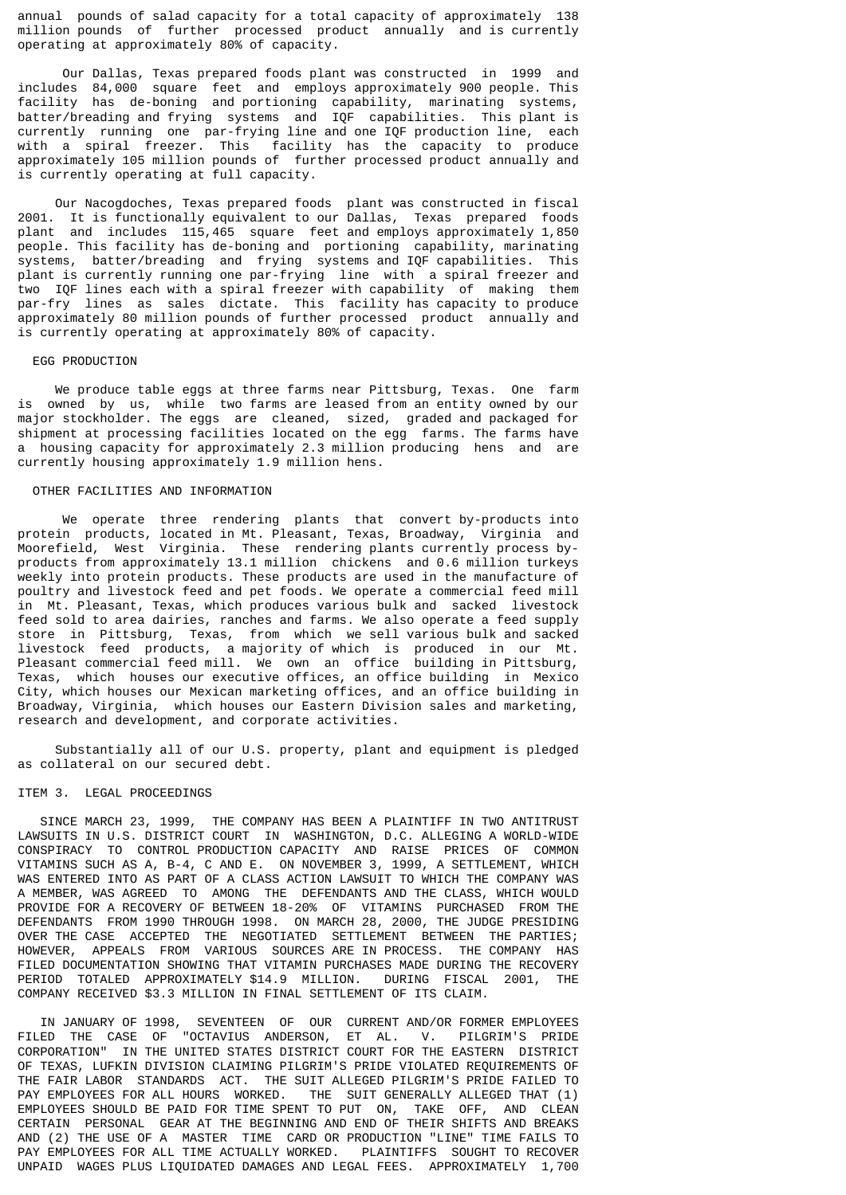annual pounds of salad capacity for a total capacity of approximately 138 million pounds of further processed product annually and is currently operating at approximately 80% of capacity.

 Our Dallas, Texas prepared foods plant was constructed in 1999 and includes 84,000 square feet and employs approximately 900 people. This facility has de-boning and portioning capability, marinating systems, batter/breading and frying systems and IQF capabilities. This plant is currently running one par-frying line and one IQF production line, each with a spiral freezer. This facility has the capacity to produce approximately 105 million pounds of further processed product annually and is currently operating at full capacity.

 Our Nacogdoches, Texas prepared foods plant was constructed in fiscal 2001. It is functionally equivalent to our Dallas, Texas prepared foods plant and includes 115,465 square feet and employs approximately 1,850 people. This facility has de-boning and portioning capability, marinating systems, batter/breading and frying systems and IQF capabilities. This plant is currently running one par-frying line with a spiral freezer and two IQF lines each with a spiral freezer with capability of making them par-fry lines as sales dictate. This facility has capacity to produce approximately 80 million pounds of further processed product annually and is currently operating at approximately 80% of capacity.

### EGG PRODUCTION

 We produce table eggs at three farms near Pittsburg, Texas. One farm is owned by us, while two farms are leased from an entity owned by our major stockholder. The eggs are cleaned, sized, graded and packaged for shipment at processing facilities located on the egg farms. The farms have a housing capacity for approximately 2.3 million producing hens and are currently housing approximately 1.9 million hens.

## OTHER FACILITIES AND INFORMATION

 We operate three rendering plants that convert by-products into protein products, located in Mt. Pleasant, Texas, Broadway, Virginia and Moorefield, West Virginia. These rendering plants currently process byproducts from approximately 13.1 million chickens and 0.6 million turkeys weekly into protein products. These products are used in the manufacture of poultry and livestock feed and pet foods. We operate a commercial feed mill in Mt. Pleasant, Texas, which produces various bulk and sacked livestock feed sold to area dairies, ranches and farms. We also operate a feed supply store in Pittsburg, Texas, from which we sell various bulk and sacked livestock feed products, a majority of which is produced in our Mt. Pleasant commercial feed mill. We own an office building in Pittsburg, Texas, which houses our executive offices, an office building in Mexico City, which houses our Mexican marketing offices, and an office building in Broadway, Virginia, which houses our Eastern Division sales and marketing, research and development, and corporate activities.

 Substantially all of our U.S. property, plant and equipment is pledged as collateral on our secured debt.

### ITEM 3. LEGAL PROCEEDINGS

 SINCE MARCH 23, 1999, THE COMPANY HAS BEEN A PLAINTIFF IN TWO ANTITRUST LAWSUITS IN U.S. DISTRICT COURT IN WASHINGTON, D.C. ALLEGING A WORLD-WIDE CONSPIRACY TO CONTROL PRODUCTION CAPACITY AND RAISE PRICES OF COMMON VITAMINS SUCH AS A, B-4, C AND E. ON NOVEMBER 3, 1999, A SETTLEMENT, WHICH WAS ENTERED INTO AS PART OF A CLASS ACTION LAWSUIT TO WHICH THE COMPANY WAS A MEMBER, WAS AGREED TO AMONG THE DEFENDANTS AND THE CLASS, WHICH WOULD PROVIDE FOR A RECOVERY OF BETWEEN 18-20% OF VITAMINS PURCHASED FROM THE DEFENDANTS FROM 1990 THROUGH 1998. ON MARCH 28, 2000, THE JUDGE PRESIDING OVER THE CASE ACCEPTED THE NEGOTIATED SETTLEMENT BETWEEN THE PARTIES; HOWEVER, APPEALS FROM VARIOUS SOURCES ARE IN PROCESS. THE COMPANY HAS FILED DOCUMENTATION SHOWING THAT VITAMIN PURCHASES MADE DURING THE RECOVERY PERIOD TOTALED APPROXIMATELY \$14.9 MILLION. DURING FISCAL 2001, THE COMPANY RECEIVED \$3.3 MILLION IN FINAL SETTLEMENT OF ITS CLAIM.

 IN JANUARY OF 1998, SEVENTEEN OF OUR CURRENT AND/OR FORMER EMPLOYEES FILED THE CASE OF "OCTAVIUS ANDERSON, ET AL. V. PILGRIM'S PRIDE CORPORATION" IN THE UNITED STATES DISTRICT COURT FOR THE EASTERN DISTRICT OF TEXAS, LUFKIN DIVISION CLAIMING PILGRIM'S PRIDE VIOLATED REQUIREMENTS OF THE FAIR LABOR STANDARDS ACT. THE SUIT ALLEGED PILGRIM'S PRIDE FAILED TO<br>PAY EMPLOYEES FOR ALL HOURS WORKED. THE SUIT GENERALLY ALLEGED THAT (1) THE SUIT GENERALLY ALLEGED THAT (1) EMPLOYEES SHOULD BE PAID FOR TIME SPENT TO PUT ON, TAKE OFF, AND CLEAN CERTAIN PERSONAL GEAR AT THE BEGINNING AND END OF THEIR SHIFTS AND BREAKS AND (2) THE USE OF A MASTER TIME CARD OR PRODUCTION "LINE" TIME FAILS TO PAY EMPLOYEES FOR ALL TIME ACTUALLY WORKED. PLAINTIFFS SOUGHT TO RECOVER UNPAID WAGES PLUS LIQUIDATED DAMAGES AND LEGAL FEES. APPROXIMATELY 1,700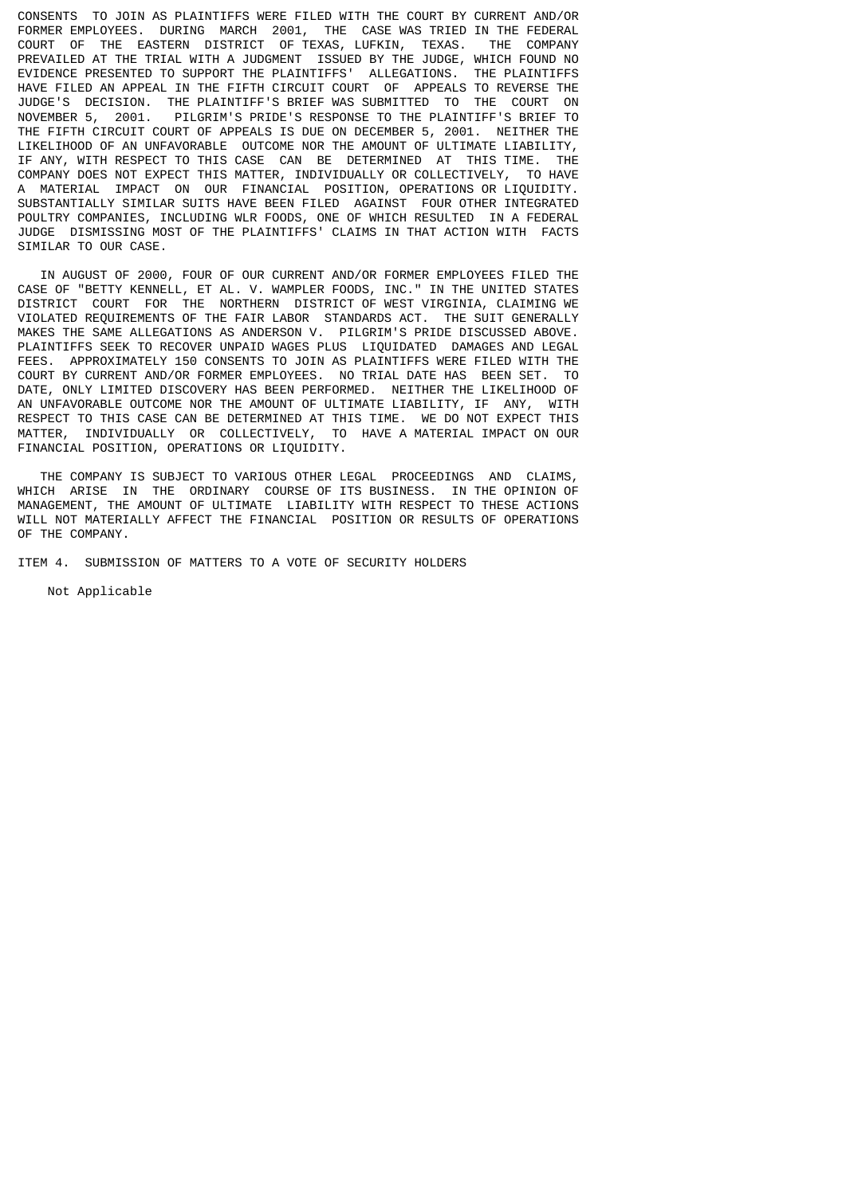CONSENTS TO JOIN AS PLAINTIFFS WERE FILED WITH THE COURT BY CURRENT AND/OR FORMER EMPLOYEES. DURING MARCH 2001, THE CASE WAS TRIED IN THE FEDERAL COURT OF THE EASTERN DISTRICT OF TEXAS, LUFKIN, TEXAS. THE COMPANY PREVAILED AT THE TRIAL WITH A JUDGMENT ISSUED BY THE JUDGE, WHICH FOUND NO EVIDENCE PRESENTED TO SUPPORT THE PLAINTIFFS' ALLEGATIONS. THE PLAINTIFFS HAVE FILED AN APPEAL IN THE FIFTH CIRCUIT COURT OF APPEALS TO REVERSE THE JUDGE'S DECISION. THE PLAINTIFF'S BRIEF WAS SUBMITTED TO THE COURT ON NOVEMBER 5, 2001. PILGRIM'S PRIDE'S RESPONSE TO THE PLAINTIFF'S BRIEF TO THE FIFTH CIRCUIT COURT OF APPEALS IS DUE ON DECEMBER 5, 2001. NEITHER THE LIKELIHOOD OF AN UNFAVORABLE OUTCOME NOR THE AMOUNT OF ULTIMATE LIABILITY, IF ANY, WITH RESPECT TO THIS CASE CAN BE DETERMINED AT THIS TIME. THE COMPANY DOES NOT EXPECT THIS MATTER, INDIVIDUALLY OR COLLECTIVELY, TO HAVE A MATERIAL IMPACT ON OUR FINANCIAL POSITION, OPERATIONS OR LIQUIDITY. SUBSTANTIALLY SIMILAR SUITS HAVE BEEN FILED AGAINST FOUR OTHER INTEGRATED POULTRY COMPANIES, INCLUDING WLR FOODS, ONE OF WHICH RESULTED IN A FEDERAL JUDGE DISMISSING MOST OF THE PLAINTIFFS' CLAIMS IN THAT ACTION WITH FACTS SIMILAR TO OUR CASE.

 IN AUGUST OF 2000, FOUR OF OUR CURRENT AND/OR FORMER EMPLOYEES FILED THE CASE OF "BETTY KENNELL, ET AL. V. WAMPLER FOODS, INC." IN THE UNITED STATES DISTRICT COURT FOR THE NORTHERN DISTRICT OF WEST VIRGINIA, CLAIMING WE VIOLATED REQUIREMENTS OF THE FAIR LABOR STANDARDS ACT. THE SUIT GENERALLY MAKES THE SAME ALLEGATIONS AS ANDERSON V. PILGRIM'S PRIDE DISCUSSED ABOVE. PLAINTIFFS SEEK TO RECOVER UNPAID WAGES PLUS LIQUIDATED DAMAGES AND LEGAL FEES. APPROXIMATELY 150 CONSENTS TO JOIN AS PLAINTIFFS WERE FILED WITH THE COURT BY CURRENT AND/OR FORMER EMPLOYEES. NO TRIAL DATE HAS BEEN SET. TO DATE, ONLY LIMITED DISCOVERY HAS BEEN PERFORMED. NEITHER THE LIKELIHOOD OF AN UNFAVORABLE OUTCOME NOR THE AMOUNT OF ULTIMATE LIABILITY, IF ANY, WITH RESPECT TO THIS CASE CAN BE DETERMINED AT THIS TIME. WE DO NOT EXPECT THIS MATTER, INDIVIDUALLY OR COLLECTIVELY, TO HAVE A MATERIAL IMPACT ON OUR FINANCIAL POSITION, OPERATIONS OR LIQUIDITY.

 THE COMPANY IS SUBJECT TO VARIOUS OTHER LEGAL PROCEEDINGS AND CLAIMS, WHICH ARISE IN THE ORDINARY COURSE OF ITS BUSINESS. IN THE OPINION OF MANAGEMENT, THE AMOUNT OF ULTIMATE LIABILITY WITH RESPECT TO THESE ACTIONS WILL NOT MATERIALLY AFFECT THE FINANCIAL POSITION OR RESULTS OF OPERATIONS OF THE COMPANY.

ITEM 4. SUBMISSION OF MATTERS TO A VOTE OF SECURITY HOLDERS

Not Applicable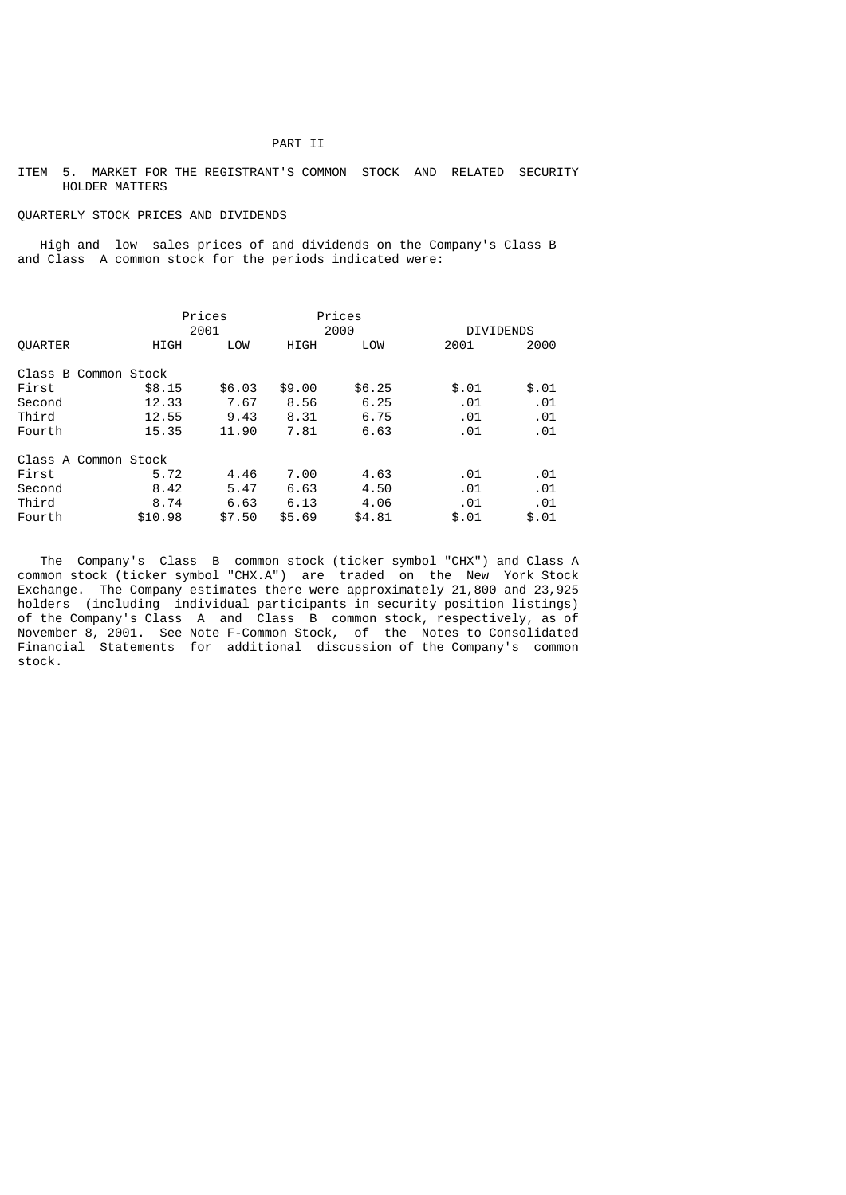### PART II

## ITEM 5. MARKET FOR THE REGISTRANT'S COMMON STOCK AND RELATED SECURITY HOLDER MATTERS

### QUARTERLY STOCK PRICES AND DIVIDENDS

 High and low sales prices of and dividends on the Company's Class B and Class A common stock for the periods indicated were:

|                      |  |         | Prices |        | Prices |       |                  |
|----------------------|--|---------|--------|--------|--------|-------|------------------|
|                      |  |         | 2001   |        | 2000   |       | <b>DIVIDENDS</b> |
| <b>OUARTER</b>       |  | HIGH    | LOW    | HIGH   | LOW    | 2001  | 2000             |
| Class B Common Stock |  |         |        |        |        |       |                  |
| First                |  | \$8.15  | \$6.03 | \$9.00 | \$6.25 | \$.01 | \$.01            |
| Second               |  | 12.33   | 7.67   | 8.56   | 6.25   | .01   | .01              |
| Third                |  | 12.55   | 9.43   | 8.31   | 6.75   | .01   | .01              |
| Fourth               |  | 15.35   | 11.90  | 7.81   | 6.63   | .01   | .01              |
| Class A Common Stock |  |         |        |        |        |       |                  |
| First                |  | 5.72    | 4.46   | 7.00   | 4.63   | .01   | .01              |
| Second               |  | 8.42    | 5.47   | 6.63   | 4.50   | .01   | .01              |
| Third                |  | 8.74    | 6.63   | 6.13   | 4.06   | .01   | .01              |
| Fourth               |  | \$10.98 | \$7.50 | \$5.69 | \$4.81 | \$.01 | \$.01            |

 The Company's Class B common stock (ticker symbol "CHX") and Class A common stock (ticker symbol "CHX.A") are traded on the New York Stock Exchange. The Company estimates there were approximately 21,800 and 23,925 holders (including individual participants in security position listings) of the Company's Class A and Class B common stock, respectively, as of November 8, 2001. See Note F-Common Stock, of the Notes to Consolidated Financial Statements for additional discussion of the Company's common stock.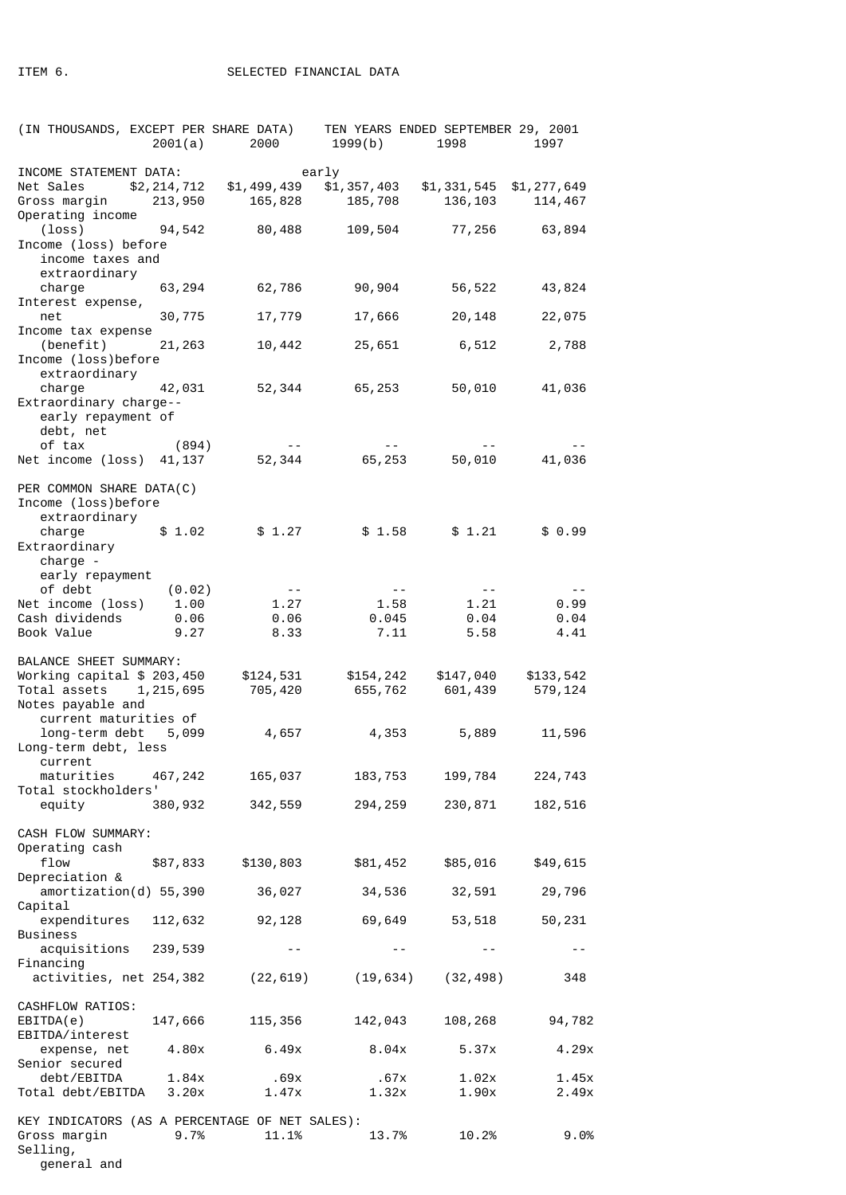| (IN THOUSANDS, EXCEPT PER SHARE DATA)                                                                 | 2001(a)        | 2000                 | 1999(b)                                                      | TEN YEARS ENDED SEPTEMBER 29, 2001<br>1998 | 1997                 |
|-------------------------------------------------------------------------------------------------------|----------------|----------------------|--------------------------------------------------------------|--------------------------------------------|----------------------|
| INCOME STATEMENT DATA:<br>Net Sales \$2,214,712                                                       |                |                      | early<br>$$1,499,439$ $$1,357,403$ $$1,331,545$ $$1,277,649$ | 136, 103                                   | 114,467              |
| Operating income<br>$(loss)$ 94,542 80,488<br>Income (loss) before<br>income taxes and                |                |                      | 109,504                                                      |                                            | 77,256 63,894        |
| extraordinary<br>charge<br>Interest expense,                                                          | 63, 294        | 62,786               | 90,904                                                       | 56,522                                     | 43,824               |
| net<br>Income tax expense                                                                             | 30,775         | 17,779               | 17,666                                                       | 20,148                                     | 22,075               |
| $(benefit)$ 21,263<br>Income (loss)before                                                             |                | 10,442               | 25,651                                                       | 6,512                                      | 2,788                |
| extraordinary<br>charge<br>Extraordinary charge--<br>early repayment of<br>debt, net                  | 42,031         | 52,344               | 65, 253                                                      | 50,010                                     | 41,036               |
| of tax<br>Net income (loss) 41,137                                                                    | (894)          | 52,344               | 65, 253                                                      | 50,010                                     | 41,036               |
| PER COMMON SHARE DATA(C)<br>Income (loss)before<br>extraordinary                                      |                |                      |                                                              |                                            |                      |
| charge<br>Extraordinary<br>charge -<br>early repayment                                                | \$1.02         | \$1.27               | \$1.58                                                       | \$1.21                                     | \$0.99               |
| of debt                                                                                               | (0.02)         | $\sim$ $ -$          | $- -$                                                        | $- -$                                      | $- -$                |
| Net income (loss) 1.00                                                                                |                | 1.27                 | 1.58                                                         | 1.21<br>0.04                               | 0.99                 |
| Cash dividends<br>Book Value                                                                          | 0.06<br>9.27   | 0.06<br>8.33         | 0.045<br>7.11                                                | 5.58                                       | 0.04<br>4.41         |
| BALANCE SHEET SUMMARY:<br>Working capital \$ 203,450<br>Total assets 1, 215, 695<br>Notes payable and |                | \$124,531<br>705,420 |                                                              | \$154,242 \$147,040<br>655,762 601,439     | \$133,542<br>579,124 |
| current maturities of<br>long-term debt 5,099<br>Long-term debt, less                                 |                | 4,657                | 4,353                                                        | 5,889                                      | 11,596               |
| current<br>maturities<br>Total stockholders'                                                          | 467,242        | 165,037              | 183,753                                                      | 199,784                                    | 224,743              |
| equity                                                                                                | 380,932        | 342,559              | 294, 259                                                     | 230,871                                    | 182,516              |
| CASH FLOW SUMMARY:                                                                                    |                |                      |                                                              |                                            |                      |
| Operating cash<br>flow<br>Depreciation &                                                              | \$87,833       | \$130,803            | \$81,452                                                     | \$85,016                                   | \$49,615             |
| amortization(d) 55,390<br>Capital                                                                     |                | 36,027               | 34,536                                                       | 32,591                                     | 29,796               |
| expenditures<br><b>Business</b>                                                                       | 112,632        | 92,128               | 69,649                                                       | 53,518                                     | 50,231               |
| acquisitions 239,539<br>Financing                                                                     |                | $ -$                 |                                                              | $- -$                                      |                      |
| activities, net 254,382                                                                               |                |                      | $(22, 619)$ $(19, 634)$ $(32, 498)$                          |                                            | 348                  |
| CASHFLOW RATIOS:<br>EBITDA(e)<br>EBITDA/interest                                                      | 147,666        | 115,356              | 142,043                                                      | 108,268                                    | 94,782               |
| expense, net<br>Senior secured                                                                        | 4.80x          | 6.49x                | 8.04x                                                        | 5.37x                                      | 4.29x                |
| debt/EBITDA<br>Total debt/EBITDA                                                                      | 1.84x<br>3.20x | .69x<br>1.47x        | .67x<br>1.32x                                                | 1.02x<br>1.90x                             | 1.45x<br>2.49x       |
| KEY INDICATORS (AS A PERCENTAGE OF NET SALES):<br>Gross margin<br>Selling,<br>general and             | 9.7%           | 11.1%                | 13.7%                                                        | 10.2%                                      | 9.0%                 |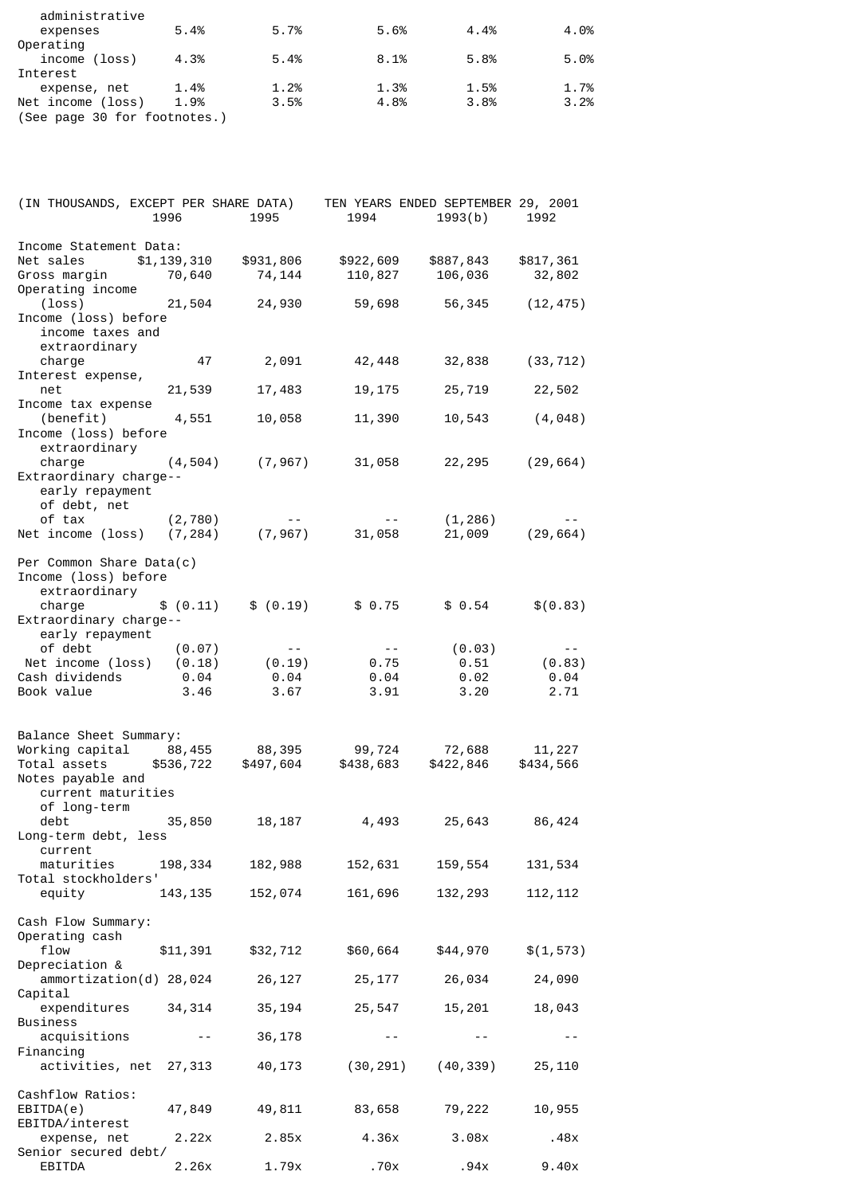| administrative<br>expenses   | 5.4% | 5.7% | 5.6% | 4.4% | 4.0% |  |
|------------------------------|------|------|------|------|------|--|
| Operating                    |      |      |      |      |      |  |
| income (loss)                | 4.3% | 5.4% | 8.1% | 5.8% | 5.0% |  |
| Interest                     |      |      |      |      |      |  |
| expense, net                 | 1.4% | 1.2% | 1.3% | 1.5% | 1.7% |  |
| Net income (loss)            | 1.9% | 3.5% | 4.8% | 3.8% | 3.2% |  |
| (See page 30 for footnotes.) |      |      |      |      |      |  |

| (IN THOUSANDS, EXCEPT PER SHARE DATA)                                                                       | 1996                             | 1995                                                        | 1994                                                                                                      | TEN YEARS ENDED SEPTEMBER 29, 2001<br>1993(b) | 1992                                    |
|-------------------------------------------------------------------------------------------------------------|----------------------------------|-------------------------------------------------------------|-----------------------------------------------------------------------------------------------------------|-----------------------------------------------|-----------------------------------------|
| Income Statement Data:<br>Net sales \$1,139,310<br>Gross margin 70,640<br>Operating income                  |                                  | \$931,806<br>74,144                                         | \$922,609<br>110,827                                                                                      | \$887,843<br>106,036                          | \$817,361<br>32,802                     |
| $(\text{loss})$<br>Income (loss) before<br>income taxes and                                                 | 21,504                           | 24,930                                                      | 59,698                                                                                                    | 56,345                                        | (12, 475)                               |
| extraordinary<br>charge                                                                                     | 47                               | 2,091                                                       | 42,448                                                                                                    | 32,838                                        | (33, 712)                               |
| Interest expense,<br>net                                                                                    | 21,539                           | 17,483                                                      | 19,175                                                                                                    | 25,719                                        | 22,502                                  |
| Income tax expense<br>(benefit)<br>Income (loss) before                                                     | 4,551                            | 10,058                                                      | 11,390                                                                                                    | 10,543                                        | (4, 048)                                |
| extraordinary<br>charge<br>Extraordinary charge--<br>early repayment                                        | (4, 504)                         | (7,967)                                                     | 31,058                                                                                                    |                                               | 22, 295 (29, 664)                       |
| of debt, net<br>of tax<br>Net income (loss) (7,284) (7,967)                                                 | (2,780)                          | $\mathcal{L}_{\text{max}}$ , and $\mathcal{L}_{\text{max}}$ | $\label{eq:2.1} \mathcal{L}(\mathcal{L}) = \mathcal{L}(\mathcal{L}) = \mathcal{L}(\mathcal{L})$<br>31,058 | (1, 286)                                      | 21,009 (29,664)                         |
| Per Common Share Data(c)<br>Income (loss) before<br>extraordinary                                           |                                  |                                                             |                                                                                                           |                                               |                                         |
| charge<br>Extraordinary charge--<br>early repayment                                                         | \$ (0.11)                        | \$ (0.19)                                                   | \$0.75                                                                                                    | \$0.54                                        | \$(0.83)                                |
| of debt<br>Net income (loss)<br>Cash dividends<br>Book value                                                | (0.07)<br>(0.18)<br>0.04<br>3.46 | $\sim$ $ -$<br>(0.19)<br>0.04<br>3.67                       | $\sim$ $ -$<br>0.75<br>0.04<br>3.91                                                                       | (0.03)<br>0.51<br>0.02<br>3.20                | $\frac{1}{2}$<br>(0.83)<br>0.04<br>2.71 |
| Balance Sheet Summary:<br>Working capital 88,455<br>Total assets<br>Notes payable and<br>current maturities | \$536,722                        | 88,395<br>\$497,604                                         | 99,724<br>\$438,683                                                                                       | 72,688<br>\$422,846                           | 11,227<br>\$434,566                     |
| of long-term<br>debt<br>Long-term debt, less                                                                | 35,850                           | 18,187                                                      | 4,493                                                                                                     | 25,643                                        | 86,424                                  |
| current<br>maturities<br>Total stockholders'                                                                | 198,334                          | 182,988                                                     | 152,631                                                                                                   | 159,554                                       | 131,534                                 |
| equity                                                                                                      | 143, 135                         | 152,074                                                     | 161,696                                                                                                   | 132, 293                                      | 112, 112                                |
| Cash Flow Summary:<br>Operating cash<br>flow                                                                | \$11,391                         | \$32,712                                                    | \$60,664                                                                                                  | \$44,970                                      | \$(1, 573)                              |
| Depreciation &<br>ammortization(d) 28,024                                                                   |                                  | 26,127                                                      | 25,177                                                                                                    | 26,034                                        | 24,090                                  |
| Capital<br>expenditures 34,314<br><b>Business</b>                                                           |                                  | 35,194                                                      | 25,547                                                                                                    | 15, 201                                       | 18,043                                  |
| acquisitions<br>Financing                                                                                   | $  \,$                           | 36,178                                                      | $- -$                                                                                                     | $- -$                                         | $ -$                                    |
| activities, net 27,313                                                                                      |                                  | 40,173                                                      |                                                                                                           | $(30, 291)$ $(40, 339)$                       | 25, 110                                 |
| Cashflow Ratios:<br>EBITDA(e)<br>EBITDA/interest                                                            | 47,849                           | 49,811                                                      | 83,658                                                                                                    | 79,222                                        | 10,955                                  |
| expense, net<br>Senior secured debt/                                                                        | 2.22x                            | 2.85x                                                       | 4.36x                                                                                                     | 3.08x                                         | .48x                                    |
| EBITDA                                                                                                      | 2.26x                            | 1.79x                                                       | .70x                                                                                                      | .94x                                          | 9.40x                                   |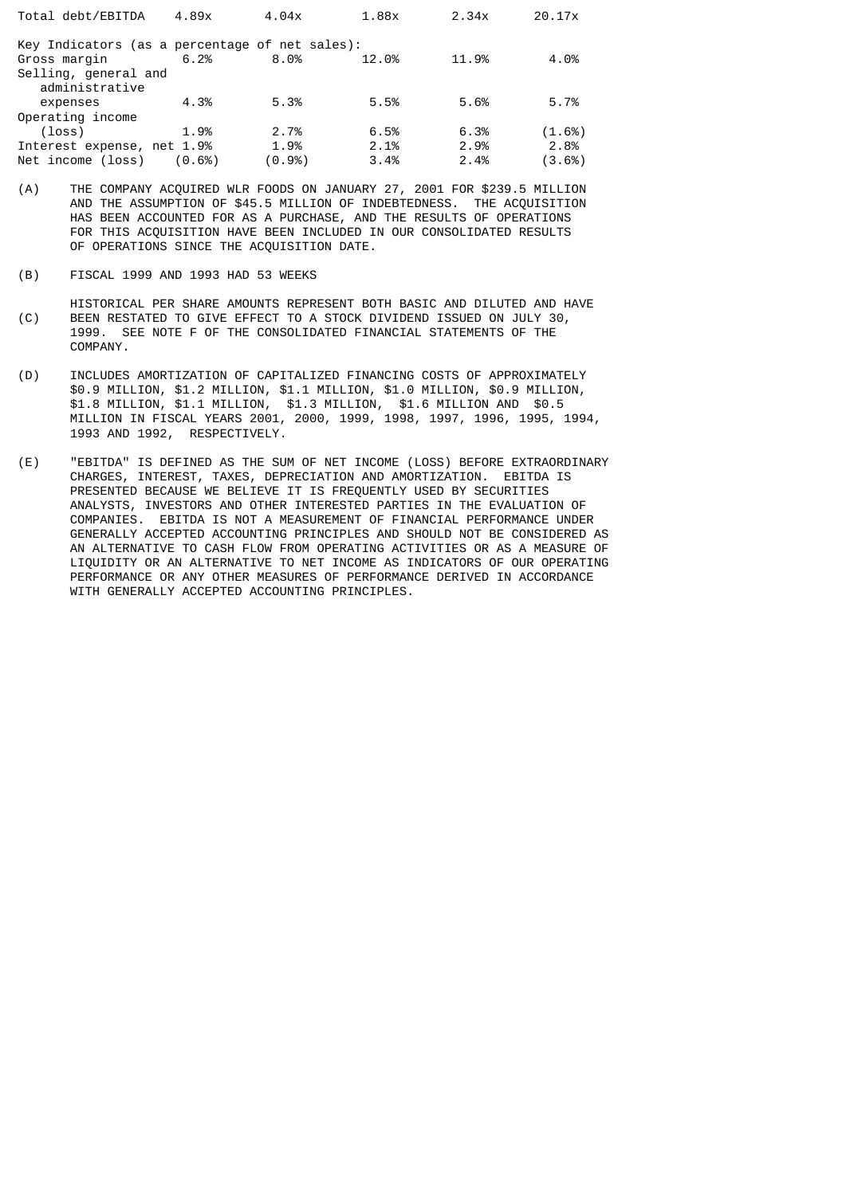| Total debt/EBITDA                              | 4.89x                | 4.04x | 1.88x | 2.34x | 20.17x |  |  |  |  |
|------------------------------------------------|----------------------|-------|-------|-------|--------|--|--|--|--|
| Key Indicators (as a percentage of net sales): |                      |       |       |       |        |  |  |  |  |
| Gross margin                                   | 6.2%                 | 8.0%  | 12.0% | 11.9% | 4.0%   |  |  |  |  |
|                                                | Selling, general and |       |       |       |        |  |  |  |  |
| administrative                                 |                      |       |       |       |        |  |  |  |  |
| expenses                                       | 4.3%                 | 5.3%  | 5.5%  | 5.6%  | 5.7%   |  |  |  |  |
| Operating income                               |                      |       |       |       |        |  |  |  |  |
| $(\text{loss})$                                | 1.9%                 | 2.7%  | 6.5%  | 6.3%  | (1.6%) |  |  |  |  |
| Interest expense, net 1.9%                     |                      | 1.9%  | 2.1%  | 2.9%  | 2.8%   |  |  |  |  |
| Net income (loss)                              | (0.6%)               | (0.9% | 3.4%  | 2.4%  | (3.6%) |  |  |  |  |

- (A) THE COMPANY ACQUIRED WLR FOODS ON JANUARY 27, 2001 FOR \$239.5 MILLION AND THE ASSUMPTION OF \$45.5 MILLION OF INDEBTEDNESS. THE ACQUISITION HAS BEEN ACCOUNTED FOR AS A PURCHASE, AND THE RESULTS OF OPERATIONS FOR THIS ACQUISITION HAVE BEEN INCLUDED IN OUR CONSOLIDATED RESULTS OF OPERATIONS SINCE THE ACQUISITION DATE.
- (B) FISCAL 1999 AND 1993 HAD 53 WEEKS
- HISTORICAL PER SHARE AMOUNTS REPRESENT BOTH BASIC AND DILUTED AND HAVE (C) BEEN RESTATED TO GIVE EFFECT TO A STOCK DIVIDEND ISSUED ON JULY 30, BEEN RESTATED TO GIVE EFFECT TO A STOCK DIVIDEND ISSUED ON JULY 30, 1999. SEE NOTE F OF THE CONSOLIDATED FINANCIAL STATEMENTS OF THE COMPANY.
- (D) INCLUDES AMORTIZATION OF CAPITALIZED FINANCING COSTS OF APPROXIMATELY \$0.9 MILLION, \$1.2 MILLION, \$1.1 MILLION, \$1.0 MILLION, \$0.9 MILLION, \$1.8 MILLION, \$1.1 MILLION, \$1.3 MILLION, \$1.6 MILLION AND \$0.5 MILLION IN FISCAL YEARS 2001, 2000, 1999, 1998, 1997, 1996, 1995, 1994, 1993 AND 1992, RESPECTIVELY.
- (E) "EBITDA" IS DEFINED AS THE SUM OF NET INCOME (LOSS) BEFORE EXTRAORDINARY CHARGES, INTEREST, TAXES, DEPRECIATION AND AMORTIZATION. EBITDA IS PRESENTED BECAUSE WE BELIEVE IT IS FREQUENTLY USED BY SECURITIES ANALYSTS, INVESTORS AND OTHER INTERESTED PARTIES IN THE EVALUATION OF COMPANIES. EBITDA IS NOT A MEASUREMENT OF FINANCIAL PERFORMANCE UNDER GENERALLY ACCEPTED ACCOUNTING PRINCIPLES AND SHOULD NOT BE CONSIDERED AS AN ALTERNATIVE TO CASH FLOW FROM OPERATING ACTIVITIES OR AS A MEASURE OF LIQUIDITY OR AN ALTERNATIVE TO NET INCOME AS INDICATORS OF OUR OPERATING PERFORMANCE OR ANY OTHER MEASURES OF PERFORMANCE DERIVED IN ACCORDANCE WITH GENERALLY ACCEPTED ACCOUNTING PRINCIPLES.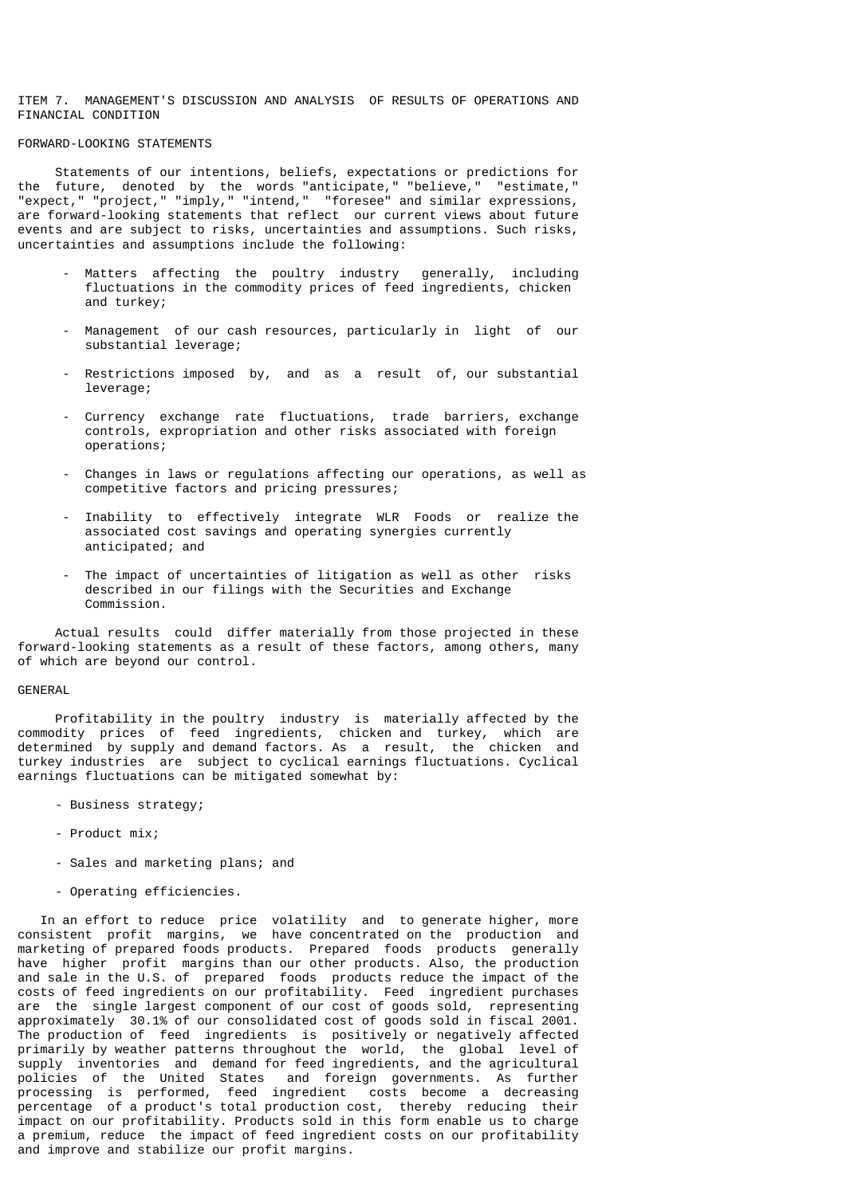ITEM 7. MANAGEMENT'S DISCUSSION AND ANALYSIS OF RESULTS OF OPERATIONS AND FINANCIAL CONDITION

## FORWARD-LOOKING STATEMENTS

 Statements of our intentions, beliefs, expectations or predictions for the future, denoted by the words "anticipate," "believe," "estimate," "expect," "project," "imply," "intend," "foresee" and similar expressions, are forward-looking statements that reflect our current views about future events and are subject to risks, uncertainties and assumptions. Such risks, uncertainties and assumptions include the following:

- Matters affecting the poultry industry generally, including fluctuations in the commodity prices of feed ingredients, chicken and turkey;
- Management of our cash resources, particularly in light of our substantial leverage;
- Restrictions imposed by, and as a result of, our substantial leverage;
- Currency exchange rate fluctuations, trade barriers, exchange controls, expropriation and other risks associated with foreign operations;
- Changes in laws or regulations affecting our operations, as well as competitive factors and pricing pressures;
- Inability to effectively integrate WLR Foods or realize the associated cost savings and operating synergies currently anticipated; and
- The impact of uncertainties of litigation as well as other risks described in our filings with the Securities and Exchange Commission.

 Actual results could differ materially from those projected in these forward-looking statements as a result of these factors, among others, many of which are beyond our control.

#### GENERAL

 Profitability in the poultry industry is materially affected by the commodity prices of feed ingredients, chicken and turkey, which are determined by supply and demand factors. As a result, the chicken and turkey industries are subject to cyclical earnings fluctuations. Cyclical earnings fluctuations can be mitigated somewhat by:

- Business strategy;
- Product mix;
- Sales and marketing plans; and
- Operating efficiencies.

 In an effort to reduce price volatility and to generate higher, more consistent profit margins, we have concentrated on the production and marketing of prepared foods products. Prepared foods products generally have higher profit margins than our other products. Also, the production and sale in the U.S. of prepared foods products reduce the impact of the costs of feed ingredients on our profitability. Feed ingredient purchases are the single largest component of our cost of goods sold, representing approximately 30.1% of our consolidated cost of goods sold in fiscal 2001. The production of feed ingredients is positively or negatively affected primarily by weather patterns throughout the world, the global level of supply inventories and demand for feed ingredients, and the agricultural policies of the United States and foreign governments. As further and foreign governments. As further processing is performed, feed ingredient costs become a decreasing percentage of a product's total production cost, thereby reducing their impact on our profitability. Products sold in this form enable us to charge a premium, reduce the impact of feed ingredient costs on our profitability and improve and stabilize our profit margins.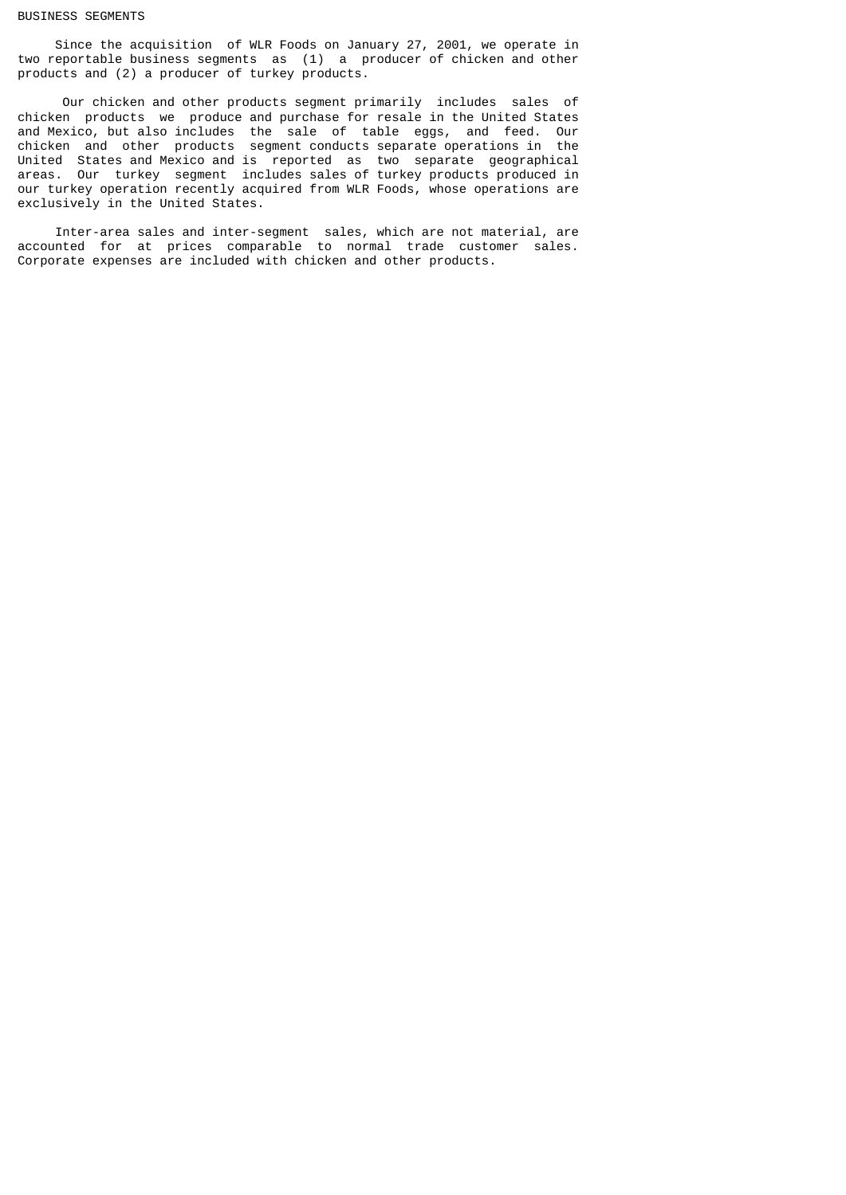#### BUSINESS SEGMENTS

 Since the acquisition of WLR Foods on January 27, 2001, we operate in two reportable business segments as (1) a producer of chicken and other products and (2) a producer of turkey products.

 Our chicken and other products segment primarily includes sales of chicken products we produce and purchase for resale in the United States and Mexico, but also includes the sale of table eggs, and feed. Our chicken and other products segment conducts separate operations in the United States and Mexico and is reported as two separate geographical areas. Our turkey segment includes sales of turkey products produced in our turkey operation recently acquired from WLR Foods, whose operations are exclusively in the United States.

 Inter-area sales and inter-segment sales, which are not material, are accounted for at prices comparable to normal trade customer sales. Corporate expenses are included with chicken and other products.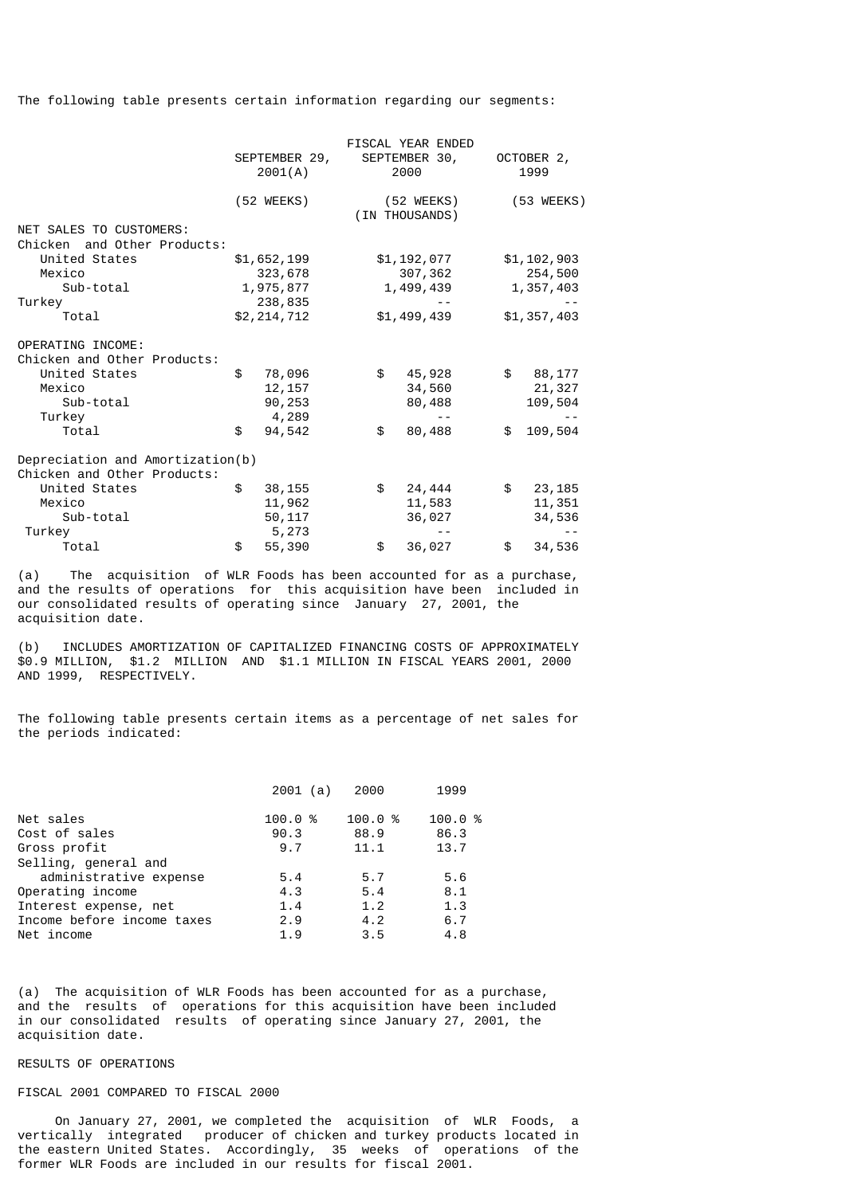The following table presents certain information regarding our segments:

|                                                                                          | SEPTEMBER 29,<br>2001(A)          |             | FISCAL YEAR ENDED<br>SEPTEMBER 30,<br>2000 |             | OCTOBER 2,<br>1999          |
|------------------------------------------------------------------------------------------|-----------------------------------|-------------|--------------------------------------------|-------------|-----------------------------|
|                                                                                          | $(52 \, \text{WEEKS})$            |             | (52 WEEKS)<br>(IN THOUSANDS)               |             | (53 WEEKS)                  |
| NET SALES TO CUSTOMERS:                                                                  |                                   |             |                                            |             |                             |
| Chicken and Other Products:                                                              |                                   |             |                                            |             |                             |
| United States                                                                            | \$1,652,199                       | \$1,192,077 |                                            | \$1,102,903 |                             |
| Mexico                                                                                   | 323,678                           | 307,362     |                                            |             | 254,500                     |
| Sub-total                                                                                | 1,975,877                         | 1,499,439   |                                            |             | 1,357,403                   |
| Turkey                                                                                   | 238,835                           |             |                                            |             |                             |
| Total                                                                                    | \$2,214,712                       |             | \$1,499,439                                |             | \$1,357,403                 |
| OPERATING INCOME:<br>Chicken and Other Products:<br>United States<br>Mexico<br>Sub-total | \$<br>78,096<br>12, 157<br>90,253 | \$          | 45,928<br>34,560<br>80,488                 | \$          | 88,177<br>21,327<br>109,504 |
| Turkey<br>Total                                                                          | \$<br>4,289                       | \$          |                                            | \$          |                             |
| Depreciation and Amortization(b)<br>Chicken and Other Products:                          | 94,542                            |             | 80,488                                     |             | 109,504                     |
| United States                                                                            | \$<br>38,155                      | \$          | 24,444                                     | \$          | 23, 185                     |
| Mexico                                                                                   | 11,962                            |             | 11,583                                     |             | 11,351                      |
| Sub-total                                                                                | 50, 117                           |             | 36,027                                     |             | 34,536                      |
| Turkey                                                                                   | 5,273                             |             |                                            |             |                             |
| Total                                                                                    | \$<br>55,390                      | \$          | 36,027                                     | \$          | 34,536                      |
|                                                                                          |                                   |             |                                            |             |                             |

(a) The acquisition of WLR Foods has been accounted for as a purchase, and the results of operations for this acquisition have been included in our consolidated results of operating since January 27, 2001, the acquisition date.

(b) INCLUDES AMORTIZATION OF CAPITALIZED FINANCING COSTS OF APPROXIMATELY \$0.9 MILLION, \$1.2 MILLION AND \$1.1 MILLION IN FISCAL YEARS 2001, 2000 AND 1999, RESPECTIVELY.

The following table presents certain items as a percentage of net sales for the periods indicated:

|      | 2000              | 1999   |
|------|-------------------|--------|
|      |                   | 100.0% |
| 90.3 | 88.9              | 86.3   |
| 9.7  | 11.1              | 13.7   |
|      |                   |        |
| 5.4  | 5.7               | 5.6    |
| 4.3  | 5.4               | 8.1    |
| 1.4  | 1.2               | 1.3    |
| 2.9  | 4.2               | 6.7    |
| 1.9  | 3.5               | 4.8    |
|      | 2001(a)<br>100.0% | 100.0% |

(a) The acquisition of WLR Foods has been accounted for as a purchase, and the results of operations for this acquisition have been included in our consolidated results of operating since January 27, 2001, the acquisition date.

## RESULTS OF OPERATIONS

## FISCAL 2001 COMPARED TO FISCAL 2000

 On January 27, 2001, we completed the acquisition of WLR Foods, a vertically integrated producer of chicken and turkey products located in the eastern United States. Accordingly, 35 weeks of operations of the former WLR Foods are included in our results for fiscal 2001.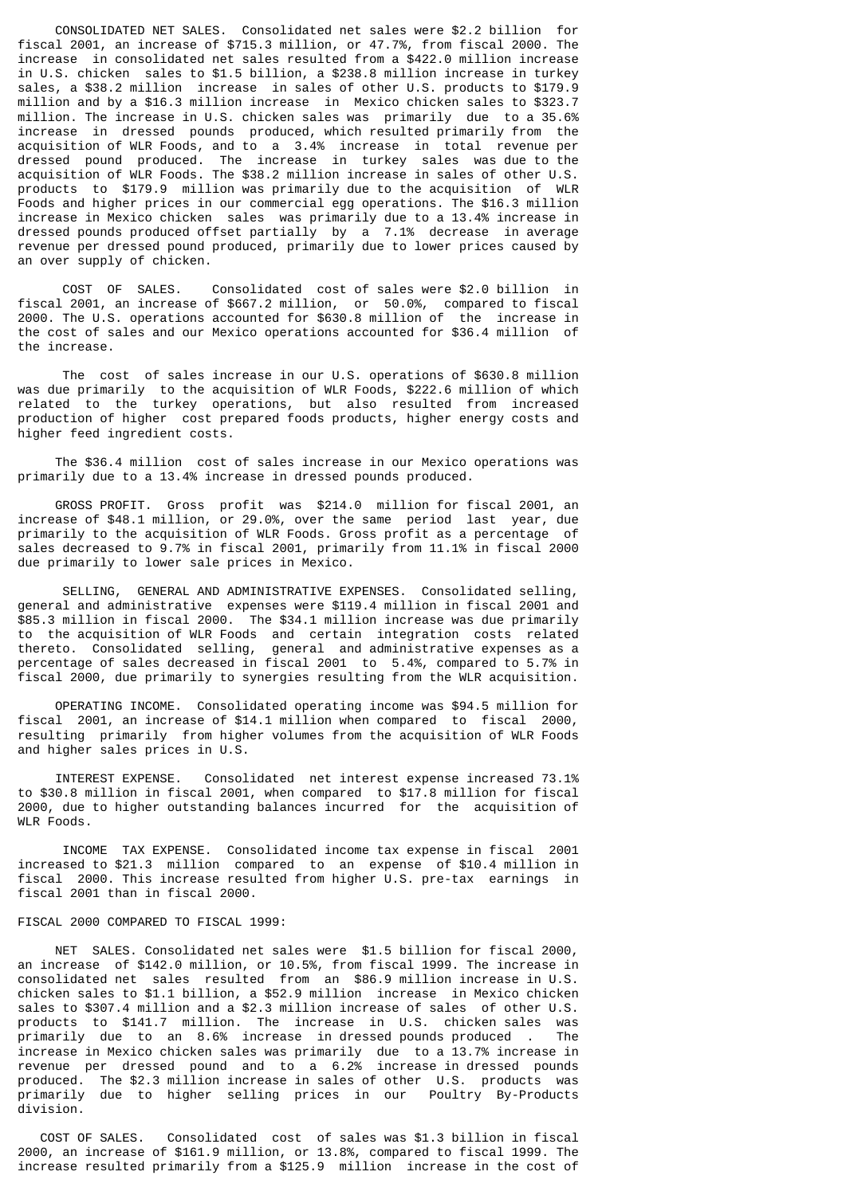CONSOLIDATED NET SALES. Consolidated net sales were \$2.2 billion for fiscal 2001, an increase of \$715.3 million, or 47.7%, from fiscal 2000. The increase in consolidated net sales resulted from a \$422.0 million increase in U.S. chicken sales to \$1.5 billion, a \$238.8 million increase in turkey sales, a \$38.2 million increase in sales of other U.S. products to \$179.9 million and by a \$16.3 million increase in Mexico chicken sales to \$323.7 million. The increase in U.S. chicken sales was primarily due to a 35.6% increase in dressed pounds produced, which resulted primarily from the acquisition of WLR Foods, and to a 3.4% increase in total revenue per dressed pound produced. The increase in turkey sales was due to the acquisition of WLR Foods. The \$38.2 million increase in sales of other U.S. products to \$179.9 million was primarily due to the acquisition of WLR Foods and higher prices in our commercial egg operations. The \$16.3 million increase in Mexico chicken sales was primarily due to a 13.4% increase in dressed pounds produced offset partially by a 7.1% decrease in average revenue per dressed pound produced, primarily due to lower prices caused by an over supply of chicken.

 COST OF SALES. Consolidated cost of sales were \$2.0 billion in fiscal 2001, an increase of \$667.2 million, or 50.0%, compared to fiscal 2000. The U.S. operations accounted for \$630.8 million of the increase in the cost of sales and our Mexico operations accounted for \$36.4 million of the increase.

 The cost of sales increase in our U.S. operations of \$630.8 million was due primarily to the acquisition of WLR Foods, \$222.6 million of which related to the turkey operations, but also resulted from increased production of higher cost prepared foods products, higher energy costs and higher feed ingredient costs.

 The \$36.4 million cost of sales increase in our Mexico operations was primarily due to a 13.4% increase in dressed pounds produced.

 GROSS PROFIT. Gross profit was \$214.0 million for fiscal 2001, an increase of \$48.1 million, or 29.0%, over the same period last year, due primarily to the acquisition of WLR Foods. Gross profit as a percentage of sales decreased to 9.7% in fiscal 2001, primarily from 11.1% in fiscal 2000 due primarily to lower sale prices in Mexico.

 SELLING, GENERAL AND ADMINISTRATIVE EXPENSES. Consolidated selling, general and administrative expenses were \$119.4 million in fiscal 2001 and \$85.3 million in fiscal 2000. The \$34.1 million increase was due primarily to the acquisition of WLR Foods and certain integration costs related thereto. Consolidated selling, general and administrative expenses as a percentage of sales decreased in fiscal 2001 to 5.4%, compared to 5.7% in fiscal 2000, due primarily to synergies resulting from the WLR acquisition.

 OPERATING INCOME. Consolidated operating income was \$94.5 million for fiscal 2001, an increase of \$14.1 million when compared to fiscal 2000, resulting primarily from higher volumes from the acquisition of WLR Foods and higher sales prices in U.S.

 INTEREST EXPENSE. Consolidated net interest expense increased 73.1% to \$30.8 million in fiscal 2001, when compared to \$17.8 million for fiscal 2000, due to higher outstanding balances incurred for the acquisition of WLR Foods.

 INCOME TAX EXPENSE. Consolidated income tax expense in fiscal 2001 increased to \$21.3 million compared to an expense of \$10.4 million in fiscal 2000. This increase resulted from higher U.S. pre-tax earnings in fiscal 2001 than in fiscal 2000.

### FISCAL 2000 COMPARED TO FISCAL 1999:

 NET SALES. Consolidated net sales were \$1.5 billion for fiscal 2000, an increase of \$142.0 million, or 10.5%, from fiscal 1999. The increase in consolidated net sales resulted from an \$86.9 million increase in U.S. chicken sales to \$1.1 billion, a \$52.9 million increase in Mexico chicken sales to \$307.4 million and a \$2.3 million increase of sales of other U.S. products to \$141.7 million. The increase in U.S. chicken sales was<br>primarily due to an 8.6% increase in-dressed-pounds-produced. The  $\pi$  primarily due to an 8.6% increase in dressed pounds produced. increase in Mexico chicken sales was primarily due to a 13.7% increase in revenue per dressed pound and to a 6.2% increase in dressed pounds produced. The \$2.3 million increase in sales of other U.S. products was primarily due to higher selling prices in our Poultry By-Products division.

 COST OF SALES. Consolidated cost of sales was \$1.3 billion in fiscal 2000, an increase of \$161.9 million, or 13.8%, compared to fiscal 1999. The increase resulted primarily from a \$125.9 million increase in the cost of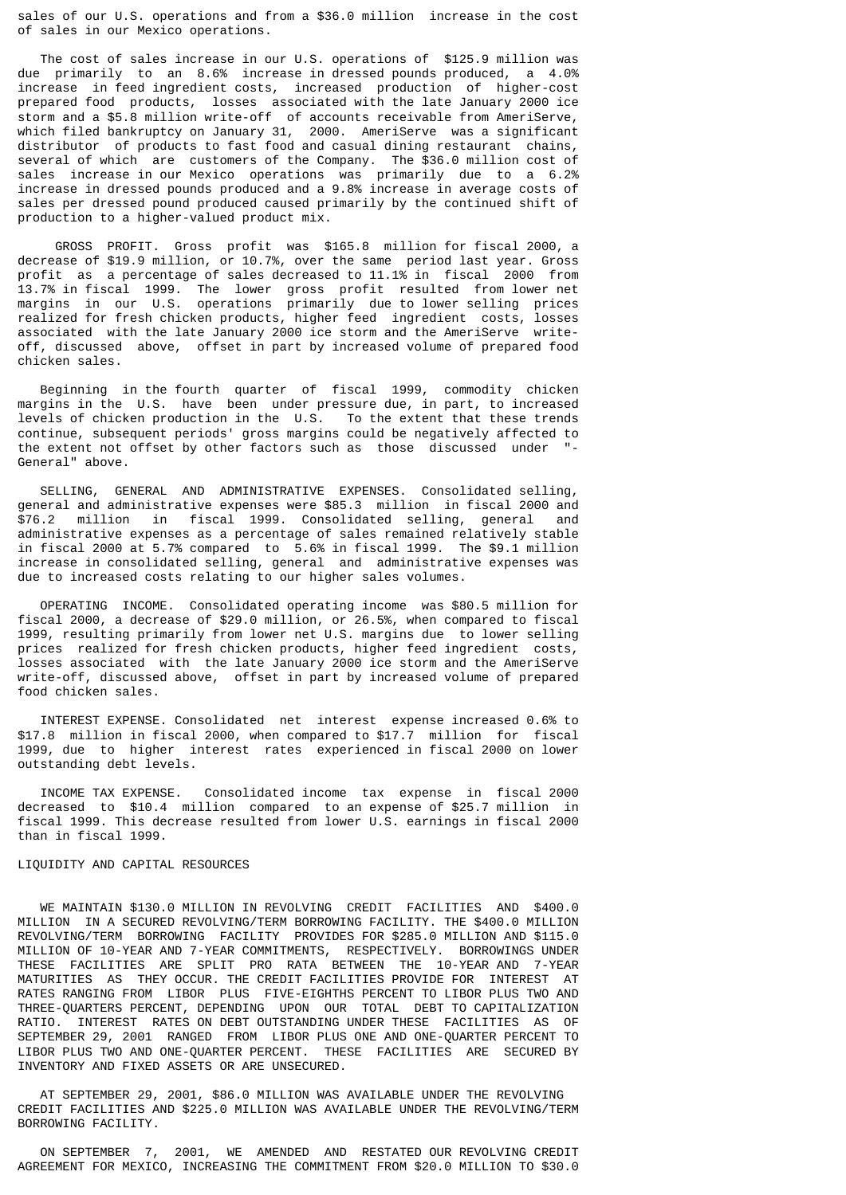sales of our U.S. operations and from a \$36.0 million increase in the cost of sales in our Mexico operations.

 The cost of sales increase in our U.S. operations of \$125.9 million was due primarily to an 8.6% increase in dressed pounds produced, a 4.0% increase in feed ingredient costs, increased production of higher-cost prepared food products, losses associated with the late January 2000 ice storm and a \$5.8 million write-off of accounts receivable from AmeriServe, which filed bankruptcy on January 31, 2000. AmeriServe was a significant distributor of products to fast food and casual dining restaurant chains, several of which are customers of the Company. The \$36.0 million cost of sales increase in our Mexico operations was primarily due to a 6.2% increase in dressed pounds produced and a 9.8% increase in average costs of sales per dressed pound produced caused primarily by the continued shift of production to a higher-valued product mix.

 GROSS PROFIT. Gross profit was \$165.8 million for fiscal 2000, a decrease of \$19.9 million, or 10.7%, over the same period last year. Gross profit as a percentage of sales decreased to 11.1% in fiscal 2000 from 13.7% in fiscal 1999. The lower gross profit resulted from lower net margins in our U.S. operations primarily due to lower selling prices realized for fresh chicken products, higher feed ingredient costs, losses associated with the late January 2000 ice storm and the AmeriServe writeoff, discussed above, offset in part by increased volume of prepared food chicken sales.

 Beginning in the fourth quarter of fiscal 1999, commodity chicken margins in the U.S. have been under pressure due, in part, to increased levels of chicken production in the U.S. To the extent that these trends continue, subsequent periods' gross margins could be negatively affected to the extent not offset by other factors such as those discussed under "- General" above.

 SELLING, GENERAL AND ADMINISTRATIVE EXPENSES. Consolidated selling, general and administrative expenses were \$85.3 million in fiscal 2000 and \$76.2 million in fiscal 1999. Consolidated selling, general and administrative expenses as a percentage of sales remained relatively stable in fiscal 2000 at 5.7% compared to 5.6% in fiscal 1999. The \$9.1 million increase in consolidated selling, general and administrative expenses was due to increased costs relating to our higher sales volumes.

 OPERATING INCOME. Consolidated operating income was \$80.5 million for fiscal 2000, a decrease of \$29.0 million, or 26.5%, when compared to fiscal 1999, resulting primarily from lower net U.S. margins due to lower selling prices realized for fresh chicken products, higher feed ingredient costs, losses associated with the late January 2000 ice storm and the AmeriServe write-off, discussed above, offset in part by increased volume of prepared food chicken sales.

 INTEREST EXPENSE. Consolidated net interest expense increased 0.6% to \$17.8 million in fiscal 2000, when compared to \$17.7 million for fiscal 1999, due to higher interest rates experienced in fiscal 2000 on lower outstanding debt levels.

 INCOME TAX EXPENSE. Consolidated income tax expense in fiscal 2000 decreased to \$10.4 million compared to an expense of \$25.7 million in fiscal 1999. This decrease resulted from lower U.S. earnings in fiscal 2000 than in fiscal 1999.

### LIQUIDITY AND CAPITAL RESOURCES

 WE MAINTAIN \$130.0 MILLION IN REVOLVING CREDIT FACILITIES AND \$400.0 MILLION IN A SECURED REVOLVING/TERM BORROWING FACILITY. THE \$400.0 MILLION REVOLVING/TERM BORROWING FACILITY PROVIDES FOR \$285.0 MILLION AND \$115.0 MILLION OF 10-YEAR AND 7-YEAR COMMITMENTS, RESPECTIVELY. BORROWINGS UNDER THESE FACILITIES ARE SPLIT PRO RATA BETWEEN THE 10-YEAR AND 7-YEAR MATURITIES AS THEY OCCUR. THE CREDIT FACILITIES PROVIDE FOR INTEREST AT RATES RANGING FROM LIBOR PLUS FIVE-EIGHTHS PERCENT TO LIBOR PLUS TWO AND THREE-QUARTERS PERCENT, DEPENDING UPON OUR TOTAL DEBT TO CAPITALIZATION RATIO. INTEREST RATES ON DEBT OUTSTANDING UNDER THESE FACILITIES AS OF SEPTEMBER 29, 2001 RANGED FROM LIBOR PLUS ONE AND ONE-QUARTER PERCENT TO LIBOR PLUS TWO AND ONE-QUARTER PERCENT. THESE FACILITIES ARE SECURED BY INVENTORY AND FIXED ASSETS OR ARE UNSECURED.

 AT SEPTEMBER 29, 2001, \$86.0 MILLION WAS AVAILABLE UNDER THE REVOLVING CREDIT FACILITIES AND \$225.0 MILLION WAS AVAILABLE UNDER THE REVOLVING/TERM BORROWING FACILITY.

 ON SEPTEMBER 7, 2001, WE AMENDED AND RESTATED OUR REVOLVING CREDIT AGREEMENT FOR MEXICO, INCREASING THE COMMITMENT FROM \$20.0 MILLION TO \$30.0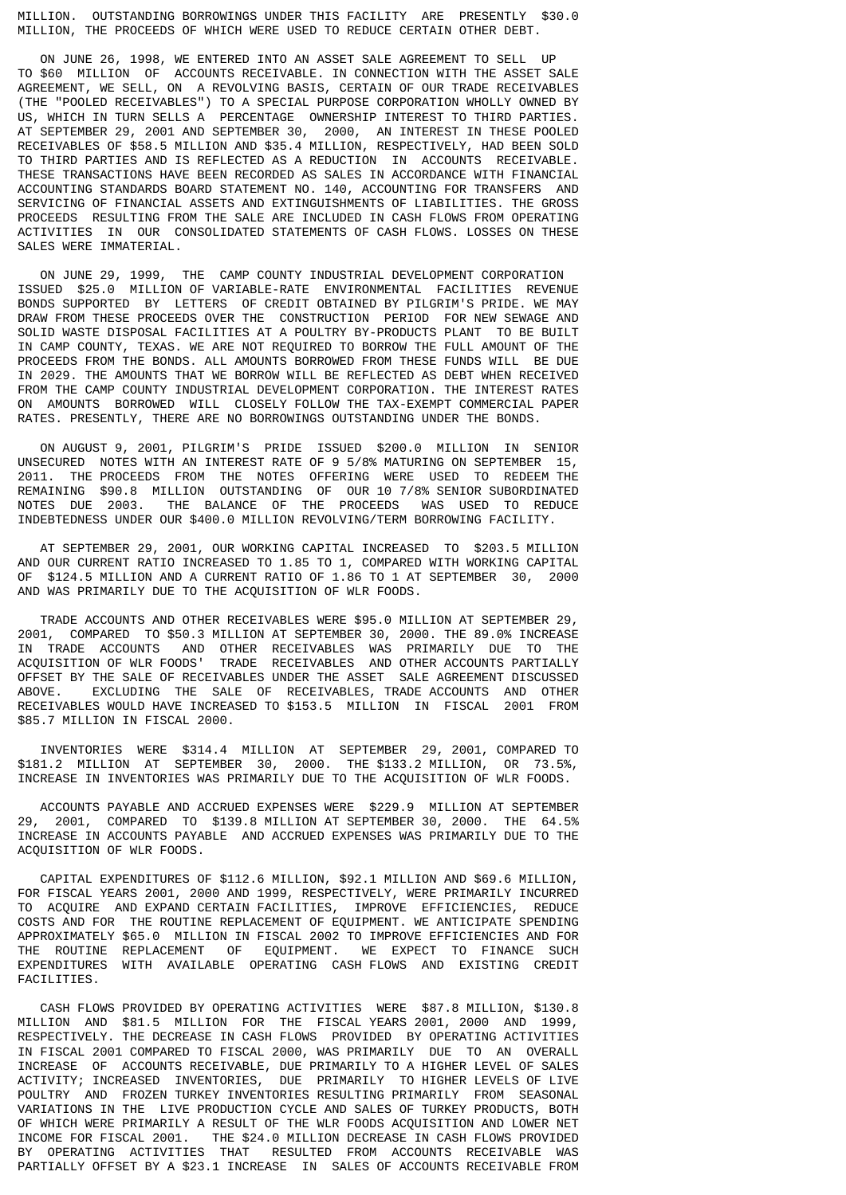MILLION. OUTSTANDING BORROWINGS UNDER THIS FACILITY ARE PRESENTLY \$30.0 MILLION, THE PROCEEDS OF WHICH WERE USED TO REDUCE CERTAIN OTHER DEBT.

 ON JUNE 26, 1998, WE ENTERED INTO AN ASSET SALE AGREEMENT TO SELL UP TO \$60 MILLION OF ACCOUNTS RECEIVABLE. IN CONNECTION WITH THE ASSET SALE AGREEMENT, WE SELL, ON A REVOLVING BASIS, CERTAIN OF OUR TRADE RECEIVABLES (THE "POOLED RECEIVABLES") TO A SPECIAL PURPOSE CORPORATION WHOLLY OWNED BY US, WHICH IN TURN SELLS A PERCENTAGE OWNERSHIP INTEREST TO THIRD PARTIES. AT SEPTEMBER 29, 2001 AND SEPTEMBER 30, 2000, AN INTEREST IN THESE POOLED RECEIVABLES OF \$58.5 MILLION AND \$35.4 MILLION, RESPECTIVELY, HAD BEEN SOLD TO THIRD PARTIES AND IS REFLECTED AS A REDUCTION IN ACCOUNTS RECEIVABLE. THESE TRANSACTIONS HAVE BEEN RECORDED AS SALES IN ACCORDANCE WITH FINANCIAL ACCOUNTING STANDARDS BOARD STATEMENT NO. 140, ACCOUNTING FOR TRANSFERS AND SERVICING OF FINANCIAL ASSETS AND EXTINGUISHMENTS OF LIABILITIES. THE GROSS PROCEEDS RESULTING FROM THE SALE ARE INCLUDED IN CASH FLOWS FROM OPERATING ACTIVITIES IN OUR CONSOLIDATED STATEMENTS OF CASH FLOWS. LOSSES ON THESE SALES WERE IMMATERIAL.

 ON JUNE 29, 1999, THE CAMP COUNTY INDUSTRIAL DEVELOPMENT CORPORATION ISSUED \$25.0 MILLION OF VARIABLE-RATE ENVIRONMENTAL FACILITIES REVENUE BONDS SUPPORTED BY LETTERS OF CREDIT OBTAINED BY PILGRIM'S PRIDE. WE MAY DRAW FROM THESE PROCEEDS OVER THE CONSTRUCTION PERIOD FOR NEW SEWAGE AND SOLID WASTE DISPOSAL FACILITIES AT A POULTRY BY-PRODUCTS PLANT TO BE BUILT IN CAMP COUNTY, TEXAS. WE ARE NOT REQUIRED TO BORROW THE FULL AMOUNT OF THE PROCEEDS FROM THE BONDS. ALL AMOUNTS BORROWED FROM THESE FUNDS WILL BE DUE IN 2029. THE AMOUNTS THAT WE BORROW WILL BE REFLECTED AS DEBT WHEN RECEIVED FROM THE CAMP COUNTY INDUSTRIAL DEVELOPMENT CORPORATION. THE INTEREST RATES ON AMOUNTS BORROWED WILL CLOSELY FOLLOW THE TAX-EXEMPT COMMERCIAL PAPER RATES. PRESENTLY, THERE ARE NO BORROWINGS OUTSTANDING UNDER THE BONDS.

 ON AUGUST 9, 2001, PILGRIM'S PRIDE ISSUED \$200.0 MILLION IN SENIOR UNSECURED NOTES WITH AN INTEREST RATE OF 9 5/8% MATURING ON SEPTEMBER 15, 2011. THE PROCEEDS FROM THE NOTES OFFERING WERE USED TO REDEEM THE REMAINING \$90.8 MILLION OUTSTANDING OF OUR 10 7/8% SENIOR SUBORDINATED NOTES DUE 2003. THE BALANCE OF THE PROCEEDS WAS USED TO REDUCE INDEBTEDNESS UNDER OUR \$400.0 MILLION REVOLVING/TERM BORROWING FACILITY.

 AT SEPTEMBER 29, 2001, OUR WORKING CAPITAL INCREASED TO \$203.5 MILLION AND OUR CURRENT RATIO INCREASED TO 1.85 TO 1, COMPARED WITH WORKING CAPITAL OF \$124.5 MILLION AND A CURRENT RATIO OF 1.86 TO 1 AT SEPTEMBER 30, 2000 AND WAS PRIMARILY DUE TO THE ACQUISITION OF WLR FOODS.

 TRADE ACCOUNTS AND OTHER RECEIVABLES WERE \$95.0 MILLION AT SEPTEMBER 29, 2001, COMPARED TO \$50.3 MILLION AT SEPTEMBER 30, 2000. THE 89.0% INCREASE IN TRADE ACCOUNTS AND OTHER RECEIVABLES WAS PRIMARILY DUE TO THE ACQUISITION OF WLR FOODS' TRADE RECEIVABLES AND OTHER ACCOUNTS PARTIALLY OFFSET BY THE SALE OF RECEIVABLES UNDER THE ASSET SALE AGREEMENT DISCUSSED ABOVE. EXCLUDING THE SALE OF RECEIVABLES, TRADE ACCOUNTS AND OTHER RECEIVABLES WOULD HAVE INCREASED TO \$153.5 MILLION IN FISCAL 2001 FROM \$85.7 MILLION IN FISCAL 2000.

 INVENTORIES WERE \$314.4 MILLION AT SEPTEMBER 29, 2001, COMPARED TO \$181.2 MILLION AT SEPTEMBER 30, 2000. THE \$133.2 MILLION, OR 73.5%, INCREASE IN INVENTORIES WAS PRIMARILY DUE TO THE ACQUISITION OF WLR FOODS.

ACCOUNTS PAYABLE AND ACCRUED EXPENSES WERE \$229.9 MILLION AT SEPTEMBER<br>29 2001 COMPARED TO \$139.8 MILLION AT SEPTEMBER 30 2000 THE 64.5% 2001, COMPARED TO \$139.8 MILLION AT SEPTEMBER 30, 2000. THE 64.5% INCREASE IN ACCOUNTS PAYABLE AND ACCRUED EXPENSES WAS PRIMARILY DUE TO THE ACQUISITION OF WLR FOODS.

 CAPITAL EXPENDITURES OF \$112.6 MILLION, \$92.1 MILLION AND \$69.6 MILLION, FOR FISCAL YEARS 2001, 2000 AND 1999, RESPECTIVELY, WERE PRIMARILY INCURRED TO ACQUIRE AND EXPAND CERTAIN FACILITIES, IMPROVE EFFICIENCIES, REDUCE COSTS AND FOR THE ROUTINE REPLACEMENT OF EQUIPMENT. WE ANTICIPATE SPENDING APPROXIMATELY \$65.0 MILLION IN FISCAL 2002 TO IMPROVE EFFICIENCIES AND FOR THE ROUTINE REPLACEMENT OF EQUIPMENT. WE EXPECT TO FINANCE SUCH EXPENDITURES WITH AVAILABLE OPERATING CASH FLOWS AND EXISTING CREDIT FACILITIES.

 CASH FLOWS PROVIDED BY OPERATING ACTIVITIES WERE \$87.8 MILLION, \$130.8 MILLION AND \$81.5 MILLION FOR THE FISCAL YEARS 2001, 2000 AND 1999, RESPECTIVELY. THE DECREASE IN CASH FLOWS PROVIDED BY OPERATING ACTIVITIES IN FISCAL 2001 COMPARED TO FISCAL 2000, WAS PRIMARILY DUE TO AN OVERALL INCREASE OF ACCOUNTS RECEIVABLE, DUE PRIMARILY TO A HIGHER LEVEL OF SALES ACTIVITY; INCREASED INVENTORIES, DUE PRIMARILY TO HIGHER LEVELS OF LIVE POULTRY AND FROZEN TURKEY INVENTORIES RESULTING PRIMARILY FROM SEASONAL VARIATIONS IN THE LIVE PRODUCTION CYCLE AND SALES OF TURKEY PRODUCTS, BOTH OF WHICH WERE PRIMARILY A RESULT OF THE WLR FOODS ACQUISITION AND LOWER NET INCOME FOR FISCAL 2001. THE \$24.0 MILLION DECREASE IN CASH FLOWS PROVIDED BY OPERATING ACTIVITIES THAT RESULTED FROM ACCOUNTS RECEIVABLE WAS PARTIALLY OFFSET BY A \$23.1 INCREASE IN SALES OF ACCOUNTS RECEIVABLE FROM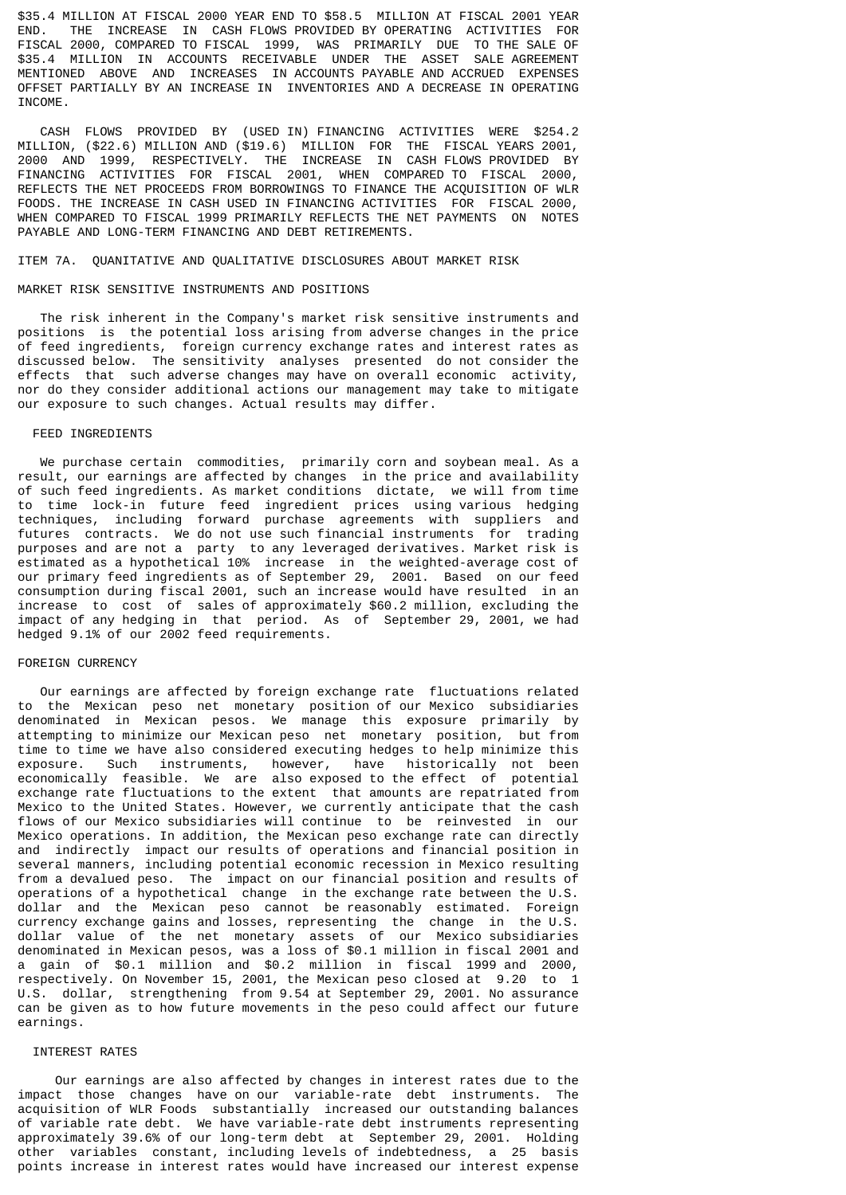\$35.4 MILLION AT FISCAL 2000 YEAR END TO \$58.5 MILLION AT FISCAL 2001 YEAR END. THE INCREASE IN CASH FLOWS PROVIDED BY OPERATING ACTIVITIES FOR FISCAL 2000, COMPARED TO FISCAL 1999, WAS PRIMARILY DUE TO THE SALE OF \$35.4 MILLION IN ACCOUNTS RECEIVABLE UNDER THE ASSET SALE AGREEMENT MENTIONED ABOVE AND INCREASES IN ACCOUNTS PAYABLE AND ACCRUED EXPENSES OFFSET PARTIALLY BY AN INCREASE IN INVENTORIES AND A DECREASE IN OPERATING TNCOME.

 CASH FLOWS PROVIDED BY (USED IN) FINANCING ACTIVITIES WERE \$254.2 MILLION, (\$22.6) MILLION AND (\$19.6) MILLION FOR THE FISCAL YEARS 2001, 2000 AND 1999, RESPECTIVELY. THE INCREASE IN CASH FLOWS PROVIDED BY FINANCING ACTIVITIES FOR FISCAL 2001, WHEN COMPARED TO FISCAL 2000, REFLECTS THE NET PROCEEDS FROM BORROWINGS TO FINANCE THE ACQUISITION OF WLR FOODS. THE INCREASE IN CASH USED IN FINANCING ACTIVITIES FOR FISCAL 2000, WHEN COMPARED TO FISCAL 1999 PRIMARILY REFLECTS THE NET PAYMENTS ON NOTES PAYABLE AND LONG-TERM FINANCING AND DEBT RETIREMENTS.

### ITEM 7A. QUANITATIVE AND QUALITATIVE DISCLOSURES ABOUT MARKET RISK

### MARKET RISK SENSITIVE INSTRUMENTS AND POSITIONS

 The risk inherent in the Company's market risk sensitive instruments and positions is the potential loss arising from adverse changes in the price of feed ingredients, foreign currency exchange rates and interest rates as discussed below. The sensitivity analyses presented do not consider the effects that such adverse changes may have on overall economic activity, nor do they consider additional actions our management may take to mitigate our exposure to such changes. Actual results may differ.

#### FEED INGREDIENTS

 We purchase certain commodities, primarily corn and soybean meal. As a result, our earnings are affected by changes in the price and availability of such feed ingredients. As market conditions dictate, we will from time to time lock-in future feed ingredient prices using various hedging techniques, including forward purchase agreements with suppliers and futures contracts. We do not use such financial instruments for trading purposes and are not a party to any leveraged derivatives. Market risk is estimated as a hypothetical 10% increase in the weighted-average cost of our primary feed ingredients as of September 29, 2001. Based on our feed consumption during fiscal 2001, such an increase would have resulted in an increase to cost of sales of approximately \$60.2 million, excluding the impact of any hedging in that period. As of September 29, 2001, we had hedged 9.1% of our 2002 feed requirements.

### FOREIGN CURRENCY

 Our earnings are affected by foreign exchange rate fluctuations related to the Mexican peso net monetary position of our Mexico subsidiaries denominated in Mexican pesos. We manage this exposure primarily by attempting to minimize our Mexican peso net monetary position, but from time to time we have also considered executing hedges to help minimize this exposure. Such instruments, however, have historically not been economically feasible. We are also exposed to the effect of potential exchange rate fluctuations to the extent that amounts are repatriated from Mexico to the United States. However, we currently anticipate that the cash flows of our Mexico subsidiaries will continue to be reinvested in our Mexico operations. In addition, the Mexican peso exchange rate can directly and indirectly impact our results of operations and financial position in several manners, including potential economic recession in Mexico resulting from a devalued peso. The impact on our financial position and results of operations of a hypothetical change in the exchange rate between the U.S. dollar and the Mexican peso cannot be reasonably estimated. Foreign currency exchange gains and losses, representing the change in the U.S. dollar value of the net monetary assets of our Mexico subsidiaries denominated in Mexican pesos, was a loss of \$0.1 million in fiscal 2001 and a gain of \$0.1 million and \$0.2 million in fiscal 1999 and 2000, respectively. On November 15, 2001, the Mexican peso closed at 9.20 to 1 U.S. dollar, strengthening from 9.54 at September 29, 2001. No assurance can be given as to how future movements in the peso could affect our future earnings.

### INTEREST RATES

 Our earnings are also affected by changes in interest rates due to the impact those changes have on our variable-rate debt instruments. The acquisition of WLR Foods substantially increased our outstanding balances of variable rate debt. We have variable-rate debt instruments representing approximately 39.6% of our long-term debt at September 29, 2001. Holding other variables constant, including levels of indebtedness, a 25 basis points increase in interest rates would have increased our interest expense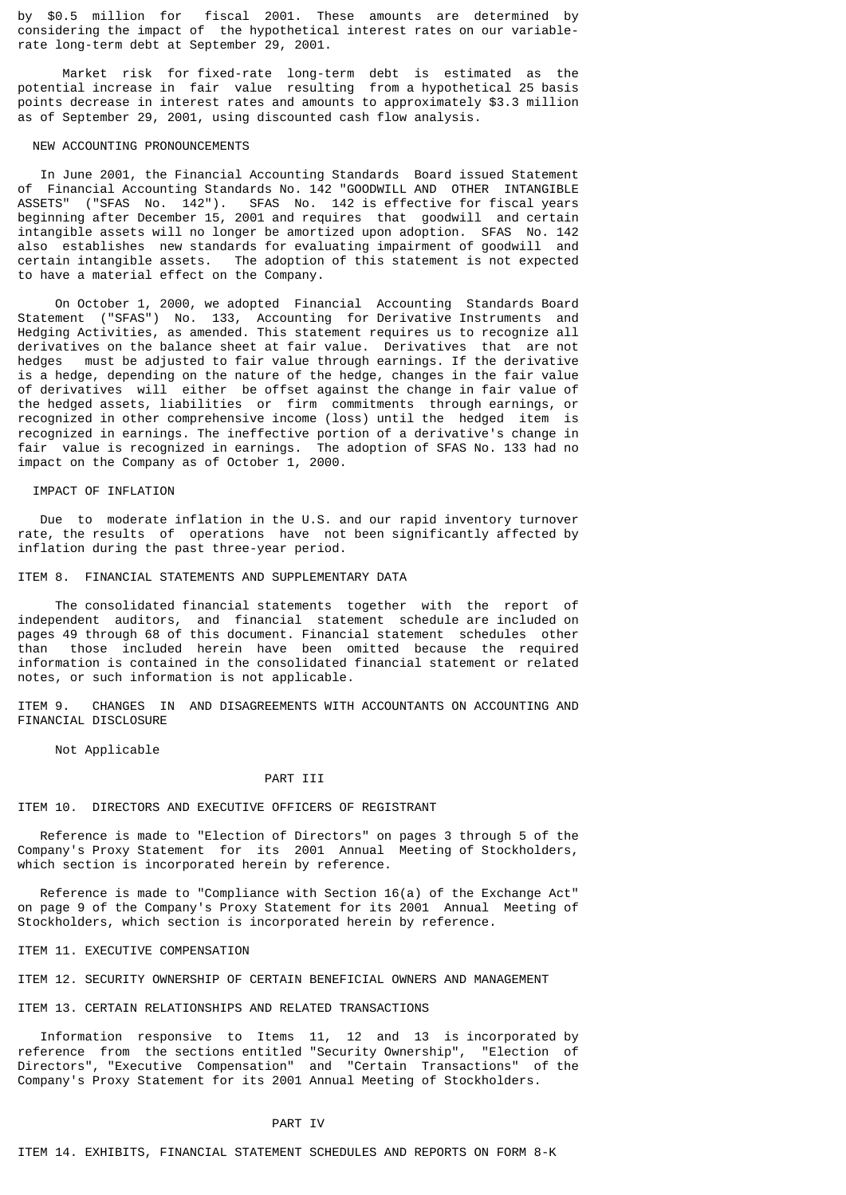by \$0.5 million for fiscal 2001. These amounts are determined by considering the impact of the hypothetical interest rates on our variablerate long-term debt at September 29, 2001.

 Market risk for fixed-rate long-term debt is estimated as the potential increase in fair value resulting from a hypothetical 25 basis points decrease in interest rates and amounts to approximately \$3.3 million as of September 29, 2001, using discounted cash flow analysis.

### NEW ACCOUNTING PRONOUNCEMENTS

 In June 2001, the Financial Accounting Standards Board issued Statement of Financial Accounting Standards No. 142 "GOODWILL AND OTHER INTANGIBLE ASSETS" ("SFAS No. 142"). SFAS No. 142 is effective for fiscal years beginning after December 15, 2001 and requires that goodwill and certain intangible assets will no longer be amortized upon adoption. SFAS No. 142 also establishes new standards for evaluating impairment of goodwill and certain intangible assets. The adoption of this statement is not expected to have a material effect on the Company.

 On October 1, 2000, we adopted Financial Accounting Standards Board Statement ("SFAS") No. 133, Accounting for Derivative Instruments and Hedging Activities, as amended. This statement requires us to recognize all derivatives on the balance sheet at fair value. Derivatives that are not hedges must be adjusted to fair value through earnings. If the derivative is a hedge, depending on the nature of the hedge, changes in the fair value of derivatives will either be offset against the change in fair value of the hedged assets, liabilities or firm commitments through earnings, or recognized in other comprehensive income (loss) until the hedged item is recognized in earnings. The ineffective portion of a derivative's change in fair value is recognized in earnings. The adoption of SFAS No. 133 had no impact on the Company as of October 1, 2000.

### IMPACT OF INFLATION

 Due to moderate inflation in the U.S. and our rapid inventory turnover rate, the results of operations have not been significantly affected by inflation during the past three-year period.

#### ITEM 8. FINANCIAL STATEMENTS AND SUPPLEMENTARY DATA

 The consolidated financial statements together with the report of independent auditors, and financial statement schedule are included on pages 49 through 68 of this document. Financial statement schedules other than those included herein have been omitted because the required information is contained in the consolidated financial statement or related notes, or such information is not applicable.

ITEM 9. CHANGES IN AND DISAGREEMENTS WITH ACCOUNTANTS ON ACCOUNTING AND FINANCIAL DISCLOSURE

Not Applicable

### PART TIT

#### ITEM 10. DIRECTORS AND EXECUTIVE OFFICERS OF REGISTRANT

 Reference is made to "Election of Directors" on pages 3 through 5 of the Company's Proxy Statement for its 2001 Annual Meeting of Stockholders, which section is incorporated herein by reference.

 Reference is made to "Compliance with Section 16(a) of the Exchange Act" on page 9 of the Company's Proxy Statement for its 2001 Annual Meeting of Stockholders, which section is incorporated herein by reference.

#### ITEM 11. EXECUTIVE COMPENSATION

#### ITEM 12. SECURITY OWNERSHIP OF CERTAIN BENEFICIAL OWNERS AND MANAGEMENT

#### ITEM 13. CERTAIN RELATIONSHIPS AND RELATED TRANSACTIONS

 Information responsive to Items 11, 12 and 13 is incorporated by reference from the sections entitled "Security Ownership", "Election of Directors", "Executive Compensation" and "Certain Transactions" of the Company's Proxy Statement for its 2001 Annual Meeting of Stockholders.

### PART IV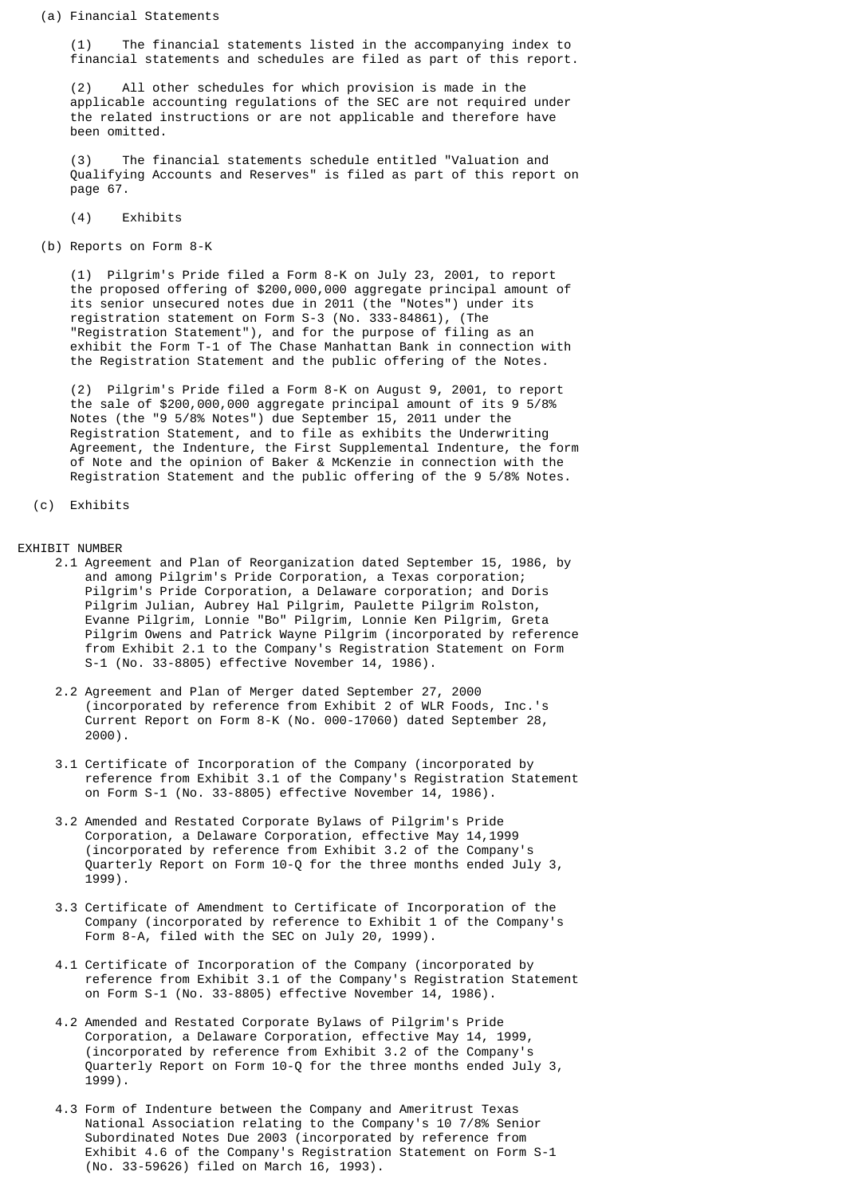(a) Financial Statements

 (1) The financial statements listed in the accompanying index to financial statements and schedules are filed as part of this report.

 (2) All other schedules for which provision is made in the applicable accounting regulations of the SEC are not required under the related instructions or are not applicable and therefore have been omitted.

 (3) The financial statements schedule entitled "Valuation and Qualifying Accounts and Reserves" is filed as part of this report on page 67.

- (4) Exhibits
- (b) Reports on Form 8-K

 (1) Pilgrim's Pride filed a Form 8-K on July 23, 2001, to report the proposed offering of \$200,000,000 aggregate principal amount of its senior unsecured notes due in 2011 (the "Notes") under its registration statement on Form S-3 (No. 333-84861), (The "Registration Statement"), and for the purpose of filing as an exhibit the Form T-1 of The Chase Manhattan Bank in connection with the Registration Statement and the public offering of the Notes.

 (2) Pilgrim's Pride filed a Form 8-K on August 9, 2001, to report the sale of \$200,000,000 aggregate principal amount of its 9 5/8% Notes (the "9 5/8% Notes") due September 15, 2011 under the Registration Statement, and to file as exhibits the Underwriting Agreement, the Indenture, the First Supplemental Indenture, the form of Note and the opinion of Baker & McKenzie in connection with the Registration Statement and the public offering of the 9 5/8% Notes.

```
 (c) Exhibits
```
EXHIBIT NUMBER

- 2.1 Agreement and Plan of Reorganization dated September 15, 1986, by and among Pilgrim's Pride Corporation, a Texas corporation; Pilgrim's Pride Corporation, a Delaware corporation; and Doris Pilgrim Julian, Aubrey Hal Pilgrim, Paulette Pilgrim Rolston, Evanne Pilgrim, Lonnie "Bo" Pilgrim, Lonnie Ken Pilgrim, Greta Pilgrim Owens and Patrick Wayne Pilgrim (incorporated by reference from Exhibit 2.1 to the Company's Registration Statement on Form S-1 (No. 33-8805) effective November 14, 1986).
- 2.2 Agreement and Plan of Merger dated September 27, 2000 (incorporated by reference from Exhibit 2 of WLR Foods, Inc.'s Current Report on Form 8-K (No. 000-17060) dated September 28, 2000).
- 3.1 Certificate of Incorporation of the Company (incorporated by reference from Exhibit 3.1 of the Company's Registration Statement on Form S-1 (No. 33-8805) effective November 14, 1986).
- 3.2 Amended and Restated Corporate Bylaws of Pilgrim's Pride Corporation, a Delaware Corporation, effective May 14,1999 (incorporated by reference from Exhibit 3.2 of the Company's Quarterly Report on Form 10-Q for the three months ended July 3, 1999).
- 3.3 Certificate of Amendment to Certificate of Incorporation of the Company (incorporated by reference to Exhibit 1 of the Company's Form 8-A, filed with the SEC on July 20, 1999).
- 4.1 Certificate of Incorporation of the Company (incorporated by reference from Exhibit 3.1 of the Company's Registration Statement on Form S-1 (No. 33-8805) effective November 14, 1986).
- 4.2 Amended and Restated Corporate Bylaws of Pilgrim's Pride Corporation, a Delaware Corporation, effective May 14, 1999, (incorporated by reference from Exhibit 3.2 of the Company's Quarterly Report on Form 10-Q for the three months ended July 3, 1999).
- 4.3 Form of Indenture between the Company and Ameritrust Texas National Association relating to the Company's 10 7/8% Senior Subordinated Notes Due 2003 (incorporated by reference from Exhibit 4.6 of the Company's Registration Statement on Form S-1 (No. 33-59626) filed on March 16, 1993).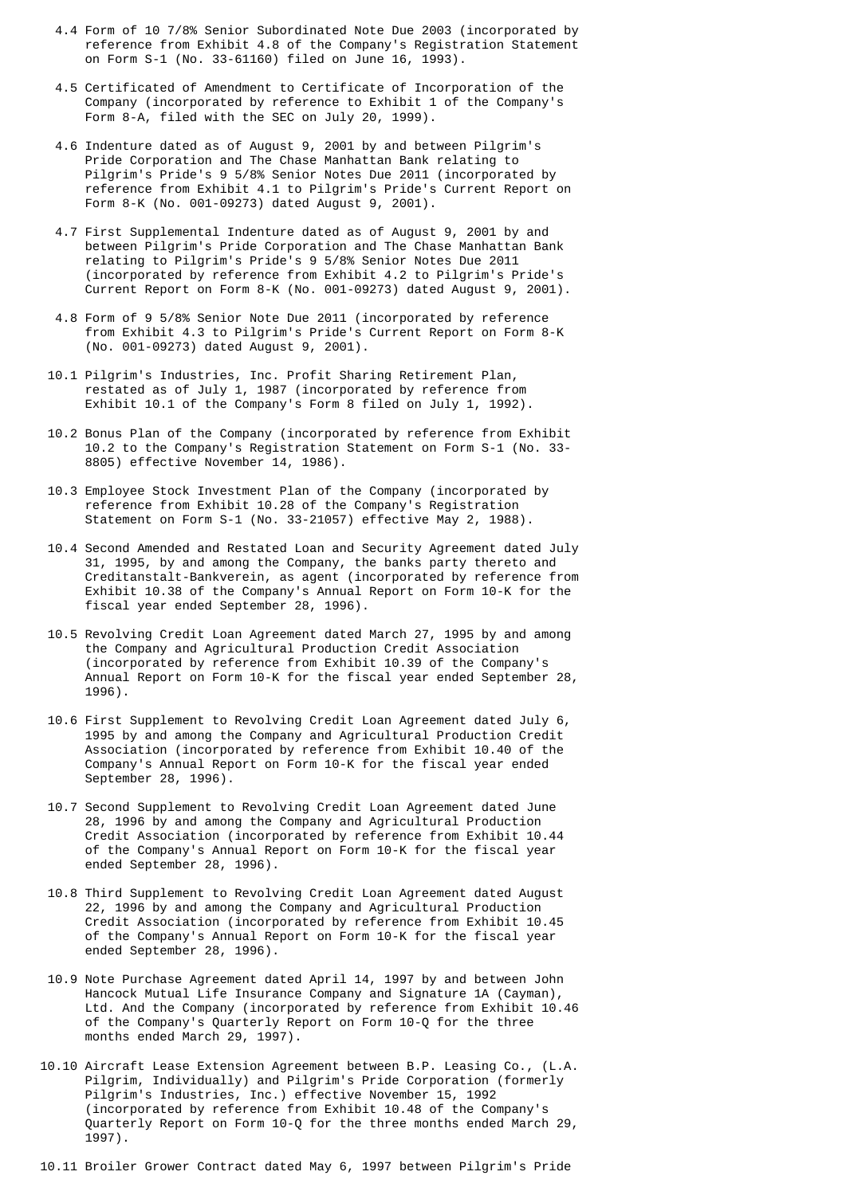- 4.4 Form of 10 7/8% Senior Subordinated Note Due 2003 (incorporated by reference from Exhibit 4.8 of the Company's Registration Statement on Form S-1 (No. 33-61160) filed on June 16, 1993).
- 4.5 Certificated of Amendment to Certificate of Incorporation of the Company (incorporated by reference to Exhibit 1 of the Company's Form 8-A, filed with the SEC on July 20, 1999).
- 4.6 Indenture dated as of August 9, 2001 by and between Pilgrim's Pride Corporation and The Chase Manhattan Bank relating to Pilgrim's Pride's 9 5/8% Senior Notes Due 2011 (incorporated by reference from Exhibit 4.1 to Pilgrim's Pride's Current Report on Form 8-K (No. 001-09273) dated August 9, 2001).
- 4.7 First Supplemental Indenture dated as of August 9, 2001 by and between Pilgrim's Pride Corporation and The Chase Manhattan Bank relating to Pilgrim's Pride's 9 5/8% Senior Notes Due 2011 (incorporated by reference from Exhibit 4.2 to Pilgrim's Pride's Current Report on Form 8-K (No. 001-09273) dated August 9, 2001).
- 4.8 Form of 9 5/8% Senior Note Due 2011 (incorporated by reference from Exhibit 4.3 to Pilgrim's Pride's Current Report on Form 8-K (No. 001-09273) dated August 9, 2001).
- 10.1 Pilgrim's Industries, Inc. Profit Sharing Retirement Plan, restated as of July 1, 1987 (incorporated by reference from Exhibit 10.1 of the Company's Form 8 filed on July 1, 1992).
	- 10.2 Bonus Plan of the Company (incorporated by reference from Exhibit 10.2 to the Company's Registration Statement on Form S-1 (No. 33- 8805) effective November 14, 1986).
	- 10.3 Employee Stock Investment Plan of the Company (incorporated by reference from Exhibit 10.28 of the Company's Registration Statement on Form S-1 (No. 33-21057) effective May 2, 1988).
	- 10.4 Second Amended and Restated Loan and Security Agreement dated July 31, 1995, by and among the Company, the banks party thereto and Creditanstalt-Bankverein, as agent (incorporated by reference from Exhibit 10.38 of the Company's Annual Report on Form 10-K for the fiscal year ended September 28, 1996).
	- 10.5 Revolving Credit Loan Agreement dated March 27, 1995 by and among the Company and Agricultural Production Credit Association (incorporated by reference from Exhibit 10.39 of the Company's Annual Report on Form 10-K for the fiscal year ended September 28, 1996).
	- 10.6 First Supplement to Revolving Credit Loan Agreement dated July 6, 1995 by and among the Company and Agricultural Production Credit Association (incorporated by reference from Exhibit 10.40 of the Company's Annual Report on Form 10-K for the fiscal year ended September 28, 1996).
	- 10.7 Second Supplement to Revolving Credit Loan Agreement dated June 28, 1996 by and among the Company and Agricultural Production Credit Association (incorporated by reference from Exhibit 10.44 of the Company's Annual Report on Form 10-K for the fiscal year ended September 28, 1996).
	- 10.8 Third Supplement to Revolving Credit Loan Agreement dated August 22, 1996 by and among the Company and Agricultural Production Credit Association (incorporated by reference from Exhibit 10.45 of the Company's Annual Report on Form 10-K for the fiscal year ended September 28, 1996).
	- 10.9 Note Purchase Agreement dated April 14, 1997 by and between John Hancock Mutual Life Insurance Company and Signature 1A (Cayman), Ltd. And the Company (incorporated by reference from Exhibit 10.46 of the Company's Quarterly Report on Form 10-Q for the three months ended March 29, 1997).
	- 10.10 Aircraft Lease Extension Agreement between B.P. Leasing Co., (L.A. Pilgrim, Individually) and Pilgrim's Pride Corporation (formerly Pilgrim's Industries, Inc.) effective November 15, 1992 (incorporated by reference from Exhibit 10.48 of the Company's Quarterly Report on Form 10-Q for the three months ended March 29, 1997).

10.11 Broiler Grower Contract dated May 6, 1997 between Pilgrim's Pride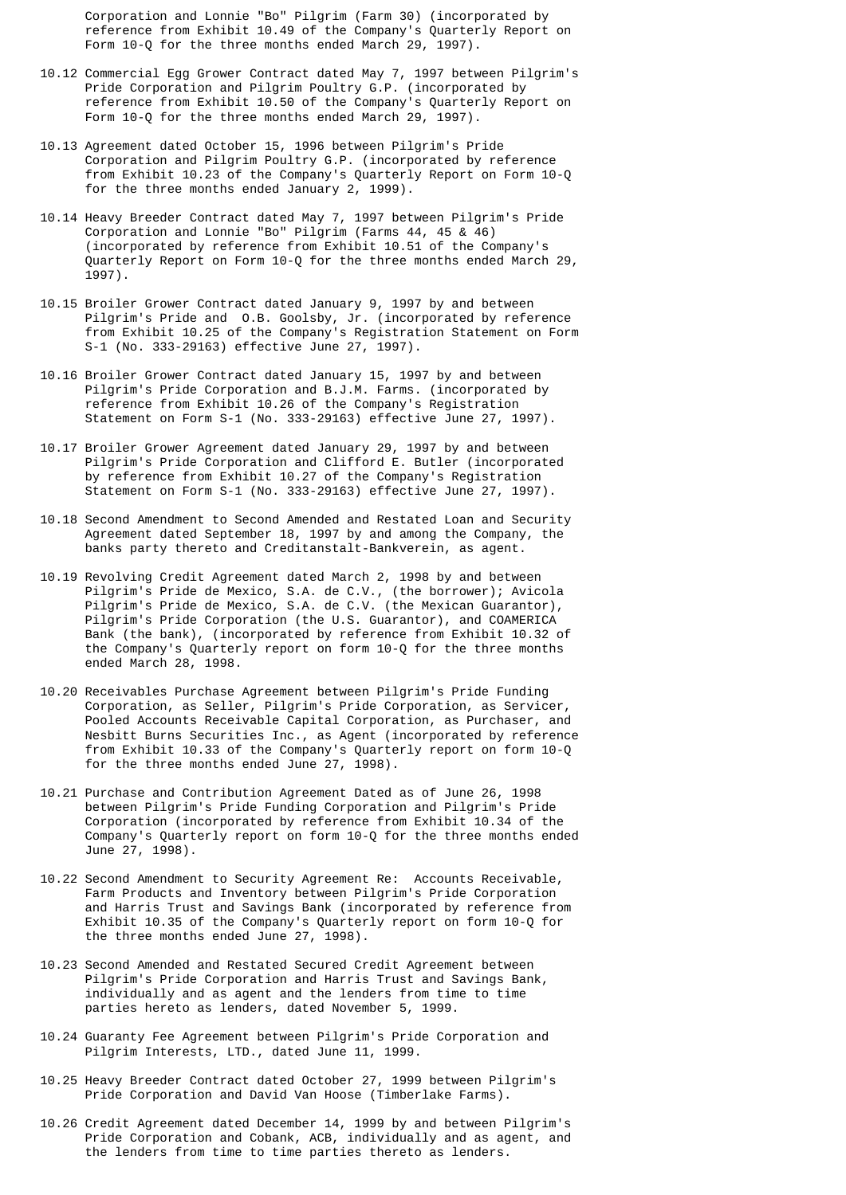Corporation and Lonnie "Bo" Pilgrim (Farm 30) (incorporated by reference from Exhibit 10.49 of the Company's Quarterly Report on Form 10-0 for the three months ended March 29, 1997).

- 10.12 Commercial Egg Grower Contract dated May 7, 1997 between Pilgrim's Pride Corporation and Pilgrim Poultry G.P. (incorporated by reference from Exhibit 10.50 of the Company's Quarterly Report on Form 10-Q for the three months ended March 29, 1997).
	- 10.13 Agreement dated October 15, 1996 between Pilgrim's Pride Corporation and Pilgrim Poultry G.P. (incorporated by reference from Exhibit 10.23 of the Company's Quarterly Report on Form 10-Q for the three months ended January 2, 1999).
	- 10.14 Heavy Breeder Contract dated May 7, 1997 between Pilgrim's Pride Corporation and Lonnie "Bo" Pilgrim (Farms 44, 45 & 46) (incorporated by reference from Exhibit 10.51 of the Company's Quarterly Report on Form 10-Q for the three months ended March 29, 1997).
	- 10.15 Broiler Grower Contract dated January 9, 1997 by and between Pilgrim's Pride and O.B. Goolsby, Jr. (incorporated by reference from Exhibit 10.25 of the Company's Registration Statement on Form S-1 (No. 333-29163) effective June 27, 1997).
- 10.16 Broiler Grower Contract dated January 15, 1997 by and between Pilgrim's Pride Corporation and B.J.M. Farms. (incorporated by reference from Exhibit 10.26 of the Company's Registration Statement on Form S-1 (No. 333-29163) effective June 27, 1997).
	- 10.17 Broiler Grower Agreement dated January 29, 1997 by and between Pilgrim's Pride Corporation and Clifford E. Butler (incorporated by reference from Exhibit 10.27 of the Company's Registration Statement on Form S-1 (No. 333-29163) effective June 27, 1997).
	- 10.18 Second Amendment to Second Amended and Restated Loan and Security Agreement dated September 18, 1997 by and among the Company, the banks party thereto and Creditanstalt-Bankverein, as agent.
- 10.19 Revolving Credit Agreement dated March 2, 1998 by and between Pilgrim's Pride de Mexico, S.A. de C.V., (the borrower); Avicola Pilgrim's Pride de Mexico, S.A. de C.V. (the Mexican Guarantor), Pilgrim's Pride Corporation (the U.S. Guarantor), and COAMERICA Bank (the bank), (incorporated by reference from Exhibit 10.32 of the Company's Quarterly report on form 10-Q for the three months ended March 28, 1998.
- 10.20 Receivables Purchase Agreement between Pilgrim's Pride Funding Corporation, as Seller, Pilgrim's Pride Corporation, as Servicer, Pooled Accounts Receivable Capital Corporation, as Purchaser, and Nesbitt Burns Securities Inc., as Agent (incorporated by reference from Exhibit 10.33 of the Company's Quarterly report on form 10-Q for the three months ended June 27, 1998).
	- 10.21 Purchase and Contribution Agreement Dated as of June 26, 1998 between Pilgrim's Pride Funding Corporation and Pilgrim's Pride Corporation (incorporated by reference from Exhibit 10.34 of the Company's Quarterly report on form 10-Q for the three months ended June 27, 1998).
	- 10.22 Second Amendment to Security Agreement Re: Accounts Receivable, Farm Products and Inventory between Pilgrim's Pride Corporation and Harris Trust and Savings Bank (incorporated by reference from Exhibit 10.35 of the Company's Quarterly report on form 10-Q for the three months ended June 27, 1998).
	- 10.23 Second Amended and Restated Secured Credit Agreement between Pilgrim's Pride Corporation and Harris Trust and Savings Bank, individually and as agent and the lenders from time to time parties hereto as lenders, dated November 5, 1999.
	- 10.24 Guaranty Fee Agreement between Pilgrim's Pride Corporation and Pilgrim Interests, LTD., dated June 11, 1999.
	- 10.25 Heavy Breeder Contract dated October 27, 1999 between Pilgrim's Pride Corporation and David Van Hoose (Timberlake Farms).
- 10.26 Credit Agreement dated December 14, 1999 by and between Pilgrim's Pride Corporation and Cobank, ACB, individually and as agent, and the lenders from time to time parties thereto as lenders.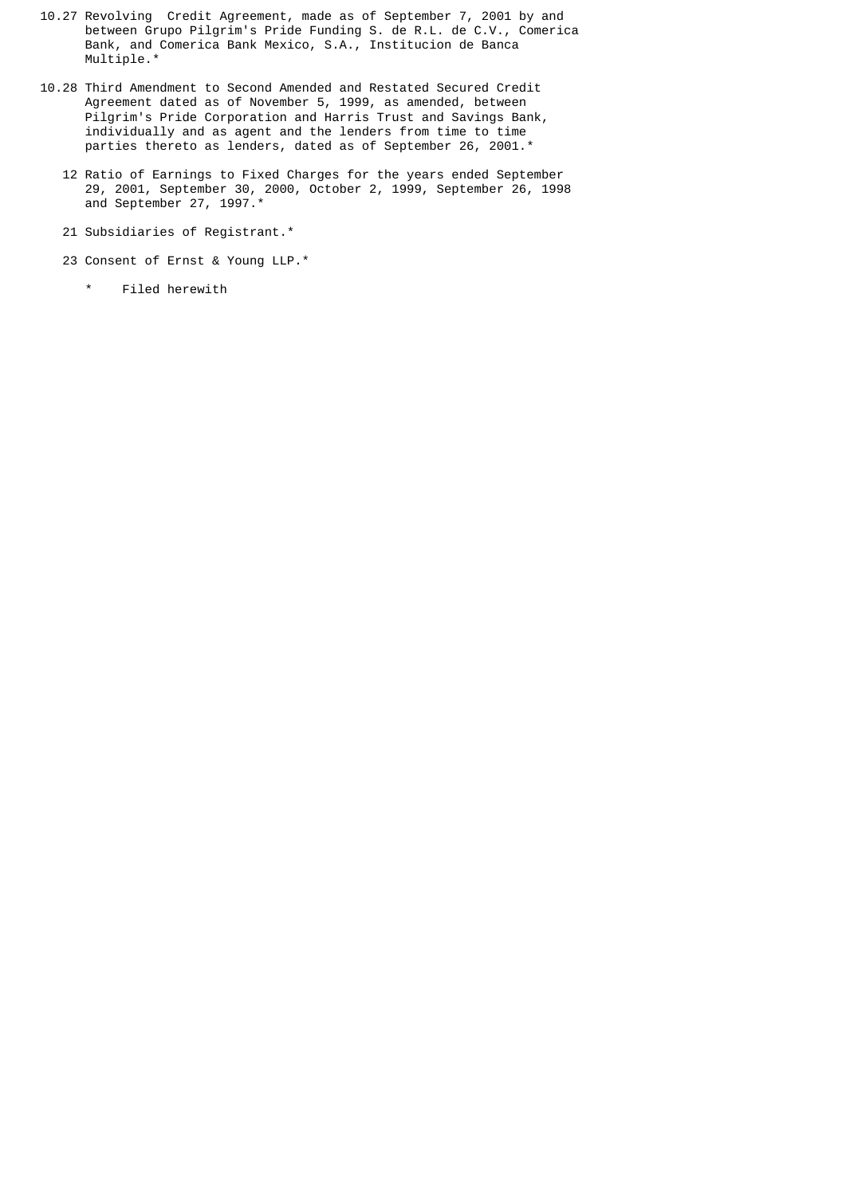- 10.27 Revolving Credit Agreement, made as of September 7, 2001 by and between Grupo Pilgrim's Pride Funding S. de R.L. de C.V., Comerica Bank, and Comerica Bank Mexico, S.A., Institucion de Banca Multiple.\*
- 10.28 Third Amendment to Second Amended and Restated Secured Credit Agreement dated as of November 5, 1999, as amended, between Pilgrim's Pride Corporation and Harris Trust and Savings Bank, individually and as agent and the lenders from time to time parties thereto as lenders, dated as of September 26, 2001.\*
	- 12 Ratio of Earnings to Fixed Charges for the years ended September 29, 2001, September 30, 2000, October 2, 1999, September 26, 1998 and September 27, 1997.\*
	- 21 Subsidiaries of Registrant.\*
	- 23 Consent of Ernst & Young LLP.\*
		- \* Filed herewith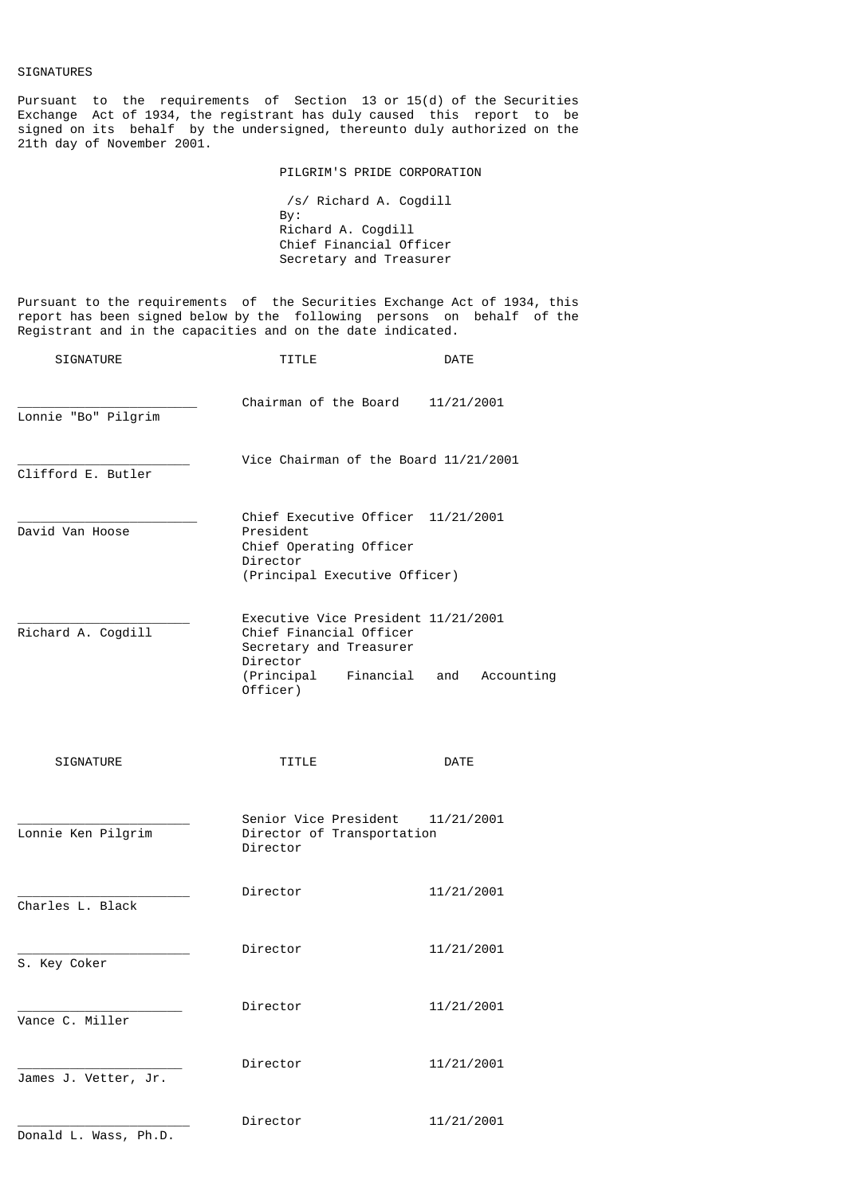# SIGNATURES

Pursuant to the requirements of Section 13 or 15(d) of the Securities Exchange Act of 1934, the registrant has duly caused this report to be signed on its behalf by the undersigned, thereunto duly authorized on the 21th day of November 2001.

PILGRIM'S PRIDE CORPORATION

 /s/ Richard A. Cogdill By: Richard A. Cogdill Chief Financial Officer Secretary and Treasurer

Pursuant to the requirements of the Securities Exchange Act of 1934, this report has been signed below by the following persons on behalf of the Registrant and in the capacities and on the date indicated.

| <b>SIGNATURE</b>      | TITLE                                                                                                                                        | DATE              |
|-----------------------|----------------------------------------------------------------------------------------------------------------------------------------------|-------------------|
| Lonnie "Bo" Pilgrim   | Chairman of the Board                                                                                                                        | 11/21/2001        |
| Clifford E. Butler    | Vice Chairman of the Board 11/21/2001                                                                                                        |                   |
| David Van Hoose       | Chief Executive Officer 11/21/2001<br>President<br>Chief Operating Officer<br>Director<br>(Principal Executive Officer)                      |                   |
| Richard A. Cogdill    | Executive Vice President 11/21/2001<br>Chief Financial Officer<br>Secretary and Treasurer<br>Director<br>(Principal<br>Financial<br>Officer) | and<br>Accounting |
| <b>SIGNATURE</b>      | TITLE                                                                                                                                        | <b>DATE</b>       |
| Lonnie Ken Pilgrim    | Senior Vice President<br>Director of Transportation<br>Director                                                                              | 11/21/2001        |
| Charles L. Black      | Director                                                                                                                                     | 11/21/2001        |
| S. Key Coker          | Director                                                                                                                                     | 11/21/2001        |
| Vance C. Miller       | Director                                                                                                                                     | 11/21/2001        |
| James J. Vetter, Jr.  | Director                                                                                                                                     | 11/21/2001        |
| Donald L. Wass, Ph.D. | Director                                                                                                                                     | 11/21/2001        |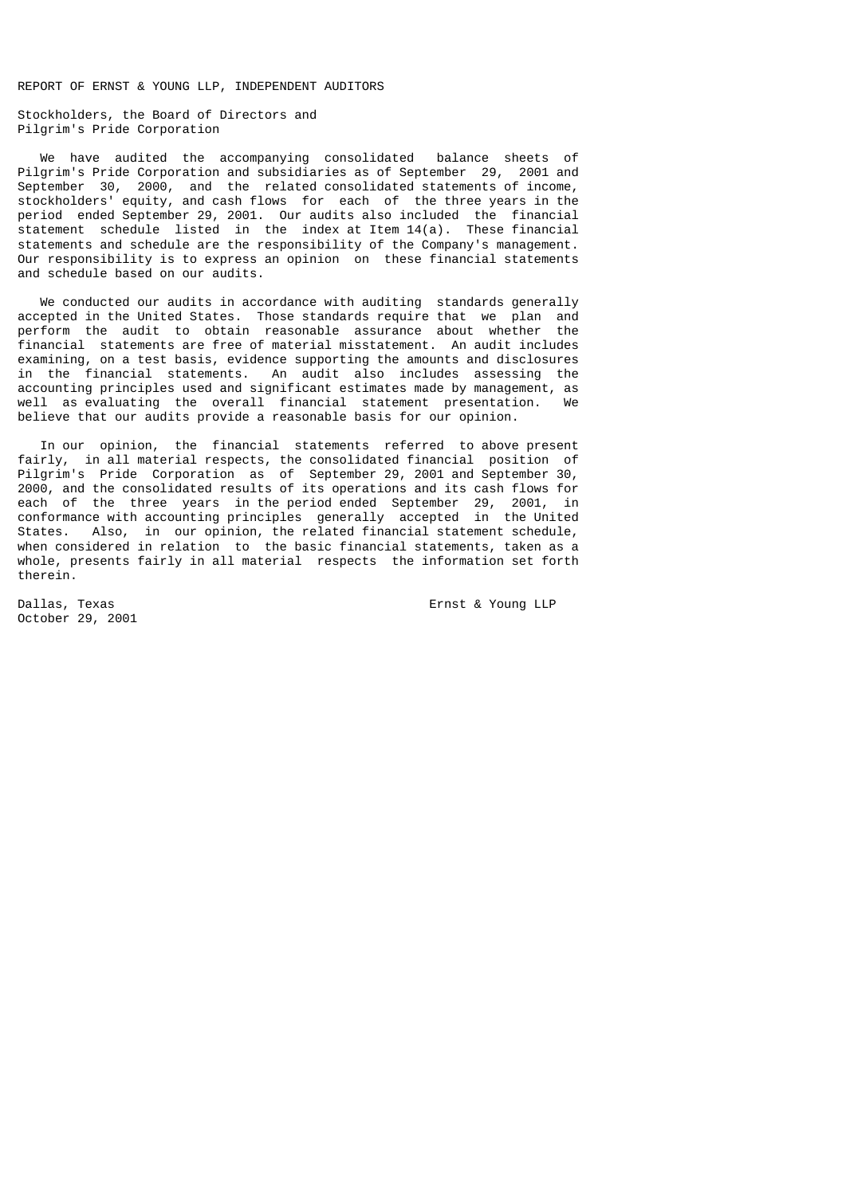REPORT OF ERNST & YOUNG LLP, INDEPENDENT AUDITORS

Stockholders, the Board of Directors and Pilgrim's Pride Corporation

 We have audited the accompanying consolidated balance sheets of Pilgrim's Pride Corporation and subsidiaries as of September 29, 2001 and September 30, 2000, and the related consolidated statements of income, stockholders' equity, and cash flows for each of the three years in the period ended September 29, 2001. Our audits also included the financial statement schedule listed in the index at Item 14(a). These financial statements and schedule are the responsibility of the Company's management. Our responsibility is to express an opinion on these financial statements and schedule based on our audits.

 We conducted our audits in accordance with auditing standards generally accepted in the United States. Those standards require that we plan and perform the audit to obtain reasonable assurance about whether the financial statements are free of material misstatement. An audit includes examining, on a test basis, evidence supporting the amounts and disclosures in the financial statements. An audit also includes assessing the accounting principles used and significant estimates made by management, as well as evaluating the overall financial statement presentation. We believe that our audits provide a reasonable basis for our opinion.

 In our opinion, the financial statements referred to above present fairly, in all material respects, the consolidated financial position of Pilgrim's Pride Corporation as of September 29, 2001 and September 30, 2000, and the consolidated results of its operations and its cash flows for each of the three years in the period ended September 29, 2001, in conformance with accounting principles generally accepted in the United States. Also, in our opinion, the related financial statement schedule, when considered in relation to the basic financial statements, taken as a whole, presents fairly in all material respects the information set forth therein.

October 29, 2001

Dallas, Texas Ernst & Young LLP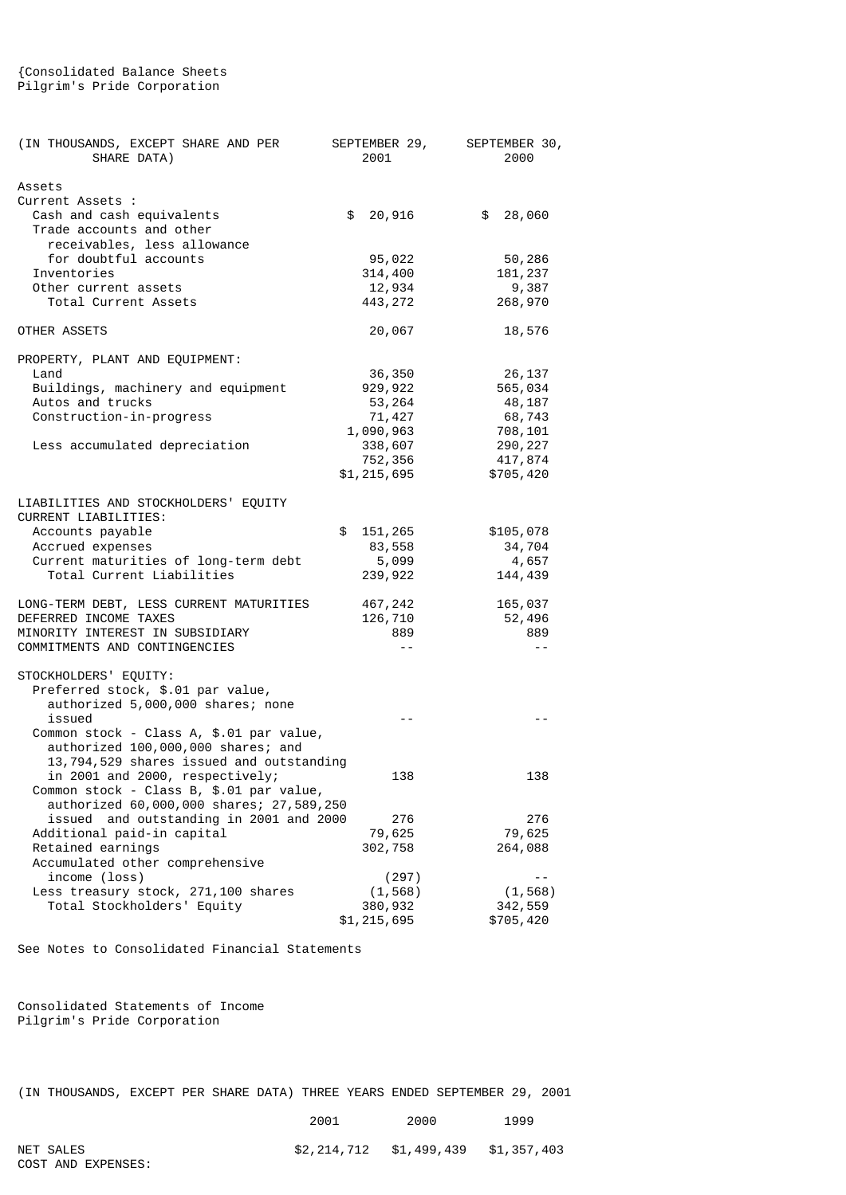# {Consolidated Balance Sheets Pilgrim's Pride Corporation

| (IN THOUSANDS, EXCEPT SHARE AND PER<br>SHARE DATA)                                  | SEPTEMBER 29,<br>2001 | SEPTEMBER 30,<br>2000 |
|-------------------------------------------------------------------------------------|-----------------------|-----------------------|
| Assets<br>Current Assets :<br>Cash and cash equivalents<br>Trade accounts and other | \$<br>20,916          | \$<br>28,060          |
| receivables, less allowance                                                         |                       |                       |
| for doubtful accounts                                                               | 95,022                | 50,286                |
| Inventories                                                                         | 314,400               | 181, 237              |
| Other current assets<br>Total Current Assets                                        | 12,934<br>443, 272    | 9,387<br>268,970      |
| OTHER ASSETS                                                                        | 20,067                | 18,576                |
| PROPERTY, PLANT AND EQUIPMENT:                                                      |                       |                       |
| Land                                                                                | 36,350                | 26,137                |
| Buildings, machinery and equipment                                                  | 929, 922              | 565,034               |
| Autos and trucks                                                                    | 53,264                | 48,187                |
| Construction-in-progress                                                            | 71, 427               | 68,743                |
| Less accumulated depreciation                                                       | 1,090,963<br>338,607  | 708,101<br>290, 227   |
|                                                                                     | 752,356               | 417,874               |
|                                                                                     | \$1,215,695           | \$705,420             |
| LIABILITIES AND STOCKHOLDERS' EQUITY                                                |                       |                       |
| CURRENT LIABILITIES:                                                                |                       |                       |
| Accounts payable                                                                    | \$<br>151, 265        | \$105,078             |
| Accrued expenses                                                                    | 83,558                | 34,704                |
| Current maturities of long-term debt<br>Total Current Liabilities                   | 5,099<br>239,922      | 4,657<br>144,439      |
| LONG-TERM DEBT, LESS CURRENT MATURITIES                                             | 467,242               | 165,037               |
| DEFERRED INCOME TAXES                                                               | 126,710               | 52,496                |
| MINORITY INTEREST IN SUBSIDIARY                                                     | 889                   | 889                   |
| COMMITMENTS AND CONTINGENCIES                                                       | $ -$                  | $\sim$ $-$            |
| STOCKHOLDERS' EQUITY:<br>Preferred stock, \$.01 par value,                          |                       |                       |
| authorized 5,000,000 shares; none                                                   |                       |                       |
| issued                                                                              |                       |                       |
| Common stock - Class A, \$.01 par value,<br>authorized 100,000,000 shares; and      |                       |                       |
| 13,794,529 shares issued and outstanding                                            |                       |                       |
| in 2001 and 2000, respectively;                                                     | 138                   | 138                   |
| Common stock - Class B, \$.01 par value,                                            |                       |                       |
| authorized 60,000,000 shares; 27,589,250                                            |                       |                       |
| and outstanding in 2001 and 2000<br>issued<br>Additional paid-in capital            | 276<br>79,625         | 276<br>79,625         |
| Retained earnings                                                                   | 302,758               | 264,088               |
| Accumulated other comprehensive                                                     |                       |                       |
| income (loss)                                                                       | (297)                 | $ -$                  |
| Less treasury stock, 271,100 shares                                                 | (1, 568)              | (1, 568)              |
| Total Stockholders' Equity                                                          | 380,932               | 342,559               |
|                                                                                     | \$1,215,695           | \$705,420             |

See Notes to Consolidated Financial Statements

Consolidated Statements of Income Pilgrim's Pride Corporation

|  | (IN THOUSANDS, EXCEPT PER SHARE DATA) THREE YEARS ENDED SEPTEMBER 29, 2001 |  |  |  |  |  |  |  |  |  |  |
|--|----------------------------------------------------------------------------|--|--|--|--|--|--|--|--|--|--|
|--|----------------------------------------------------------------------------|--|--|--|--|--|--|--|--|--|--|

|           | 2001 | 2000                                | 1999 |
|-----------|------|-------------------------------------|------|
| NET SALES |      | \$2,214,712 \$1,499,439 \$1,357,403 |      |

COST AND EXPENSES: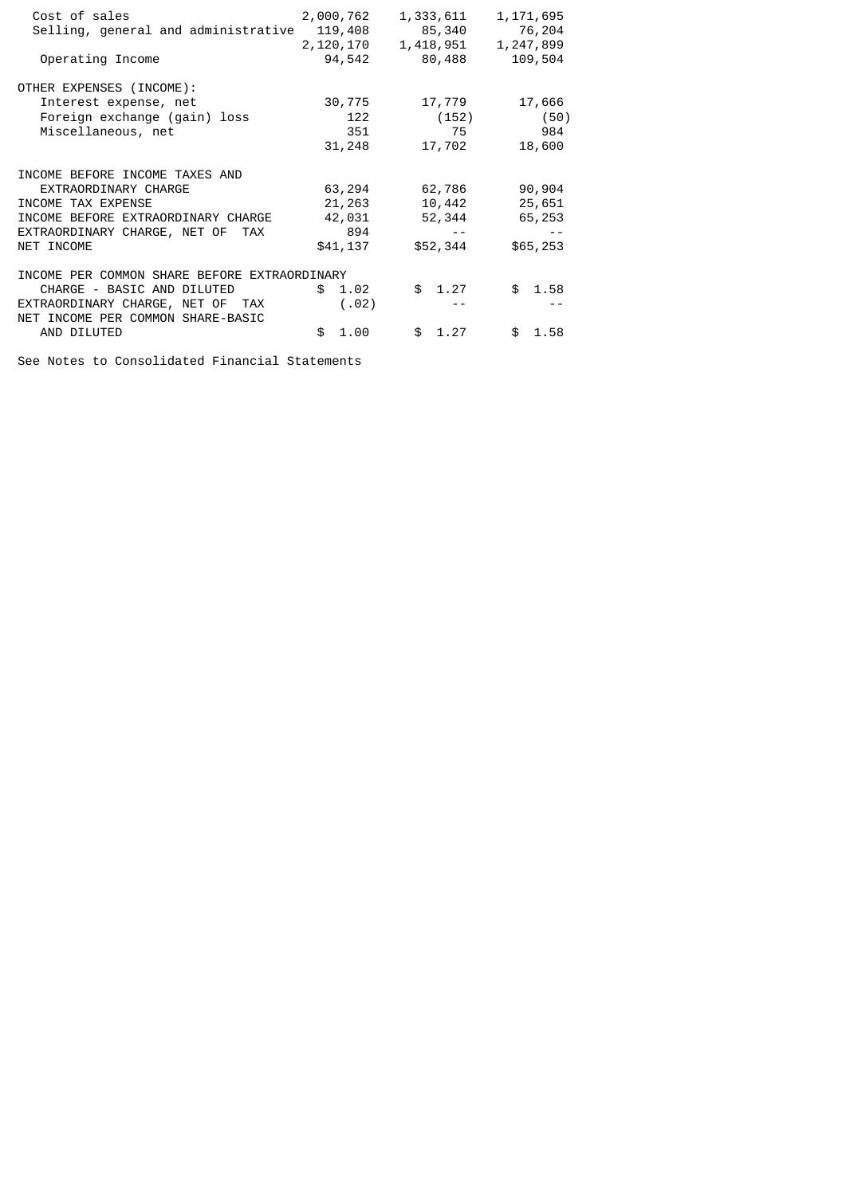| Cost of sales<br>Selling, general and administrative<br>Operating Income                                | 2,000,762<br>119,408<br>2,120,170<br>94,542 | 1,333,611<br>85,340<br>1,418,951<br>80,488 | 1, 171, 695<br>76,204<br>1,247,899<br>109,504 |
|---------------------------------------------------------------------------------------------------------|---------------------------------------------|--------------------------------------------|-----------------------------------------------|
| OTHER EXPENSES (INCOME):<br>Interest expense, net<br>Foreign exchange (gain) loss<br>Miscellaneous, net | 30,775<br>122<br>351<br>31,248              | 17,779<br>(152)<br>75<br>17,702            | 17,666<br>(50)<br>984<br>18,600               |
| INCOME BEFORE INCOME TAXES AND                                                                          |                                             |                                            |                                               |
| EXTRAORDINARY CHARGE                                                                                    | 63,294                                      | 62,786                                     | 90,904                                        |
| INCOME TAX EXPENSE                                                                                      | 21,263                                      | 10,442                                     | 25,651                                        |
| INCOME BEFORE EXTRAORDINARY CHARGE                                                                      | 42,031                                      | 52,344                                     | 65,253                                        |
| EXTRAORDINARY CHARGE, NET OF<br><b>TAX</b>                                                              | 894                                         | $ -$                                       |                                               |
| NET INCOME                                                                                              | \$41,137                                    | \$52,344                                   | \$65,253                                      |
| INCOME PER COMMON SHARE BEFORE EXTRAORDINARY                                                            |                                             |                                            |                                               |
| CHARGE - BASIC AND DILUTED                                                                              | \$<br>1.02                                  | \$1.27                                     | \$<br>1.58                                    |
| EXTRAORDINARY CHARGE, NET OF TAX<br>NET INCOME PER COMMON SHARE-BASIC                                   | (.02)                                       |                                            |                                               |
| AND DILUTED                                                                                             | \$.<br>1.00                                 | \$1.27                                     | \$<br>1.58                                    |

See Notes to Consolidated Financial Statements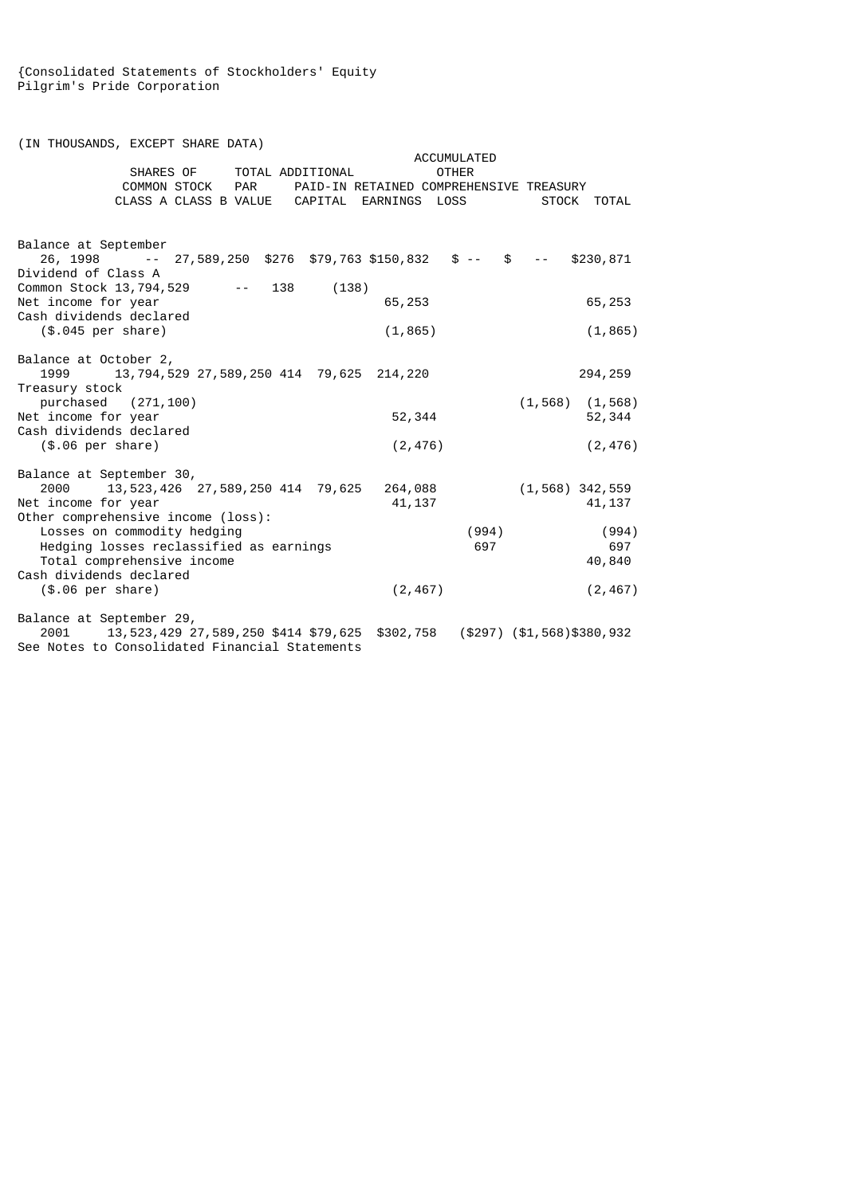{Consolidated Statements of Stockholders' Equity Pilgrim's Pride Corporation

(IN THOUSANDS, EXCEPT SHARE DATA) ACCUMULATED<br>SHARES OF TOTAL ADDITIONAL COTHER SHARES OF TOTAL ADDITIONAL<br>COMMON STOCK PAR PAID-IN F COMMON STOCK PAR PAID-IN RETAINED COMPREHENSIVE TREASURY<br>CLASS A CLASS B VALUE CAPITAL EARNINGS LOSS STOCK TOTAL CAPITAL EARNINGS LOSS Balance at September 26, 1998 -- 27,589,250 \$276 \$79,763 \$150,832 \$ -- \$ -- \$230,871 Dividend of Class A Common Stock 13,794,529 -- 138 (138) Net income for year 65,253 65,253 65,253 Cash dividends declared (\$.045 per share) (1,865) (1,865) Balance at October 2, 1999 13,794,529 27,589,250 414 79,625 214,220 294,259 Treasury stock purchased (271,100) (1,568) (1,568) (1,568)<br>nicome for year (52,344 (1,568) (1,568) (52,344 (1,568 (1,568 (1,568 ) Net income for year 52,344 52,344 Cash dividends declared (\$.06 per share) (2,476) (2,476) Balance at September 30, 2000 13,523,426 27,589,250 414 79,625 264,088 (1,568) 342,559 Net income for year Other comprehensive income (loss): Losses on commodity hedging (994) (994) Hedging losses reclassified as earnings 697 697 Total comprehensive income  $40,840$ Cash dividends declared (\$.06 per share) (2,467) (2,467) Balance at September 29,<br>2001 13,523,429 2 2001 13,523,429 27,589,250 \$414 \$79,625 \$302,758 (\$297) (\$1,568)\$380,932 See Notes to Consolidated Financial Statements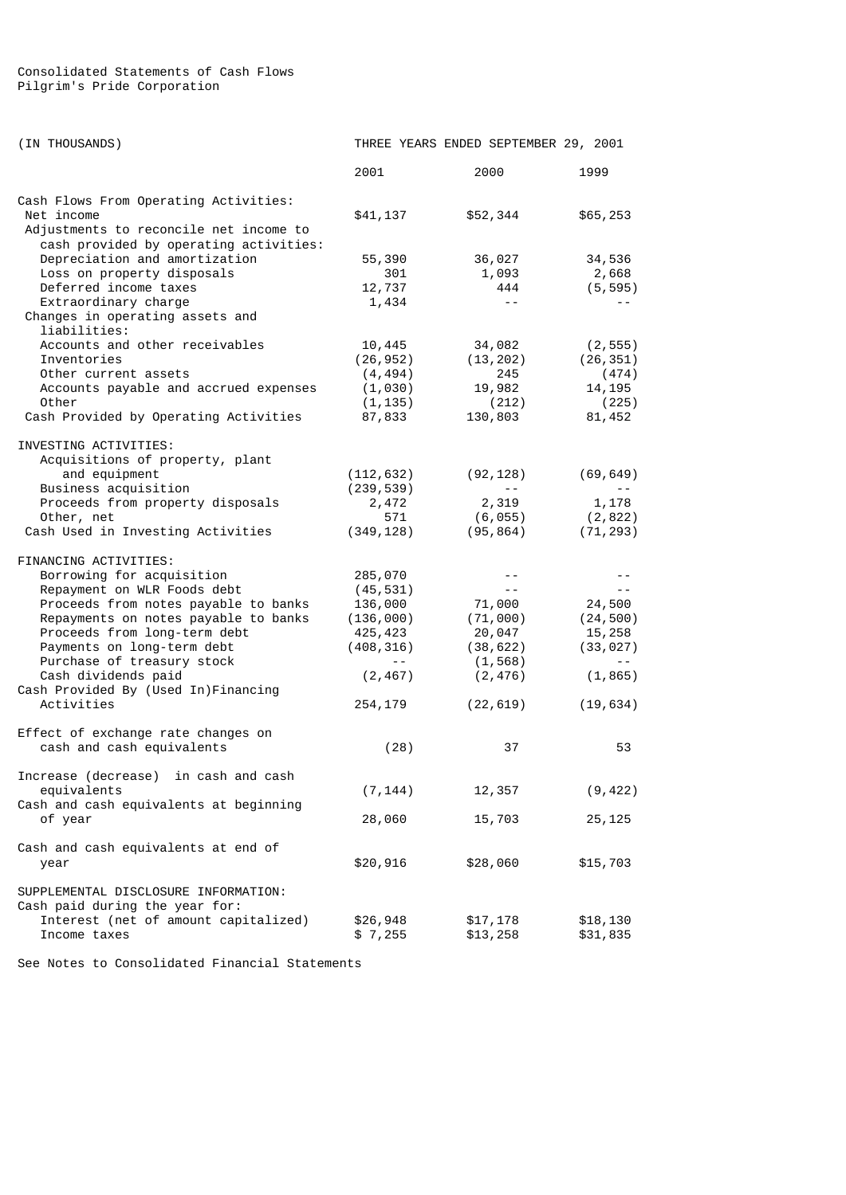# Consolidated Statements of Cash Flows Pilgrim's Pride Corporation

| (IN THOUSANDS)                                                                                                                                                                                                                                                                                                                            |                                                                                                                                                                                                                                                                                                                                                                                                                                                                                               | THREE YEARS ENDED SEPTEMBER 29, 2001                                                    |                                                                                       |
|-------------------------------------------------------------------------------------------------------------------------------------------------------------------------------------------------------------------------------------------------------------------------------------------------------------------------------------------|-----------------------------------------------------------------------------------------------------------------------------------------------------------------------------------------------------------------------------------------------------------------------------------------------------------------------------------------------------------------------------------------------------------------------------------------------------------------------------------------------|-----------------------------------------------------------------------------------------|---------------------------------------------------------------------------------------|
|                                                                                                                                                                                                                                                                                                                                           | 2001                                                                                                                                                                                                                                                                                                                                                                                                                                                                                          | 2000                                                                                    | 1999                                                                                  |
| Cash Flows From Operating Activities:<br>Net income<br>Adjustments to reconcile net income to                                                                                                                                                                                                                                             | \$41,137                                                                                                                                                                                                                                                                                                                                                                                                                                                                                      | \$52,344                                                                                | \$65,253                                                                              |
| cash provided by operating activities:<br>Depreciation and amortization<br>Loss on property disposals<br>Deferred income taxes<br>Extraordinary charge<br>Changes in operating assets and                                                                                                                                                 | 55,390<br>301<br>12,737<br>1,434                                                                                                                                                                                                                                                                                                                                                                                                                                                              | 36,027<br>1,093<br>444<br>$- -$                                                         | 34,536<br>2,668<br>(5, 595)                                                           |
| liabilities:<br>Accounts and other receivables<br>Inventories<br>Other current assets<br>Accounts payable and accrued expenses<br>Other<br>Cash Provided by Operating Activities                                                                                                                                                          | 10,445<br>(26, 952)<br>(4, 494)<br>(1,030)<br>(1, 135)<br>87,833                                                                                                                                                                                                                                                                                                                                                                                                                              | 34,082<br>(13, 202)<br>245<br>19,982<br>(212)<br>130,803                                | (2, 555)<br>(26, 351)<br>(474)<br>14, 195<br>(225)<br>81,452                          |
| INVESTING ACTIVITIES:<br>Acquisitions of property, plant<br>and equipment<br>Business acquisition<br>Proceeds from property disposals<br>Other, net<br>Cash Used in Investing Activities                                                                                                                                                  | (112, 632)<br>(239, 539)<br>2,472<br>571<br>(349, 128)                                                                                                                                                                                                                                                                                                                                                                                                                                        | (92, 128)<br>$  \,$<br>2,319<br>(6,055)<br>(95, 864)                                    | (69, 649)<br>$ -$<br>1,178<br>(2, 822)<br>(71, 293)                                   |
| FINANCING ACTIVITIES:<br>Borrowing for acquisition<br>Repayment on WLR Foods debt<br>Proceeds from notes payable to banks<br>Repayments on notes payable to banks<br>Proceeds from long-term debt<br>Payments on long-term debt<br>Purchase of treasury stock<br>Cash dividends paid<br>Cash Provided By (Used In)Financing<br>Activities | 285,070<br>(45, 531)<br>136,000<br>(136,000)<br>425, 423<br>(408, 316)<br>$\frac{1}{2} \frac{1}{2} \frac{1}{2} \frac{1}{2} \frac{1}{2} \frac{1}{2} \frac{1}{2} \frac{1}{2} \frac{1}{2} \frac{1}{2} \frac{1}{2} \frac{1}{2} \frac{1}{2} \frac{1}{2} \frac{1}{2} \frac{1}{2} \frac{1}{2} \frac{1}{2} \frac{1}{2} \frac{1}{2} \frac{1}{2} \frac{1}{2} \frac{1}{2} \frac{1}{2} \frac{1}{2} \frac{1}{2} \frac{1}{2} \frac{1}{2} \frac{1}{2} \frac{1}{2} \frac{1}{2} \frac{$<br>(2, 467)<br>254,179 | $- -$<br>71,000<br>(71,000)<br>20,047<br>(38, 622)<br>(1, 568)<br>(2, 476)<br>(22, 619) | $- -$<br>24,500<br>(24, 500)<br>15,258<br>(33, 027)<br>$- -$<br>(1, 865)<br>(19, 634) |
| Effect of exchange rate changes on<br>cash and cash equivalents                                                                                                                                                                                                                                                                           | (28)                                                                                                                                                                                                                                                                                                                                                                                                                                                                                          | 37                                                                                      | 53                                                                                    |
| Increase (decrease)<br>in cash and cash<br>equivalents<br>Cash and cash equivalents at beginning                                                                                                                                                                                                                                          | (7, 144)                                                                                                                                                                                                                                                                                                                                                                                                                                                                                      | 12,357                                                                                  | (9, 422)                                                                              |
| of year<br>Cash and cash equivalents at end of<br>year                                                                                                                                                                                                                                                                                    | 28,060<br>\$20,916                                                                                                                                                                                                                                                                                                                                                                                                                                                                            | 15,703<br>\$28,060                                                                      | 25,125<br>\$15,703                                                                    |
| SUPPLEMENTAL DISCLOSURE INFORMATION:<br>Cash paid during the year for:<br>Interest (net of amount capitalized)<br>Income taxes                                                                                                                                                                                                            | \$26,948<br>\$7,255                                                                                                                                                                                                                                                                                                                                                                                                                                                                           | \$17,178<br>\$13,258                                                                    | \$18,130<br>\$31,835                                                                  |

See Notes to Consolidated Financial Statements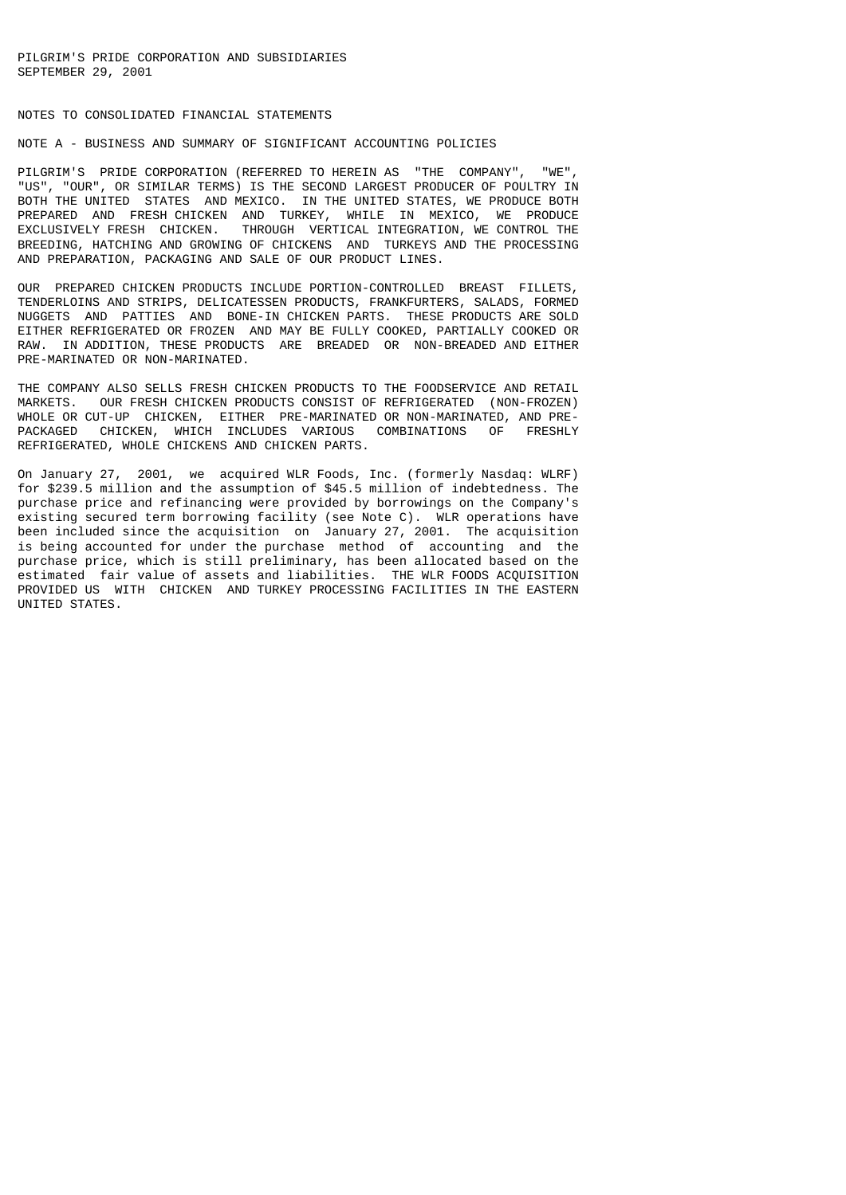### NOTES TO CONSOLIDATED FINANCIAL STATEMENTS

# NOTE A - BUSINESS AND SUMMARY OF SIGNIFICANT ACCOUNTING POLICIES

PILGRIM'S PRIDE CORPORATION (REFERRED TO HEREIN AS "THE COMPANY", "WE", "US", "OUR", OR SIMILAR TERMS) IS THE SECOND LARGEST PRODUCER OF POULTRY IN BOTH THE UNITED STATES AND MEXICO. IN THE UNITED STATES, WE PRODUCE BOTH PREPARED AND FRESH CHICKEN AND TURKEY, WHILE IN MEXICO, WE PRODUCE EXCLUSIVELY FRESH CHICKEN. THROUGH VERTICAL INTEGRATION, WE CONTROL THE BREEDING, HATCHING AND GROWING OF CHICKENS AND TURKEYS AND THE PROCESSING AND PREPARATION, PACKAGING AND SALE OF OUR PRODUCT LINES.

OUR PREPARED CHICKEN PRODUCTS INCLUDE PORTION-CONTROLLED BREAST FILLETS, TENDERLOINS AND STRIPS, DELICATESSEN PRODUCTS, FRANKFURTERS, SALADS, FORMED NUGGETS AND PATTIES AND BONE-IN CHICKEN PARTS. THESE PRODUCTS ARE SOLD EITHER REFRIGERATED OR FROZEN AND MAY BE FULLY COOKED, PARTIALLY COOKED OR RAW. IN ADDITION, THESE PRODUCTS ARE BREADED OR NON-BREADED AND EITHER PRE-MARINATED OR NON-MARINATED.

THE COMPANY ALSO SELLS FRESH CHICKEN PRODUCTS TO THE FOODSERVICE AND RETAIL MARKETS. OUR FRESH CHICKEN PRODUCTS CONSIST OF REFRIGERATED (NON-FROZEN) WHOLE OR CUT-UP CHICKEN, EITHER PRE-MARINATED OR NON-MARINATED, AND PRE-<br>PACKAGED, CHICKEN, WHICH INCLUDES VARIOUS, COMBINATIONS, OF ERESHLY PACKAGED CHICKEN, WHICH INCLUDES VARIOUS COMBINATIONS OF REFRIGERATED, WHOLE CHICKENS AND CHICKEN PARTS.

On January 27, 2001, we acquired WLR Foods, Inc. (formerly Nasdaq: WLRF) for \$239.5 million and the assumption of \$45.5 million of indebtedness. The purchase price and refinancing were provided by borrowings on the Company's existing secured term borrowing facility (see Note C). WLR operations have been included since the acquisition on January 27, 2001. The acquisition is being accounted for under the purchase method of accounting and the purchase price, which is still preliminary, has been allocated based on the estimated fair value of assets and liabilities. THE WLR FOODS ACQUISITION PROVIDED US WITH CHICKEN AND TURKEY PROCESSING FACILITIES IN THE EASTERN UNITED STATES.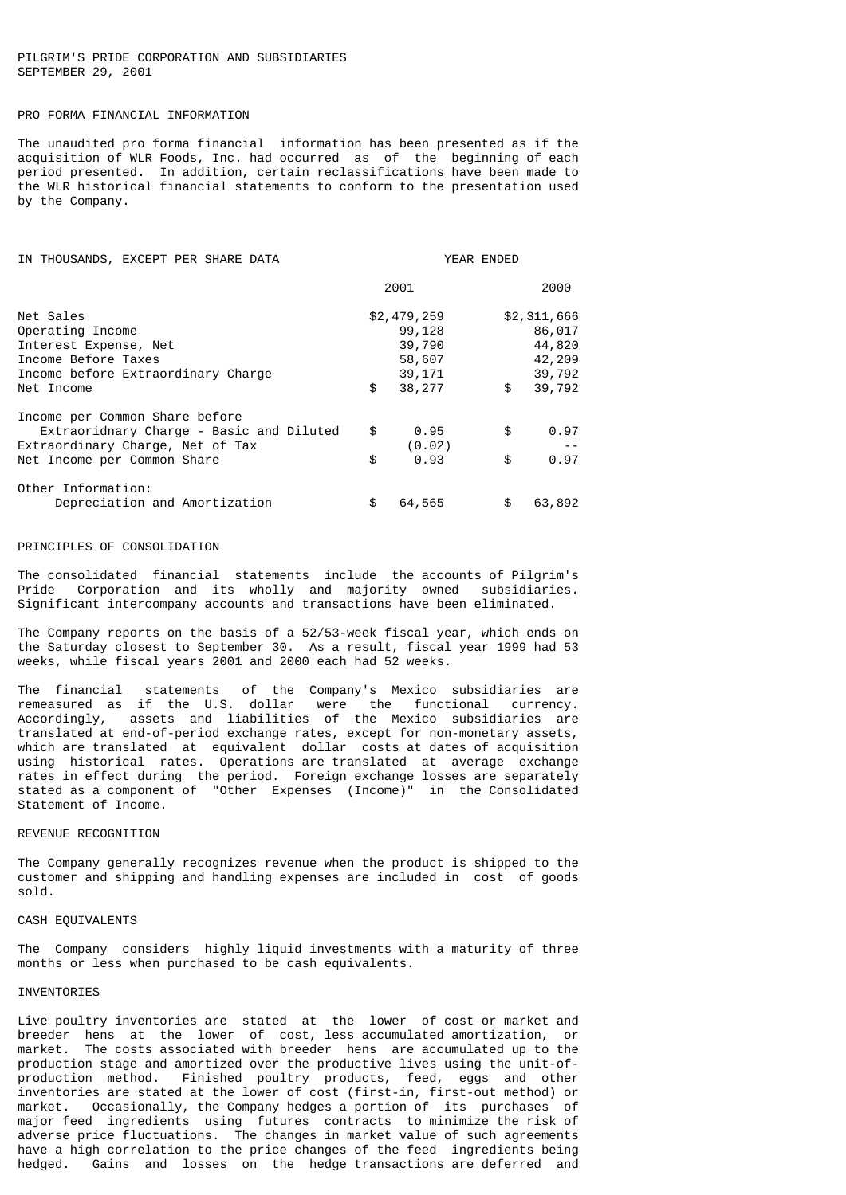### PILGRIM'S PRIDE CORPORATION AND SUBSIDIARIES SEPTEMBER 29, 2001

#### PRO FORMA FINANCIAL INFORMATION

The unaudited pro forma financial information has been presented as if the acquisition of WLR Foods, Inc. had occurred as of the beginning of each period presented. In addition, certain reclassifications have been made to the WLR historical financial statements to conform to the presentation used by the Company.

| IN THOUSANDS, EXCEPT PER SHARE DATA                                                                                                           |                                                                     | YEAR ENDED                                                          |
|-----------------------------------------------------------------------------------------------------------------------------------------------|---------------------------------------------------------------------|---------------------------------------------------------------------|
|                                                                                                                                               | 2001                                                                | 2000                                                                |
| Net Sales<br>Operating Income<br>Interest Expense, Net<br>Income Before Taxes<br>Income before Extraordinary Charge<br>Net Income             | \$2,479,259<br>99,128<br>39,790<br>58,607<br>39,171<br>\$<br>38,277 | \$2,311,666<br>86,017<br>44,820<br>42,209<br>39,792<br>\$<br>39,792 |
| Income per Common Share before<br>Extraoridnary Charge - Basic and Diluted<br>Extraordinary Charge, Net of Tax<br>Net Income per Common Share | \$<br>0.95<br>(0.02)<br>\$<br>0.93                                  | \$<br>0.97<br>0.97<br>\$                                            |
| Other Information:<br>Depreciation and Amortization                                                                                           | \$<br>64,565                                                        | \$<br>63,892                                                        |

#### PRINCIPLES OF CONSOLIDATION

The consolidated financial statements include the accounts of Pilgrim's Pride Corporation and its wholly and majority owned subsidiaries. Significant intercompany accounts and transactions have been eliminated.

The Company reports on the basis of a 52/53-week fiscal year, which ends on the Saturday closest to September 30. As a result, fiscal year 1999 had 53 weeks, while fiscal years 2001 and 2000 each had 52 weeks.

The financial statements of the Company's Mexico subsidiaries are remeasured as if the U.S. dollar were the functional currency. Accordingly, assets and liabilities of the Mexico subsidiaries are translated at end-of-period exchange rates, except for non-monetary assets, which are translated at equivalent dollar costs at dates of acquisition using historical rates. Operations are translated at average exchange rates in effect during the period. Foreign exchange losses are separately stated as a component of "Other Expenses (Income)" in the Consolidated Statement of Income.

## REVENUE RECOGNITION

The Company generally recognizes revenue when the product is shipped to the customer and shipping and handling expenses are included in cost of goods sold.

#### CASH EQUIVALENTS

The Company considers highly liquid investments with a maturity of three months or less when purchased to be cash equivalents.

#### INVENTORIES

Live poultry inventories are stated at the lower of cost or market and breeder hens at the lower of cost, less accumulated amortization, or market. The costs associated with breeder hens are accumulated up to the production stage and amortized over the productive lives using the unit-ofproduction method. Finished poultry products, feed, eggs and other inventories are stated at the lower of cost (first-in, first-out method) or market. Occasionally, the Company hedges a portion of its purchases of major feed ingredients using futures contracts to minimize the risk of adverse price fluctuations. The changes in market value of such agreements have a high correlation to the price changes of the feed ingredients being hedged. Gains and losses on the hedge transactions are deferred and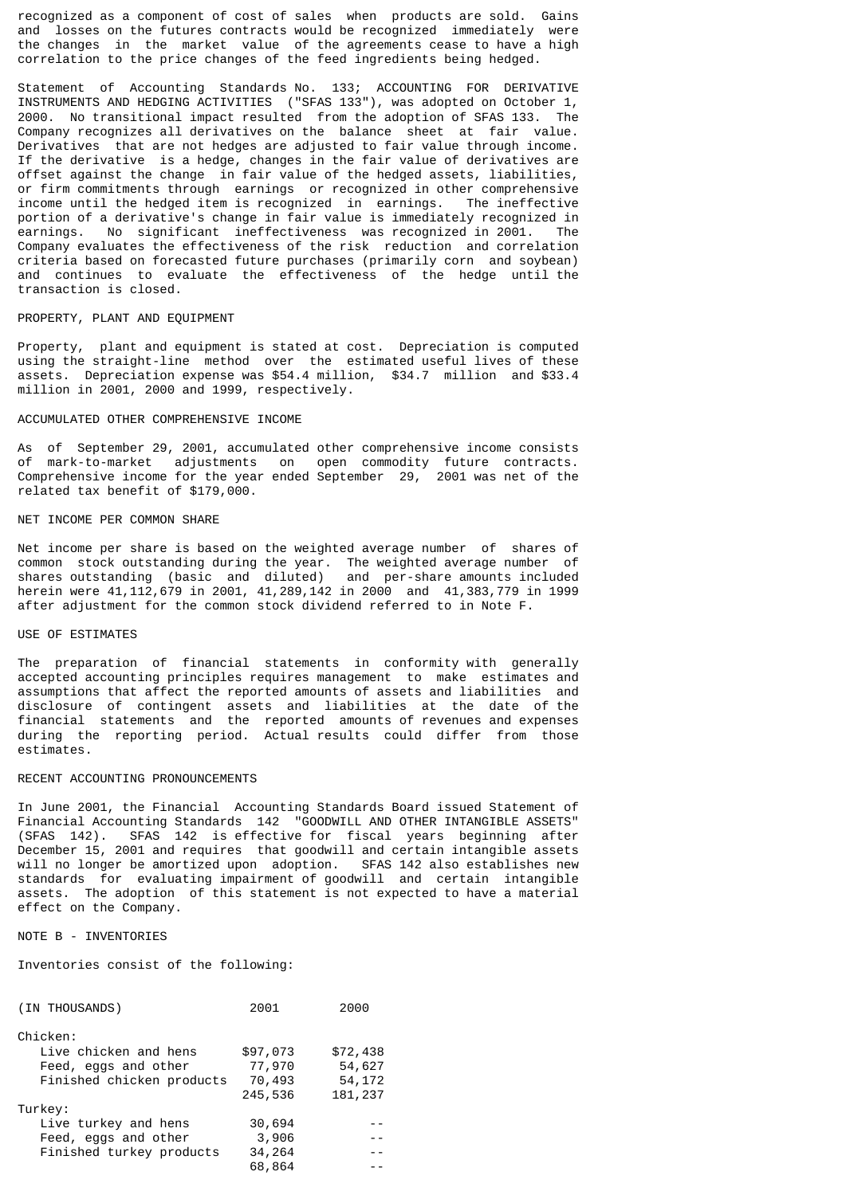recognized as a component of cost of sales when products are sold. Gains and losses on the futures contracts would be recognized immediately were the changes in the market value of the agreements cease to have a high correlation to the price changes of the feed ingredients being hedged.

Statement of Accounting Standards No. 133; ACCOUNTING FOR DERIVATIVE INSTRUMENTS AND HEDGING ACTIVITIES ("SFAS 133"), was adopted on October 1, 2000. No transitional impact resulted from the adoption of SFAS 133. The Company recognizes all derivatives on the balance sheet at fair value. Derivatives that are not hedges are adjusted to fair value through income. If the derivative is a hedge, changes in the fair value of derivatives are offset against the change in fair value of the hedged assets, liabilities, or firm commitments through earnings or recognized in other comprehensive income until the hedged item is recognized in earnings. The ineffective portion of a derivative's change in fair value is immediately recognized in earnings. No significant ineffectiveness was recognized in 2001. The Company evaluates the effectiveness of the risk reduction and correlation criteria based on forecasted future purchases (primarily corn and soybean) and continues to evaluate the effectiveness of the hedge until the transaction is closed.

#### PROPERTY, PLANT AND EQUIPMENT

Property, plant and equipment is stated at cost. Depreciation is computed using the straight-line method over the estimated useful lives of these assets. Depreciation expense was \$54.4 million, \$34.7 million and \$33.4 million in 2001, 2000 and 1999, respectively.

#### ACCUMULATED OTHER COMPREHENSIVE INCOME

As of September 29, 2001, accumulated other comprehensive income consists of mark-to-market adjustments on open commodity future contracts. Comprehensive income for the year ended September 29, 2001 was net of the related tax benefit of \$179,000.

### NET INCOME PER COMMON SHARE

Net income per share is based on the weighted average number of shares of common stock outstanding during the year. The weighted average number of shares outstanding (basic and diluted) and per-share amounts included herein were 41,112,679 in 2001, 41,289,142 in 2000 and 41,383,779 in 1999 after adjustment for the common stock dividend referred to in Note F.

### USE OF ESTIMATES

The preparation of financial statements in conformity with generally accepted accounting principles requires management to make estimates and assumptions that affect the reported amounts of assets and liabilities and disclosure of contingent assets and liabilities at the date of the financial statements and the reported amounts of revenues and expenses during the reporting period. Actual results could differ from those estimates.

#### RECENT ACCOUNTING PRONOUNCEMENTS

In June 2001, the Financial Accounting Standards Board issued Statement of Financial Accounting Standards 142 "GOODWILL AND OTHER INTANGIBLE ASSETS" (SFAS 142). SFAS 142 is effective for fiscal years beginning after December 15, 2001 and requires that goodwill and certain intangible assets will no longer be amortized upon adoption. SFAS 142 also establishes new standards for evaluating impairment of goodwill and certain intangible assets. The adoption of this statement is not expected to have a material effect on the Company.

### NOTE B - INVENTORIES

Inventories consist of the following:

| (IN THOUSANDS)            | 2001     | 2000     |
|---------------------------|----------|----------|
| Chicken:                  |          |          |
| Live chicken and hens     | \$97,073 | \$72,438 |
| Feed, eggs and other      | 77,970   | 54,627   |
| Finished chicken products | 70,493   | 54, 172  |
|                           | 245,536  | 181, 237 |
| Turkey:                   |          |          |
| Live turkey and hens      | 30,694   |          |
| Feed, eggs and other      | 3,906    | $ -$     |
| Finished turkey products  | 34,264   | $ -$     |
|                           | 68,864   |          |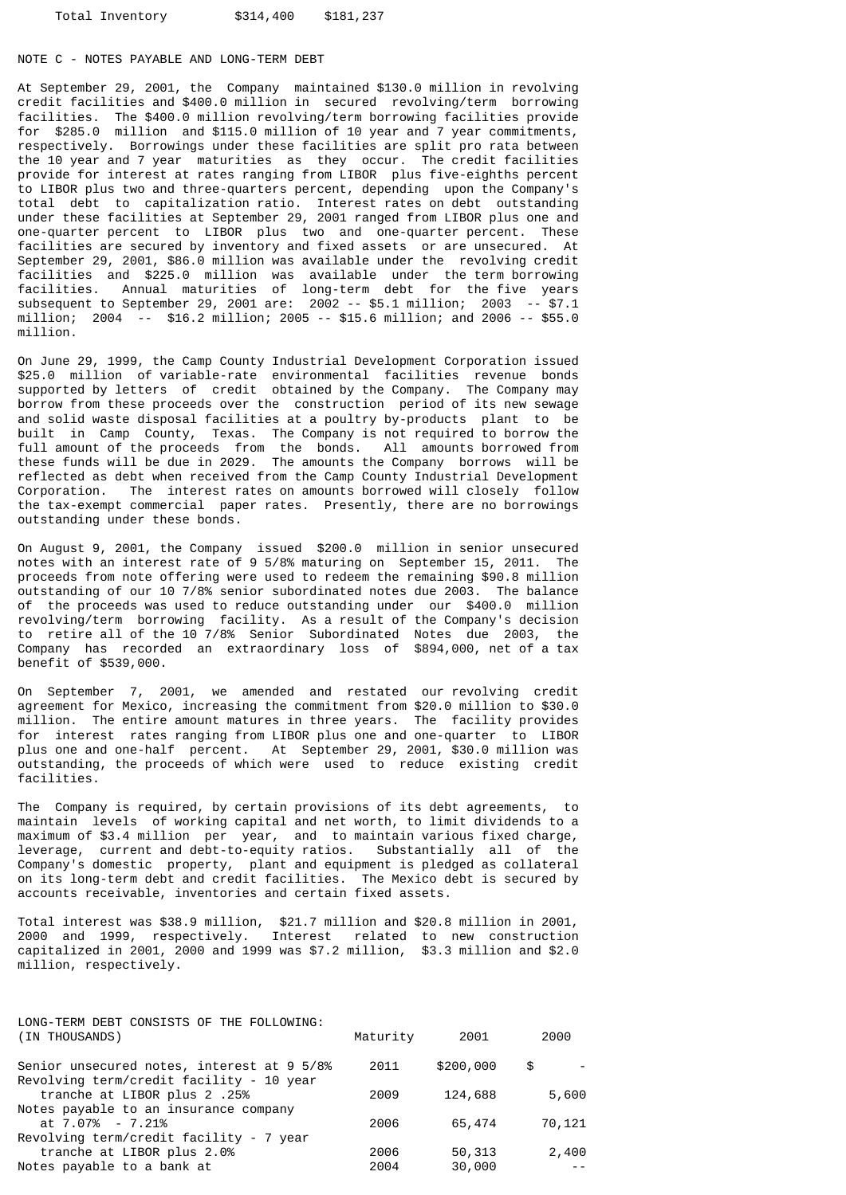#### NOTE C - NOTES PAYABLE AND LONG-TERM DEBT

At September 29, 2001, the Company maintained \$130.0 million in revolving credit facilities and \$400.0 million in secured revolving/term borrowing facilities. The \$400.0 million revolving/term borrowing facilities provide for \$285.0 million and \$115.0 million of 10 year and 7 year commitments, respectively. Borrowings under these facilities are split pro rata between the 10 year and 7 year maturities as they occur. The credit facilities provide for interest at rates ranging from LIBOR plus five-eighths percent to LIBOR plus two and three-quarters percent, depending upon the Company's total debt to capitalization ratio. Interest rates on debt outstanding under these facilities at September 29, 2001 ranged from LIBOR plus one and one-quarter percent to LIBOR plus two and one-quarter percent. These facilities are secured by inventory and fixed assets or are unsecured. At September 29, 2001, \$86.0 million was available under the revolving credit facilities and \$225.0 million was available under the term borrowing facilities. Annual maturities of long-term debt for the five years subsequent to September 29, 2001 are: 2002 -- \$5.1 million; 2003 -- \$7.1 million; 2004 -- \$16.2 million; 2005 -- \$15.6 million; and 2006 -- \$55.0 million.

On June 29, 1999, the Camp County Industrial Development Corporation issued \$25.0 million of variable-rate environmental facilities revenue bonds supported by letters of credit obtained by the Company. The Company may borrow from these proceeds over the construction period of its new sewage and solid waste disposal facilities at a poultry by-products plant to be built in Camp County, Texas. The Company is not required to borrow the full amount of the proceeds from the bonds. All amounts borrowed from these funds will be due in 2029. The amounts the Company borrows will be reflected as debt when received from the Camp County Industrial Development Corporation. The interest rates on amounts borrowed will closely follow the tax-exempt commercial paper rates. Presently, there are no borrowings outstanding under these bonds.

On August 9, 2001, the Company issued \$200.0 million in senior unsecured notes with an interest rate of 9 5/8% maturing on September 15, 2011. The proceeds from note offering were used to redeem the remaining \$90.8 million outstanding of our 10 7/8% senior subordinated notes due 2003. The balance of the proceeds was used to reduce outstanding under our \$400.0 million revolving/term borrowing facility. As a result of the Company's decision to retire all of the 10 7/8% Senior Subordinated Notes due 2003, the Company has recorded an extraordinary loss of \$894,000, net of a tax benefit of \$539,000.

On September 7, 2001, we amended and restated our revolving credit agreement for Mexico, increasing the commitment from \$20.0 million to \$30.0 million. The entire amount matures in three years. The facility provides for interest rates ranging from LIBOR plus one and one-quarter to LIBOR plus one and one-half percent. At September 29, 2001, \$30.0 million was outstanding, the proceeds of which were used to reduce existing credit facilities.

The Company is required, by certain provisions of its debt agreements, to maintain levels of working capital and net worth, to limit dividends to a maximum of \$3.4 million per year, and to maintain various fixed charge, leverage, current and debt-to-equity ratios. Substantially all of the Company's domestic property, plant and equipment is pledged as collateral on its long-term debt and credit facilities. The Mexico debt is secured by accounts receivable, inventories and certain fixed assets.

Total interest was \$38.9 million, \$21.7 million and \$20.8 million in 2001, 2000 and 1999, respectively. Interest related to new construction capitalized in 2001, 2000 and 1999 was  $$7.2$  million,  $$3.3$  million and  $$2.0$ million, respectively.

| LONG-TERM DEBT CONSISTS OF THE FOLLOWING:<br>(IN THOUSANDS)             | Maturity | 2001      | 2000   |
|-------------------------------------------------------------------------|----------|-----------|--------|
| Senior unsecured notes, interest at 9 5/8%                              | 2011     | \$200,000 | \$     |
| Revolving term/credit facility - 10 year<br>tranche at LIBOR plus 2.25% | 2009     | 124,688   | 5,600  |
| Notes payable to an insurance company<br>at 7.07% - 7.21%               | 2006     | 65,474    | 70,121 |
| Revolving term/credit facility - 7 year                                 |          |           |        |
| tranche at LIBOR plus 2.0%                                              | 2006     | 50,313    | 2,400  |
| Notes payable to a bank at                                              | 2004     | 30,000    |        |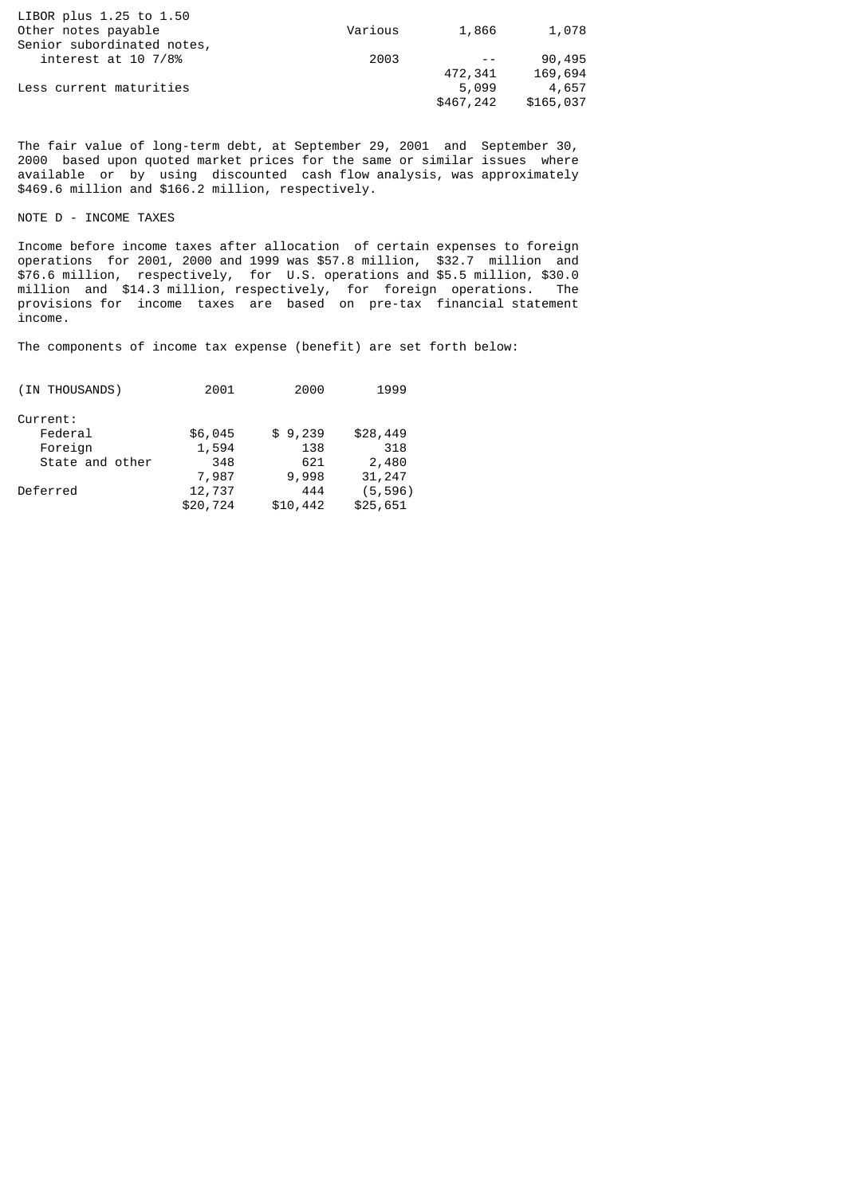| Various | 1,866     | 1,078     |
|---------|-----------|-----------|
|         |           |           |
| 2003    |           | 90,495    |
|         | 472,341   | 169,694   |
|         | 5,099     | 4,657     |
|         | \$467,242 | \$165,037 |
|         |           |           |

The fair value of long-term debt, at September 29, 2001 and September 30, 2000 based upon quoted market prices for the same or similar issues where available or by using discounted cash flow analysis, was approximately \$469.6 million and \$166.2 million, respectively.

NOTE D - INCOME TAXES

Income before income taxes after allocation of certain expenses to foreign operations for 2001, 2000 and 1999 was \$57.8 million, \$32.7 million and \$76.6 million, respectively, for U.S. operations and \$5.5 million, \$30.0 million and \$14.3 million, respectively, for foreign operations. The provisions for income taxes are based on pre-tax financial statement income.

The components of income tax expense (benefit) are set forth below:

| (IN THOUSANDS)  | 2001     | 2000     | 1999     |
|-----------------|----------|----------|----------|
| Current:        |          |          |          |
| Federal         | \$6,045  | \$9,239  | \$28,449 |
| Foreign         | 1,594    | 138      | 318      |
| State and other | 348      | 621      | 2,480    |
|                 | 7,987    | 9,998    | 31,247   |
| Deferred        | 12,737   | 444      | (5, 596) |
|                 | \$20,724 | \$10,442 | \$25,651 |
|                 |          |          |          |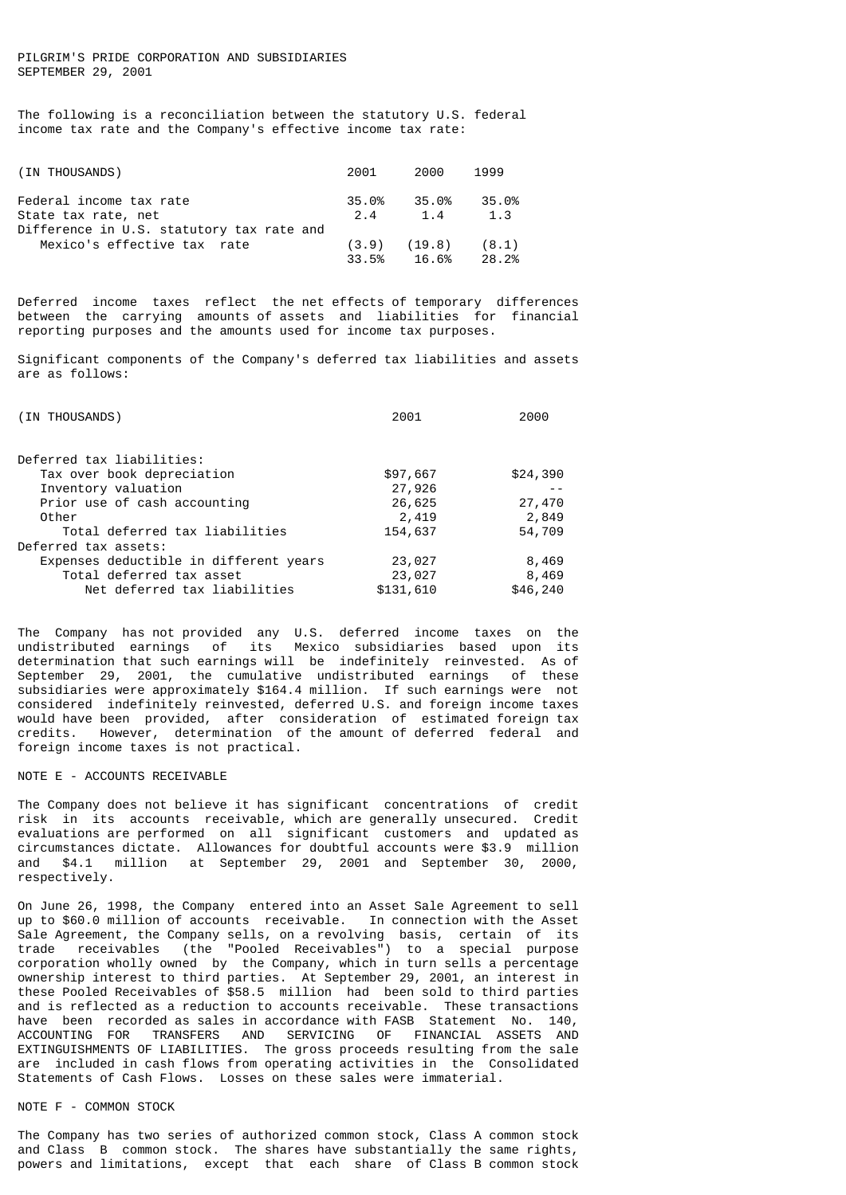### PILGRIM'S PRIDE CORPORATION AND SUBSIDIARIES SEPTEMBER 29, 2001

The following is a reconciliation between the statutory U.S. federal income tax rate and the Company's effective income tax rate:

| (IN THOUSANDS)                            | 2001  | 2000   | 1999  |
|-------------------------------------------|-------|--------|-------|
| Federal income tax rate                   | 35.0% | 35.0%  | 35.0% |
| State tax rate, net                       | 2.4   | 1.4    | 1.3   |
| Difference in U.S. statutory tax rate and | (3.9) | (19.8) | (8.1) |
| Mexico's effective tax rate               | 33.5% | 16.6%  | 28.2% |

Deferred income taxes reflect the net effects of temporary differences between the carrying amounts of assets and liabilities for financial reporting purposes and the amounts used for income tax purposes.

Significant components of the Company's deferred tax liabilities and assets are as follows:

| (IN THOUSANDS)                         | 2001      | 2000     |  |
|----------------------------------------|-----------|----------|--|
|                                        |           |          |  |
| Deferred tax liabilities:              |           |          |  |
| Tax over book depreciation             | \$97,667  | \$24,390 |  |
| Inventory valuation                    | 27,926    |          |  |
| Prior use of cash accounting           | 26,625    | 27,470   |  |
| Other                                  | 2,419     | 2,849    |  |
| Total deferred tax liabilities         | 154,637   | 54,709   |  |
| Deferred tax assets:                   |           |          |  |
| Expenses deductible in different years | 23,027    | 8,469    |  |
| Total deferred tax asset               | 23,027    | 8,469    |  |
| Net deferred tax liabilities           | \$131,610 | \$46,240 |  |

The Company has not provided any U.S. deferred income taxes on the undistributed earnings of its Mexico subsidiaries based upon its determination that such earnings will be indefinitely reinvested. As of September 29, 2001, the cumulative undistributed earnings of these subsidiaries were approximately \$164.4 million. If such earnings were not considered indefinitely reinvested, deferred U.S. and foreign income taxes would have been provided, after consideration of estimated foreign tax credits. However, determination of the amount of deferred federal and foreign income taxes is not practical.

### NOTE E - ACCOUNTS RECEIVABLE

The Company does not believe it has significant concentrations of credit risk in its accounts receivable, which are generally unsecured. Credit evaluations are performed on all significant customers and updated as circumstances dictate. Allowances for doubtful accounts were \$3.9 million and \$4.1 million at September 29, 2001 and September 30, 2000, respectively.

On June 26, 1998, the Company entered into an Asset Sale Agreement to sell up to \$60.0 million of accounts receivable. In connection with the Asset Sale Agreement, the Company sells, on a revolving basis, certain of its trade receivables (the "Pooled Receivables") to a special purpose corporation wholly owned by the Company, which in turn sells a percentage ownership interest to third parties. At September 29, 2001, an interest in these Pooled Receivables of \$58.5 million had been sold to third parties and is reflected as a reduction to accounts receivable. These transactions have been recorded as sales in accordance with FASB Statement No. 140, ACCOUNTING FOR TRANSFERS AND SERVICING OF FINANCIAL ASSETS AND EXTINGUISHMENTS OF LIABILITIES. The gross proceeds resulting from the sale are included in cash flows from operating activities in the Consolidated Statements of Cash Flows. Losses on these sales were immaterial.

#### NOTE F - COMMON STOCK

The Company has two series of authorized common stock, Class A common stock and Class B common stock. The shares have substantially the same rights, powers and limitations, except that each share of Class B common stock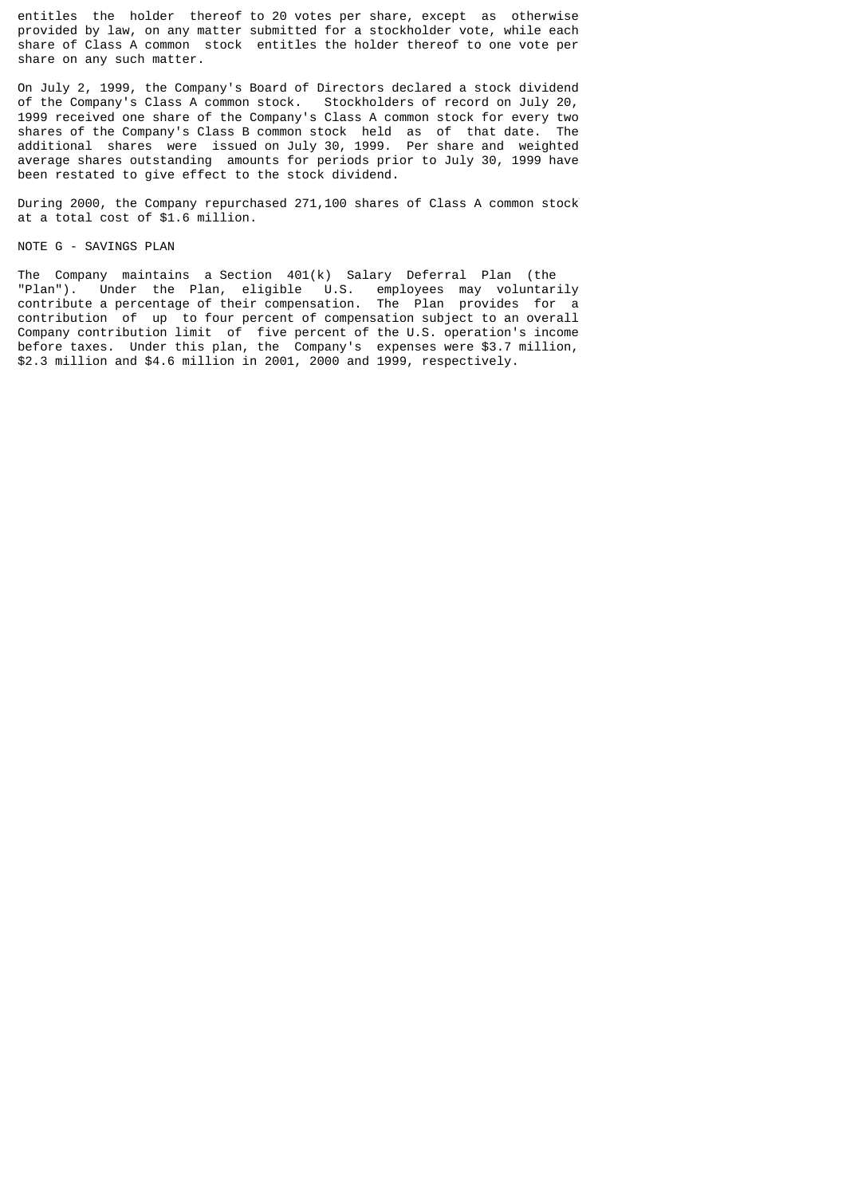entitles the holder thereof to 20 votes per share, except as otherwise provided by law, on any matter submitted for a stockholder vote, while each share of Class A common stock entitles the holder thereof to one vote per share on any such matter.

On July 2, 1999, the Company's Board of Directors declared a stock dividend of the Company's Class A common stock. Stockholders of record on July 20, 1999 received one share of the Company's Class A common stock for every two shares of the Company's Class B common stock held as of that date. The additional shares were issued on July 30, 1999. Per share and weighted average shares outstanding amounts for periods prior to July 30, 1999 have been restated to give effect to the stock dividend.

During 2000, the Company repurchased 271,100 shares of Class A common stock at a total cost of \$1.6 million.

### NOTE G - SAVINGS PLAN

The Company maintains a Section 401(k) Salary Deferral Plan (the "Plan"). Under the Plan, eligible U.S. employees may voluntarily contribute a percentage of their compensation. The Plan provides for a contribution of up to four percent of compensation subject to an overall Company contribution limit of five percent of the U.S. operation's income before taxes. Under this plan, the Company's expenses were \$3.7 million, \$2.3 million and \$4.6 million in 2001, 2000 and 1999, respectively.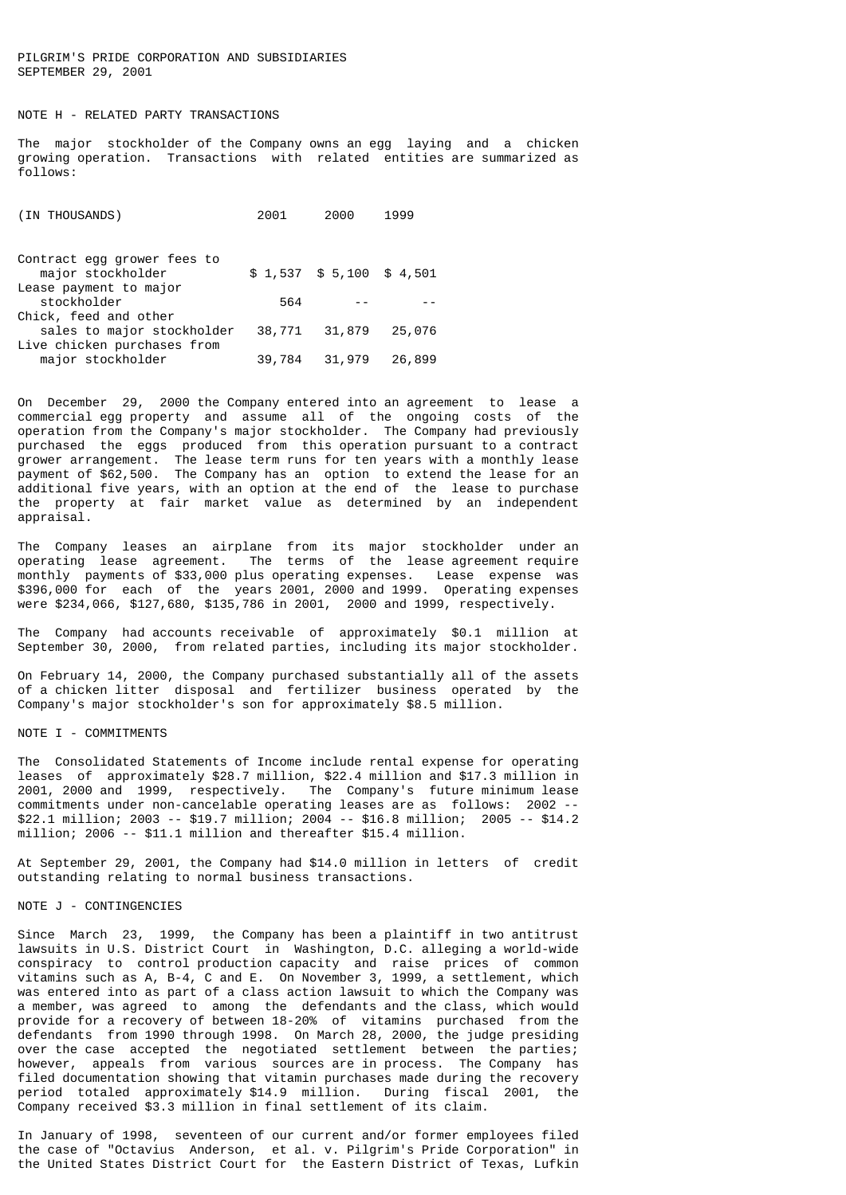PILGRIM'S PRIDE CORPORATION AND SUBSIDIARIES SEPTEMBER 29, 2001

### NOTE H - RELATED PARTY TRANSACTIONS

The major stockholder of the Company owns an egg laying and a chicken growing operation. Transactions with related entities are summarized as follows:

| (IN THOUSANDS)              | 2001   | 2000                       | 1999   |
|-----------------------------|--------|----------------------------|--------|
| Contract egg grower fees to |        |                            |        |
| major stockholder           |        | $$1,537$ $$5,100$ $$4,501$ |        |
| Lease payment to major      |        |                            |        |
| stockholder                 | 564    |                            |        |
| Chick, feed and other       |        |                            |        |
| sales to major stockholder  | 38,771 | 31,879                     | 25,076 |
| Live chicken purchases from |        |                            |        |
| major stockholder           | 39,784 | 31,979                     | 26,899 |
|                             |        |                            |        |

On December 29, 2000 the Company entered into an agreement to lease a commercial egg property and assume all of the ongoing costs of the operation from the Company's major stockholder. The Company had previously purchased the eggs produced from this operation pursuant to a contract grower arrangement. The lease term runs for ten years with a monthly lease payment of \$62,500. The Company has an option to extend the lease for an additional five years, with an option at the end of the lease to purchase the property at fair market value as determined by an independent appraisal.

The Company leases an airplane from its major stockholder under an operating lease agreement. The terms of the lease agreement require monthly payments of \$33,000 plus operating expenses. Lease expense was \$396,000 for each of the years 2001, 2000 and 1999. Operating expenses were \$234,066, \$127,680, \$135,786 in 2001, 2000 and 1999, respectively.

The Company had accounts receivable of approximately \$0.1 million at September 30, 2000, from related parties, including its major stockholder.

On February 14, 2000, the Company purchased substantially all of the assets of a chicken litter disposal and fertilizer business operated by the Company's major stockholder's son for approximately \$8.5 million.

# NOTE I - COMMITMENTS

The Consolidated Statements of Income include rental expense for operating leases of approximately \$28.7 million, \$22.4 million and \$17.3 million in 2001, 2000 and 1999, respectively. The Company's future minimum lease commitments under non-cancelable operating leases are as follows: 2002 -- \$22.1 million; 2003 -- \$19.7 million; 2004 -- \$16.8 million; 2005 -- \$14.2 million; 2006 -- \$11.1 million and thereafter \$15.4 million.

At September 29, 2001, the Company had \$14.0 million in letters of credit outstanding relating to normal business transactions.

#### NOTE J - CONTINGENCIES

Since March 23, 1999, the Company has been a plaintiff in two antitrust lawsuits in U.S. District Court in Washington, D.C. alleging a world-wide conspiracy to control production capacity and raise prices of common vitamins such as A, B-4, C and E. On November 3, 1999, a settlement, which was entered into as part of a class action lawsuit to which the Company was a member, was agreed to among the defendants and the class, which would provide for a recovery of between 18-20% of vitamins purchased from the defendants from 1990 through 1998. On March 28, 2000, the judge presiding over the case accepted the negotiated settlement between the parties; however, appeals from various sources are in process. The Company has filed documentation showing that vitamin purchases made during the recovery period totaled approximately \$14.9 million. During fiscal 2001, the Company received \$3.3 million in final settlement of its claim.

In January of 1998, seventeen of our current and/or former employees filed the case of "Octavius Anderson, et al. v. Pilgrim's Pride Corporation" in the United States District Court for the Eastern District of Texas, Lufkin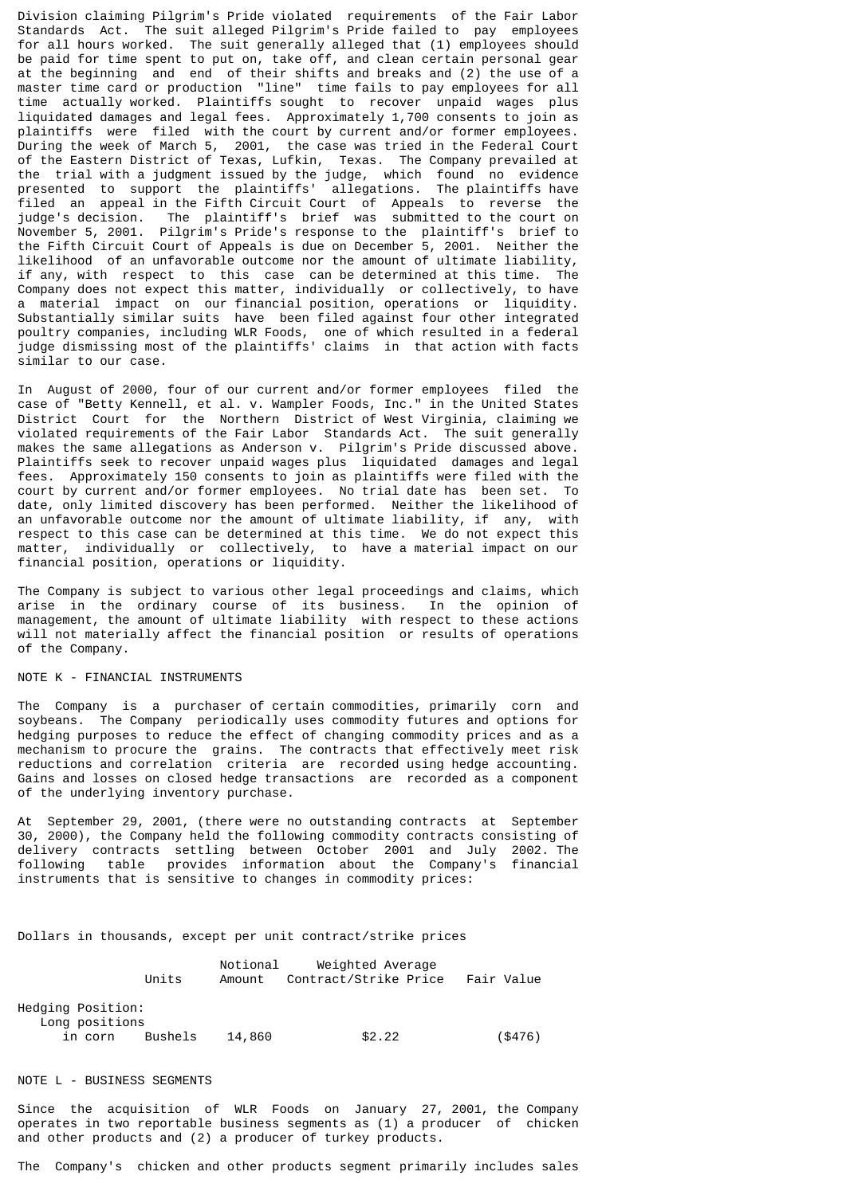Division claiming Pilgrim's Pride violated requirements of the Fair Labor Standards Act. The suit alleged Pilgrim's Pride failed to pay employees for all hours worked. The suit generally alleged that (1) employees should be paid for time spent to put on, take off, and clean certain personal gear at the beginning and end of their shifts and breaks and (2) the use of a master time card or production "line" time fails to pay employees for all time actually worked. Plaintiffs sought to recover unpaid wages plus liquidated damages and legal fees. Approximately 1,700 consents to join as plaintiffs were filed with the court by current and/or former employees. During the week of March 5, 2001, the case was tried in the Federal Court of the Eastern District of Texas, Lufkin, Texas. The Company prevailed at the trial with a judgment issued by the judge, which found no evidence presented to support the plaintiffs' allegations. The plaintiffs have filed an appeal in the Fifth Circuit Court of Appeals to reverse the judge's decision. The plaintiff's brief was submitted to the court on November 5, 2001. Pilgrim's Pride's response to the plaintiff's brief to the Fifth Circuit Court of Appeals is due on December 5, 2001. Neither the likelihood of an unfavorable outcome nor the amount of ultimate liability, if any, with respect to this case can be determined at this time. The Company does not expect this matter, individually or collectively, to have a material impact on our financial position, operations or liquidity. Substantially similar suits have been filed against four other integrated poultry companies, including WLR Foods, one of which resulted in a federal judge dismissing most of the plaintiffs' claims in that action with facts similar to our case.

In August of 2000, four of our current and/or former employees filed the case of "Betty Kennell, et al. v. Wampler Foods, Inc." in the United States District Court for the Northern District of West Virginia, claiming we violated requirements of the Fair Labor Standards Act. The suit generally makes the same allegations as Anderson v. Pilgrim's Pride discussed above. Plaintiffs seek to recover unpaid wages plus liquidated damages and legal fees. Approximately 150 consents to join as plaintiffs were filed with the court by current and/or former employees. No trial date has been set. To date, only limited discovery has been performed. Neither the likelihood of an unfavorable outcome nor the amount of ultimate liability, if any, with respect to this case can be determined at this time. We do not expect this matter, individually or collectively, to have a material impact on our financial position, operations or liquidity.

The Company is subject to various other legal proceedings and claims, which arise in the ordinary course of its business. In the opinion of management, the amount of ultimate liability with respect to these actions will not materially affect the financial position or results of operations of the Company.

### NOTE K - FINANCIAL INSTRUMENTS

The Company is a purchaser of certain commodities, primarily corn and soybeans. The Company periodically uses commodity futures and options for hedging purposes to reduce the effect of changing commodity prices and as a mechanism to procure the grains. The contracts that effectively meet risk reductions and correlation criteria are recorded using hedge accounting. Gains and losses on closed hedge transactions are recorded as a component of the underlying inventory purchase.

At September 29, 2001, (there were no outstanding contracts at September 30, 2000), the Company held the following commodity contracts consisting of delivery contracts settling between October 2001 and July 2002. The following table provides information about the Company's financial instruments that is sensitive to changes in commodity prices:

Dollars in thousands, except per unit contract/strike prices

|                                     | Units   | Notional<br>Amount | Weighted Average<br>Contract/Strike Price | Fair Value |
|-------------------------------------|---------|--------------------|-------------------------------------------|------------|
| Hedging Position:<br>Long positions |         |                    |                                           |            |
| in corn                             | Bushels | 14,860             | \$2.22                                    | $($ \$476) |

#### NOTE L - BUSINESS SEGMENTS

Since the acquisition of WLR Foods on January 27, 2001, the Company operates in two reportable business segments as (1) a producer of chicken and other products and (2) a producer of turkey products.

The Company's chicken and other products segment primarily includes sales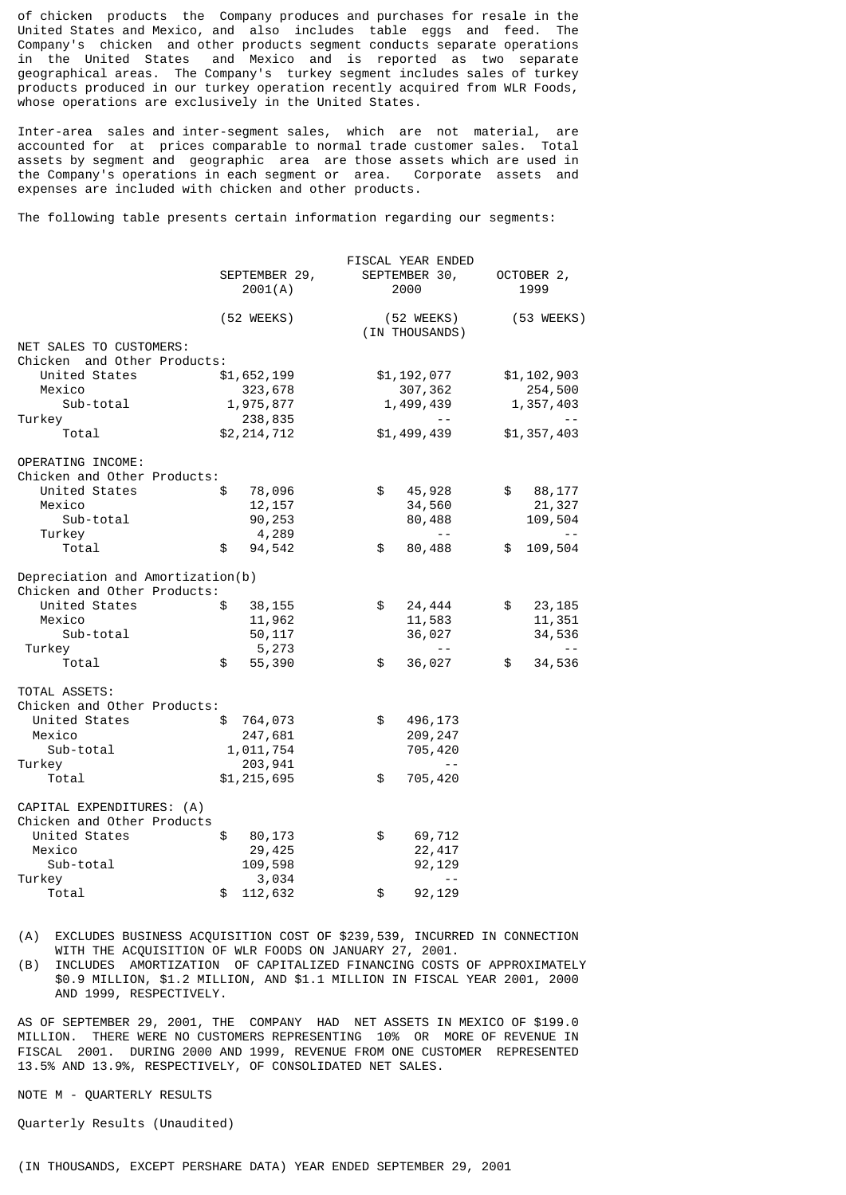of chicken products the Company produces and purchases for resale in the United States and Mexico, and also includes table eggs and feed. The Company's chicken and other products segment conducts separate operations<br>in the United States and Mexico and is reported as two separate and Mexico and is reported as two separate geographical areas. The Company's turkey segment includes sales of turkey products produced in our turkey operation recently acquired from WLR Foods, whose operations are exclusively in the United States.

Inter-area sales and inter-segment sales, which are not material, are accounted for at prices comparable to normal trade customer sales. Total assets by segment and geographic area are those assets which are used in the Company's operations in each segment or area. Corporate assets and expenses are included with chicken and other products.

The following table presents certain information regarding our segments:

|                                                                 | SEPTEMBER 29,<br>2001(A) | FISCAL YEAR ENDED<br>SEPTEMBER 30,<br>2000 |            | OCTOBER 2,<br>1999 |
|-----------------------------------------------------------------|--------------------------|--------------------------------------------|------------|--------------------|
|                                                                 | $(52 \, \text{WEEKS})$   | (52 WEEKS)<br>(IN THOUSANDS)               | (53 WEEKS) |                    |
| NET SALES TO CUSTOMERS:<br>Chicken and Other Products:          |                          |                                            |            |                    |
| United States                                                   | \$1,652,199              | \$1,192,077                                |            | \$1,102,903        |
| Mexico                                                          | 323,678                  | 307,362                                    |            | 254,500            |
| Sub-total                                                       | 1,975,877                | 1,499,439                                  |            | 1,357,403          |
| Turkey                                                          | 238,835                  |                                            |            |                    |
| Total                                                           | \$2,214,712              | \$1,499,439                                |            | \$1,357,403        |
| OPERATING INCOME:                                               |                          |                                            |            |                    |
| Chicken and Other Products:                                     |                          |                                            |            |                    |
| United States                                                   | \$<br>78,096             | \$<br>45,928                               | \$         | 88,177             |
| Mexico                                                          | 12, 157                  | 34,560                                     |            | 21,327             |
| Sub-total                                                       | 90,253                   | 80,488                                     |            | 109,504            |
| Turkey                                                          | 4,289                    | $\sim$ $\sim$                              |            |                    |
| Total                                                           | \$<br>94,542             | \$<br>80,488                               | \$         | 109,504            |
| Depreciation and Amortization(b)<br>Chicken and Other Products: |                          |                                            |            |                    |
| United States                                                   | \$<br>38,155             | \$<br>24,444                               | \$         | 23,185             |
| Mexico                                                          | 11,962                   | 11,583                                     |            | 11,351             |
| Sub-total                                                       | 50,117                   | 36,027                                     |            | 34,536             |
| Turkey                                                          | 5,273                    |                                            |            |                    |
| Total                                                           | \$<br>55,390             | \$<br>36,027                               | \$         | 34,536             |
|                                                                 |                          |                                            |            |                    |
| TOTAL ASSETS:                                                   |                          |                                            |            |                    |
| Chicken and Other Products:                                     |                          |                                            |            |                    |
| United States                                                   | \$<br>764,073            | \$<br>496,173                              |            |                    |
| Mexico                                                          | 247,681                  | 209,247                                    |            |                    |
| Sub-total                                                       | 1,011,754                | 705,420                                    |            |                    |
| Turkey                                                          | 203,941                  |                                            |            |                    |
| Total                                                           | \$1,215,695              | \$<br>705,420                              |            |                    |
| CAPITAL EXPENDITURES: (A)                                       |                          |                                            |            |                    |
| Chicken and Other Products                                      |                          |                                            |            |                    |
| United States                                                   | \$<br>80,173             | \$<br>69,712                               |            |                    |
| Mexico                                                          | 29,425                   | 22, 417                                    |            |                    |
| Sub-total                                                       | 109,598                  | 92,129                                     |            |                    |
| Turkey                                                          | 3,034                    | $ -$                                       |            |                    |
| Total                                                           | \$<br>112,632            | \$<br>92,129                               |            |                    |

(A) EXCLUDES BUSINESS ACQUISITION COST OF \$239,539, INCURRED IN CONNECTION WITH THE ACQUISITION OF WLR FOODS ON JANUARY 27, 2001.<br>(B) INCLUDES AMORTIZATION OF CAPITALIZED FINANCING COSTS

INCLUDES AMORTIZATION OF CAPITALIZED FINANCING COSTS OF APPROXIMATELY \$0.9 MILLION, \$1.2 MILLION, AND \$1.1 MILLION IN FISCAL YEAR 2001, 2000 AND 1999, RESPECTIVELY.

AS OF SEPTEMBER 29, 2001, THE COMPANY HAD NET ASSETS IN MEXICO OF \$199.0 MILLION. THERE WERE NO CUSTOMERS REPRESENTING 10% OR MORE OF REVENUE IN FISCAL 2001. DURING 2000 AND 1999, REVENUE FROM ONE CUSTOMER REPRESENTED 13.5% AND 13.9%, RESPECTIVELY, OF CONSOLIDATED NET SALES.

NOTE M - QUARTERLY RESULTS

Quarterly Results (Unaudited)

(IN THOUSANDS, EXCEPT PERSHARE DATA) YEAR ENDED SEPTEMBER 29, 2001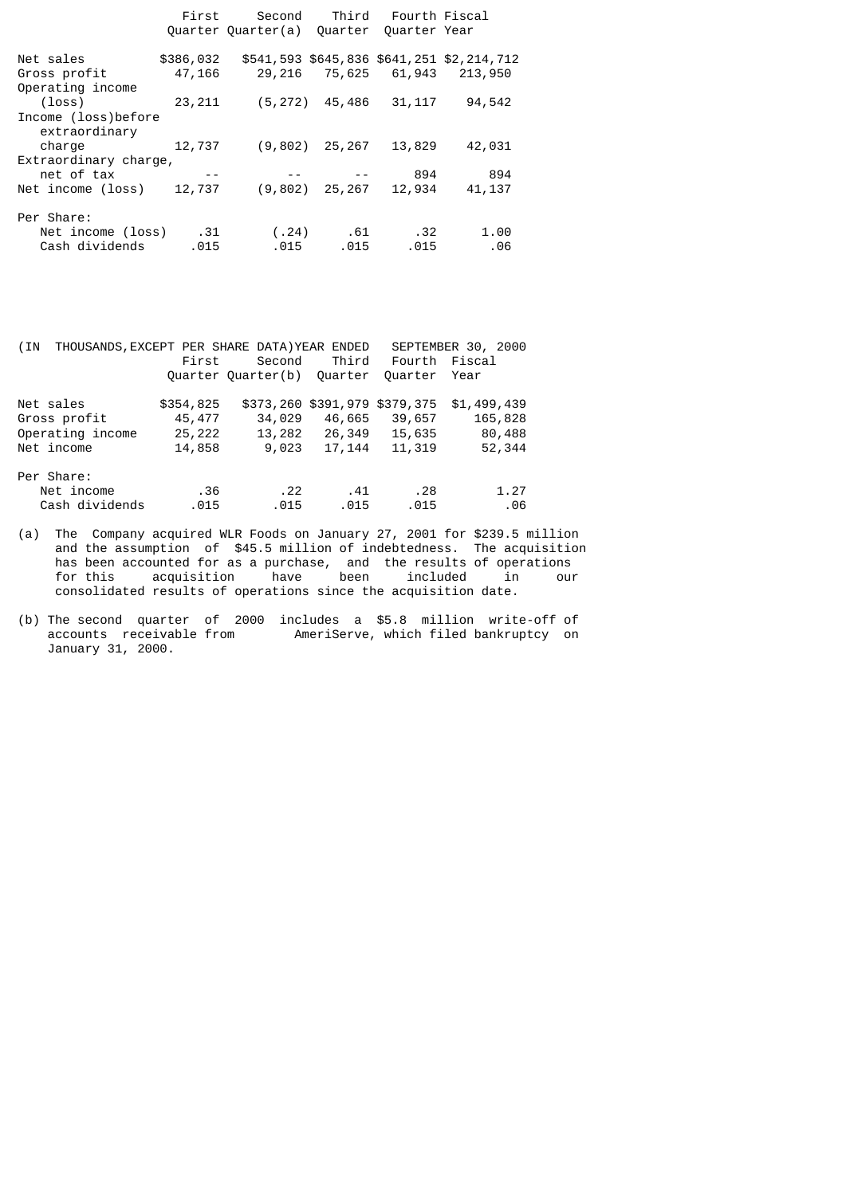|                       | First     | Second             | Third   | Fourth Fiscal |                                           |
|-----------------------|-----------|--------------------|---------|---------------|-------------------------------------------|
|                       |           | Quarter Quarter(a) | Ouarter | Quarter Year  |                                           |
| Net sales             | \$386,032 |                    |         |               | \$541,593 \$645,836 \$641,251 \$2,214,712 |
| Gross profit          | 47,166    |                    |         |               | 29,216 75,625 61,943 213,950              |
| Operating income      |           |                    |         |               |                                           |
| (loss)                | 23,211    | (5, 272)           | 45,486  | 31, 117       | 94,542                                    |
| Income (loss)before   |           |                    |         |               |                                           |
| extraordinary         |           |                    |         |               |                                           |
| charge                | 12,737    | (9, 802)           | 25,267  | 13,829        | 42,031                                    |
| Extraordinary charge, |           |                    |         |               |                                           |
| net of tax            | $- -$     |                    |         | 894           | 894                                       |
| Net income (loss)     | 12,737    | (9,802)            | 25,267  | 12,934        | 41, 137                                   |
| Per Share:            |           |                    |         |               |                                           |
| Net income (loss) .31 |           | (.24)              | . 61    | . 32          | 1.00                                      |
| Cash dividends        | .015      | .015               | .015    | .015          | .06                                       |

| THOUSANDS, EXCEPT PER SHARE DATA) YEAR ENDED<br>SEPTEMBER 30, 2000<br>(IN |           |                    |                               |               |             |
|---------------------------------------------------------------------------|-----------|--------------------|-------------------------------|---------------|-------------|
|                                                                           | First     | Second             | Third                         | Fourth Fiscal |             |
|                                                                           |           | Quarter Quarter(b) | Ouarter                       | Quarter       | Year        |
| Net sales                                                                 | \$354,825 |                    | \$373,260 \$391,979 \$379,375 |               | \$1,499,439 |
| Gross profit                                                              | 45,477    | 34,029             | 46,665                        | 39,657        | 165,828     |
| Operating income                                                          | 25,222    |                    | 13,282 26,349                 | 15,635        | 80,488      |
| Net income                                                                | 14,858    | 9,023              | 17,144                        | 11,319        | 52,344      |
| Per Share:                                                                |           |                    |                               |               |             |
| Net income                                                                | .36       | .22                | .41                           | . 28          | 1.27        |
| Cash dividends                                                            | .015      | .015               | .015                          | .015          | .06         |

(a) The Company acquired WLR Foods on January 27, 2001 for \$239.5 million and the assumption of \$45.5 million of indebtedness. The acquisition has been accounted for as a purchase, and the results of operations for this acquisition have been included in our consolidated results of operations since the acquisition date.

(b) The second quarter of 2000 includes a \$5.8 million write-off of accounts receivable from AmeriServe, which filed bankruptcy on January 31, 2000.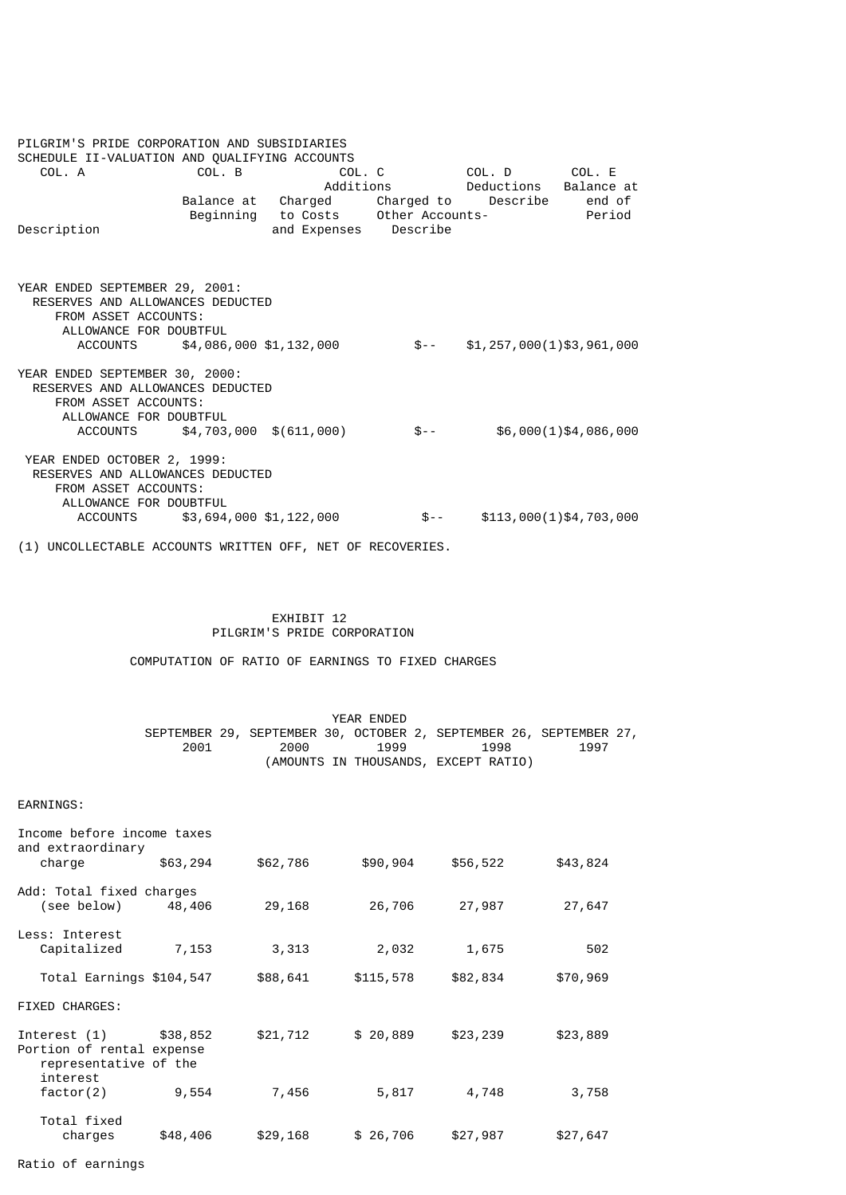| PILGRIM'S PRIDE CORPORATION AND SUBSIDIARIES                       |                                  |                                             |       |                                 |                         |
|--------------------------------------------------------------------|----------------------------------|---------------------------------------------|-------|---------------------------------|-------------------------|
| SCHEDULE II-VALUATION AND QUALIFYING ACCOUNTS<br>COL. A            | COL. B                           |                                             |       | COL. C COL. D COL. E            |                         |
|                                                                    |                                  |                                             |       | Additions Deductions Balance at |                         |
|                                                                    |                                  | Balance at Charged Charged to               |       | Describe                        | end of                  |
|                                                                    |                                  | Beginning to Costs  Other Accounts-  Period |       |                                 |                         |
| Description                                                        |                                  | and Expenses Describe                       |       |                                 |                         |
|                                                                    |                                  |                                             |       |                                 |                         |
|                                                                    |                                  |                                             |       |                                 |                         |
|                                                                    |                                  |                                             |       |                                 |                         |
| YEAR ENDED SEPTEMBER 29, 2001:<br>RESERVES AND ALLOWANCES DEDUCTED |                                  |                                             |       |                                 |                         |
| FROM ASSET ACCOUNTS:                                               |                                  |                                             |       |                                 |                         |
| ALLOWANCE FOR DOUBTFUL                                             |                                  |                                             |       |                                 |                         |
|                                                                    | ACCOUNTS \$4,086,000 \$1,132,000 |                                             | $S-$  | \$1,257,000(1)\$3,961,000       |                         |
|                                                                    |                                  |                                             |       |                                 |                         |
| YEAR ENDED SEPTEMBER 30, 2000:                                     |                                  |                                             |       |                                 |                         |
| RESERVES AND ALLOWANCES DEDUCTED                                   |                                  |                                             |       |                                 |                         |
| FROM ASSET ACCOUNTS:                                               |                                  |                                             |       |                                 |                         |
| ALLOWANCE FOR DOUBTFUL                                             |                                  |                                             |       |                                 |                         |
|                                                                    | ACCOUNTS \$4,703,000 \$(611,000) |                                             | $$--$ |                                 | \$6,000(1)\$4,086,000   |
| YEAR ENDED OCTOBER 2, 1999:                                        |                                  |                                             |       |                                 |                         |
| RESERVES AND ALLOWANCES DEDUCTED                                   |                                  |                                             |       |                                 |                         |
| FROM ASSET ACCOUNTS:                                               |                                  |                                             |       |                                 |                         |
| ALLOWANCE FOR DOUBTFUL                                             |                                  |                                             |       |                                 |                         |
|                                                                    | ACCOUNTS \$3,694,000 \$1,122,000 |                                             | \$--  |                                 | \$113,000(1)\$4,703,000 |
|                                                                    |                                  |                                             |       |                                 |                         |

(1) UNCOLLECTABLE ACCOUNTS WRITTEN OFF, NET OF RECOVERIES.

#### EXHIBIT 12 PILGRIM'S PRIDE CORPORATION

COMPUTATION OF RATIO OF EARNINGS TO FIXED CHARGES

|                                                                                         |          |                                                                            | YEAR ENDED |                                      |          |  |
|-----------------------------------------------------------------------------------------|----------|----------------------------------------------------------------------------|------------|--------------------------------------|----------|--|
|                                                                                         | 2001     | SEPTEMBER 29, SEPTEMBER 30, OCTOBER 2, SEPTEMBER 26, SEPTEMBER 27,<br>2000 | 1999       | 1998                                 | 1997     |  |
|                                                                                         |          |                                                                            |            | (AMOUNTS IN THOUSANDS, EXCEPT RATIO) |          |  |
| EARNINGS:                                                                               |          |                                                                            |            |                                      |          |  |
| Income before income taxes<br>and extraordinary                                         |          |                                                                            |            |                                      |          |  |
| charge                                                                                  | \$63,294 | \$62,786                                                                   | \$90,904   | \$56,522                             | \$43,824 |  |
| Add: Total fixed charges<br>(see below)                                                 | 48,406   | 29,168                                                                     | 26,706     | 27,987                               | 27,647   |  |
| Less: Interest<br>Capitalized                                                           | 7,153    | 3,313                                                                      | 2,032      | 1,675                                | 502      |  |
| Total Earnings \$104,547                                                                |          | \$88,641                                                                   | \$115,578  | \$82,834                             | \$70,969 |  |
| FIXED CHARGES:                                                                          |          |                                                                            |            |                                      |          |  |
| Interest (1) \$38,852<br>Portion of rental expense<br>representative of the<br>interest |          | \$21,712                                                                   | \$20,889   | \$23,239                             | \$23,889 |  |
| factor(2)                                                                               | 9,554    | 7,456                                                                      | 5,817      | 4,748                                | 3,758    |  |
| Total fixed<br>charges                                                                  | \$48,406 | \$29,168                                                                   | \$26,706   | \$27,987                             | \$27,647 |  |

Ratio of earnings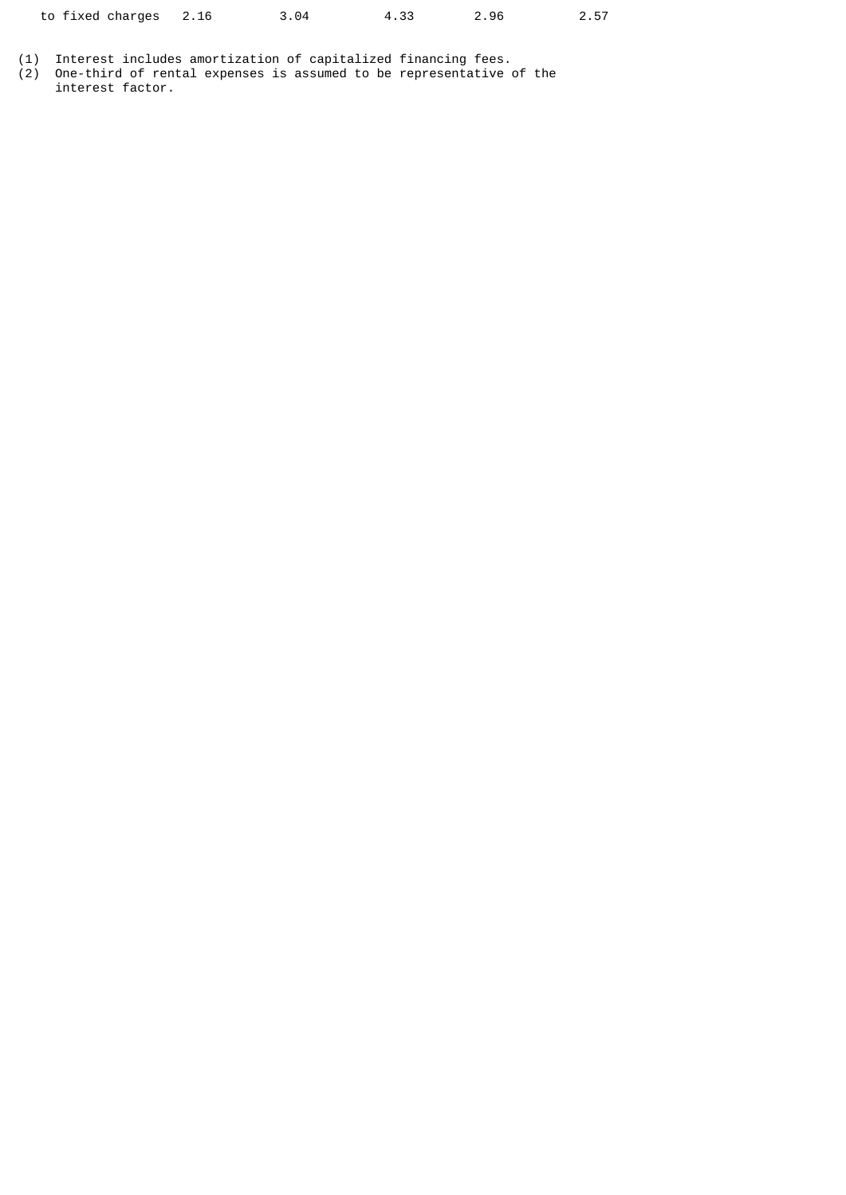| to fixed charges 2.16 |  | 3.04 | 4.33 | 2.96 | 2.57 |
|-----------------------|--|------|------|------|------|
|-----------------------|--|------|------|------|------|

(1) Interest includes amortization of capitalized financing fees.

(2) One-third of rental expenses is assumed to be representative of the interest factor.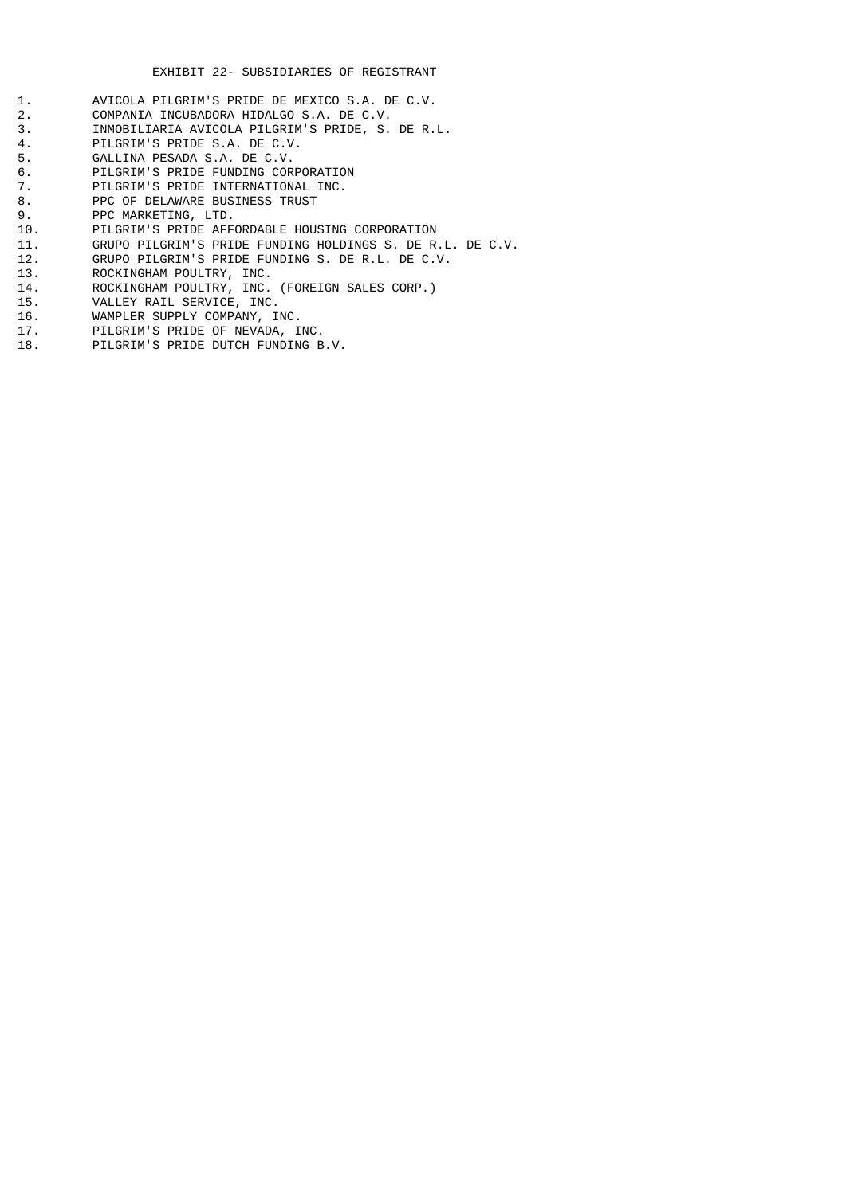- 1. AVICOLA PILGRIM'S PRIDE DE MEXICO S.A. DE C.V.<br>2. COMPANIA INCUBADORA HIDALGO S.A. DE C.V. 2. COMPANIA INCUBADORA HIDALGO S.A. DE C.V.<br>3. INMOBILIARIA AVICOLA PILGRIM'S PRIDE, S. 3. INMOBILIARIA AVICOLA PILGRIM'S PRIDE, S. DE R.L.<br>4. PILGRIM'S PRIDE S.A. DE C.V. 4. PILGRIM'S PRIDE S.A. DE C.V. 5. GALLINA PESADA S.A. DE C.V. 6. PILGRIM'S PRIDE FUNDING CORPORATION<br>7. PILGRIM'S PRIDE INTERNATIONAL INC. 7. PILGRIM'S PRIDE INTERNATIONAL INC.<br>8. PPC OF DELAWARE BUSINESS TRUST 8. PPC OF DELAWARE BUSINESS TRUST<br>9. PPC MARKETING, LTD. 9. PPC MARKETING, LTD. 10. PILGRIM'S PRIDE AFFORDABLE HOUSING CORPORATION 11. GRUPO PILGRIM'S PRIDE FUNDING HOLDINGS S. DE R.L. DE C.V.<br>12. GRUPO PILGRIM'S PRIDE FUNDING S. DE R.L. DE C.V.
- 12. GRUPO PILGRIM'S PRIDE FUNDING S. DE R.L. DE C.V.
- 13. ROCKINGHAM POULTRY, INC.
- 14. ROCKINGHAM POULTRY, INC. (FOREIGN SALES CORP.)
- 15. VALLEY RAIL SERVICE, INC.
- 16. WAMPLER SUPPLY COMPANY, INC.<br>17. PILGRIM'S PRIDE OF NEVADA, I
- PILGRIM'S PRIDE OF NEVADA, INC.
- 18. PILGRIM'S PRIDE DUTCH FUNDING B.V.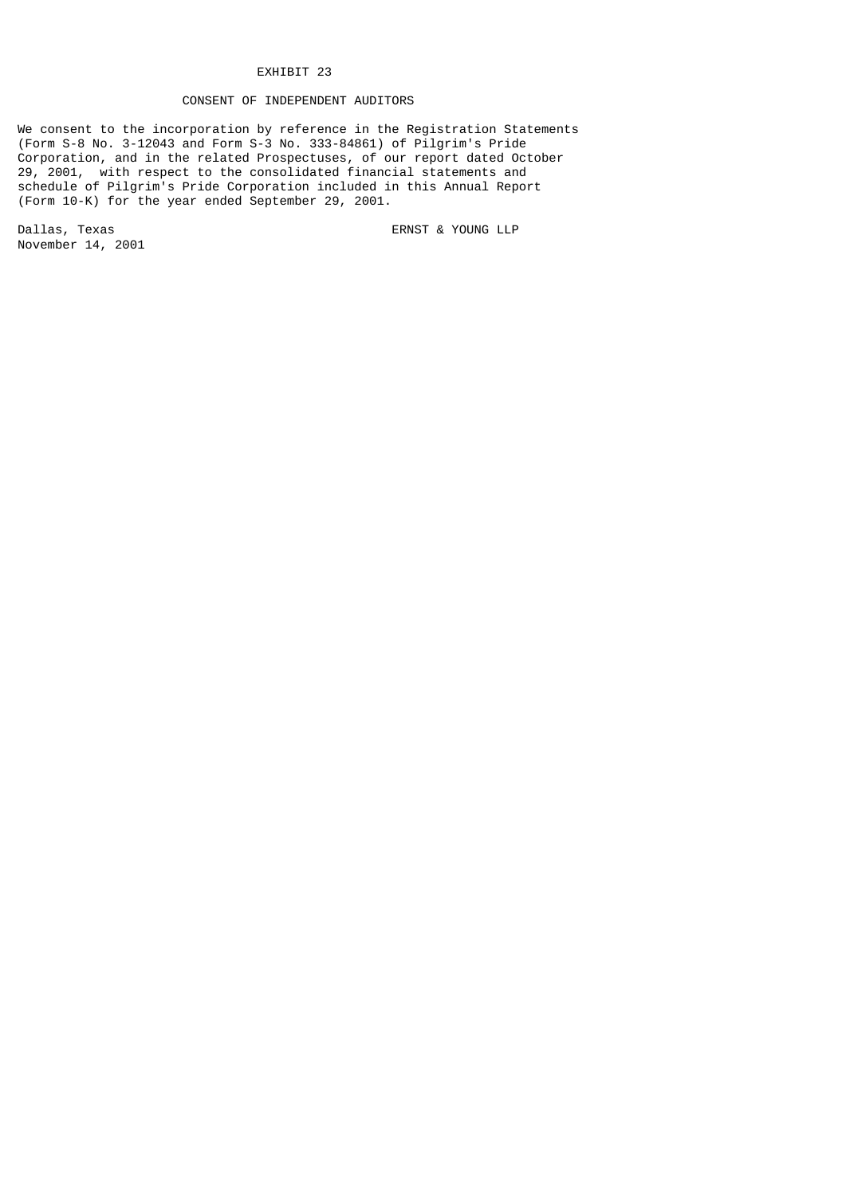# EXHIBIT 23

# CONSENT OF INDEPENDENT AUDITORS

We consent to the incorporation by reference in the Registration Statements (Form S-8 No. 3-12043 and Form S-3 No. 333-84861) of Pilgrim's Pride Corporation, and in the related Prospectuses, of our report dated October 29, 2001, with respect to the consolidated financial statements and schedule of Pilgrim's Pride Corporation included in this Annual Report (Form 10-K) for the year ended September 29, 2001.

Dallas, Texas extending the Called Service of the ERNST & YOUNG LLP November 14, 2001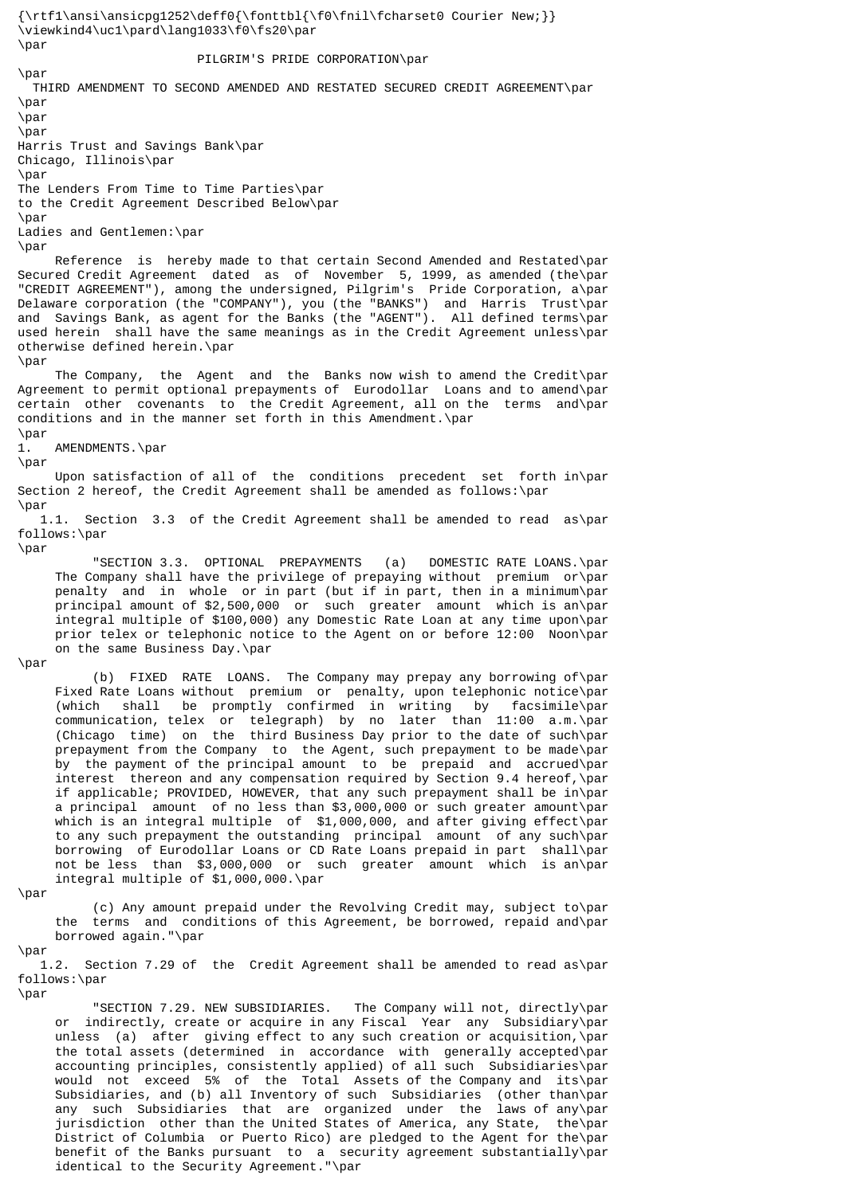{\rtf1\ansi\ansicpg1252\deff0{\fonttbl{\f0\fnil\fcharset0 Courier New;}} \viewkind4\uc1\pard\lang1033\f0\fs20\par  $\lambda$ nar PILGRIM'S PRIDE CORPORATION\par \par THIRD AMENDMENT TO SECOND AMENDED AND RESTATED SECURED CREDIT AGREEMENT\par \par \par \par Harris Trust and Savings Bank\par Chicago, Illinois\par \par The Lenders From Time to Time Parties\par to the Credit Agreement Described Below\par  $\lambda$ nar Ladies and Gentlemen:\par  $\langle$ nar Reference is hereby made to that certain Second Amended and Restated\par Secured Credit Agreement dated as of November 5, 1999, as amended (the\par "CREDIT AGREEMENT"), among the undersigned, Pilgrim's Pride Corporation, a\par Delaware corporation (the "COMPANY"), you (the "BANKS") and Harris Trust\par and Savings Bank, as agent for the Banks (the "AGENT"). All defined terms\par used herein shall have the same meanings as in the Credit Agreement unless\par otherwise defined herein.\par \par The Company, the Agent and the Banks now wish to amend the Credit\par Agreement to permit optional prepayments of Eurodollar Loans and to amend\par certain other covenants to the Credit Agreement, all on the terms and\par conditions and in the manner set forth in this Amendment.\par \par 1. AMENDMENTS.\par \par Upon satisfaction of all of the conditions precedent set forth in\par Section 2 hereof, the Credit Agreement shall be amended as follows:\par \par 1.1. Section 3.3 of the Credit Agreement shall be amended to read as\par follows:\par \par "SECTION 3.3. OPTIONAL PREPAYMENTS (a) DOMESTIC RATE LOANS.\par The Company shall have the privilege of prepaying without premium or\par penalty and in whole or in part (but if in part, then in a minimum\par principal amount of \$2,500,000 or such greater amount which is an\par integral multiple of \$100,000) any Domestic Rate Loan at any time upon\par prior telex or telephonic notice to the Agent on or before 12:00 Noon\par on the same Business Day.\par \par (b) FIXED RATE LOANS. The Company may prepay any borrowing of\par Fixed Rate Loans without premium or penalty, upon telephonic notice\par (which shall be promptly confirmed in writing by facsimile\par communication, telex or telegraph) by no later than 11:00 a.m.\par (Chicago time) on the third Business Day prior to the date of such\par prepayment from the Company to the Agent, such prepayment to be made\par by the payment of the principal amount to be prepaid and accrued\par interest thereon and any compensation required by Section 9.4 hereof,\par if applicable; PROVIDED, HOWEVER, that any such prepayment shall be in\par a principal amount of no less than \$3,000,000 or such greater amount\par which is an integral multiple of \$1,000,000, and after giving effect\par to any such prepayment the outstanding principal amount of any such\par borrowing of Eurodollar Loans or CD Rate Loans prepaid in part shall\par not be less than \$3,000,000 or such greater amount which is an\par integral multiple of \$1,000,000.\par \par (c) Any amount prepaid under the Revolving Credit may, subject to\par the terms and conditions of this Agreement, be borrowed, repaid and\par borrowed again."\par \par

 1.2. Section 7.29 of the Credit Agreement shall be amended to read as\par follows:\par

\par

 "SECTION 7.29. NEW SUBSIDIARIES. The Company will not, directly\par or indirectly, create or acquire in any Fiscal Year any Subsidiary\par unless (a) after giving effect to any such creation or acquisition,\par the total assets (determined in accordance with generally accepted\par accounting principles, consistently applied) of all such Subsidiaries\par would not exceed 5% of the Total Assets of the Company and its\par Subsidiaries, and (b) all Inventory of such Subsidiaries (other than\par any such Subsidiaries that are organized under the laws of any\par<br>jurisdiction other than the United States of America, any State, the\par jurisdiction other than the United States of America, any State, District of Columbia or Puerto Rico) are pledged to the Agent for the\par benefit of the Banks pursuant to a security agreement substantially\par identical to the Security Agreement."\par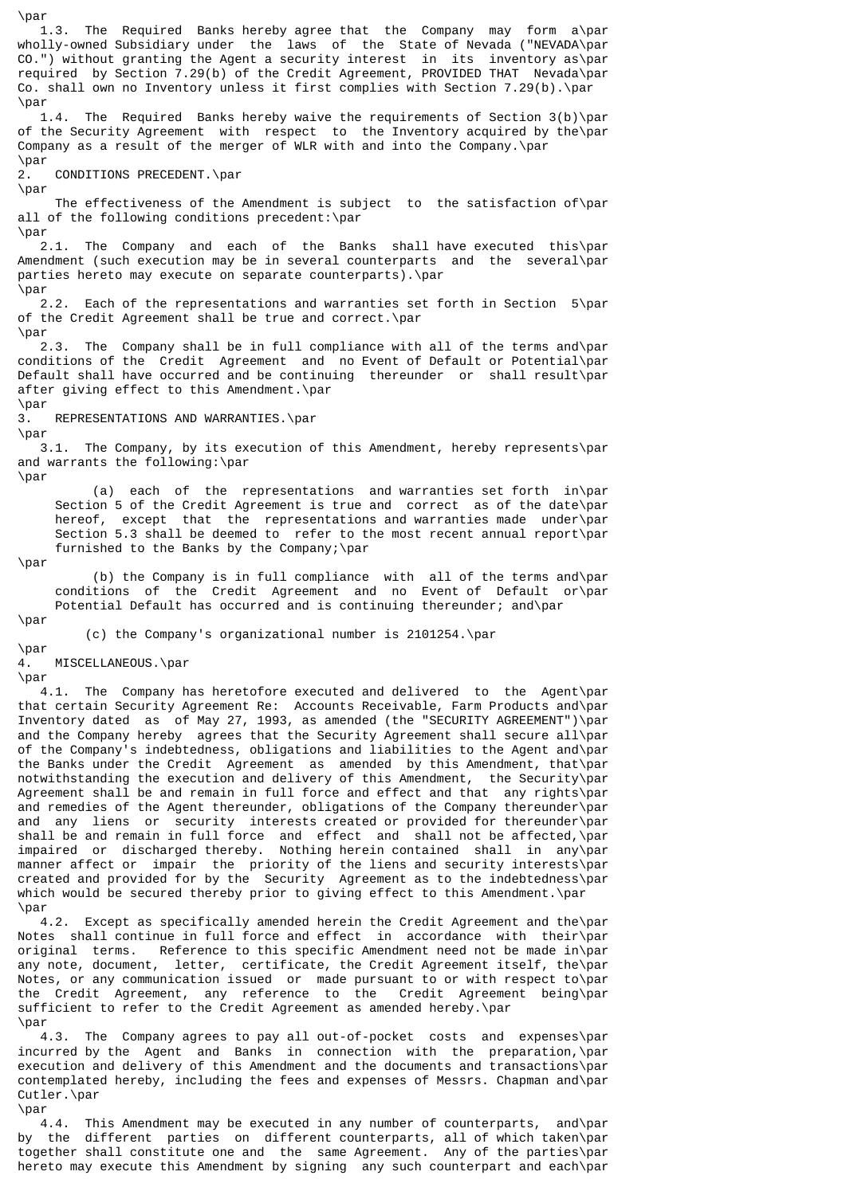\par 1.3. The Required Banks hereby agree that the Company may form a\par wholly-owned Subsidiary under the laws of the State of Nevada ("NEVADA\par CO.") without granting the Agent a security interest in its inventory as\par required by Section  $7.29(b)$  of the Credit Agreement, PROVIDED THAT Nevada\par Co. shall own no Inventory unless it first complies with Section 7.29(b).\par \par 1.4. The Required Banks hereby waive the requirements of Section 3(b)\par of the Security Agreement with respect to the Inventory acquired by the\par Company as a result of the merger of WLR with and into the Company.\par \par 2. CONDITIONS PRECEDENT.\par \par The effectiveness of the Amendment is subject to the satisfaction of\par all of the following conditions precedent:\par \par 2.1. The Company and each of the Banks shall have executed this\par Amendment (such execution may be in several counterparts and the several\par parties hereto may execute on separate counterparts).\par \par 2.2. Each of the representations and warranties set forth in Section 5\par of the Credit Agreement shall be true and correct.\par \par 2.3. The Company shall be in full compliance with all of the terms and\par conditions of the Credit Agreement and no Event of Default or Potential\par Default shall have occurred and be continuing thereunder or shall result\par after giving effect to this Amendment.\par \par 3. REPRESENTATIONS AND WARRANTIES.\par \par 3.1. The Company, by its execution of this Amendment, hereby represents\par and warrants the following:\par \par (a) each of the representations and warranties set forth in\par Section 5 of the Credit Agreement is true and correct as of the date\par hereof, except that the representations and warranties made under\par Section 5.3 shall be deemed to refer to the most recent annual report\par furnished to the Banks by the Company;\par \par (b) the Company is in full compliance with all of the terms and\par conditions of the Credit Agreement and no Event of Default or\par Potential Default has occurred and is continuing thereunder; and\par \par (c) the Company's organizational number is 2101254.\par \par 4. MISCELLANEOUS.\par \par 4.1. The Company has heretofore executed and delivered to the Agent\par that certain Security Agreement Re: Accounts Receivable, Farm Products and\par Inventory dated as of May 27, 1993, as amended (the "SECURITY AGREEMENT")\par and the Company hereby agrees that the Security Agreement shall secure all\par of the Company's indebtedness, obligations and liabilities to the Agent and\par the Banks under the Credit Agreement as amended by this Amendment, that\par notwithstanding the execution and delivery of this Amendment, the Security\par Agreement shall be and remain in full force and effect and that any rights\par and remedies of the Agent thereunder, obligations of the Company thereunder\par and any liens or security interests created or provided for thereunder\par shall be and remain in full force and effect and shall not be affected,\par impaired or discharged thereby. Nothing herein contained shall in any\par manner affect or impair the priority of the liens and security interests\par created and provided for by the Security Agreement as to the indebtedness\par which would be secured thereby prior to giving effect to this Amendment.\par \par 4.2. Except as specifically amended herein the Credit Agreement and the\par Notes shall continue in full force and effect in accordance with their\par original terms. Reference to this specific Amendment need not be made in\par

any note, document, letter, certificate, the Credit Agreement itself, the\par Notes, or any communication issued or made pursuant to or with respect to\par the Credit Agreement, any reference to the Credit Agreement being\par sufficient to refer to the Credit Agreement as amended hereby.\par \par

 4.3. The Company agrees to pay all out-of-pocket costs and expenses\par incurred by the Agent and Banks in connection with the preparation,\par execution and delivery of this Amendment and the documents and transactions\par contemplated hereby, including the fees and expenses of Messrs. Chapman and\par Cutler.\par \par

 4.4. This Amendment may be executed in any number of counterparts, and\par by the different parties on different counterparts, all of which taken\par together shall constitute one and the same Agreement. Any of the parties\par hereto may execute this Amendment by signing any such counterpart and each\par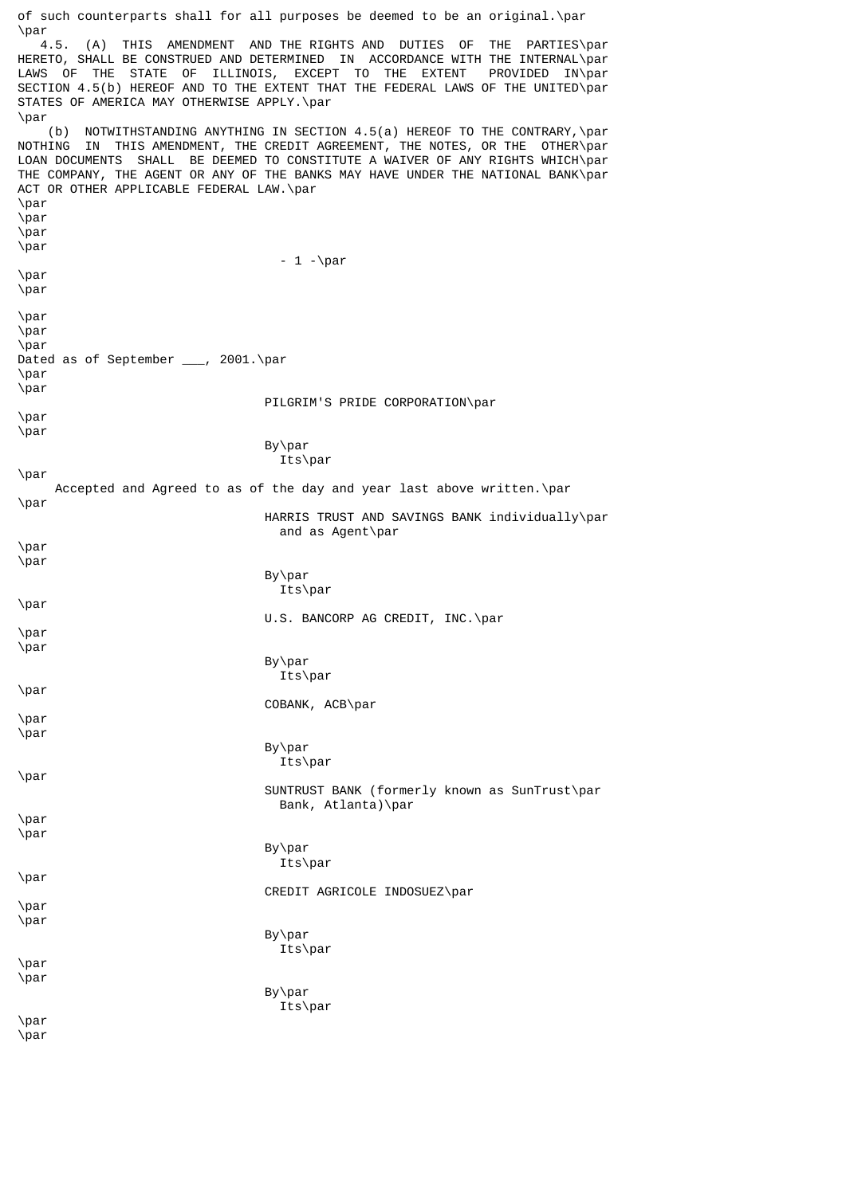of such counterparts shall for all purposes be deemed to be an original.\par  $\sqrt{4.5}$ . 4.5. (A) THIS AMENDMENT AND THE RIGHTS AND DUTIES OF THE PARTIES\par HERETO, SHALL BE CONSTRUED AND DETERMINED IN ACCORDANCE WITH THE INTERNAL\par LAWS OF THE STATE OF ILLINOIS, EXCEPT TO THE EXTENT PROVIDED IN\par SECTION 4.5(b) HEREOF AND TO THE EXTENT THAT THE FEDERAL LAWS OF THE UNITED\par STATES OF AMERICA MAY OTHERWISE APPLY.\par \par (b) NOTWITHSTANDING ANYTHING IN SECTION 4.5(a) HEREOF TO THE CONTRARY,\par NOTHING IN THIS AMENDMENT, THE CREDIT AGREEMENT, THE NOTES, OR THE OTHER\par LOAN DOCUMENTS SHALL BE DEEMED TO CONSTITUTE A WAIVER OF ANY RIGHTS WHICH\par THE COMPANY, THE AGENT OR ANY OF THE BANKS MAY HAVE UNDER THE NATIONAL BANK\par ACT OR OTHER APPLICABLE FEDERAL LAW.\par \par \par \par \par  $-1 -\n$ \par \par \par \par \par Dated as of September \_\_\_, 2001.\par \par \par PILGRIM'S PRIDE CORPORATION\par \par \par By\par Its\par \par Accepted and Agreed to as of the day and year last above written.\par \par HARRIS TRUST AND SAVINGS BANK individually\par and as Agent\par \par \par By\par Its\par \par U.S. BANCORP AG CREDIT, INC.\par \par \par By\par Its\par \par COBANK, ACB\par \par \par By\par Its\par \par SUNTRUST BANK (formerly known as SunTrust\par Bank, Atlanta)\par \par \par By\par Its\par \par CREDIT AGRICOLE INDOSUEZ\par \par \par By\par Its\par \par \par By\par Its\par \par

\par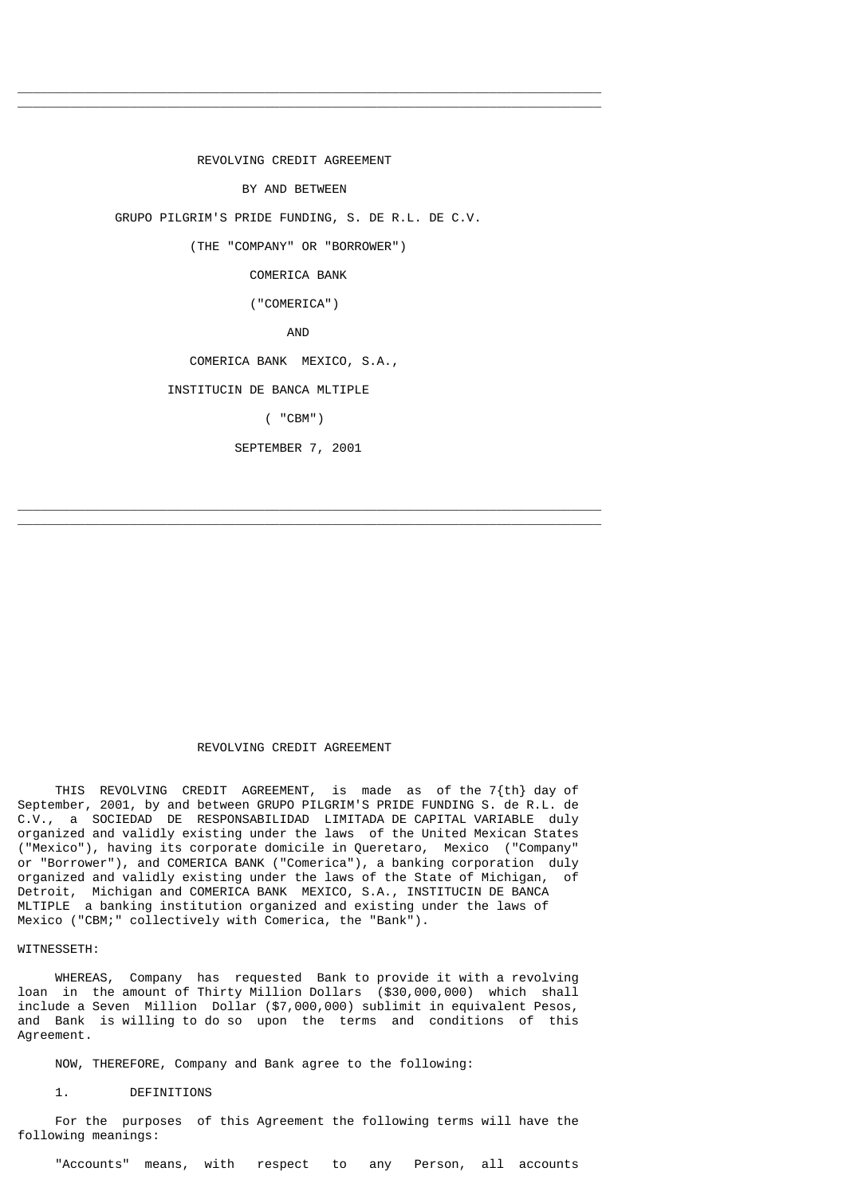REVOLVING CREDIT AGREEMENT BY AND BETWEEN GRUPO PILGRIM'S PRIDE FUNDING, S. DE R.L. DE C.V. (THE "COMPANY" OR "BORROWER") COMERICA BANK ("COMERICA") AND COMERICA BANK MEXICO, S.A., INSTITUCIN DE BANCA MLTIPLE ( "CBM") SEPTEMBER 7, 2001

 $\overline{\phantom{a}}$  , and the set of the set of the set of the set of the set of the set of the set of the set of the set of the set of the set of the set of the set of the set of the set of the set of the set of the set of the s  $\overline{\phantom{a}}$  , and the set of the set of the set of the set of the set of the set of the set of the set of the set of the set of the set of the set of the set of the set of the set of the set of the set of the set of the s

 $\frac{1}{2}$  ,  $\frac{1}{2}$  ,  $\frac{1}{2}$  ,  $\frac{1}{2}$  ,  $\frac{1}{2}$  ,  $\frac{1}{2}$  ,  $\frac{1}{2}$  ,  $\frac{1}{2}$  ,  $\frac{1}{2}$  ,  $\frac{1}{2}$  ,  $\frac{1}{2}$  ,  $\frac{1}{2}$  ,  $\frac{1}{2}$  ,  $\frac{1}{2}$  ,  $\frac{1}{2}$  ,  $\frac{1}{2}$  ,  $\frac{1}{2}$  ,  $\frac{1}{2}$  ,  $\frac{1$  $\frac{1}{2}$  ,  $\frac{1}{2}$  ,  $\frac{1}{2}$  ,  $\frac{1}{2}$  ,  $\frac{1}{2}$  ,  $\frac{1}{2}$  ,  $\frac{1}{2}$  ,  $\frac{1}{2}$  ,  $\frac{1}{2}$  ,  $\frac{1}{2}$  ,  $\frac{1}{2}$  ,  $\frac{1}{2}$  ,  $\frac{1}{2}$  ,  $\frac{1}{2}$  ,  $\frac{1}{2}$  ,  $\frac{1}{2}$  ,  $\frac{1}{2}$  ,  $\frac{1}{2}$  ,  $\frac{1$ 

# REVOLVING CREDIT AGREEMENT

 THIS REVOLVING CREDIT AGREEMENT, is made as of the 7{th} day of September, 2001, by and between GRUPO PILGRIM'S PRIDE FUNDING S. de R.L. de C.V., a SOCIEDAD DE RESPONSABILIDAD LIMITADA DE CAPITAL VARIABLE duly organized and validly existing under the laws of the United Mexican States ("Mexico"), having its corporate domicile in Queretaro, Mexico ("Company" or "Borrower"), and COMERICA BANK ("Comerica"), a banking corporation duly organized and validly existing under the laws of the State of Michigan, of Detroit, Michigan and COMERICA BANK MEXICO, S.A., INSTITUCIN DE BANCA MLTIPLE a banking institution organized and existing under the laws of Mexico ("CBM;" collectively with Comerica, the "Bank").

# WITNESSETH:

 WHEREAS, Company has requested Bank to provide it with a revolving loan in the amount of Thirty Million Dollars (\$30,000,000) which shall include a Seven Million Dollar (\$7,000,000) sublimit in equivalent Pesos, and Bank is willing to do so upon the terms and conditions of this Agreement.

NOW, THEREFORE, Company and Bank agree to the following:

1. DEFINITIONS

 For the purposes of this Agreement the following terms will have the following meanings:

"Accounts" means, with respect to any Person, all accounts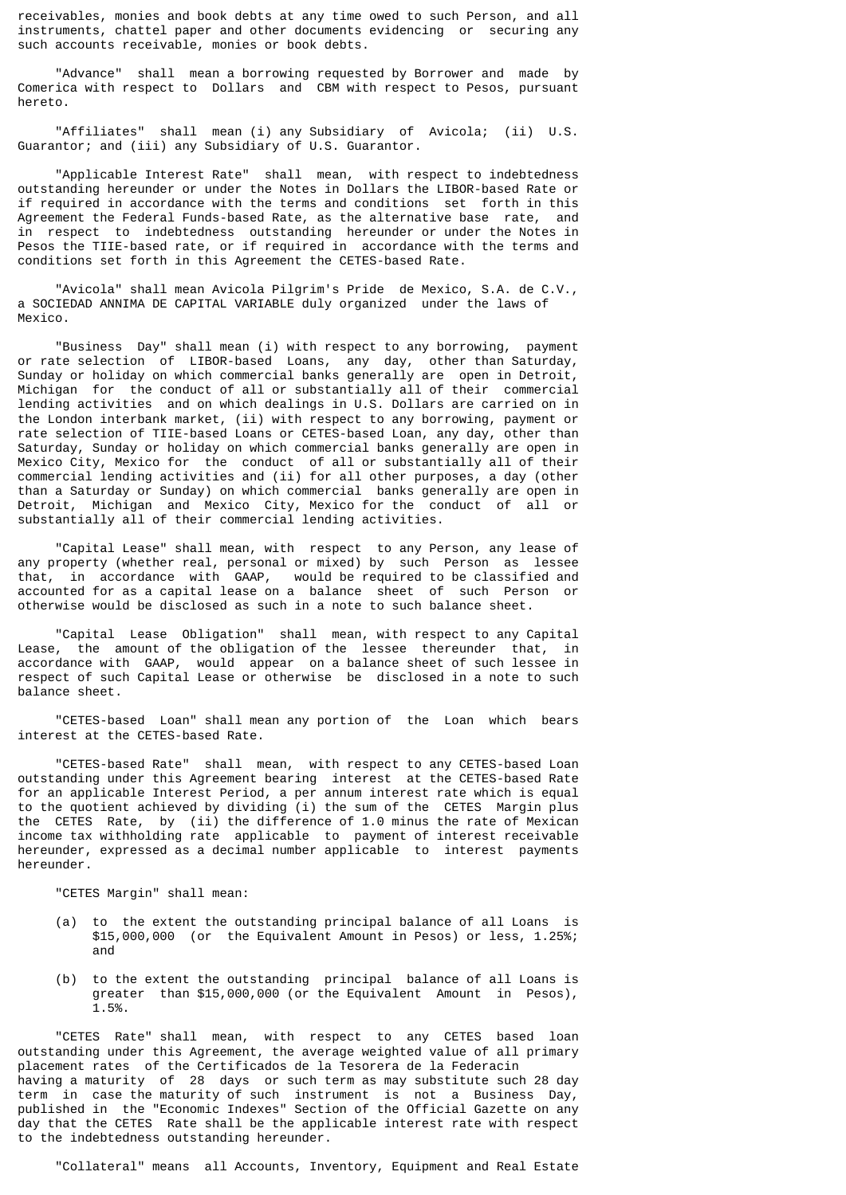receivables, monies and book debts at any time owed to such Person, and all instruments, chattel paper and other documents evidencing or securing any such accounts receivable, monies or book debts.

 "Advance" shall mean a borrowing requested by Borrower and made by Comerica with respect to Dollars and CBM with respect to Pesos, pursuant hereto.

 "Affiliates" shall mean (i) any Subsidiary of Avicola; (ii) U.S. Guarantor; and (iii) any Subsidiary of U.S. Guarantor.

 "Applicable Interest Rate" shall mean, with respect to indebtedness outstanding hereunder or under the Notes in Dollars the LIBOR-based Rate or if required in accordance with the terms and conditions set forth in this Agreement the Federal Funds-based Rate, as the alternative base rate, and in respect to indebtedness outstanding hereunder or under the Notes in Pesos the TIIE-based rate, or if required in accordance with the terms and conditions set forth in this Agreement the CETES-based Rate.

 "Avicola" shall mean Avicola Pilgrim's Pride de Mexico, S.A. de C.V., a SOCIEDAD ANNIMA DE CAPITAL VARIABLE duly organized under the laws of Mexico.

 "Business Day" shall mean (i) with respect to any borrowing, payment or rate selection of LIBOR-based Loans, any day, other than Saturday, Sunday or holiday on which commercial banks generally are open in Detroit, Michigan for the conduct of all or substantially all of their commercial lending activities and on which dealings in U.S. Dollars are carried on in the London interbank market, (ii) with respect to any borrowing, payment or rate selection of TIIE-based Loans or CETES-based Loan, any day, other than Saturday, Sunday or holiday on which commercial banks generally are open in Mexico City, Mexico for the conduct of all or substantially all of their commercial lending activities and (ii) for all other purposes, a day (other than a Saturday or Sunday) on which commercial banks generally are open in Detroit, Michigan and Mexico City, Mexico for the conduct of all or substantially all of their commercial lending activities.

 "Capital Lease" shall mean, with respect to any Person, any lease of any property (whether real, personal or mixed) by such Person as lessee that, in accordance with GAAP, would be required to be classified and accounted for as a capital lease on a balance sheet of such Person or otherwise would be disclosed as such in a note to such balance sheet.

 "Capital Lease Obligation" shall mean, with respect to any Capital Lease, the amount of the obligation of the lessee thereunder that, in accordance with GAAP, would appear on a balance sheet of such lessee in respect of such Capital Lease or otherwise be disclosed in a note to such balance sheet.

 "CETES-based Loan" shall mean any portion of the Loan which bears interest at the CETES-based Rate.

 "CETES-based Rate" shall mean, with respect to any CETES-based Loan outstanding under this Agreement bearing interest at the CETES-based Rate for an applicable Interest Period, a per annum interest rate which is equal to the quotient achieved by dividing (i) the sum of the CETES Margin plus the CETES Rate, by (ii) the difference of 1.0 minus the rate of Mexican income tax withholding rate applicable to payment of interest receivable hereunder, expressed as a decimal number applicable to interest payments hereunder.

"CETES Margin" shall mean:

- (a) to the extent the outstanding principal balance of all Loans is \$15,000,000 (or the Equivalent Amount in Pesos) or less, 1.25%; and
- (b) to the extent the outstanding principal balance of all Loans is greater than \$15,000,000 (or the Equivalent Amount in Pesos), 1.5%.

 "CETES Rate" shall mean, with respect to any CETES based loan outstanding under this Agreement, the average weighted value of all primary placement rates of the Certificados de la Tesorera de la Federacin having a maturity of 28 days or such term as may substitute such 28 day term in case the maturity of such instrument is not a Business Day, published in the "Economic Indexes" Section of the Official Gazette on any day that the CETES Rate shall be the applicable interest rate with respect to the indebtedness outstanding hereunder.

"Collateral" means all Accounts, Inventory, Equipment and Real Estate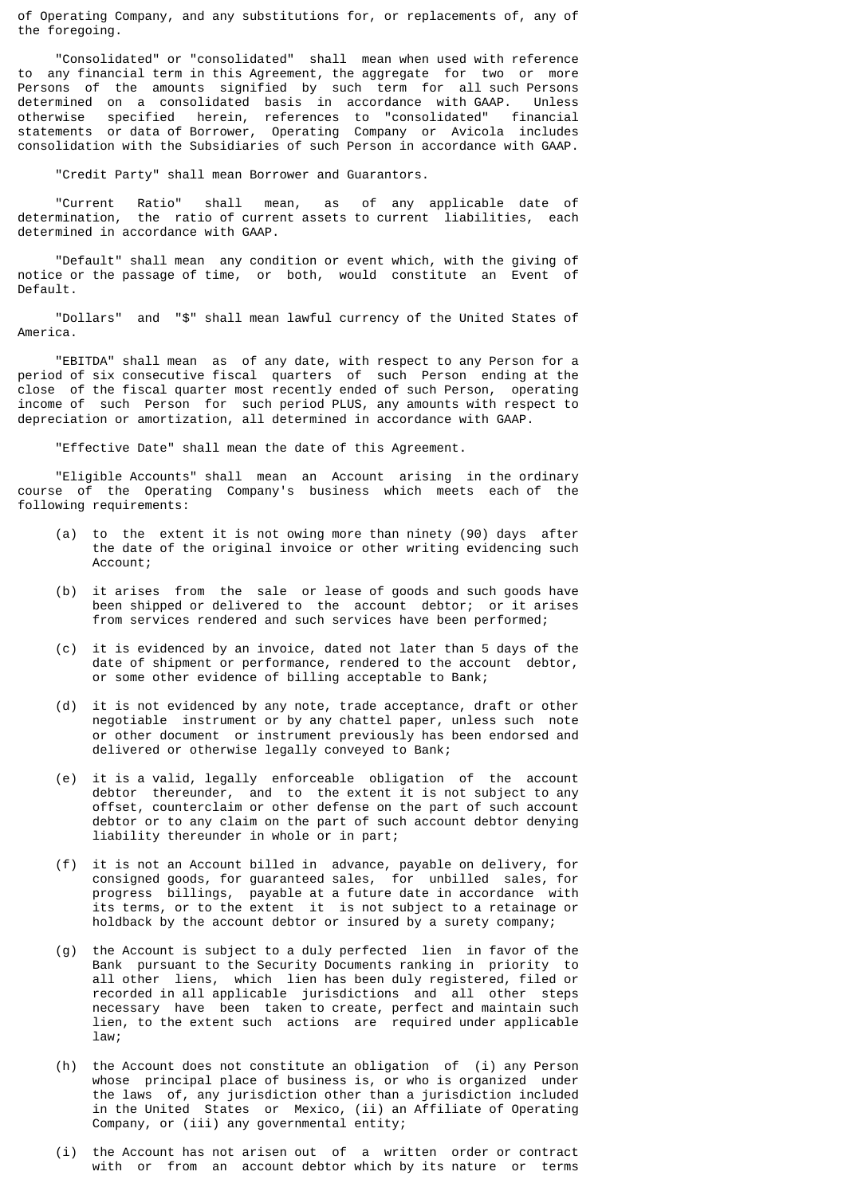of Operating Company, and any substitutions for, or replacements of, any of the foregoing.

 "Consolidated" or "consolidated" shall mean when used with reference to any financial term in this Agreement, the aggregate for two or more Persons of the amounts signified by such term for all such Persons determined on a consolidated basis in accordance with GAAP. Unless otherwise specified herein, references to "consolidated" financial statements or data of Borrower, Operating Company or Avicola includes consolidation with the Subsidiaries of such Person in accordance with GAAP.

"Credit Party" shall mean Borrower and Guarantors.

 "Current Ratio" shall mean, as of any applicable date of determination, the ratio of current assets to current liabilities, each determined in accordance with GAAP.

 "Default" shall mean any condition or event which, with the giving of notice or the passage of time, or both, would constitute an Event of Default.

 "Dollars" and "\$" shall mean lawful currency of the United States of America.

 "EBITDA" shall mean as of any date, with respect to any Person for a period of six consecutive fiscal quarters of such Person ending at the close of the fiscal quarter most recently ended of such Person, operating income of such Person for such period PLUS, any amounts with respect to depreciation or amortization, all determined in accordance with GAAP.

"Effective Date" shall mean the date of this Agreement.

 "Eligible Accounts" shall mean an Account arising in the ordinary course of the Operating Company's business which meets each of the following requirements:

- (a) to the extent it is not owing more than ninety (90) days after the date of the original invoice or other writing evidencing such Account;
- (b) it arises from the sale or lease of goods and such goods have been shipped or delivered to the account debtor; or it arises from services rendered and such services have been performed;
- (c) it is evidenced by an invoice, dated not later than 5 days of the date of shipment or performance, rendered to the account debtor, or some other evidence of billing acceptable to Bank;
- (d) it is not evidenced by any note, trade acceptance, draft or other negotiable instrument or by any chattel paper, unless such note or other document or instrument previously has been endorsed and delivered or otherwise legally conveyed to Bank;
- (e) it is a valid, legally enforceable obligation of the account debtor thereunder, and to the extent it is not subject to any offset, counterclaim or other defense on the part of such account debtor or to any claim on the part of such account debtor denying liability thereunder in whole or in part;
- (f) it is not an Account billed in advance, payable on delivery, for consigned goods, for guaranteed sales, for unbilled sales, for progress billings, payable at a future date in accordance with its terms, or to the extent it is not subject to a retainage or holdback by the account debtor or insured by a surety company;
- (g) the Account is subject to a duly perfected lien in favor of the Bank pursuant to the Security Documents ranking in priority to all other liens, which lien has been duly registered, filed or recorded in all applicable jurisdictions and all other steps necessary have been taken to create, perfect and maintain such lien, to the extent such actions are required under applicable law;
- (h) the Account does not constitute an obligation of (i) any Person whose principal place of business is, or who is organized under the laws of, any jurisdiction other than a jurisdiction included in the United States or Mexico, (ii) an Affiliate of Operating Company, or (iii) any governmental entity;
- (i) the Account has not arisen out of a written order or contract with or from an account debtor which by its nature or terms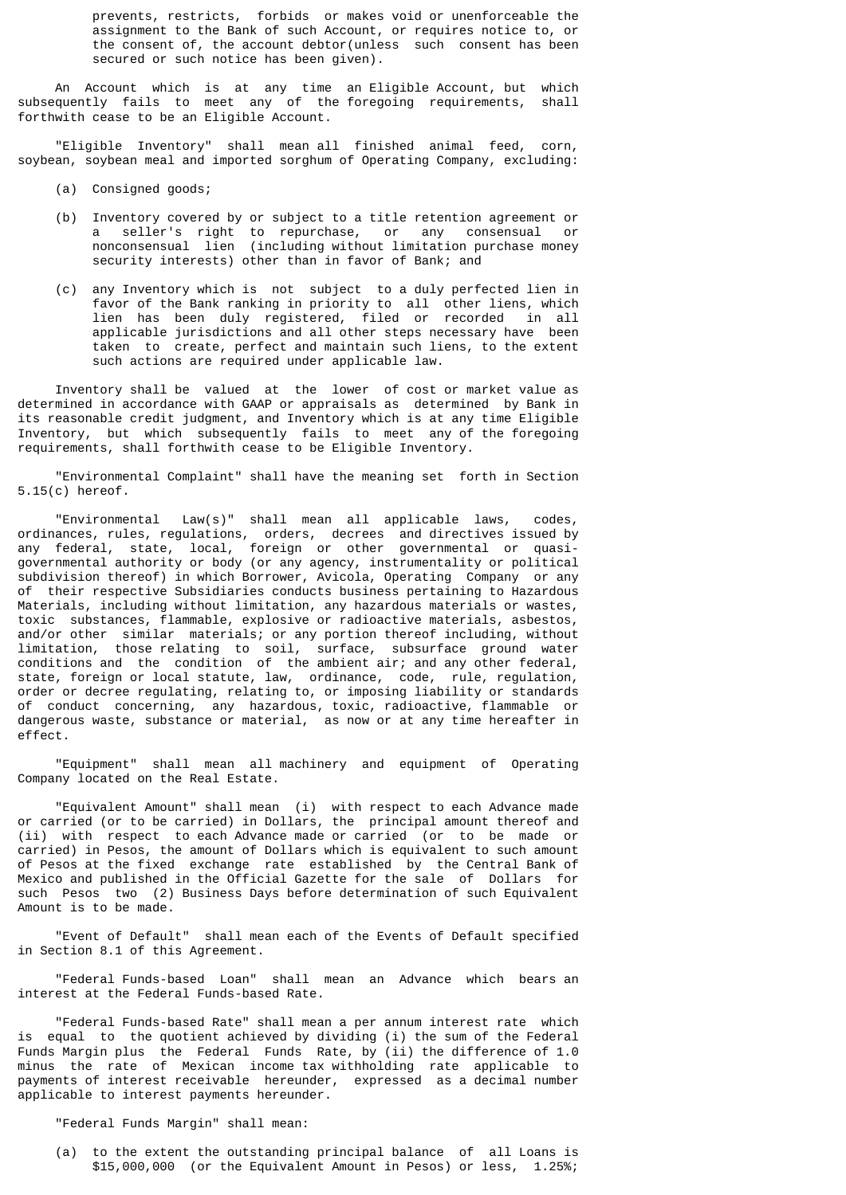prevents, restricts, forbids or makes void or unenforceable the assignment to the Bank of such Account, or requires notice to, or the consent of, the account debtor(unless such consent has been secured or such notice has been given).

 An Account which is at any time an Eligible Account, but which subsequently fails to meet any of the foregoing requirements, shall forthwith cease to be an Eligible Account.

 "Eligible Inventory" shall mean all finished animal feed, corn, soybean, soybean meal and imported sorghum of Operating Company, excluding:

- (a) Consigned goods;
- (b) Inventory covered by or subject to a title retention agreement or a seller's right to repurchase, or any consensual or nonconsensual lien (including without limitation purchase money security interests) other than in favor of Bank; and
- (c) any Inventory which is not subject to a duly perfected lien in favor of the Bank ranking in priority to all other liens, which lien has been duly registered, filed or recorded in all applicable jurisdictions and all other steps necessary have been taken to create, perfect and maintain such liens, to the extent such actions are required under applicable law.

 Inventory shall be valued at the lower of cost or market value as determined in accordance with GAAP or appraisals as determined by Bank in its reasonable credit judgment, and Inventory which is at any time Eligible Inventory, but which subsequently fails to meet any of the foregoing requirements, shall forthwith cease to be Eligible Inventory.

 "Environmental Complaint" shall have the meaning set forth in Section 5.15(c) hereof.

 "Environmental Law(s)" shall mean all applicable laws, codes, ordinances, rules, regulations, orders, decrees and directives issued by any federal, state, local, foreign or other governmental or quasigovernmental authority or body (or any agency, instrumentality or political subdivision thereof) in which Borrower, Avicola, Operating Company or any of their respective Subsidiaries conducts business pertaining to Hazardous Materials, including without limitation, any hazardous materials or wastes, toxic substances, flammable, explosive or radioactive materials, asbestos, and/or other similar materials; or any portion thereof including, without limitation, those relating to soil, surface, subsurface ground water conditions and the condition of the ambient air; and any other federal, state, foreign or local statute, law, ordinance, code, rule, regulation, order or decree regulating, relating to, or imposing liability or standards of conduct concerning, any hazardous, toxic, radioactive, flammable or dangerous waste, substance or material, as now or at any time hereafter in effect.

 "Equipment" shall mean all machinery and equipment of Operating Company located on the Real Estate.

 "Equivalent Amount" shall mean (i) with respect to each Advance made or carried (or to be carried) in Dollars, the principal amount thereof and (ii) with respect to each Advance made or carried (or to be made or carried) in Pesos, the amount of Dollars which is equivalent to such amount of Pesos at the fixed exchange rate established by the Central Bank of Mexico and published in the Official Gazette for the sale of Dollars for such Pesos two (2) Business Days before determination of such Equivalent Amount is to be made.

 "Event of Default" shall mean each of the Events of Default specified in Section 8.1 of this Agreement.

 "Federal Funds-based Loan" shall mean an Advance which bears an interest at the Federal Funds-based Rate.

 "Federal Funds-based Rate" shall mean a per annum interest rate which is equal to the quotient achieved by dividing (i) the sum of the Federal Funds Margin plus the Federal Funds Rate, by (ii) the difference of 1.0 minus the rate of Mexican income tax withholding rate applicable to payments of interest receivable hereunder, expressed as a decimal number applicable to interest payments hereunder.

"Federal Funds Margin" shall mean:

 (a) to the extent the outstanding principal balance of all Loans is \$15,000,000 (or the Equivalent Amount in Pesos) or less, 1.25%;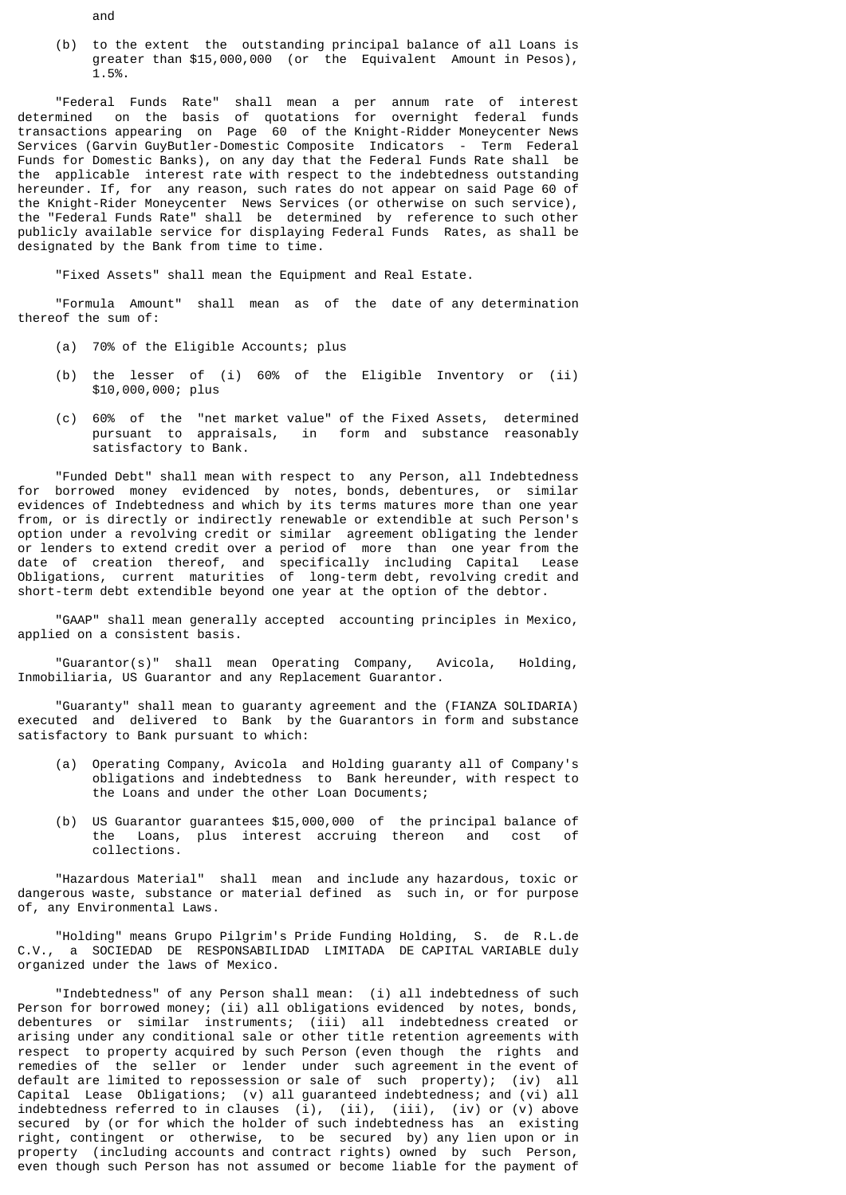(b) to the extent the outstanding principal balance of all Loans is greater than \$15,000,000 (or the Equivalent Amount in Pesos), 1.5%.

 "Federal Funds Rate" shall mean a per annum rate of interest determined on the basis of quotations for overnight federal funds transactions appearing on Page 60 of the Knight-Ridder Moneycenter News Services (Garvin GuyButler-Domestic Composite Indicators - Term Federal Funds for Domestic Banks), on any day that the Federal Funds Rate shall be the applicable interest rate with respect to the indebtedness outstanding hereunder. If, for any reason, such rates do not appear on said Page 60 of the Knight-Rider Moneycenter News Services (or otherwise on such service), the "Federal Funds Rate" shall be determined by reference to such other publicly available service for displaying Federal Funds Rates, as shall be designated by the Bank from time to time.

"Fixed Assets" shall mean the Equipment and Real Estate.

 "Formula Amount" shall mean as of the date of any determination thereof the sum of:

- (a) 70% of the Eligible Accounts; plus
- (b) the lesser of (i) 60% of the Eligible Inventory or (ii) \$10,000,000; plus
- (c) 60% of the "net market value" of the Fixed Assets, determined pursuant to appraisals, in form and substance reasonably satisfactory to Bank.

 "Funded Debt" shall mean with respect to any Person, all Indebtedness for borrowed money evidenced by notes, bonds, debentures, or similar evidences of Indebtedness and which by its terms matures more than one year from, or is directly or indirectly renewable or extendible at such Person's option under a revolving credit or similar agreement obligating the lender or lenders to extend credit over a period of more than one year from the date of creation thereof, and specifically including Capital Lease Obligations, current maturities of long-term debt, revolving credit and short-term debt extendible beyond one year at the option of the debtor.

 "GAAP" shall mean generally accepted accounting principles in Mexico, applied on a consistent basis.

 "Guarantor(s)" shall mean Operating Company, Avicola, Holding, Inmobiliaria, US Guarantor and any Replacement Guarantor.

 "Guaranty" shall mean to guaranty agreement and the (FIANZA SOLIDARIA) executed and delivered to Bank by the Guarantors in form and substance satisfactory to Bank pursuant to which:

- (a) Operating Company, Avicola and Holding guaranty all of Company's obligations and indebtedness to Bank hereunder, with respect to the Loans and under the other Loan Documents;
- (b) US Guarantor guarantees \$15,000,000 of the principal balance of the Loans, plus interest accruing thereon and cost of collections.

 "Hazardous Material" shall mean and include any hazardous, toxic or dangerous waste, substance or material defined as such in, or for purpose of, any Environmental Laws.

 "Holding" means Grupo Pilgrim's Pride Funding Holding, S. de R.L.de C.V., a SOCIEDAD DE RESPONSABILIDAD LIMITADA DE CAPITAL VARIABLE duly organized under the laws of Mexico.

 "Indebtedness" of any Person shall mean: (i) all indebtedness of such Person for borrowed money; (ii) all obligations evidenced by notes, bonds, debentures or similar instruments; (iii) all indebtedness created or arising under any conditional sale or other title retention agreements with respect to property acquired by such Person (even though the rights and remedies of the seller or lender under such agreement in the event of default are limited to repossession or sale of such property); (iv) all Capital Lease Obligations; (v) all guaranteed indebtedness; and (vi) all indebtedness referred to in clauses (i), (ii), (iii), (iv) or (v) above secured by (or for which the holder of such indebtedness has an existing right, contingent or otherwise, to be secured by) any lien upon or in property (including accounts and contract rights) owned by such Person, even though such Person has not assumed or become liable for the payment of

and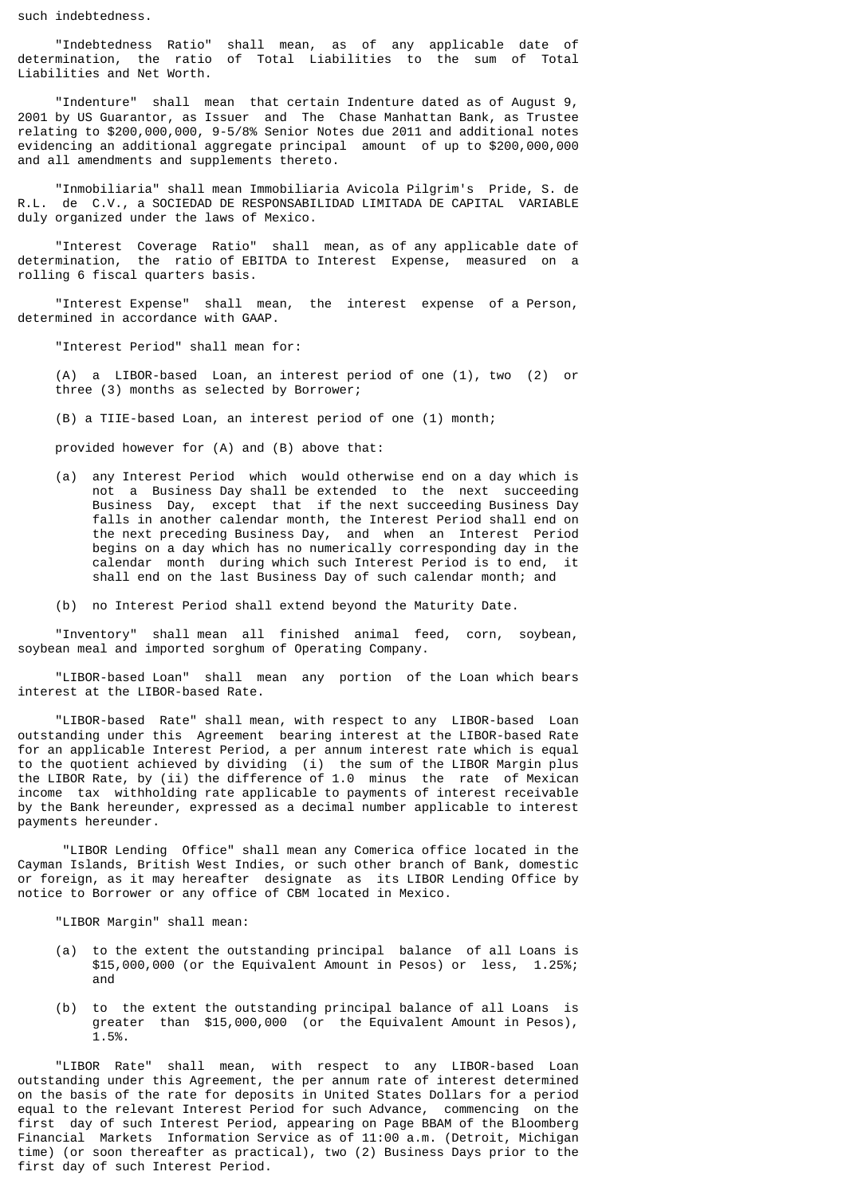such indebtedness.

 "Indebtedness Ratio" shall mean, as of any applicable date of determination, the ratio of Total Liabilities to the sum of Total Liabilities and Net Worth.

 "Indenture" shall mean that certain Indenture dated as of August 9, 2001 by US Guarantor, as Issuer and The Chase Manhattan Bank, as Trustee relating to \$200,000,000, 9-5/8% Senior Notes due 2011 and additional notes evidencing an additional aggregate principal amount of up to \$200,000,000 and all amendments and supplements thereto.

 "Inmobiliaria" shall mean Immobiliaria Avicola Pilgrim's Pride, S. de R.L. de C.V., a SOCIEDAD DE RESPONSABILIDAD LIMITADA DE CAPITAL VARIABLE duly organized under the laws of Mexico.

 "Interest Coverage Ratio" shall mean, as of any applicable date of determination, the ratio of EBITDA to Interest Expense, measured on a rolling 6 fiscal quarters basis.

 "Interest Expense" shall mean, the interest expense of a Person, determined in accordance with GAAP.

"Interest Period" shall mean for:

 (A) a LIBOR-based Loan, an interest period of one (1), two (2) or three (3) months as selected by Borrower;

(B) a TIIE-based Loan, an interest period of one (1) month;

provided however for (A) and (B) above that:

- (a) any Interest Period which would otherwise end on a day which is not a Business Day shall be extended to the next succeeding Business Day, except that if the next succeeding Business Day falls in another calendar month, the Interest Period shall end on the next preceding Business Day, and when an Interest Period begins on a day which has no numerically corresponding day in the calendar month during which such Interest Period is to end, it shall end on the last Business Day of such calendar month; and
- (b) no Interest Period shall extend beyond the Maturity Date.

 "Inventory" shall mean all finished animal feed, corn, soybean, soybean meal and imported sorghum of Operating Company.

 "LIBOR-based Loan" shall mean any portion of the Loan which bears interest at the LIBOR-based Rate.

 "LIBOR-based Rate" shall mean, with respect to any LIBOR-based Loan outstanding under this Agreement bearing interest at the LIBOR-based Rate for an applicable Interest Period, a per annum interest rate which is equal to the quotient achieved by dividing (i) the sum of the LIBOR Margin plus the LIBOR Rate, by (ii) the difference of 1.0 minus the rate of Mexican income tax withholding rate applicable to payments of interest receivable by the Bank hereunder, expressed as a decimal number applicable to interest payments hereunder.

 "LIBOR Lending Office" shall mean any Comerica office located in the Cayman Islands, British West Indies, or such other branch of Bank, domestic or foreign, as it may hereafter designate as its LIBOR Lending Office by notice to Borrower or any office of CBM located in Mexico.

"LIBOR Margin" shall mean:

- (a) to the extent the outstanding principal balance of all Loans is \$15,000,000 (or the Equivalent Amount in Pesos) or less, 1.25%; and
- (b) to the extent the outstanding principal balance of all Loans is greater than \$15,000,000 (or the Equivalent Amount in Pesos), 1.5%.

 "LIBOR Rate" shall mean, with respect to any LIBOR-based Loan outstanding under this Agreement, the per annum rate of interest determined on the basis of the rate for deposits in United States Dollars for a period equal to the relevant Interest Period for such Advance, commencing on the first day of such Interest Period, appearing on Page BBAM of the Bloomberg Financial Markets Information Service as of 11:00 a.m. (Detroit, Michigan time) (or soon thereafter as practical), two (2) Business Days prior to the first day of such Interest Period.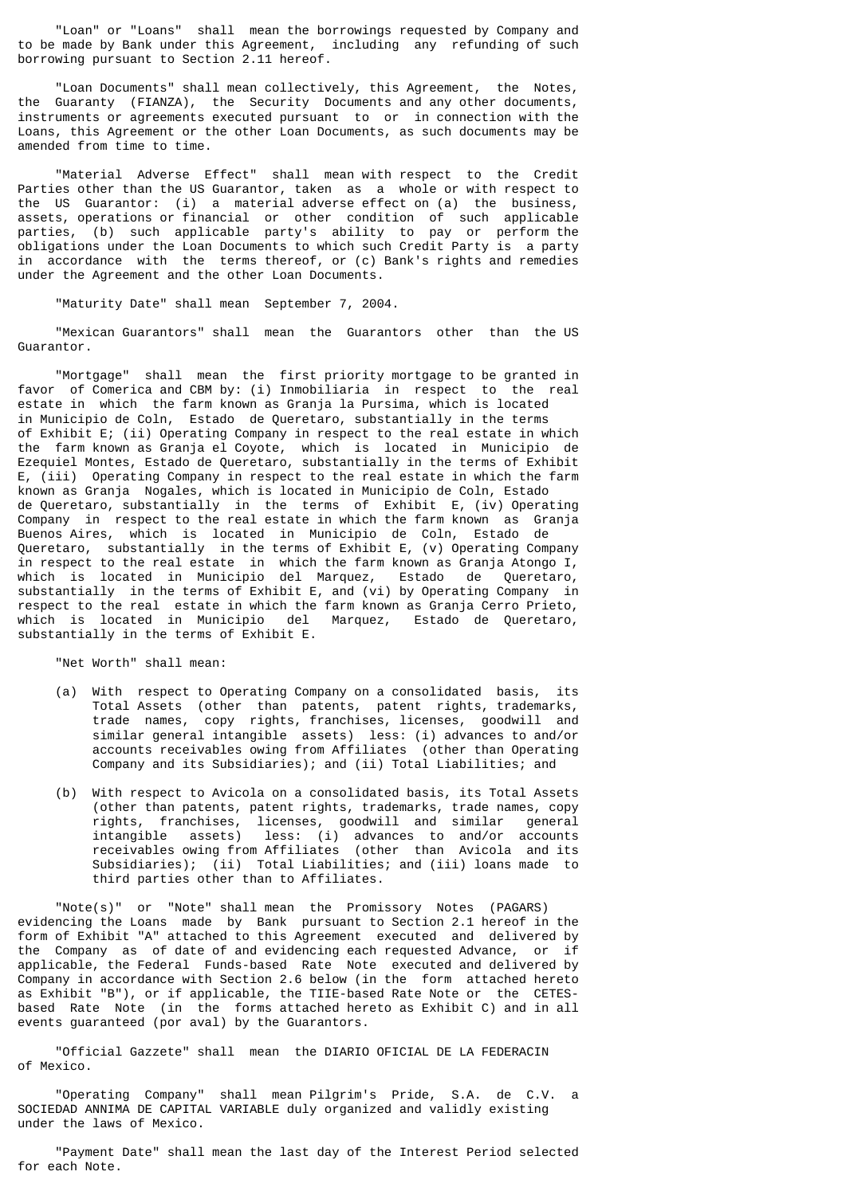"Loan" or "Loans" shall mean the borrowings requested by Company and to be made by Bank under this Agreement, including any refunding of such borrowing pursuant to Section 2.11 hereof.

 "Loan Documents" shall mean collectively, this Agreement, the Notes, the Guaranty (FIANZA), the Security Documents and any other documents, instruments or agreements executed pursuant to or in connection with the Loans, this Agreement or the other Loan Documents, as such documents may be amended from time to time.

 "Material Adverse Effect" shall mean with respect to the Credit Parties other than the US Guarantor, taken as a whole or with respect to the US Guarantor: (i) a material adverse effect on (a) the business, assets, operations or financial or other condition of such applicable parties, (b) such applicable party's ability to pay or perform the obligations under the Loan Documents to which such Credit Party is a party in accordance with the terms thereof, or (c) Bank's rights and remedies under the Agreement and the other Loan Documents.

"Maturity Date" shall mean September 7, 2004.

 "Mexican Guarantors" shall mean the Guarantors other than the US Guarantor.

 "Mortgage" shall mean the first priority mortgage to be granted in favor of Comerica and CBM by: (i) Inmobiliaria in respect to the real estate in which the farm known as Granja la Pursima, which is located in Municipio de Coln, Estado de Queretaro, substantially in the terms of Exhibit E; (ii) Operating Company in respect to the real estate in which the farm known as Granja el Coyote, which is located in Municipio de Ezequiel Montes, Estado de Queretaro, substantially in the terms of Exhibit E, (iii) Operating Company in respect to the real estate in which the farm known as Granja Nogales, which is located in Municipio de Coln, Estado de Queretaro, substantially in the terms of Exhibit E, (iv) Operating Company in respect to the real estate in which the farm known as Granja Buenos Aires, which is located in Municipio de Coln, Estado de Queretaro, substantially in the terms of Exhibit E, (v) Operating Company in respect to the real estate in which the farm known as Granja Atongo I, which is located in Municipio del Marquez, Estado de Queretaro, substantially in the terms of Exhibit E, and (vi) by Operating Company in respect to the real estate in which the farm known as Granja Cerro Prieto, which is located in Municipio del Marquez, Estado de Queretaro, substantially in the terms of Exhibit E.

"Net Worth" shall mean:

- (a) With respect to Operating Company on a consolidated basis, its Total Assets (other than patents, patent rights, trademarks, trade names, copy rights, franchises, licenses, goodwill and similar general intangible assets) less: (i) advances to and/or accounts receivables owing from Affiliates (other than Operating Company and its Subsidiaries); and (ii) Total Liabilities; and
- (b) With respect to Avicola on a consolidated basis, its Total Assets (other than patents, patent rights, trademarks, trade names, copy rights, franchises, licenses, goodwill and similar general intangible assets) less: (i) advances to and/or accounts receivables owing from Affiliates (other than Avicola and its Subsidiaries); (ii) Total Liabilities; and (iii) loans made to third parties other than to Affiliates.

 "Note(s)" or "Note" shall mean the Promissory Notes (PAGARS) evidencing the Loans made by Bank pursuant to Section 2.1 hereof in the form of Exhibit "A" attached to this Agreement executed and delivered by the Company as of date of and evidencing each requested Advance, or if applicable, the Federal Funds-based Rate Note executed and delivered by Company in accordance with Section 2.6 below (in the form attached hereto as Exhibit "B"), or if applicable, the TIIE-based Rate Note or the CETESbased Rate Note (in the forms attached hereto as Exhibit C) and in all events guaranteed (por aval) by the Guarantors.

 "Official Gazzete" shall mean the DIARIO OFICIAL DE LA FEDERACIN of Mexico.

 "Operating Company" shall mean Pilgrim's Pride, S.A. de C.V. a SOCIEDAD ANNIMA DE CAPITAL VARIABLE duly organized and validly existing under the laws of Mexico.

 "Payment Date" shall mean the last day of the Interest Period selected for each Note.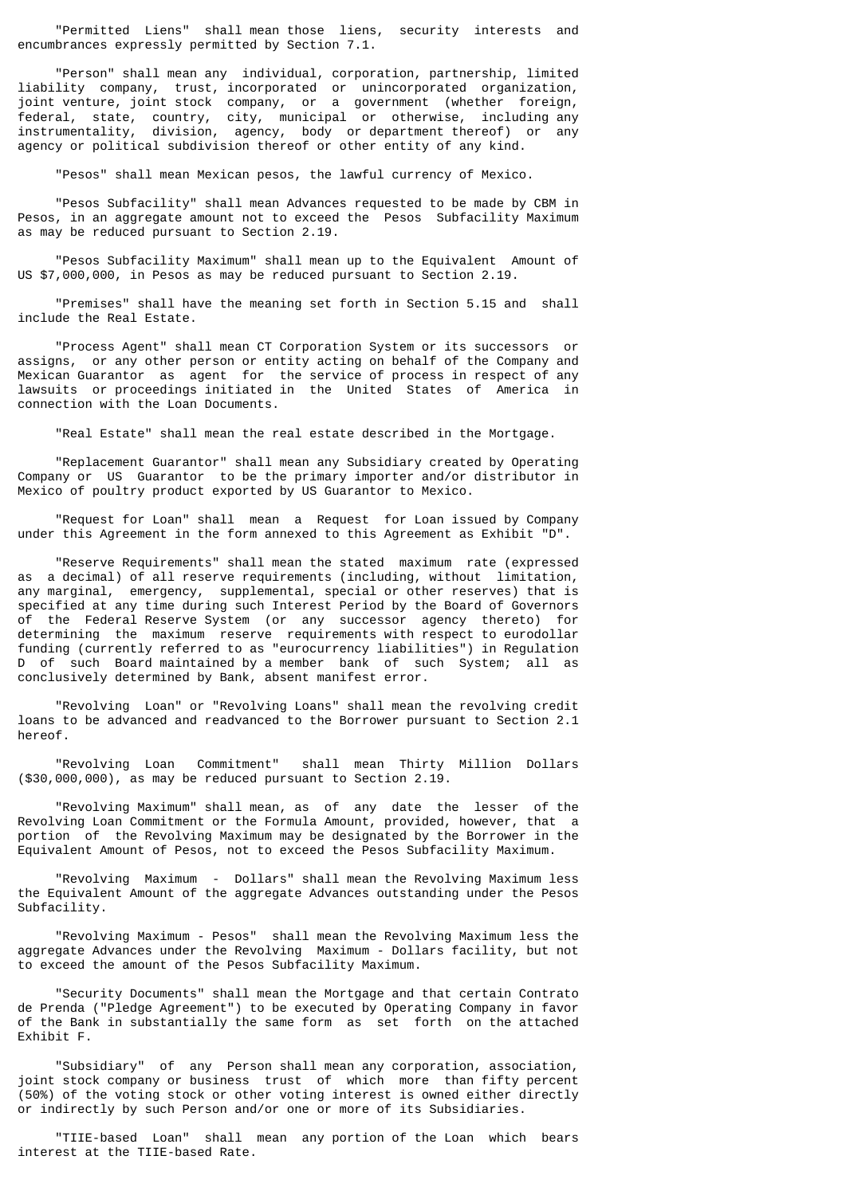"Permitted Liens" shall mean those liens, security interests and encumbrances expressly permitted by Section 7.1.

 "Person" shall mean any individual, corporation, partnership, limited liability company, trust, incorporated or unincorporated organization, joint venture, joint stock company, or a government (whether foreign, federal, state, country, city, municipal or otherwise, including any instrumentality, division, agency, body or department thereof) or any agency or political subdivision thereof or other entity of any kind.

"Pesos" shall mean Mexican pesos, the lawful currency of Mexico.

 "Pesos Subfacility" shall mean Advances requested to be made by CBM in Pesos, in an aggregate amount not to exceed the Pesos Subfacility Maximum as may be reduced pursuant to Section 2.19.

 "Pesos Subfacility Maximum" shall mean up to the Equivalent Amount of US \$7,000,000, in Pesos as may be reduced pursuant to Section 2.19.

 "Premises" shall have the meaning set forth in Section 5.15 and shall include the Real Estate.

 "Process Agent" shall mean CT Corporation System or its successors or assigns, or any other person or entity acting on behalf of the Company and Mexican Guarantor as agent for the service of process in respect of any lawsuits or proceedings initiated in the United States of America in connection with the Loan Documents.

"Real Estate" shall mean the real estate described in the Mortgage.

 "Replacement Guarantor" shall mean any Subsidiary created by Operating Company or US Guarantor to be the primary importer and/or distributor in Mexico of poultry product exported by US Guarantor to Mexico.

 "Request for Loan" shall mean a Request for Loan issued by Company under this Agreement in the form annexed to this Agreement as Exhibit "D".

 "Reserve Requirements" shall mean the stated maximum rate (expressed as a decimal) of all reserve requirements (including, without limitation, any marginal, emergency, supplemental, special or other reserves) that is specified at any time during such Interest Period by the Board of Governors of the Federal Reserve System (or any successor agency thereto) for determining the maximum reserve requirements with respect to eurodollar funding (currently referred to as "eurocurrency liabilities") in Regulation D of such Board maintained by a member bank of such System; all as conclusively determined by Bank, absent manifest error.

 "Revolving Loan" or "Revolving Loans" shall mean the revolving credit loans to be advanced and readvanced to the Borrower pursuant to Section 2.1 hereof.

 "Revolving Loan Commitment" shall mean Thirty Million Dollars (\$30,000,000), as may be reduced pursuant to Section 2.19.

 "Revolving Maximum" shall mean, as of any date the lesser of the Revolving Loan Commitment or the Formula Amount, provided, however, that a portion of the Revolving Maximum may be designated by the Borrower in the Equivalent Amount of Pesos, not to exceed the Pesos Subfacility Maximum.

 "Revolving Maximum - Dollars" shall mean the Revolving Maximum less the Equivalent Amount of the aggregate Advances outstanding under the Pesos Subfacility.

 "Revolving Maximum - Pesos" shall mean the Revolving Maximum less the aggregate Advances under the Revolving Maximum - Dollars facility, but not to exceed the amount of the Pesos Subfacility Maximum.

 "Security Documents" shall mean the Mortgage and that certain Contrato de Prenda ("Pledge Agreement") to be executed by Operating Company in favor of the Bank in substantially the same form as set forth on the attached Exhibit F.

 "Subsidiary" of any Person shall mean any corporation, association, joint stock company or business trust of which more than fifty percent (50%) of the voting stock or other voting interest is owned either directly or indirectly by such Person and/or one or more of its Subsidiaries.

 "TIIE-based Loan" shall mean any portion of the Loan which bears interest at the TIIE-based Rate.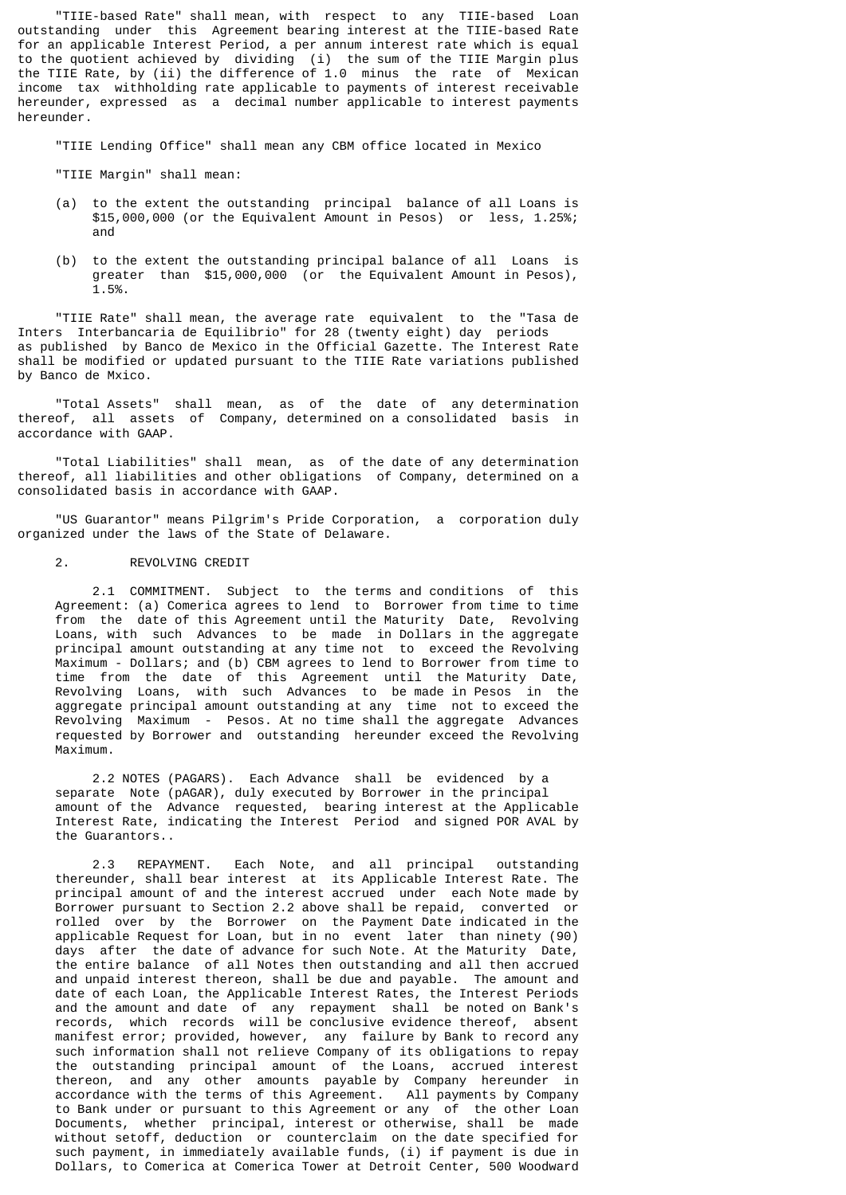"TIIE-based Rate" shall mean, with respect to any TIIE-based Loan outstanding under this Agreement bearing interest at the TIIE-based Rate for an applicable Interest Period, a per annum interest rate which is equal to the quotient achieved by dividing (i) the sum of the TIIE Margin plus the TIIE Rate, by (ii) the difference of 1.0 minus the rate of Mexican income tax withholding rate applicable to payments of interest receivable hereunder, expressed as a decimal number applicable to interest payments hereunder.

"TIIE Lending Office" shall mean any CBM office located in Mexico

"TIIE Margin" shall mean:

- (a) to the extent the outstanding principal balance of all Loans is \$15,000,000 (or the Equivalent Amount in Pesos) or less, 1.25%; and
- (b) to the extent the outstanding principal balance of all Loans is greater than \$15,000,000 (or the Equivalent Amount in Pesos), 1.5%.

 "TIIE Rate" shall mean, the average rate equivalent to the "Tasa de Inters Interbancaria de Equilibrio" for 28 (twenty eight) day periods as published by Banco de Mexico in the Official Gazette. The Interest Rate shall be modified or updated pursuant to the TIIE Rate variations published by Banco de Mxico.

 "Total Assets" shall mean, as of the date of any determination thereof, all assets of Company, determined on a consolidated basis in accordance with GAAP.

 "Total Liabilities" shall mean, as of the date of any determination thereof, all liabilities and other obligations of Company, determined on a consolidated basis in accordance with GAAP.

 "US Guarantor" means Pilgrim's Pride Corporation, a corporation duly organized under the laws of the State of Delaware.

#### 2. REVOLVING CREDIT

 2.1 COMMITMENT. Subject to the terms and conditions of this Agreement: (a) Comerica agrees to lend to Borrower from time to time from the date of this Agreement until the Maturity Date, Revolving Loans, with such Advances to be made in Dollars in the aggregate principal amount outstanding at any time not to exceed the Revolving Maximum - Dollars; and (b) CBM agrees to lend to Borrower from time to time from the date of this Agreement until the Maturity Date, Revolving Loans, with such Advances to be made in Pesos in the aggregate principal amount outstanding at any time not to exceed the Revolving Maximum - Pesos. At no time shall the aggregate Advances requested by Borrower and outstanding hereunder exceed the Revolving Maximum.

 2.2 NOTES (PAGARS). Each Advance shall be evidenced by a separate Note (pAGAR), duly executed by Borrower in the principal amount of the Advance requested, bearing interest at the Applicable Interest Rate, indicating the Interest Period and signed POR AVAL by the Guarantors..

 2.3 REPAYMENT. Each Note, and all principal outstanding thereunder, shall bear interest at its Applicable Interest Rate. The principal amount of and the interest accrued under each Note made by Borrower pursuant to Section 2.2 above shall be repaid, converted or rolled over by the Borrower on the Payment Date indicated in the applicable Request for Loan, but in no event later than ninety (90) days after the date of advance for such Note. At the Maturity Date, the entire balance of all Notes then outstanding and all then accrued and unpaid interest thereon, shall be due and payable. The amount and date of each Loan, the Applicable Interest Rates, the Interest Periods and the amount and date of any repayment shall be noted on Bank's records, which records will be conclusive evidence thereof, absent manifest error; provided, however, any failure by Bank to record any such information shall not relieve Company of its obligations to repay the outstanding principal amount of the Loans, accrued interest thereon, and any other amounts payable by Company hereunder in accordance with the terms of this Agreement. All payments by Company to Bank under or pursuant to this Agreement or any of the other Loan Documents, whether principal, interest or otherwise, shall be made without setoff, deduction or counterclaim on the date specified for such payment, in immediately available funds, (i) if payment is due in Dollars, to Comerica at Comerica Tower at Detroit Center, 500 Woodward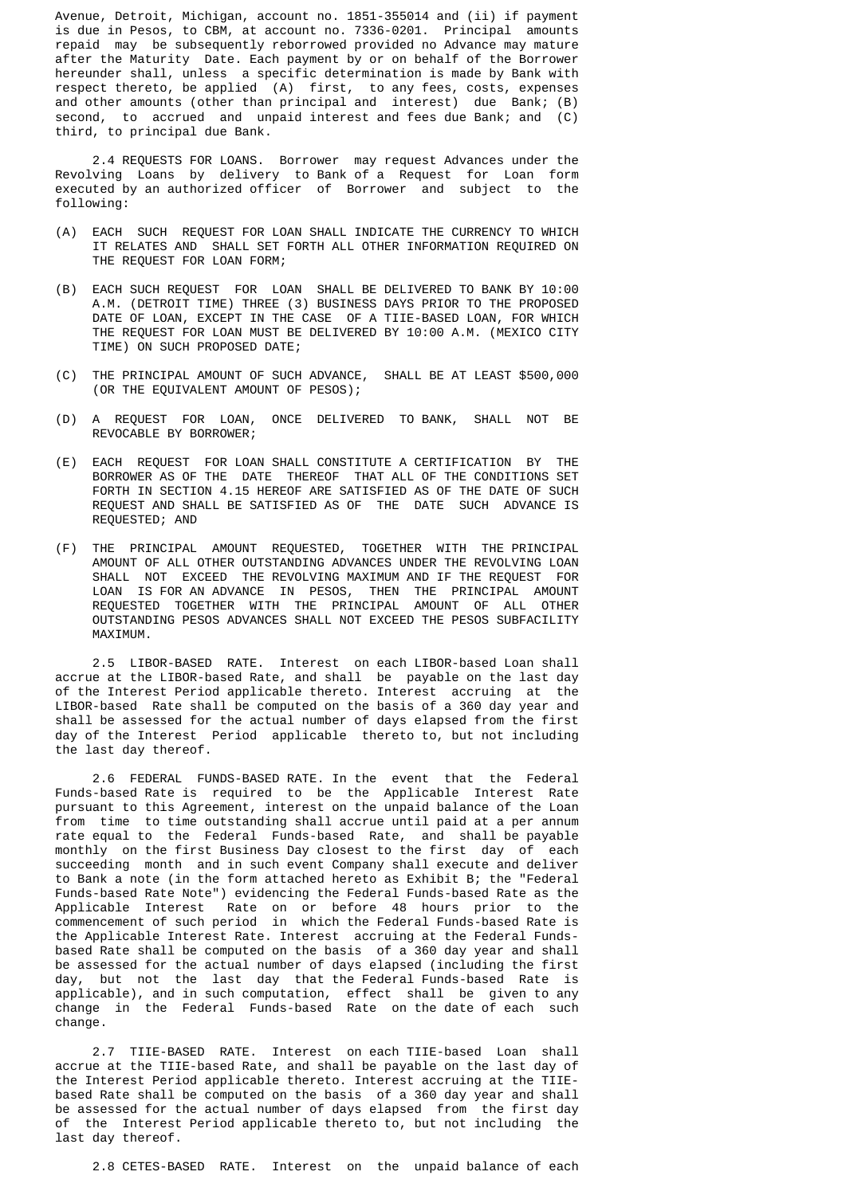Avenue, Detroit, Michigan, account no. 1851-355014 and (ii) if payment is due in Pesos, to CBM, at account no. 7336-0201. Principal amounts repaid may be subsequently reborrowed provided no Advance may mature after the Maturity Date. Each payment by or on behalf of the Borrower hereunder shall, unless a specific determination is made by Bank with respect thereto, be applied (A) first, to any fees, costs, expenses and other amounts (other than principal and interest) due Bank; (B) second, to accrued and unpaid interest and fees due Bank; and (C) third, to principal due Bank.

 2.4 REQUESTS FOR LOANS. Borrower may request Advances under the Revolving Loans by delivery to Bank of a Request for Loan form executed by an authorized officer of Borrower and subject to the following:

- (A) EACH SUCH REQUEST FOR LOAN SHALL INDICATE THE CURRENCY TO WHICH IT RELATES AND SHALL SET FORTH ALL OTHER INFORMATION REQUIRED ON THE REQUEST FOR LOAN FORM;
- (B) EACH SUCH REQUEST FOR LOAN SHALL BE DELIVERED TO BANK BY 10:00 A.M. (DETROIT TIME) THREE (3) BUSINESS DAYS PRIOR TO THE PROPOSED DATE OF LOAN, EXCEPT IN THE CASE OF A TIIE-BASED LOAN, FOR WHICH THE REQUEST FOR LOAN MUST BE DELIVERED BY 10:00 A.M. (MEXICO CITY TIME) ON SUCH PROPOSED DATE;
- (C) THE PRINCIPAL AMOUNT OF SUCH ADVANCE, SHALL BE AT LEAST \$500,000 (OR THE EQUIVALENT AMOUNT OF PESOS);
- (D) A REQUEST FOR LOAN, ONCE DELIVERED TO BANK, SHALL NOT BE REVOCABLE BY BORROWER;
- (E) EACH REQUEST FOR LOAN SHALL CONSTITUTE A CERTIFICATION BY THE BORROWER AS OF THE DATE THEREOF THAT ALL OF THE CONDITIONS SET FORTH IN SECTION 4.15 HEREOF ARE SATISFIED AS OF THE DATE OF SUCH REQUEST AND SHALL BE SATISFIED AS OF THE DATE SUCH ADVANCE IS REQUESTED; AND
- (F) THE PRINCIPAL AMOUNT REQUESTED, TOGETHER WITH THE PRINCIPAL AMOUNT OF ALL OTHER OUTSTANDING ADVANCES UNDER THE REVOLVING LOAN SHALL NOT EXCEED THE REVOLVING MAXIMUM AND IF THE REQUEST FOR LOAN IS FOR AN ADVANCE IN PESOS, THEN THE PRINCIPAL AMOUNT REQUESTED TOGETHER WITH THE PRINCIPAL AMOUNT OF ALL OTHER OUTSTANDING PESOS ADVANCES SHALL NOT EXCEED THE PESOS SUBFACILITY MAXIMUM.

 2.5 LIBOR-BASED RATE. Interest on each LIBOR-based Loan shall accrue at the LIBOR-based Rate, and shall be payable on the last day of the Interest Period applicable thereto. Interest accruing at the LIBOR-based Rate shall be computed on the basis of a 360 day year and shall be assessed for the actual number of days elapsed from the first day of the Interest Period applicable thereto to, but not including the last day thereof.

 2.6 FEDERAL FUNDS-BASED RATE. In the event that the Federal Funds-based Rate is required to be the Applicable Interest Rate pursuant to this Agreement, interest on the unpaid balance of the Loan from time to time outstanding shall accrue until paid at a per annum rate equal to the Federal Funds-based Rate, and shall be payable monthly on the first Business Day closest to the first day of each succeeding month and in such event Company shall execute and deliver to Bank a note (in the form attached hereto as Exhibit B; the "Federal Funds-based Rate Note") evidencing the Federal Funds-based Rate as the Applicable Interest Rate on or before 48 hours prior to the commencement of such period in which the Federal Funds-based Rate is the Applicable Interest Rate. Interest accruing at the Federal Funds based Rate shall be computed on the basis of a 360 day year and shall be assessed for the actual number of days elapsed (including the first day, but not the last day that the Federal Funds-based Rate is applicable), and in such computation, effect shall be given to any change in the Federal Funds-based Rate on the date of each such change.

 2.7 TIIE-BASED RATE. Interest on each TIIE-based Loan shall accrue at the TIIE-based Rate, and shall be payable on the last day of the Interest Period applicable thereto. Interest accruing at the TIIE based Rate shall be computed on the basis of a 360 day year and shall be assessed for the actual number of days elapsed from the first day of the Interest Period applicable thereto to, but not including the last day thereof.

2.8 CETES-BASED RATE. Interest on the unpaid balance of each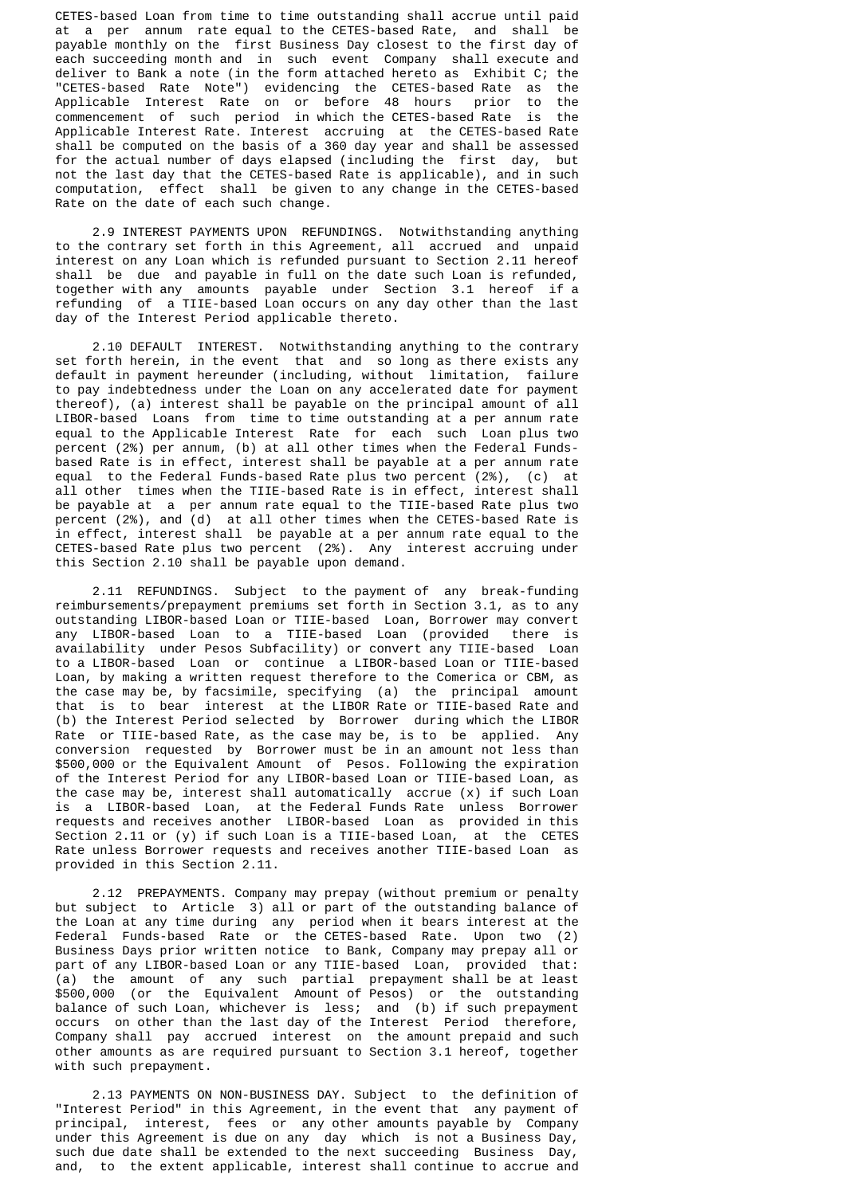CETES-based Loan from time to time outstanding shall accrue until paid at a per annum rate equal to the CETES-based Rate, and shall be payable monthly on the first Business Day closest to the first day of each succeeding month and in such event Company shall execute and deliver to Bank a note (in the form attached hereto as Exhibit C; the "CETES-based Rate Note") evidencing the CETES-based Rate as the Applicable Interest Rate on or before 48 hours prior to the commencement of such period in which the CETES-based Rate is the Applicable Interest Rate. Interest accruing at the CETES-based Rate shall be computed on the basis of a 360 day year and shall be assessed for the actual number of days elapsed (including the first day, but not the last day that the CETES-based Rate is applicable), and in such computation, effect shall be given to any change in the CETES-based Rate on the date of each such change.

 2.9 INTEREST PAYMENTS UPON REFUNDINGS. Notwithstanding anything to the contrary set forth in this Agreement, all accrued and unpaid interest on any Loan which is refunded pursuant to Section 2.11 hereof shall be due and payable in full on the date such Loan is refunded, together with any amounts payable under Section 3.1 hereof if a refunding of a TIIE-based Loan occurs on any day other than the last day of the Interest Period applicable thereto.

 2.10 DEFAULT INTEREST. Notwithstanding anything to the contrary set forth herein, in the event that and so long as there exists any default in payment hereunder (including, without limitation, failure to pay indebtedness under the Loan on any accelerated date for payment thereof), (a) interest shall be payable on the principal amount of all LIBOR-based Loans from time to time outstanding at a per annum rate equal to the Applicable Interest Rate for each such Loan plus two percent (2%) per annum, (b) at all other times when the Federal Funds based Rate is in effect, interest shall be payable at a per annum rate equal to the Federal Funds-based Rate plus two percent (2%), (c) at all other times when the TIIE-based Rate is in effect, interest shall be payable at a per annum rate equal to the TIIE-based Rate plus two percent (2%), and (d) at all other times when the CETES-based Rate is in effect, interest shall be payable at a per annum rate equal to the CETES-based Rate plus two percent (2%). Any interest accruing under this Section 2.10 shall be payable upon demand.

 2.11 REFUNDINGS. Subject to the payment of any break-funding reimbursements/prepayment premiums set forth in Section 3.1, as to any outstanding LIBOR-based Loan or TIIE-based Loan, Borrower may convert any LIBOR-based Loan to a TIIE-based Loan (provided there is availability under Pesos Subfacility) or convert any TIIE-based Loan to a LIBOR-based Loan or continue a LIBOR-based Loan or TIIE-based Loan, by making a written request therefore to the Comerica or CBM, as the case may be, by facsimile, specifying (a) the principal amount that is to bear interest at the LIBOR Rate or TIIE-based Rate and (b) the Interest Period selected by Borrower during which the LIBOR Rate or TIIE-based Rate, as the case may be, is to be applied. Any conversion requested by Borrower must be in an amount not less than \$500,000 or the Equivalent Amount of Pesos. Following the expiration of the Interest Period for any LIBOR-based Loan or TIIE-based Loan, as the case may be, interest shall automatically accrue  $(x)$  if such Loan is a LIBOR-based Loan, at the Federal Funds Rate unless Borrower requests and receives another LIBOR-based Loan as provided in this Section 2.11 or (y) if such Loan is a TIIE-based Loan, at the CETES Rate unless Borrower requests and receives another TIIE-based Loan as provided in this Section 2.11.

 2.12 PREPAYMENTS. Company may prepay (without premium or penalty but subject to Article 3) all or part of the outstanding balance of the Loan at any time during any period when it bears interest at the Federal Funds-based Rate or the CETES-based Rate. Upon two (2) Business Days prior written notice to Bank, Company may prepay all or part of any LIBOR-based Loan or any TIIE-based Loan, provided that: (a) the amount of any such partial prepayment shall be at least \$500,000 (or the Equivalent Amount of Pesos) or the outstanding balance of such Loan, whichever is less; and (b) if such prepayment occurs on other than the last day of the Interest Period therefore, Company shall pay accrued interest on the amount prepaid and such other amounts as are required pursuant to Section 3.1 hereof, together with such prepayment.

 2.13 PAYMENTS ON NON-BUSINESS DAY. Subject to the definition of "Interest Period" in this Agreement, in the event that any payment of principal, interest, fees or any other amounts payable by Company under this Agreement is due on any day which is not a Business Day, such due date shall be extended to the next succeeding Business Day, and, to the extent applicable, interest shall continue to accrue and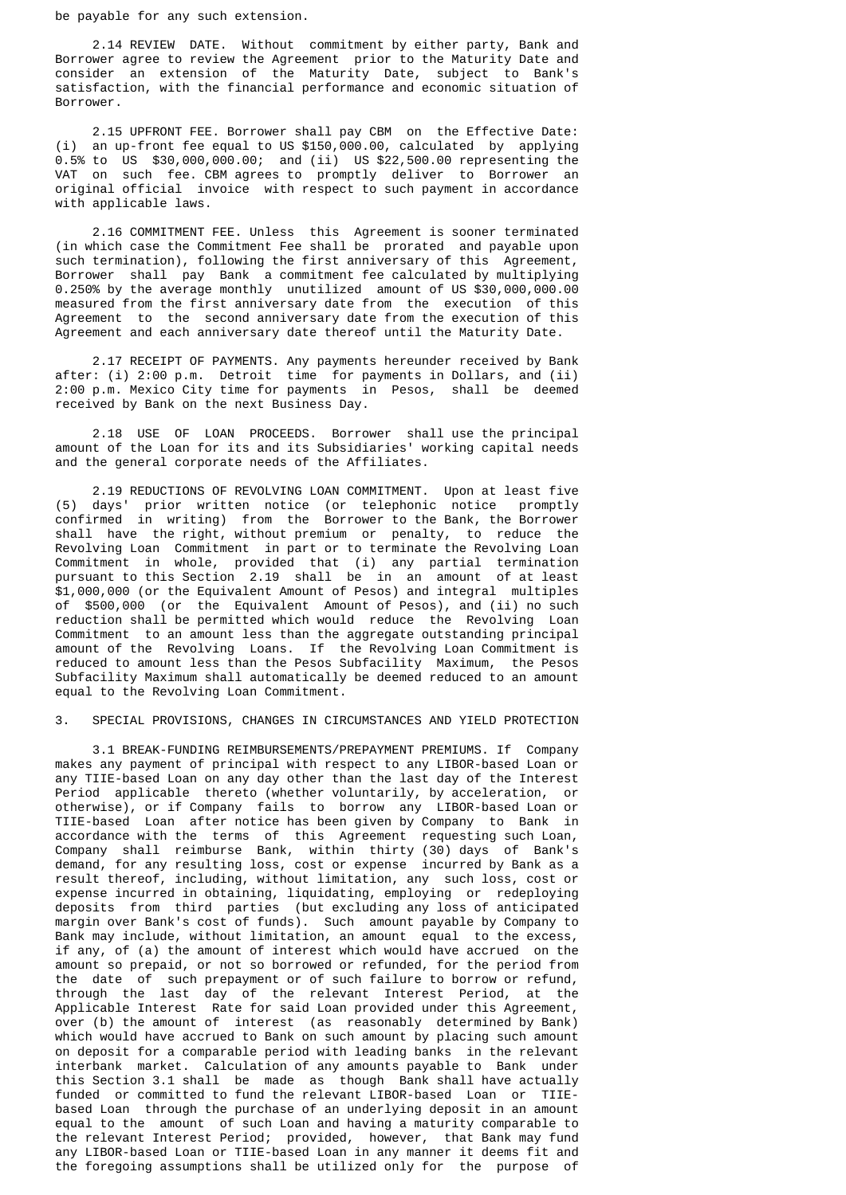be payable for any such extension.

 2.14 REVIEW DATE. Without commitment by either party, Bank and Borrower agree to review the Agreement prior to the Maturity Date and consider an extension of the Maturity Date, subject to Bank's satisfaction, with the financial performance and economic situation of Borrower.

 2.15 UPFRONT FEE. Borrower shall pay CBM on the Effective Date: (i) an up-front fee equal to US \$150,000.00, calculated by applying 0.5% to US \$30,000,000.00; and (ii) US \$22,500.00 representing the VAT on such fee. CBM agrees to promptly deliver to Borrower an original official invoice with respect to such payment in accordance with applicable laws.

 2.16 COMMITMENT FEE. Unless this Agreement is sooner terminated (in which case the Commitment Fee shall be prorated and payable upon such termination), following the first anniversary of this Agreement, Borrower shall pay Bank a commitment fee calculated by multiplying 0.250% by the average monthly unutilized amount of US \$30,000,000.00 measured from the first anniversary date from the execution of this Agreement to the second anniversary date from the execution of this Agreement and each anniversary date thereof until the Maturity Date.

 2.17 RECEIPT OF PAYMENTS. Any payments hereunder received by Bank after: (i) 2:00 p.m. Detroit time for payments in Dollars, and (ii) 2:00 p.m. Mexico City time for payments in Pesos, shall be deemed received by Bank on the next Business Day.

 2.18 USE OF LOAN PROCEEDS. Borrower shall use the principal amount of the Loan for its and its Subsidiaries' working capital needs and the general corporate needs of the Affiliates.

 2.19 REDUCTIONS OF REVOLVING LOAN COMMITMENT. Upon at least five (5) days' prior written notice (or telephonic notice promptly confirmed in writing) from the Borrower to the Bank, the Borrower shall have the right, without premium or penalty, to reduce the Revolving Loan Commitment in part or to terminate the Revolving Loan Commitment in whole, provided that (i) any partial termination pursuant to this Section 2.19 shall be in an amount of at least \$1,000,000 (or the Equivalent Amount of Pesos) and integral multiples of \$500,000 (or the Equivalent Amount of Pesos), and (ii) no such reduction shall be permitted which would reduce the Revolving Loan Commitment to an amount less than the aggregate outstanding principal amount of the Revolving Loans. If the Revolving Loan Commitment is reduced to amount less than the Pesos Subfacility Maximum, the Pesos Subfacility Maximum shall automatically be deemed reduced to an amount equal to the Revolving Loan Commitment.

## 3. SPECIAL PROVISIONS, CHANGES IN CIRCUMSTANCES AND YIELD PROTECTION

 3.1 BREAK-FUNDING REIMBURSEMENTS/PREPAYMENT PREMIUMS. If Company makes any payment of principal with respect to any LIBOR-based Loan or any TIIE-based Loan on any day other than the last day of the Interest Period applicable thereto (whether voluntarily, by acceleration, or otherwise), or if Company fails to borrow any LIBOR-based Loan or TIIE-based Loan after notice has been given by Company to Bank in accordance with the terms of this Agreement requesting such Loan, Company shall reimburse Bank, within thirty (30) days of Bank's demand, for any resulting loss, cost or expense incurred by Bank as a result thereof, including, without limitation, any such loss, cost or expense incurred in obtaining, liquidating, employing or redeploying deposits from third parties (but excluding any loss of anticipated margin over Bank's cost of funds). Such amount payable by Company to Bank may include, without limitation, an amount equal to the excess, if any, of (a) the amount of interest which would have accrued on the amount so prepaid, or not so borrowed or refunded, for the period from the date of such prepayment or of such failure to borrow or refund, through the last day of the relevant Interest Period, at the Applicable Interest Rate for said Loan provided under this Agreement, over (b) the amount of interest (as reasonably determined by Bank) which would have accrued to Bank on such amount by placing such amount on deposit for a comparable period with leading banks in the relevant interbank market. Calculation of any amounts payable to Bank under this Section 3.1 shall be made as though Bank shall have actually funded or committed to fund the relevant LIBOR-based Loan or TIIE based Loan through the purchase of an underlying deposit in an amount equal to the amount of such Loan and having a maturity comparable to the relevant Interest Period; provided, however, that Bank may fund any LIBOR-based Loan or TIIE-based Loan in any manner it deems fit and the foregoing assumptions shall be utilized only for the purpose of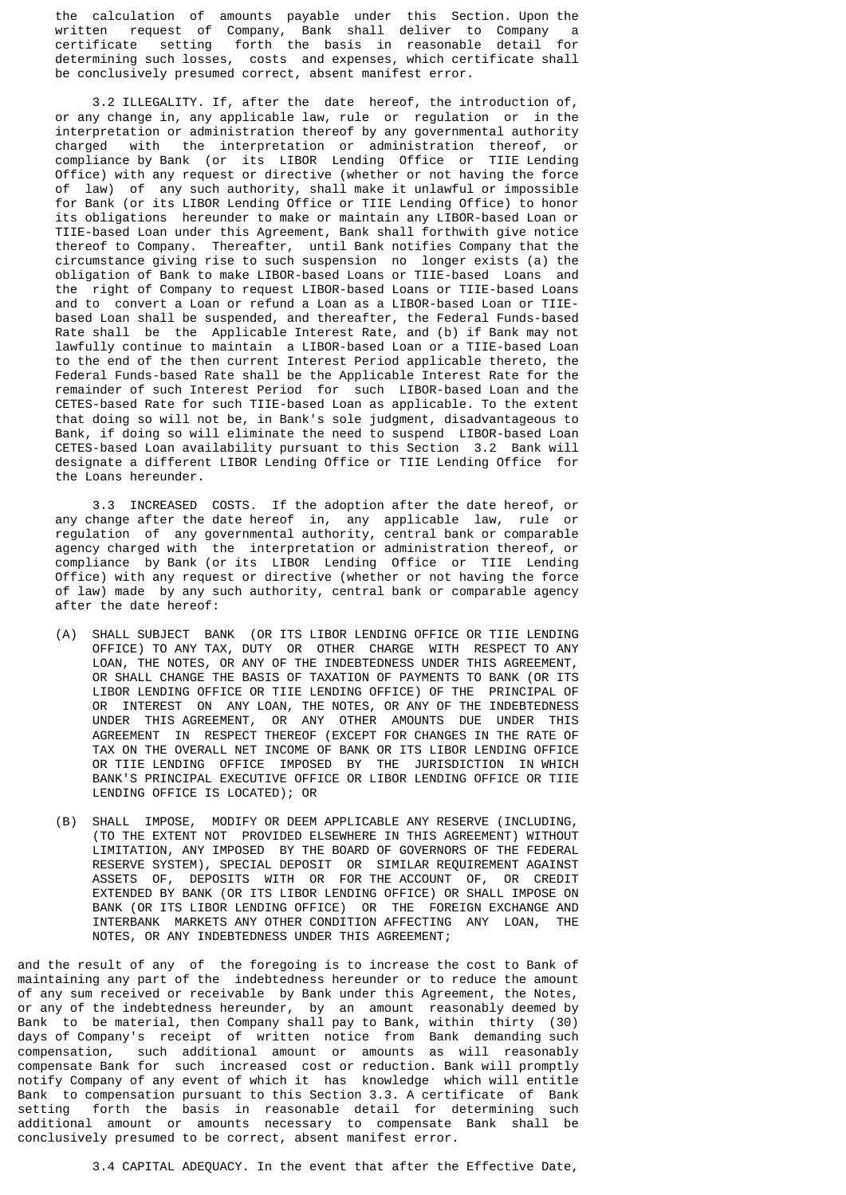the calculation of amounts payable under this Section. Upon the written request of Company, Bank shall deliver to Company a certificate setting forth the basis in reasonable detail for determining such losses, costs and expenses, which certificate shall be conclusively presumed correct, absent manifest error.

 3.2 ILLEGALITY. If, after the date hereof, the introduction of, or any change in, any applicable law, rule or regulation or in the interpretation or administration thereof by any governmental authority charged with the interpretation or administration thereof, or compliance by Bank (or its LIBOR Lending Office or TIIE Lending Office) with any request or directive (whether or not having the force of law) of any such authority, shall make it unlawful or impossible for Bank (or its LIBOR Lending Office or TIIE Lending Office) to honor its obligations hereunder to make or maintain any LIBOR-based Loan or TIIE-based Loan under this Agreement, Bank shall forthwith give notice thereof to Company. Thereafter, until Bank notifies Company that the circumstance giving rise to such suspension no longer exists (a) the obligation of Bank to make LIBOR-based Loans or TIIE-based Loans and the right of Company to request LIBOR-based Loans or TIIE-based Loans and to convert a Loan or refund a Loan as a LIBOR-based Loan or TIIE based Loan shall be suspended, and thereafter, the Federal Funds-based Rate shall be the Applicable Interest Rate, and (b) if Bank may not lawfully continue to maintain a LIBOR-based Loan or a TIIE-based Loan to the end of the then current Interest Period applicable thereto, the Federal Funds-based Rate shall be the Applicable Interest Rate for the remainder of such Interest Period for such LIBOR-based Loan and the CETES-based Rate for such TIIE-based Loan as applicable. To the extent that doing so will not be, in Bank's sole judgment, disadvantageous to Bank, if doing so will eliminate the need to suspend LIBOR-based Loan CETES-based Loan availability pursuant to this Section 3.2 Bank will designate a different LIBOR Lending Office or TIIE Lending Office for the Loans hereunder.

 3.3 INCREASED COSTS. If the adoption after the date hereof, or any change after the date hereof in, any applicable law, rule or regulation of any governmental authority, central bank or comparable agency charged with the interpretation or administration thereof, or compliance by Bank (or its LIBOR Lending Office or TIIE Lending Office) with any request or directive (whether or not having the force of law) made by any such authority, central bank or comparable agency after the date hereof:

- (A) SHALL SUBJECT BANK (OR ITS LIBOR LENDING OFFICE OR TIIE LENDING OFFICE) TO ANY TAX, DUTY OR OTHER CHARGE WITH RESPECT TO ANY LOAN, THE NOTES, OR ANY OF THE INDEBTEDNESS UNDER THIS AGREEMENT, OR SHALL CHANGE THE BASIS OF TAXATION OF PAYMENTS TO BANK (OR ITS LIBOR LENDING OFFICE OR TIIE LENDING OFFICE) OF THE PRINCIPAL OF OR INTEREST ON ANY LOAN, THE NOTES, OR ANY OF THE INDEBTEDNESS UNDER THIS AGREEMENT, OR ANY OTHER AMOUNTS DUE UNDER THIS AGREEMENT IN RESPECT THEREOF (EXCEPT FOR CHANGES IN THE RATE OF TAX ON THE OVERALL NET INCOME OF BANK OR ITS LIBOR LENDING OFFICE OR TIIE LENDING OFFICE IMPOSED BY THE JURISDICTION IN WHICH BANK'S PRINCIPAL EXECUTIVE OFFICE OR LIBOR LENDING OFFICE OR TIIE LENDING OFFICE IS LOCATED); OR
- (B) SHALL IMPOSE, MODIFY OR DEEM APPLICABLE ANY RESERVE (INCLUDING, (TO THE EXTENT NOT PROVIDED ELSEWHERE IN THIS AGREEMENT) WITHOUT LIMITATION, ANY IMPOSED BY THE BOARD OF GOVERNORS OF THE FEDERAL RESERVE SYSTEM), SPECIAL DEPOSIT OR SIMILAR REQUIREMENT AGAINST ASSETS OF, DEPOSITS WITH OR FOR THE ACCOUNT OF, OR CREDIT EXTENDED BY BANK (OR ITS LIBOR LENDING OFFICE) OR SHALL IMPOSE ON BANK (OR ITS LIBOR LENDING OFFICE) OR THE FOREIGN EXCHANGE AND INTERBANK MARKETS ANY OTHER CONDITION AFFECTING ANY LOAN, THE NOTES, OR ANY INDEBTEDNESS UNDER THIS AGREEMENT;

and the result of any of the foregoing is to increase the cost to Bank of maintaining any part of the indebtedness hereunder or to reduce the amount of any sum received or receivable by Bank under this Agreement, the Notes, or any of the indebtedness hereunder, by an amount reasonably deemed by Bank to be material, then Company shall pay to Bank, within thirty (30) days of Company's receipt of written notice from Bank demanding such compensation, such additional amount or amounts as will reasonably compensate Bank for such increased cost or reduction. Bank will promptly notify Company of any event of which it has knowledge which will entitle Bank to compensation pursuant to this Section 3.3. A certificate of Bank setting forth the basis in reasonable detail for determining such additional amount or amounts necessary to compensate Bank shall be conclusively presumed to be correct, absent manifest error.

3.4 CAPITAL ADEQUACY. In the event that after the Effective Date,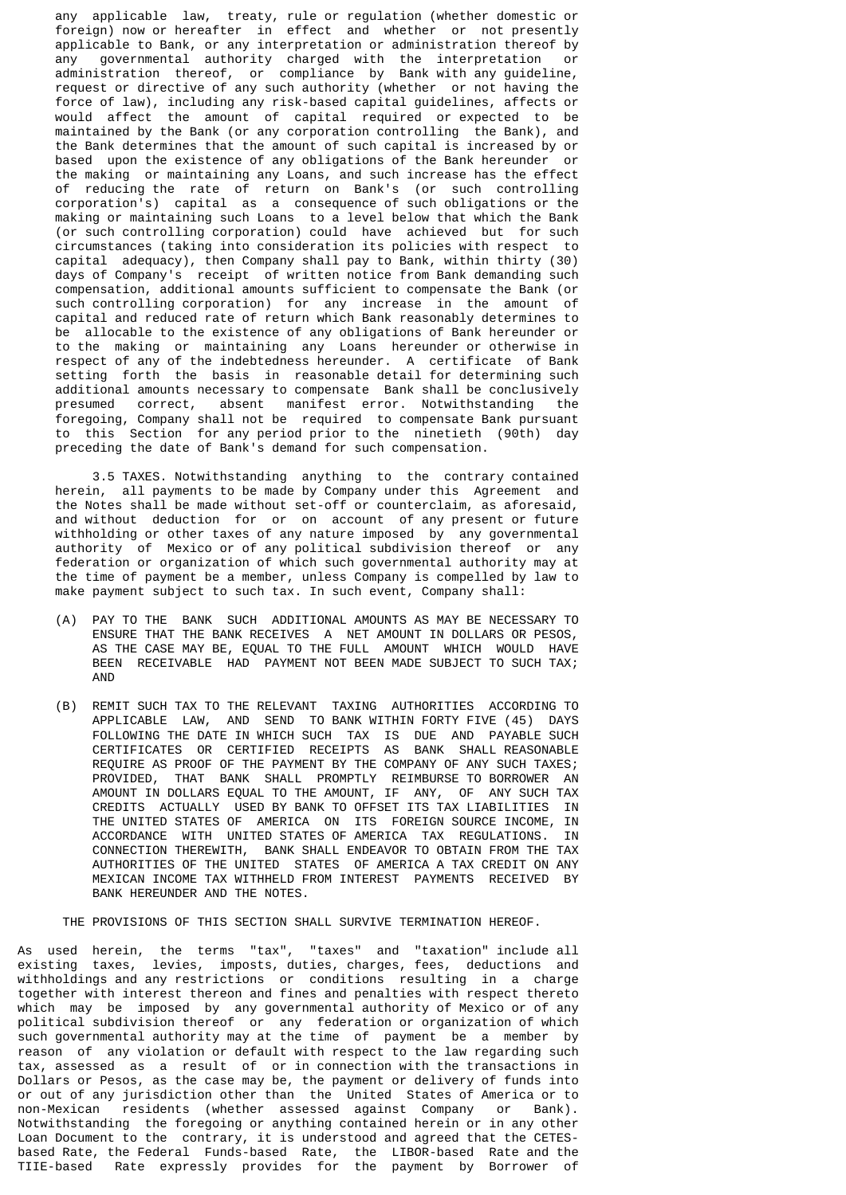any applicable law, treaty, rule or regulation (whether domestic or foreign) now or hereafter in effect and whether or not presently applicable to Bank, or any interpretation or administration thereof by any governmental authority charged with the interpretation or administration thereof, or compliance by Bank with any guideline, request or directive of any such authority (whether or not having the force of law), including any risk-based capital guidelines, affects or would affect the amount of capital required or expected to be maintained by the Bank (or any corporation controlling the Bank), and the Bank determines that the amount of such capital is increased by or based upon the existence of any obligations of the Bank hereunder or the making or maintaining any Loans, and such increase has the effect of reducing the rate of return on Bank's (or such controlling corporation's) capital as a consequence of such obligations or the making or maintaining such Loans to a level below that which the Bank (or such controlling corporation) could have achieved but for such circumstances (taking into consideration its policies with respect to capital adequacy), then Company shall pay to Bank, within thirty (30) days of Company's receipt of written notice from Bank demanding such compensation, additional amounts sufficient to compensate the Bank (or such controlling corporation) for any increase in the amount capital and reduced rate of return which Bank reasonably determines to be allocable to the existence of any obligations of Bank hereunder or to the making or maintaining any Loans hereunder or otherwise in respect of any of the indebtedness hereunder. A certificate of Bank setting forth the basis in reasonable detail for determining such additional amounts necessary to compensate Bank shall be conclusively presumed correct, absent manifest error. Notwithstanding the foregoing, Company shall not be required to compensate Bank pursuant to this Section for any period prior to the ninetieth (90th) day preceding the date of Bank's demand for such compensation.

 3.5 TAXES. Notwithstanding anything to the contrary contained herein, all payments to be made by Company under this Agreement and the Notes shall be made without set-off or counterclaim, as aforesaid, and without deduction for or on account of any present or future withholding or other taxes of any nature imposed by any governmental authority of Mexico or of any political subdivision thereof or any federation or organization of which such governmental authority may at the time of payment be a member, unless Company is compelled by law to make payment subject to such tax. In such event, Company shall:

- (A) PAY TO THE BANK SUCH ADDITIONAL AMOUNTS AS MAY BE NECESSARY TO ENSURE THAT THE BANK RECEIVES A NET AMOUNT IN DOLLARS OR PESOS, AS THE CASE MAY BE, EQUAL TO THE FULL AMOUNT WHICH WOULD HAVE BEEN RECEIVABLE HAD PAYMENT NOT BEEN MADE SUBJECT TO SUCH TAX; AND
- (B) REMIT SUCH TAX TO THE RELEVANT TAXING AUTHORITIES ACCORDING TO APPLICABLE LAW, AND SEND TO BANK WITHIN FORTY FIVE (45) DAYS FOLLOWING THE DATE IN WHICH SUCH TAX IS DUE AND PAYABLE SUCH CERTIFICATES OR CERTIFIED RECEIPTS AS BANK SHALL REASONABLE REQUIRE AS PROOF OF THE PAYMENT BY THE COMPANY OF ANY SUCH TAXES; PROVIDED, THAT BANK SHALL PROMPTLY REIMBURSE TO BORROWER AN AMOUNT IN DOLLARS EQUAL TO THE AMOUNT, IF ANY, OF ANY SUCH TAX CREDITS ACTUALLY USED BY BANK TO OFFSET ITS TAX LIABILITIES IN THE UNITED STATES OF AMERICA ON ITS FOREIGN SOURCE INCOME, IN ACCORDANCE WITH UNITED STATES OF AMERICA TAX REGULATIONS. IN CONNECTION THEREWITH, BANK SHALL ENDEAVOR TO OBTAIN FROM THE TAX AUTHORITIES OF THE UNITED STATES OF AMERICA A TAX CREDIT ON ANY MEXICAN INCOME TAX WITHHELD FROM INTEREST PAYMENTS RECEIVED BY BANK HEREUNDER AND THE NOTES.

THE PROVISIONS OF THIS SECTION SHALL SURVIVE TERMINATION HEREOF.

As used herein, the terms "tax", "taxes" and "taxation" include all existing taxes, levies, imposts, duties, charges, fees, deductions and withholdings and any restrictions or conditions resulting in a charge together with interest thereon and fines and penalties with respect thereto which may be imposed by any governmental authority of Mexico or of any political subdivision thereof or any federation or organization of which such governmental authority may at the time of payment be a member by reason of any violation or default with respect to the law regarding such tax, assessed as a result of or in connection with the transactions in Dollars or Pesos, as the case may be, the payment or delivery of funds into or out of any jurisdiction other than the United States of America or to non-Mexican residents (whether assessed against Company or Bank). Notwithstanding the foregoing or anything contained herein or in any other Loan Document to the contrary, it is understood and agreed that the CETESbased Rate, the Federal Funds-based Rate, the LIBOR-based Rate and the TIIE-based Rate expressly provides for the payment by Borrower of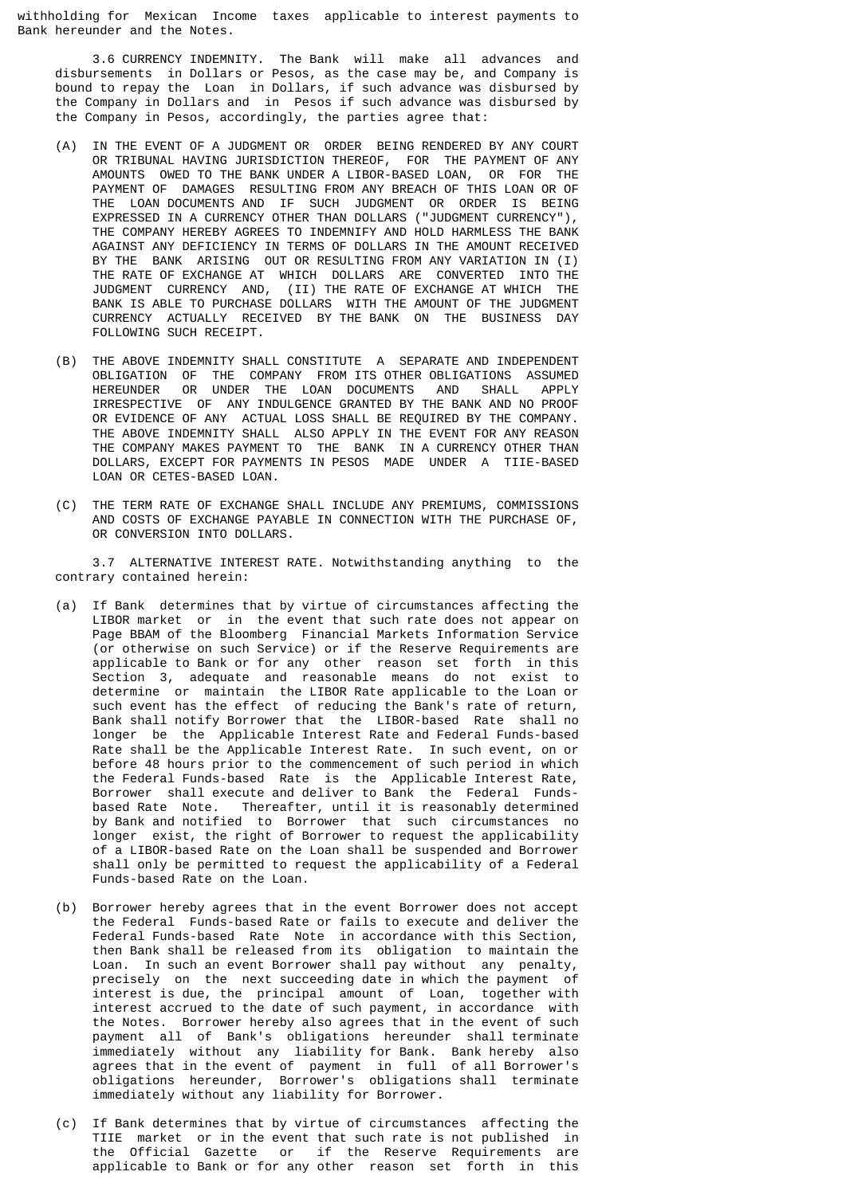withholding for Mexican Income taxes applicable to interest payments to Bank hereunder and the Notes.

 3.6 CURRENCY INDEMNITY. The Bank will make all advances and disbursements in Dollars or Pesos, as the case may be, and Company is bound to repay the Loan in Dollars, if such advance was disbursed by the Company in Dollars and in Pesos if such advance was disbursed by the Company in Pesos, accordingly, the parties agree that:

- (A) IN THE EVENT OF A JUDGMENT OR ORDER BEING RENDERED BY ANY COURT OR TRIBUNAL HAVING JURISDICTION THEREOF, FOR THE PAYMENT OF ANY AMOUNTS OWED TO THE BANK UNDER A LIBOR-BASED LOAN, OR FOR THE PAYMENT OF DAMAGES RESULTING FROM ANY BREACH OF THIS LOAN OR OF THE LOAN DOCUMENTS AND IF SUCH JUDGMENT OR ORDER IS BEING EXPRESSED IN A CURRENCY OTHER THAN DOLLARS ("JUDGMENT CURRENCY"), THE COMPANY HEREBY AGREES TO INDEMNIFY AND HOLD HARMLESS THE BANK AGAINST ANY DEFICIENCY IN TERMS OF DOLLARS IN THE AMOUNT RECEIVED BY THE BANK ARISING OUT OR RESULTING FROM ANY VARIATION IN (I) THE RATE OF EXCHANGE AT WHICH DOLLARS ARE CONVERTED INTO THE JUDGMENT CURRENCY AND, (II) THE RATE OF EXCHANGE AT WHICH THE BANK IS ABLE TO PURCHASE DOLLARS WITH THE AMOUNT OF THE JUDGMENT CURRENCY ACTUALLY RECEIVED BY THE BANK ON THE BUSINESS DAY FOLLOWING SUCH RECEIPT.
- (B) THE ABOVE INDEMNITY SHALL CONSTITUTE A SEPARATE AND INDEPENDENT OBLIGATION OF THE COMPANY FROM ITS OTHER OBLIGATIONS ASSUMED HEREUNDER OR UNDER THE LOAN DOCUMENTS AND SHALL APPLY IRRESPECTIVE OF ANY INDULGENCE GRANTED BY THE BANK AND NO PROOF OR EVIDENCE OF ANY ACTUAL LOSS SHALL BE REQUIRED BY THE COMPANY. THE ABOVE INDEMNITY SHALL ALSO APPLY IN THE EVENT FOR ANY REASON THE COMPANY MAKES PAYMENT TO THE BANK IN A CURRENCY OTHER THAN DOLLARS, EXCEPT FOR PAYMENTS IN PESOS MADE UNDER A TIIE-BASED LOAN OR CETES-BASED LOAN.
	- (C) THE TERM RATE OF EXCHANGE SHALL INCLUDE ANY PREMIUMS, COMMISSIONS AND COSTS OF EXCHANGE PAYABLE IN CONNECTION WITH THE PURCHASE OF, OR CONVERSION INTO DOLLARS.

 3.7 ALTERNATIVE INTEREST RATE. Notwithstanding anything to the contrary contained herein:

- (a) If Bank determines that by virtue of circumstances affecting the LIBOR market or in the event that such rate does not appear on Page BBAM of the Bloomberg Financial Markets Information Service (or otherwise on such Service) or if the Reserve Requirements are applicable to Bank or for any other reason set forth in this Section 3, adequate and reasonable means do not exist to determine or maintain the LIBOR Rate applicable to the Loan or such event has the effect of reducing the Bank's rate of return, Bank shall notify Borrower that the LIBOR-based Rate shall no longer be the Applicable Interest Rate and Federal Funds-based Rate shall be the Applicable Interest Rate. In such event, on or before 48 hours prior to the commencement of such period in which the Federal Funds-based Rate is the Applicable Interest Rate, Borrower shall execute and deliver to Bank the Federal Funds based Rate Note. Thereafter, until it is reasonably determined by Bank and notified to Borrower that such circumstances no longer exist, the right of Borrower to request the applicability of a LIBOR-based Rate on the Loan shall be suspended and Borrower shall only be permitted to request the applicability of a Federal Funds-based Rate on the Loan.
- (b) Borrower hereby agrees that in the event Borrower does not accept the Federal Funds-based Rate or fails to execute and deliver the Federal Funds-based Rate Note in accordance with this Section, then Bank shall be released from its obligation to maintain the Loan. In such an event Borrower shall pay without any penalty, precisely on the next succeeding date in which the payment of interest is due, the principal amount of Loan, together with interest accrued to the date of such payment, in accordance with the Notes. Borrower hereby also agrees that in the event of such payment all of Bank's obligations hereunder shall terminate immediately without any liability for Bank. Bank hereby also agrees that in the event of payment in full of all Borrower's obligations hereunder, Borrower's obligations shall terminate immediately without any liability for Borrower.
	- (c) If Bank determines that by virtue of circumstances affecting the TIIE market or in the event that such rate is not published in the Official Gazette or if the Reserve Requirements are applicable to Bank or for any other reason set forth in this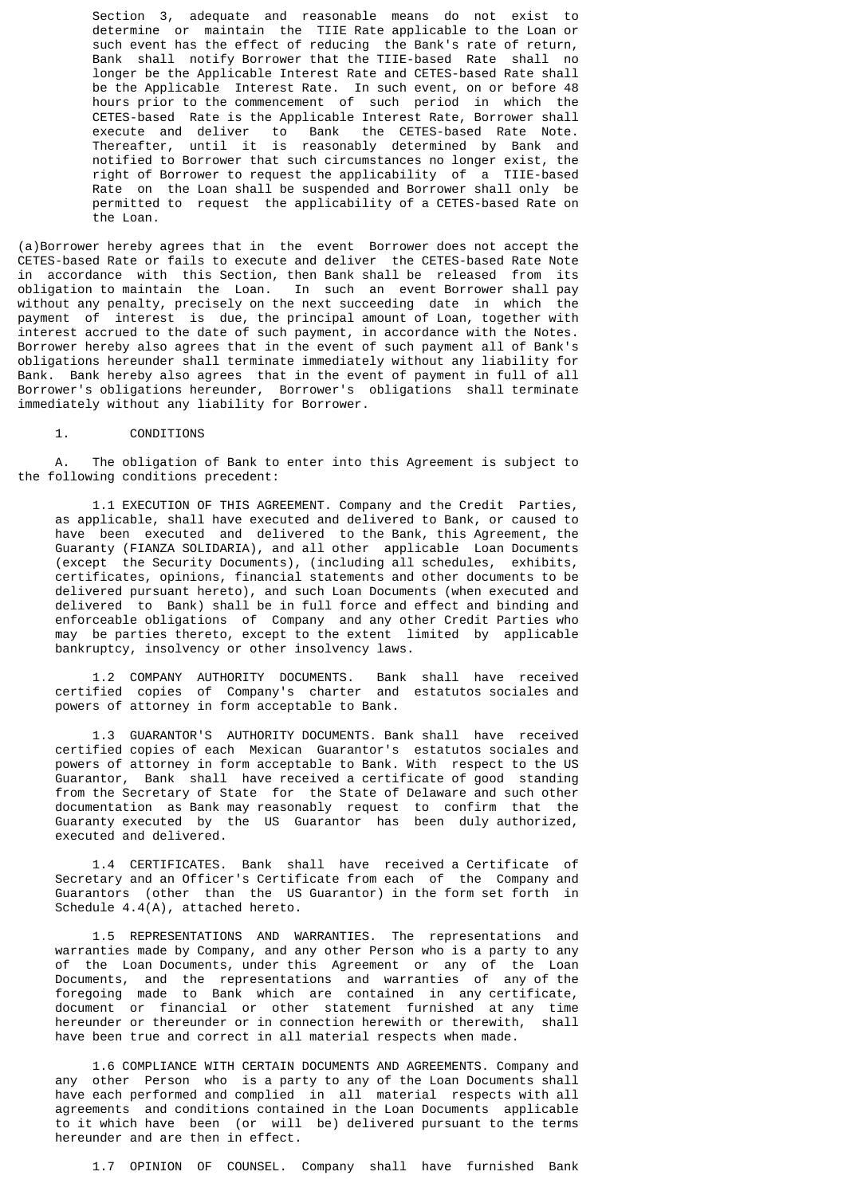Section 3, adequate and reasonable means do not exist to determine or maintain the TIIE Rate applicable to the Loan or such event has the effect of reducing the Bank's rate of return, Bank shall notify Borrower that the TIIE-based Rate shall no longer be the Applicable Interest Rate and CETES-based Rate shall be the Applicable Interest Rate. In such event, on or before 48 hours prior to the commencement of such period in which the CETES-based Rate is the Applicable Interest Rate, Borrower shall execute and deliver to Bank the CETES-based Rate Note. Thereafter, until it is reasonably determined by Bank and notified to Borrower that such circumstances no longer exist, the right of Borrower to request the applicability of a TIIE-based Rate on the Loan shall be suspended and Borrower shall only be permitted to request the applicability of a CETES-based Rate on the Loan.

(a)Borrower hereby agrees that in the event Borrower does not accept the CETES-based Rate or fails to execute and deliver the CETES-based Rate Note in accordance with this Section, then Bank shall be released from its obligation to maintain the Loan. In such an event Borrower shall pay without any penalty, precisely on the next succeeding date in which the payment of interest is due, the principal amount of Loan, together with interest accrued to the date of such payment, in accordance with the Notes. Borrower hereby also agrees that in the event of such payment all of Bank's obligations hereunder shall terminate immediately without any liability for Bank. Bank hereby also agrees that in the event of payment in full of all Borrower's obligations hereunder, Borrower's obligations shall terminate immediately without any liability for Borrower.

1. CONDITIONS

 A. The obligation of Bank to enter into this Agreement is subject to the following conditions precedent:

 1.1 EXECUTION OF THIS AGREEMENT. Company and the Credit Parties, as applicable, shall have executed and delivered to Bank, or caused to have been executed and delivered to the Bank, this Agreement, the Guaranty (FIANZA SOLIDARIA), and all other applicable Loan Documents (except the Security Documents), (including all schedules, exhibits, certificates, opinions, financial statements and other documents to be delivered pursuant hereto), and such Loan Documents (when executed and delivered to Bank) shall be in full force and effect and binding and enforceable obligations of Company and any other Credit Parties who may be parties thereto, except to the extent limited by applicable bankruptcy, insolvency or other insolvency laws.

 1.2 COMPANY AUTHORITY DOCUMENTS. Bank shall have received certified copies of Company's charter and estatutos sociales and powers of attorney in form acceptable to Bank.

 1.3 GUARANTOR'S AUTHORITY DOCUMENTS. Bank shall have received certified copies of each Mexican Guarantor's estatutos sociales and powers of attorney in form acceptable to Bank. With respect to the US Guarantor, Bank shall have received a certificate of good standing from the Secretary of State for the State of Delaware and such other documentation as Bank may reasonably request to confirm that the Guaranty executed by the US Guarantor has been duly authorized, executed and delivered.

 1.4 CERTIFICATES. Bank shall have received a Certificate of Secretary and an Officer's Certificate from each of the Company and Guarantors (other than the US Guarantor) in the form set forth in Schedule 4.4(A), attached hereto.

 1.5 REPRESENTATIONS AND WARRANTIES. The representations and warranties made by Company, and any other Person who is a party to any of the Loan Documents, under this Agreement or any of the Loan Documents, and the representations and warranties of any of the foregoing made to Bank which are contained in any certificate, document or financial or other statement furnished at any time hereunder or thereunder or in connection herewith or therewith, shall have been true and correct in all material respects when made.

 1.6 COMPLIANCE WITH CERTAIN DOCUMENTS AND AGREEMENTS. Company and any other Person who is a party to any of the Loan Documents shall have each performed and complied in all material respects with all agreements and conditions contained in the Loan Documents applicable to it which have been (or will be) delivered pursuant to the terms hereunder and are then in effect.

1.7 OPINION OF COUNSEL. Company shall have furnished Bank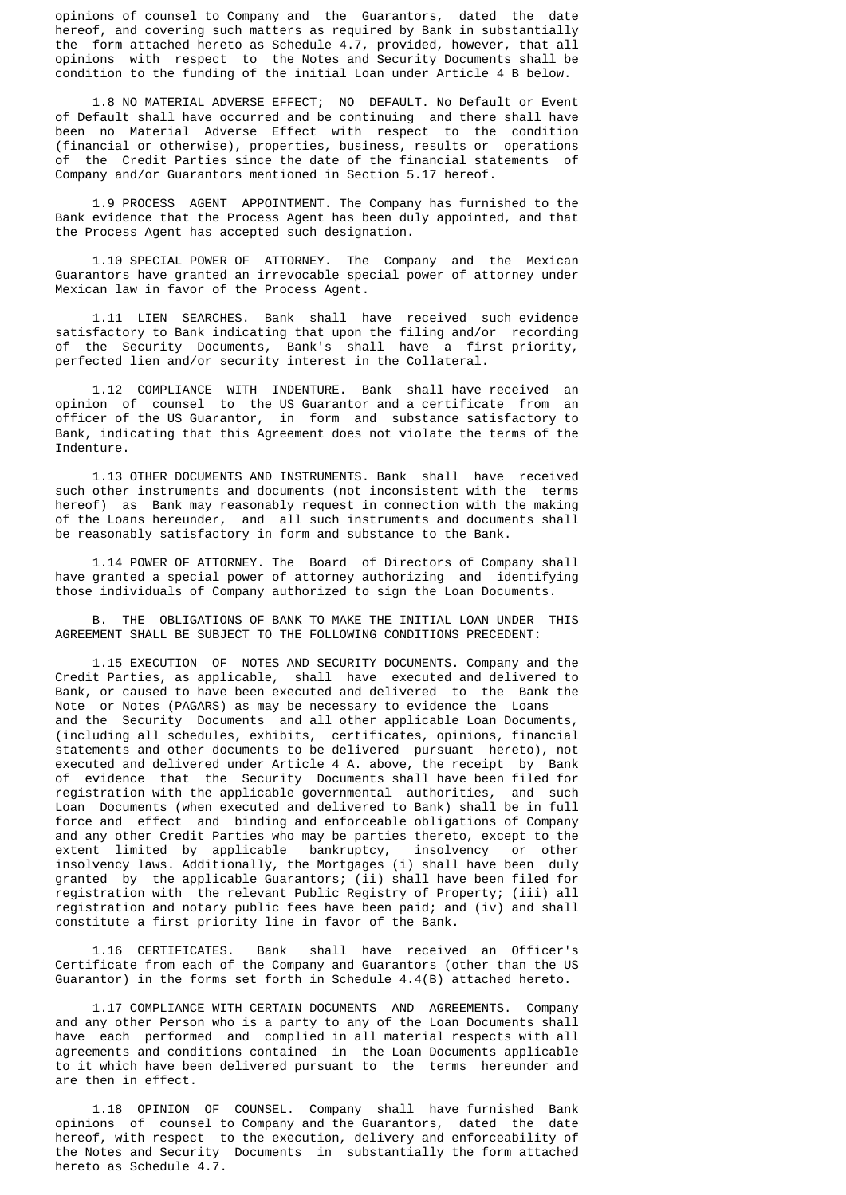opinions of counsel to Company and the Guarantors, dated the date hereof, and covering such matters as required by Bank in substantially the form attached hereto as Schedule 4.7, provided, however, that all opinions with respect to the Notes and Security Documents shall be condition to the funding of the initial Loan under Article 4 B below.

 1.8 NO MATERIAL ADVERSE EFFECT; NO DEFAULT. No Default or Event of Default shall have occurred and be continuing and there shall have been no Material Adverse Effect with respect to the condition (financial or otherwise), properties, business, results or operations of the Credit Parties since the date of the financial statements of Company and/or Guarantors mentioned in Section 5.17 hereof.

 1.9 PROCESS AGENT APPOINTMENT. The Company has furnished to the Bank evidence that the Process Agent has been duly appointed, and that the Process Agent has accepted such designation.

 1.10 SPECIAL POWER OF ATTORNEY. The Company and the Mexican Guarantors have granted an irrevocable special power of attorney under Mexican law in favor of the Process Agent.

 1.11 LIEN SEARCHES. Bank shall have received such evidence satisfactory to Bank indicating that upon the filing and/or recording of the Security Documents, Bank's shall have a first priority, perfected lien and/or security interest in the Collateral.

 1.12 COMPLIANCE WITH INDENTURE. Bank shall have received an opinion of counsel to the US Guarantor and a certificate from an officer of the US Guarantor, in form and substance satisfactory to Bank, indicating that this Agreement does not violate the terms of the Indenture.

 1.13 OTHER DOCUMENTS AND INSTRUMENTS. Bank shall have received such other instruments and documents (not inconsistent with the terms hereof) as Bank may reasonably request in connection with the making of the Loans hereunder, and all such instruments and documents shall be reasonably satisfactory in form and substance to the Bank.

 1.14 POWER OF ATTORNEY. The Board of Directors of Company shall have granted a special power of attorney authorizing and identifying those individuals of Company authorized to sign the Loan Documents.

 B. THE OBLIGATIONS OF BANK TO MAKE THE INITIAL LOAN UNDER THIS AGREEMENT SHALL BE SUBJECT TO THE FOLLOWING CONDITIONS PRECEDENT:

 1.15 EXECUTION OF NOTES AND SECURITY DOCUMENTS. Company and the Credit Parties, as applicable, shall have executed and delivered to Bank, or caused to have been executed and delivered to the Bank the Note or Notes (PAGARS) as may be necessary to evidence the Loans and the Security Documents and all other applicable Loan Documents, (including all schedules, exhibits, certificates, opinions, financial statements and other documents to be delivered pursuant hereto), not executed and delivered under Article 4 A. above, the receipt by Bank of evidence that the Security Documents shall have been filed for registration with the applicable governmental authorities, and such Loan Documents (when executed and delivered to Bank) shall be in full force and effect and binding and enforceable obligations of Company and any other Credit Parties who may be parties thereto, except to the extent limited by applicable bankruptcy, insolvency or other insolvency laws. Additionally, the Mortgages (i) shall have been duly granted by the applicable Guarantors; (ii) shall have been filed for registration with the relevant Public Registry of Property; (iii) all registration and notary public fees have been paid; and (iv) and shall constitute a first priority line in favor of the Bank.

 1.16 CERTIFICATES. Bank shall have received an Officer's Certificate from each of the Company and Guarantors (other than the US Guarantor) in the forms set forth in Schedule 4.4(B) attached hereto.

 1.17 COMPLIANCE WITH CERTAIN DOCUMENTS AND AGREEMENTS. Company and any other Person who is a party to any of the Loan Documents shall have each performed and complied in all material respects with all agreements and conditions contained in the Loan Documents applicable to it which have been delivered pursuant to the terms hereunder and are then in effect.

 1.18 OPINION OF COUNSEL. Company shall have furnished Bank opinions of counsel to Company and the Guarantors, dated the date hereof, with respect to the execution, delivery and enforceability of the Notes and Security Documents in substantially the form attached hereto as Schedule 4.7.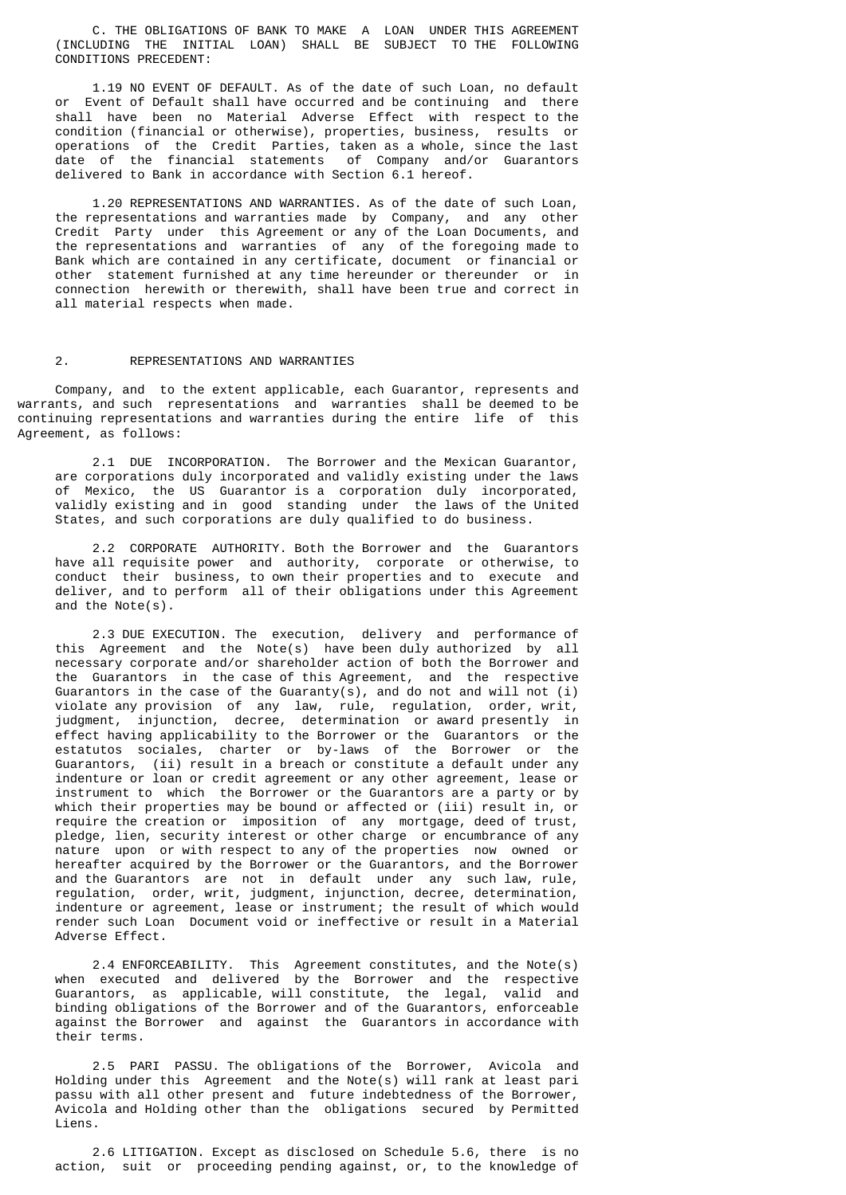C. THE OBLIGATIONS OF BANK TO MAKE A LOAN UNDER THIS AGREEMENT (INCLUDING THE INITIAL LOAN) SHALL BE SUBJECT TO THE FOLLOWING CONDITIONS PRECEDENT:

 1.19 NO EVENT OF DEFAULT. As of the date of such Loan, no default or Event of Default shall have occurred and be continuing and there shall have been no Material Adverse Effect with respect to the condition (financial or otherwise), properties, business, results or operations of the Credit Parties, taken as a whole, since the last date of the financial statements of Company and/or Guarantors delivered to Bank in accordance with Section 6.1 hereof.

 1.20 REPRESENTATIONS AND WARRANTIES. As of the date of such Loan, the representations and warranties made by Company, and any other Credit Party under this Agreement or any of the Loan Documents, and the representations and warranties of any of the foregoing made to Bank which are contained in any certificate, document or financial or other statement furnished at any time hereunder or thereunder or in connection herewith or therewith, shall have been true and correct in all material respects when made.

#### 2. REPRESENTATIONS AND WARRANTIES

 Company, and to the extent applicable, each Guarantor, represents and warrants, and such representations and warranties shall be deemed to be continuing representations and warranties during the entire life of this Agreement, as follows:

 2.1 DUE INCORPORATION. The Borrower and the Mexican Guarantor, are corporations duly incorporated and validly existing under the laws of Mexico, the US Guarantor is a corporation duly incorporated, validly existing and in good standing under the laws of the United States, and such corporations are duly qualified to do business.

 2.2 CORPORATE AUTHORITY. Both the Borrower and the Guarantors have all requisite power and authority, corporate or otherwise, to conduct their business, to own their properties and to execute and deliver, and to perform all of their obligations under this Agreement and the Note(s).

 2.3 DUE EXECUTION. The execution, delivery and performance of this Agreement and the Note(s) have been duly authorized by all necessary corporate and/or shareholder action of both the Borrower and the Guarantors in the case of this Agreement, and the respective Guarantors in the case of the Guaranty(s), and do not and will not (i) violate any provision of any law, rule, regulation, order, writ, judgment, injunction, decree, determination or award presently in effect having applicability to the Borrower or the Guarantors or the estatutos sociales, charter or by-laws of the Borrower or the Guarantors, (ii) result in a breach or constitute a default under any indenture or loan or credit agreement or any other agreement, lease or instrument to which the Borrower or the Guarantors are a party or by which their properties may be bound or affected or (iii) result in, or require the creation or imposition of any mortgage, deed of trust, pledge, lien, security interest or other charge or encumbrance of any nature upon or with respect to any of the properties now owned or hereafter acquired by the Borrower or the Guarantors, and the Borrower and the Guarantors are not in default under any such law, rule, regulation, order, writ, judgment, injunction, decree, determination, indenture or agreement, lease or instrument; the result of which would render such Loan Document void or ineffective or result in a Material Adverse Effect.

 2.4 ENFORCEABILITY. This Agreement constitutes, and the Note(s) when executed and delivered by the Borrower and the respective Guarantors, as applicable, will constitute, the legal, valid and binding obligations of the Borrower and of the Guarantors, enforceable against the Borrower and against the Guarantors in accordance with their terms.

 2.5 PARI PASSU. The obligations of the Borrower, Avicola and Holding under this Agreement and the Note(s) will rank at least pari passu with all other present and future indebtedness of the Borrower, Avicola and Holding other than the obligations secured by Permitted Liens.

 2.6 LITIGATION. Except as disclosed on Schedule 5.6, there is no action, suit or proceeding pending against, or, to the knowledge of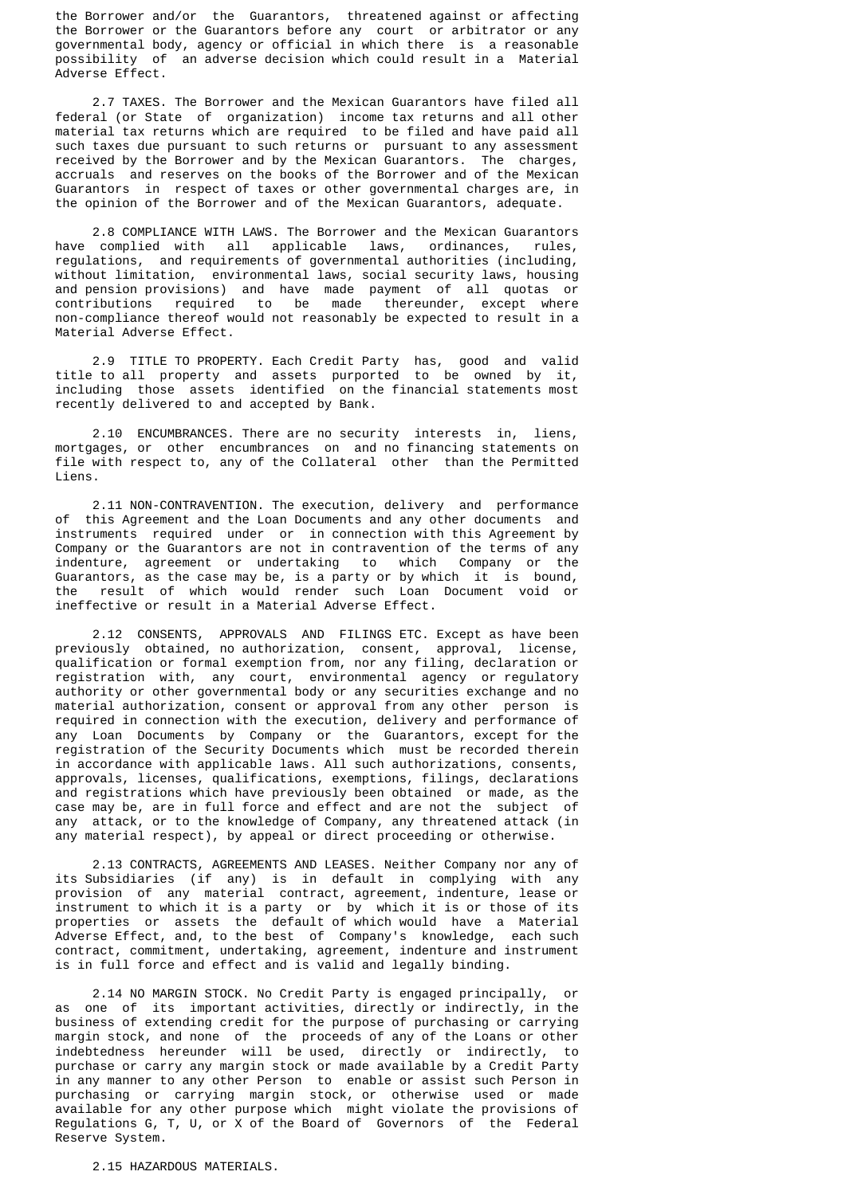the Borrower and/or the Guarantors, threatened against or affecting the Borrower or the Guarantors before any court or arbitrator or any governmental body, agency or official in which there is a reasonable possibility of an adverse decision which could result in a Material Adverse Effect.

 2.7 TAXES. The Borrower and the Mexican Guarantors have filed all federal (or State of organization) income tax returns and all other material tax returns which are required to be filed and have paid all such taxes due pursuant to such returns or pursuant to any assessment received by the Borrower and by the Mexican Guarantors. The charges, accruals and reserves on the books of the Borrower and of the Mexican Guarantors in respect of taxes or other governmental charges are, in the opinion of the Borrower and of the Mexican Guarantors, adequate.

2.8 COMPLIANCE WITH LAWS. The Borrower and the Mexican Guarantors<br>complied with all applicable laws, ordinances, rules, have complied with all applicable laws, ordinances, rules, regulations, and requirements of governmental authorities (including, without limitation, environmental laws, social security laws, housing and pension provisions) and have made payment of all quotas or contributions required to be made thereunder, except where non-compliance thereof would not reasonably be expected to result in a Material Adverse Effect.

 2.9 TITLE TO PROPERTY. Each Credit Party has, good and valid title to all property and assets purported to be owned by it, including those assets identified on the financial statements most recently delivered to and accepted by Bank.

 2.10 ENCUMBRANCES. There are no security interests in, liens, mortgages, or other encumbrances on and no financing statements on file with respect to, any of the Collateral other than the Permitted Liens.

 2.11 NON-CONTRAVENTION. The execution, delivery and performance of this Agreement and the Loan Documents and any other documents and instruments required under or in connection with this Agreement by Company or the Guarantors are not in contravention of the terms of any indenture, agreement or undertaking to which Company or the Guarantors, as the case may be, is a party or by which it is bound, the result of which would render such Loan Document void or ineffective or result in a Material Adverse Effect.

 2.12 CONSENTS, APPROVALS AND FILINGS ETC. Except as have been previously obtained, no authorization, consent, approval, license, qualification or formal exemption from, nor any filing, declaration or registration with, any court, environmental agency or regulatory authority or other governmental body or any securities exchange and no material authorization, consent or approval from any other person is required in connection with the execution, delivery and performance of any Loan Documents by Company or the Guarantors, except for the registration of the Security Documents which must be recorded therein in accordance with applicable laws. All such authorizations, consents, approvals, licenses, qualifications, exemptions, filings, declarations and registrations which have previously been obtained or made, as the case may be, are in full force and effect and are not the subject of any attack, or to the knowledge of Company, any threatened attack (in any material respect), by appeal or direct proceeding or otherwise.

 2.13 CONTRACTS, AGREEMENTS AND LEASES. Neither Company nor any of its Subsidiaries (if any) is in default in complying with any provision of any material contract, agreement, indenture, lease or instrument to which it is a party or by which it is or those of its properties or assets the default of which would have a Material Adverse Effect, and, to the best of Company's knowledge, each such contract, commitment, undertaking, agreement, indenture and instrument is in full force and effect and is valid and legally binding.

 2.14 NO MARGIN STOCK. No Credit Party is engaged principally, or as one of its important activities, directly or indirectly, in the business of extending credit for the purpose of purchasing or carrying margin stock, and none of the proceeds of any of the Loans or other indebtedness hereunder will be used, directly or indirectly, to purchase or carry any margin stock or made available by a Credit Party in any manner to any other Person to enable or assist such Person in purchasing or carrying margin stock, or otherwise used or made available for any other purpose which might violate the provisions of Regulations G, T, U, or X of the Board of Governors of the Federal Reserve System.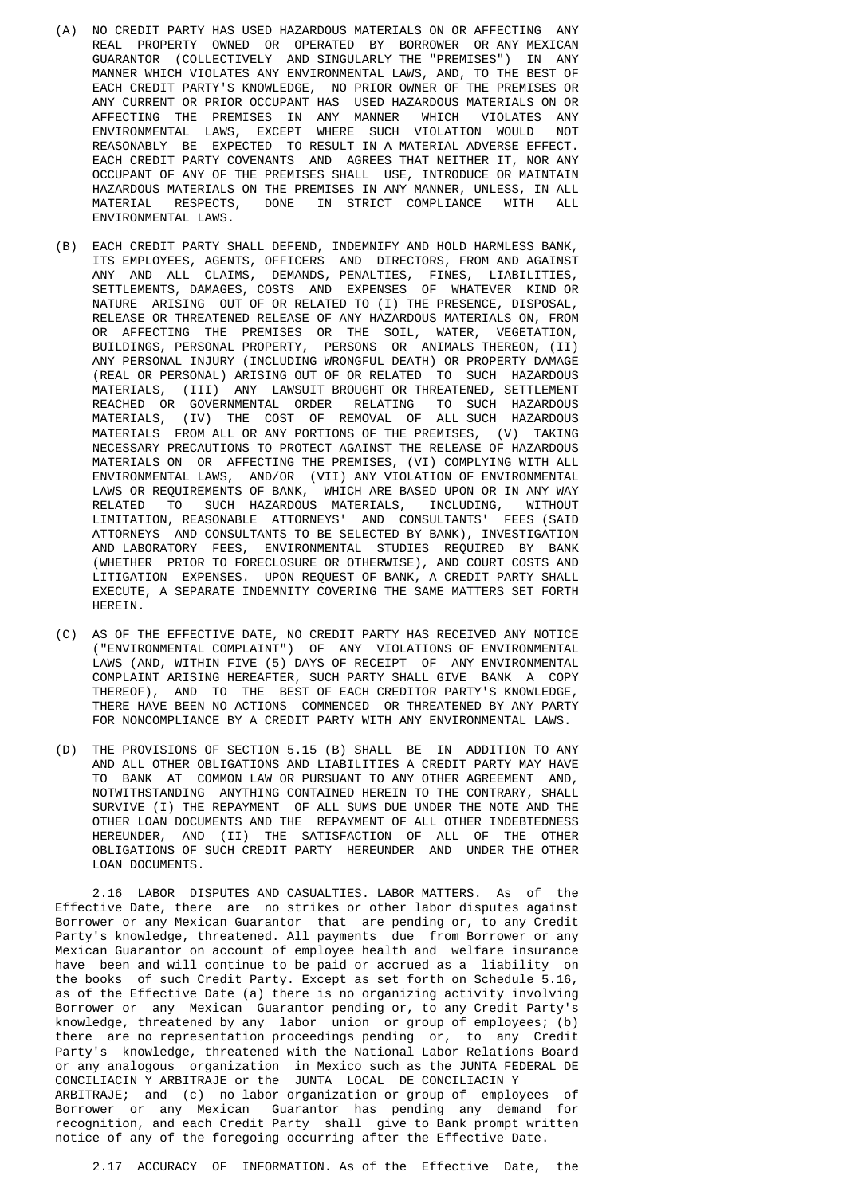- (A) NO CREDIT PARTY HAS USED HAZARDOUS MATERIALS ON OR AFFECTING ANY REAL PROPERTY OWNED OR OPERATED BY BORROWER OR ANY MEXICAN GUARANTOR (COLLECTIVELY AND SINGULARLY THE "PREMISES") IN ANY MANNER WHICH VIOLATES ANY ENVIRONMENTAL LAWS, AND, TO THE BEST OF EACH CREDIT PARTY'S KNOWLEDGE, NO PRIOR OWNER OF THE PREMISES OR ANY CURRENT OR PRIOR OCCUPANT HAS USED HAZARDOUS MATERIALS ON OR AFFECTING THE PREMISES IN ANY MANNER WHICH VIOLATES ANY ENVIRONMENTAL LAWS, EXCEPT WHERE SUCH VIOLATION WOULD REASONABLY BE EXPECTED TO RESULT IN A MATERIAL ADVERSE EFFECT. EACH CREDIT PARTY COVENANTS AND AGREES THAT NEITHER IT, NOR ANY OCCUPANT OF ANY OF THE PREMISES SHALL USE, INTRODUCE OR MAINTAIN HAZARDOUS MATERIALS ON THE PREMISES IN ANY MANNER, UNLESS, IN ALL MATERIAL RESPECTS, DONE IN STRICT COMPLIANCE WITH ALL ENVIRONMENTAL LAWS.
- (B) EACH CREDIT PARTY SHALL DEFEND, INDEMNIFY AND HOLD HARMLESS BANK, ITS EMPLOYEES, AGENTS, OFFICERS AND DIRECTORS, FROM AND AGAINST ANY AND ALL CLAIMS, DEMANDS, PENALTIES, FINES, LIABILITIES, SETTLEMENTS, DAMAGES, COSTS AND EXPENSES OF WHATEVER KIND OR NATURE ARISING OUT OF OR RELATED TO (I) THE PRESENCE, DISPOSAL, RELEASE OR THREATENED RELEASE OF ANY HAZARDOUS MATERIALS ON, FROM OR AFFECTING THE PREMISES OR THE SOIL, WATER, VEGETATION, BUILDINGS, PERSONAL PROPERTY, PERSONS OR ANIMALS THEREON, (II) ANY PERSONAL INJURY (INCLUDING WRONGFUL DEATH) OR PROPERTY DAMAGE (REAL OR PERSONAL) ARISING OUT OF OR RELATED TO SUCH HAZARDOUS MATERIALS, (III) ANY LAWSUIT BROUGHT OR THREATENED, SETTLEMENT REACHED OR GOVERNMENTAL ORDER RELATING TO SUCH HAZARDOUS MATERIALS, (IV) THE COST OF REMOVAL OF ALL SUCH HAZARDOUS MATERIALS FROM ALL OR ANY PORTIONS OF THE PREMISES, (V) TAKING NECESSARY PRECAUTIONS TO PROTECT AGAINST THE RELEASE OF HAZARDOUS MATERIALS ON OR AFFECTING THE PREMISES, (VI) COMPLYING WITH ALL ENVIRONMENTAL LAWS, AND/OR (VII) ANY VIOLATION OF ENVIRONMENTAL LAWS OR REQUIREMENTS OF BANK, WHICH ARE BASED UPON OR IN ANY WAY RELATED TO SUCH HAZARDOUS MATERIALS, INCLUDING, WITHOUT LIMITATION, REASONABLE ATTORNEYS' AND CONSULTANTS' FEES (SAID ATTORNEYS AND CONSULTANTS TO BE SELECTED BY BANK), INVESTIGATION AND LABORATORY FEES, ENVIRONMENTAL STUDIES REQUIRED BY BANK (WHETHER PRIOR TO FORECLOSURE OR OTHERWISE), AND COURT COSTS AND LITIGATION EXPENSES. UPON REQUEST OF BANK, A CREDIT PARTY SHALL EXECUTE, A SEPARATE INDEMNITY COVERING THE SAME MATTERS SET FORTH HEREIN.
	- (C) AS OF THE EFFECTIVE DATE, NO CREDIT PARTY HAS RECEIVED ANY NOTICE ("ENVIRONMENTAL COMPLAINT") OF ANY VIOLATIONS OF ENVIRONMENTAL LAWS (AND, WITHIN FIVE (5) DAYS OF RECEIPT OF ANY ENVIRONMENTAL COMPLAINT ARISING HEREAFTER, SUCH PARTY SHALL GIVE BANK A COPY THEREOF), AND TO THE BEST OF EACH CREDITOR PARTY'S KNOWLEDGE, THERE HAVE BEEN NO ACTIONS COMMENCED OR THREATENED BY ANY PARTY FOR NONCOMPLIANCE BY A CREDIT PARTY WITH ANY ENVIRONMENTAL LAWS.
	- (D) THE PROVISIONS OF SECTION 5.15 (B) SHALL BE IN ADDITION TO ANY AND ALL OTHER OBLIGATIONS AND LIABILITIES A CREDIT PARTY MAY HAVE TO BANK AT COMMON LAW OR PURSUANT TO ANY OTHER AGREEMENT AND, NOTWITHSTANDING ANYTHING CONTAINED HEREIN TO THE CONTRARY, SHALL SURVIVE (I) THE REPAYMENT OF ALL SUMS DUE UNDER THE NOTE AND THE OTHER LOAN DOCUMENTS AND THE REPAYMENT OF ALL OTHER INDEBTEDNESS HEREUNDER, AND (II) THE SATISFACTION OF ALL OF THE OTHER OBLIGATIONS OF SUCH CREDIT PARTY HEREUNDER AND UNDER THE OTHER LOAN DOCUMENTS.

 2.16 LABOR DISPUTES AND CASUALTIES. LABOR MATTERS. As of the Effective Date, there are no strikes or other labor disputes against Borrower or any Mexican Guarantor that are pending or, to any Credit Party's knowledge, threatened. All payments due from Borrower or any Mexican Guarantor on account of employee health and welfare insurance have been and will continue to be paid or accrued as a liability on the books of such Credit Party. Except as set forth on Schedule 5.16, as of the Effective Date (a) there is no organizing activity involving Borrower or any Mexican Guarantor pending or, to any Credit Party's knowledge, threatened by any labor union or group of employees; (b) there are no representation proceedings pending or, to any Credit Party's knowledge, threatened with the National Labor Relations Board or any analogous organization in Mexico such as the JUNTA FEDERAL DE CONCILIACIN Y ARBITRAJE or the JUNTA LOCAL DE CONCILIACIN Y ARBITRAJE; and (c) no labor organization or group of employees of Borrower or any Mexican Guarantor has pending any demand for recognition, and each Credit Party shall give to Bank prompt written notice of any of the foregoing occurring after the Effective Date.

2.17 ACCURACY OF INFORMATION. As of the Effective Date, the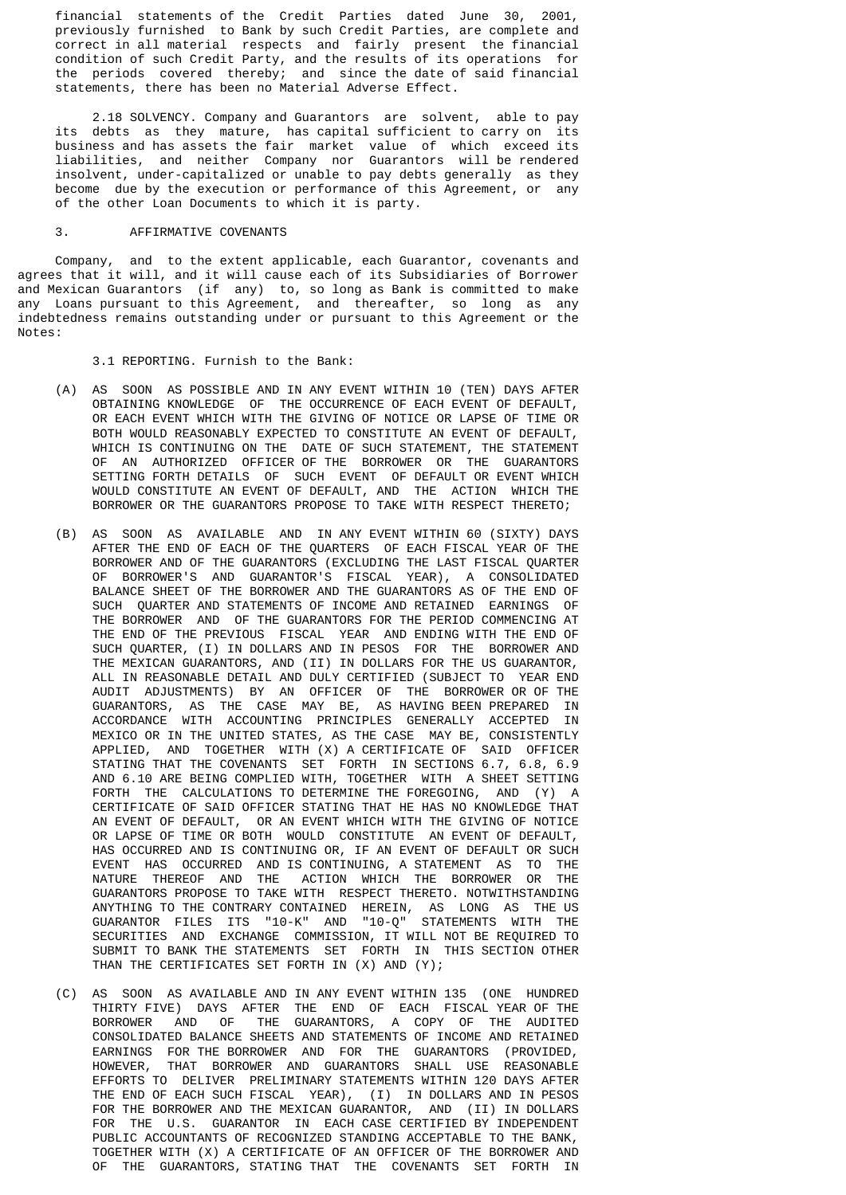financial statements of the Credit Parties dated June 30, 2001, previously furnished to Bank by such Credit Parties, are complete and correct in all material respects and fairly present the financial condition of such Credit Party, and the results of its operations for the periods covered thereby; and since the date of said financial statements, there has been no Material Adverse Effect.

 2.18 SOLVENCY. Company and Guarantors are solvent, able to pay its debts as they mature, has capital sufficient to carry on its business and has assets the fair market value of which exceed its liabilities, and neither Company nor Guarantors will be rendered insolvent, under-capitalized or unable to pay debts generally as they become due by the execution or performance of this Agreement, or any of the other Loan Documents to which it is party.

#### 3. AFFIRMATIVE COVENANTS

 Company, and to the extent applicable, each Guarantor, covenants and agrees that it will, and it will cause each of its Subsidiaries of Borrower and Mexican Guarantors (if any) to, so long as Bank is committed to make any Loans pursuant to this Agreement, and thereafter, so long as any indebtedness remains outstanding under or pursuant to this Agreement or the Notes:

3.1 REPORTING. Furnish to the Bank:

- (A) AS SOON AS POSSIBLE AND IN ANY EVENT WITHIN 10 (TEN) DAYS AFTER OBTAINING KNOWLEDGE OF THE OCCURRENCE OF EACH EVENT OF DEFAULT, OR EACH EVENT WHICH WITH THE GIVING OF NOTICE OR LAPSE OF TIME OR BOTH WOULD REASONABLY EXPECTED TO CONSTITUTE AN EVENT OF DEFAULT, WHICH IS CONTINUING ON THE DATE OF SUCH STATEMENT, THE STATEMENT OF AN AUTHORIZED OFFICER OF THE BORROWER OR THE GUARANTORS SETTING FORTH DETAILS OF SUCH EVENT OF DEFAULT OR EVENT WHICH WOULD CONSTITUTE AN EVENT OF DEFAULT, AND THE ACTION WHICH THE BORROWER OR THE GUARANTORS PROPOSE TO TAKE WITH RESPECT THERETO;
- (B) AS SOON AS AVAILABLE AND IN ANY EVENT WITHIN 60 (SIXTY) DAYS AFTER THE END OF EACH OF THE QUARTERS OF EACH FISCAL YEAR OF THE BORROWER AND OF THE GUARANTORS (EXCLUDING THE LAST FISCAL QUARTER OF BORROWER'S AND GUARANTOR'S FISCAL YEAR), A CONSOLIDATED BALANCE SHEET OF THE BORROWER AND THE GUARANTORS AS OF THE END OF SUCH QUARTER AND STATEMENTS OF INCOME AND RETAINED EARNINGS OF THE BORROWER AND OF THE GUARANTORS FOR THE PERIOD COMMENCING AT THE END OF THE PREVIOUS FISCAL YEAR AND ENDING WITH THE END OF SUCH QUARTER, (I) IN DOLLARS AND IN PESOS FOR THE BORROWER AND THE MEXICAN GUARANTORS, AND (II) IN DOLLARS FOR THE US GUARANTOR, ALL IN REASONABLE DETAIL AND DULY CERTIFIED (SUBJECT TO YEAR END AUDIT ADJUSTMENTS) BY AN OFFICER OF THE BORROWER OR OF THE GUARANTORS, AS THE CASE MAY BE, AS HAVING BEEN PREPARED IN ACCORDANCE WITH ACCOUNTING PRINCIPLES GENERALLY ACCEPTED IN MEXICO OR IN THE UNITED STATES, AS THE CASE MAY BE, CONSISTENTLY APPLIED, AND TOGETHER WITH (X) A CERTIFICATE OF SAID OFFICER STATING THAT THE COVENANTS SET FORTH IN SECTIONS 6.7, 6.8, 6.9 AND 6.10 ARE BEING COMPLIED WITH, TOGETHER WITH A SHEET SETTING FORTH THE CALCULATIONS TO DETERMINE THE FOREGOING, AND (Y) A CERTIFICATE OF SAID OFFICER STATING THAT HE HAS NO KNOWLEDGE THAT AN EVENT OF DEFAULT, OR AN EVENT WHICH WITH THE GIVING OF NOTICE OR LAPSE OF TIME OR BOTH WOULD CONSTITUTE AN EVENT OF DEFAULT, HAS OCCURRED AND IS CONTINUING OR, IF AN EVENT OF DEFAULT OR SUCH EVENT HAS OCCURRED AND IS CONTINUING, A STATEMENT AS TO THE NATURE THEREOF AND THE ACTION WHICH THE BORROWER OR THE GUARANTORS PROPOSE TO TAKE WITH RESPECT THERETO. NOTWITHSTANDING ANYTHING TO THE CONTRARY CONTAINED HEREIN, AS LONG AS THE US GUARANTOR FILES ITS "10-K" AND "10-Q" STATEMENTS WITH THE SECURITIES AND EXCHANGE COMMISSION, IT WILL NOT BE REQUIRED TO SUBMIT TO BANK THE STATEMENTS SET FORTH IN THIS SECTION OTHER THAN THE CERTIFICATES SET FORTH IN (X) AND (Y);
- (C) AS SOON AS AVAILABLE AND IN ANY EVENT WITHIN 135 (ONE HUNDRED THIRTY FIVE) DAYS AFTER THE END OF EACH FISCAL YEAR OF THE BORROWER AND OF THE GUARANTORS, A COPY OF THE AUDITED CONSOLIDATED BALANCE SHEETS AND STATEMENTS OF INCOME AND RETAINED EARNINGS FOR THE BORROWER AND FOR THE GUARANTORS (PROVIDED, HOWEVER, THAT BORROWER AND GUARANTORS SHALL USE REASONABLE EFFORTS TO DELIVER PRELIMINARY STATEMENTS WITHIN 120 DAYS AFTER THE END OF EACH SUCH FISCAL YEAR), (I) IN DOLLARS AND IN PESOS FOR THE BORROWER AND THE MEXICAN GUARANTOR, AND (II) IN DOLLARS FOR THE U.S. GUARANTOR IN EACH CASE CERTIFIED BY INDEPENDENT PUBLIC ACCOUNTANTS OF RECOGNIZED STANDING ACCEPTABLE TO THE BANK, TOGETHER WITH (X) A CERTIFICATE OF AN OFFICER OF THE BORROWER AND OF THE GUARANTORS, STATING THAT THE COVENANTS SET FORTH IN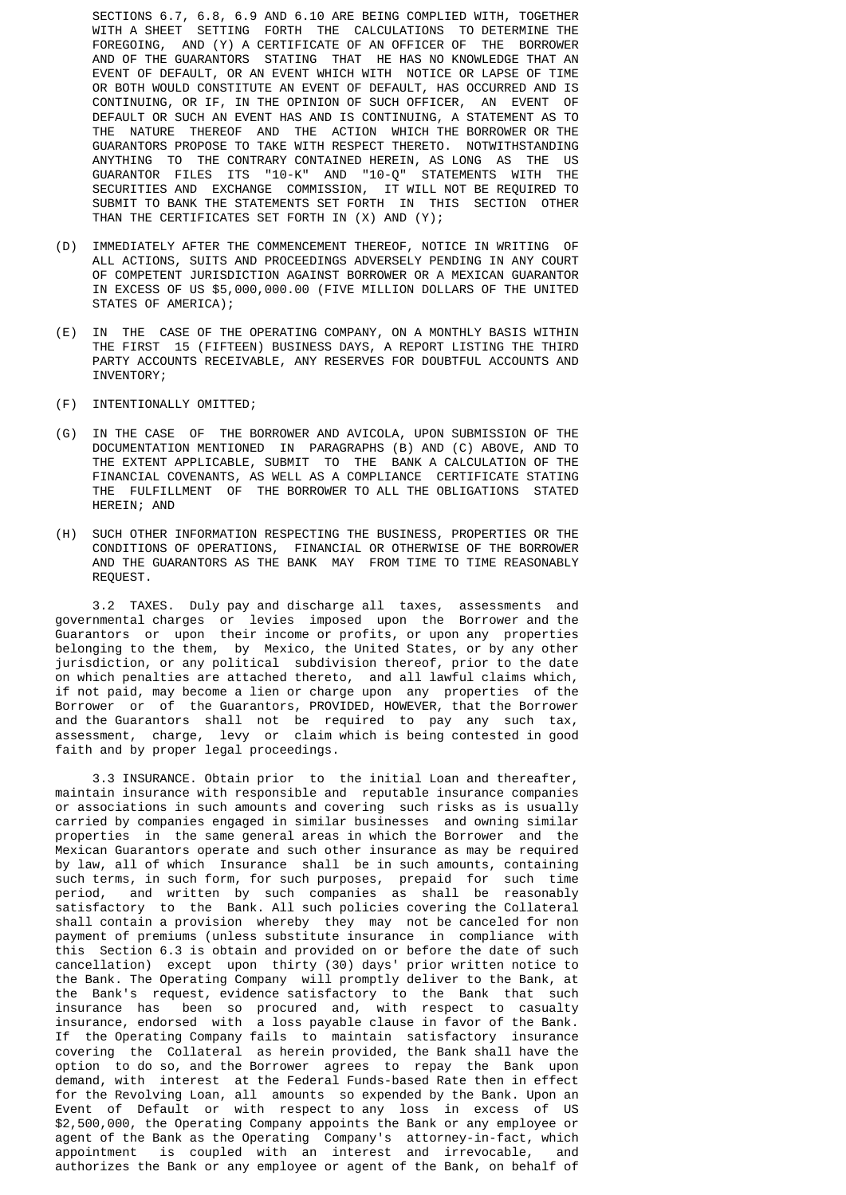SECTIONS 6.7, 6.8, 6.9 AND 6.10 ARE BEING COMPLIED WITH, TOGETHER WITH A SHEET SETTING FORTH THE CALCULATIONS TO DETERMINE THE FOREGOING, AND (Y) A CERTIFICATE OF AN OFFICER OF THE BORROWER AND OF THE GUARANTORS STATING THAT HE HAS NO KNOWLEDGE THAT AN EVENT OF DEFAULT, OR AN EVENT WHICH WITH NOTICE OR LAPSE OF TIME OR BOTH WOULD CONSTITUTE AN EVENT OF DEFAULT, HAS OCCURRED AND IS CONTINUING, OR IF, IN THE OPINION OF SUCH OFFICER, AN EVENT OF DEFAULT OR SUCH AN EVENT HAS AND IS CONTINUING, A STATEMENT AS TO THE NATURE THEREOF AND THE ACTION WHICH THE BORROWER OR THE GUARANTORS PROPOSE TO TAKE WITH RESPECT THERETO. NOTWITHSTANDING ANYTHING TO THE CONTRARY CONTAINED HEREIN, AS LONG AS THE US GUARANTOR FILES ITS "10-K" AND "10-Q" STATEMENTS WITH THE SECURITIES AND EXCHANGE COMMISSION, IT WILL NOT BE REQUIRED TO SUBMIT TO BANK THE STATEMENTS SET FORTH IN THIS SECTION OTHER THAN THE CERTIFICATES SET FORTH IN (X) AND (Y);

- (D) IMMEDIATELY AFTER THE COMMENCEMENT THEREOF, NOTICE IN WRITING OF ALL ACTIONS, SUITS AND PROCEEDINGS ADVERSELY PENDING IN ANY COURT OF COMPETENT JURISDICTION AGAINST BORROWER OR A MEXICAN GUARANTOR IN EXCESS OF US \$5,000,000.00 (FIVE MILLION DOLLARS OF THE UNITED STATES OF AMERICA);
- (E) IN THE CASE OF THE OPERATING COMPANY, ON A MONTHLY BASIS WITHIN THE FIRST 15 (FIFTEEN) BUSINESS DAYS, A REPORT LISTING THE THIRD PARTY ACCOUNTS RECEIVABLE, ANY RESERVES FOR DOUBTFUL ACCOUNTS AND INVENTORY;
- (F) INTENTIONALLY OMITTED;
- (G) IN THE CASE OF THE BORROWER AND AVICOLA, UPON SUBMISSION OF THE DOCUMENTATION MENTIONED IN PARAGRAPHS (B) AND (C) ABOVE, AND TO THE EXTENT APPLICABLE, SUBMIT TO THE BANK A CALCULATION OF THE FINANCIAL COVENANTS, AS WELL AS A COMPLIANCE CERTIFICATE STATING THE FULFILLMENT OF THE BORROWER TO ALL THE OBLIGATIONS STATED HEREIN; AND
	- (H) SUCH OTHER INFORMATION RESPECTING THE BUSINESS, PROPERTIES OR THE CONDITIONS OF OPERATIONS, FINANCIAL OR OTHERWISE OF THE BORROWER AND THE GUARANTORS AS THE BANK MAY FROM TIME TO TIME REASONABLY REQUEST.

 3.2 TAXES. Duly pay and discharge all taxes, assessments and governmental charges or levies imposed upon the Borrower and the Guarantors or upon their income or profits, or upon any properties belonging to the them, by Mexico, the United States, or by any other jurisdiction, or any political subdivision thereof, prior to the date on which penalties are attached thereto, and all lawful claims which, if not paid, may become a lien or charge upon any properties of the Borrower or of the Guarantors, PROVIDED, HOWEVER, that the Borrower and the Guarantors shall not be required to pay any such tax, assessment, charge, levy or claim which is being contested in good faith and by proper legal proceedings.

 3.3 INSURANCE. Obtain prior to the initial Loan and thereafter, maintain insurance with responsible and reputable insurance companies or associations in such amounts and covering such risks as is usually carried by companies engaged in similar businesses and owning similar properties in the same general areas in which the Borrower and the Mexican Guarantors operate and such other insurance as may be required by law, all of which Insurance shall be in such amounts, containing such terms, in such form, for such purposes, prepaid for such time period, and written by such companies as shall be reasonably satisfactory to the Bank. All such policies covering the Collateral shall contain a provision whereby they may not be canceled for non payment of premiums (unless substitute insurance in compliance with this Section 6.3 is obtain and provided on or before the date of such cancellation) except upon thirty (30) days' prior written notice to the Bank. The Operating Company will promptly deliver to the Bank, at the Bank's request, evidence-satisfactory to the Bank that such insurance has been so procured and, with respect to casualty been so procured and, with respect to casualty insurance, endorsed with a loss payable clause in favor of the Bank. If the Operating Company fails to maintain satisfactory insurance covering the Collateral as herein provided, the Bank shall have the option to do so, and the Borrower agrees to repay the Bank upon demand, with interest at the Federal Funds-based Rate then in effect for the Revolving Loan, all amounts so expended by the Bank. Upon an Event of Default or with respect to any loss in excess of US \$2,500,000, the Operating Company appoints the Bank or any employee or agent of the Bank as the Operating Company's attorney-in-fact, which appointment is coupled with an interest and irrevocable, and authorizes the Bank or any employee or agent of the Bank, on behalf of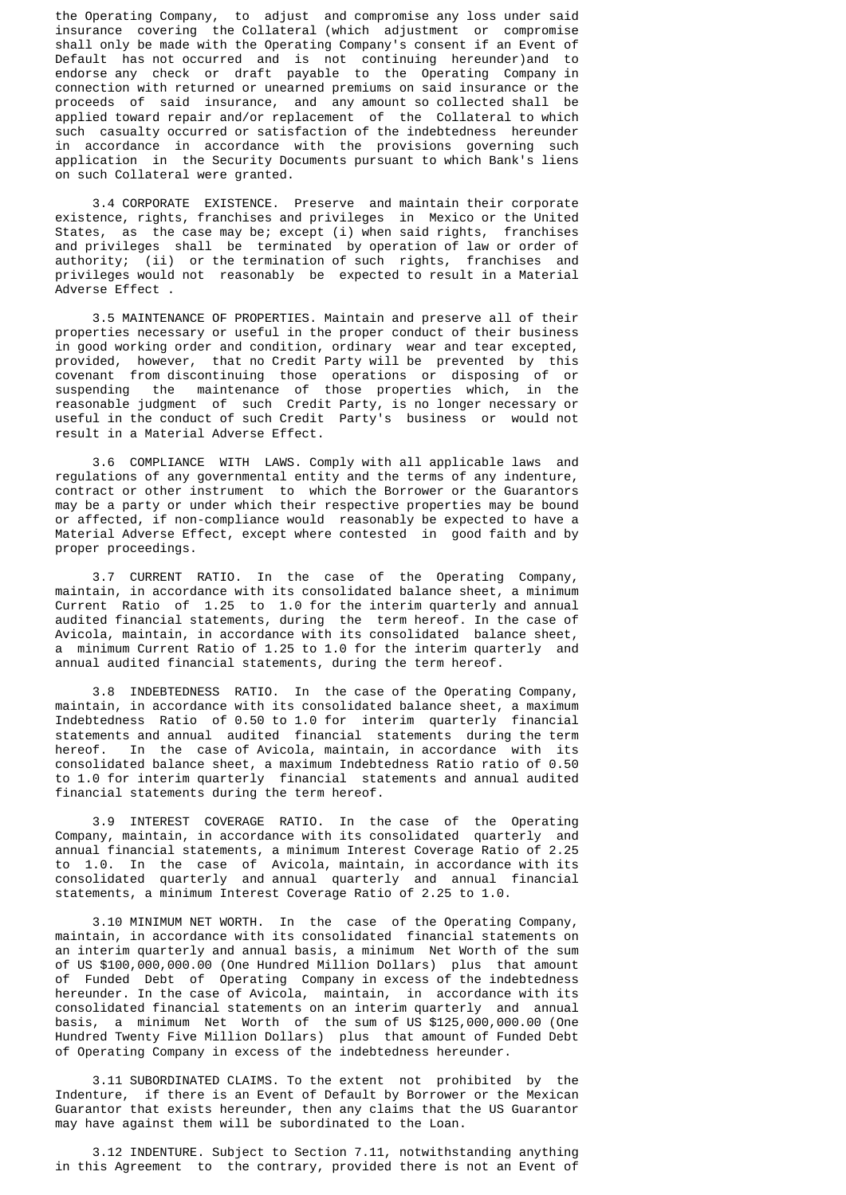the Operating Company, to adjust and compromise any loss under said insurance covering the Collateral (which adjustment or compromise shall only be made with the Operating Company's consent if an Event of Default has not occurred and is not continuing hereunder)and to endorse any check or draft payable to the Operating Company in connection with returned or unearned premiums on said insurance or the proceeds of said insurance, and any amount so collected shall be applied toward repair and/or replacement of the Collateral to which such casualty occurred or satisfaction of the indebtedness hereunder in accordance in accordance with the provisions governing such application in the Security Documents pursuant to which Bank's liens on such Collateral were granted.

 3.4 CORPORATE EXISTENCE. Preserve and maintain their corporate existence, rights, franchises and privileges in Mexico or the United States, as the case may be; except (i) when said rights, franchises and privileges shall be terminated by operation of law or order of authority; (ii) or the termination of such rights, franchises and privileges would not reasonably be expected to result in a Material Adverse Effect .

 3.5 MAINTENANCE OF PROPERTIES. Maintain and preserve all of their properties necessary or useful in the proper conduct of their business in good working order and condition, ordinary wear and tear excepted, provided, however, that no Credit Party will be prevented by this covenant from discontinuing those operations or disposing of or suspending the maintenance of those properties which, in the reasonable judgment of such Credit Party, is no longer necessary or useful in the conduct of such Credit Party's business or would not result in a Material Adverse Effect.

 3.6 COMPLIANCE WITH LAWS. Comply with all applicable laws and regulations of any governmental entity and the terms of any indenture, contract or other instrument to which the Borrower or the Guarantors may be a party or under which their respective properties may be bound or affected, if non-compliance would reasonably be expected to have a Material Adverse Effect, except where contested in good faith and by proper proceedings.

 3.7 CURRENT RATIO. In the case of the Operating Company, maintain, in accordance with its consolidated balance sheet, a minimum Current Ratio of 1.25 to 1.0 for the interim quarterly and annual audited financial statements, during the term hereof. In the case of Avicola, maintain, in accordance with its consolidated balance sheet, a minimum Current Ratio of 1.25 to 1.0 for the interim quarterly and annual audited financial statements, during the term hereof.

 3.8 INDEBTEDNESS RATIO. In the case of the Operating Company, maintain, in accordance with its consolidated balance sheet, a maximum Indebtedness Ratio of 0.50 to 1.0 for interim quarterly financial statements and annual audited financial statements during the term hereof. In the case of Avicola, maintain, in accordance with its consolidated balance sheet, a maximum Indebtedness Ratio ratio of 0.50 to 1.0 for interim quarterly financial statements and annual audited financial statements during the term hereof.

 3.9 INTEREST COVERAGE RATIO. In the case of the Operating Company, maintain, in accordance with its consolidated quarterly and annual financial statements, a minimum Interest Coverage Ratio of 2.25 to 1.0. In the case of Avicola, maintain, in accordance with its consolidated quarterly and annual quarterly and annual financial statements, a minimum Interest Coverage Ratio of 2.25 to 1.0.

 3.10 MINIMUM NET WORTH. In the case of the Operating Company, maintain, in accordance with its consolidated financial statements on an interim quarterly and annual basis, a minimum Net Worth of the sum of US \$100,000,000.00 (One Hundred Million Dollars) plus that amount of Funded Debt of Operating Company in excess of the indebtedness hereunder. In the case of Avicola, maintain, in accordance with its consolidated financial statements on an interim quarterly and annual basis, a minimum Net Worth of the sum of US \$125,000,000.00 (One Hundred Twenty Five Million Dollars) plus that amount of Funded Debt of Operating Company in excess of the indebtedness hereunder.

 3.11 SUBORDINATED CLAIMS. To the extent not prohibited by the Indenture, if there is an Event of Default by Borrower or the Mexican Guarantor that exists hereunder, then any claims that the US Guarantor may have against them will be subordinated to the Loan.

 3.12 INDENTURE. Subject to Section 7.11, notwithstanding anything in this Agreement to the contrary, provided there is not an Event of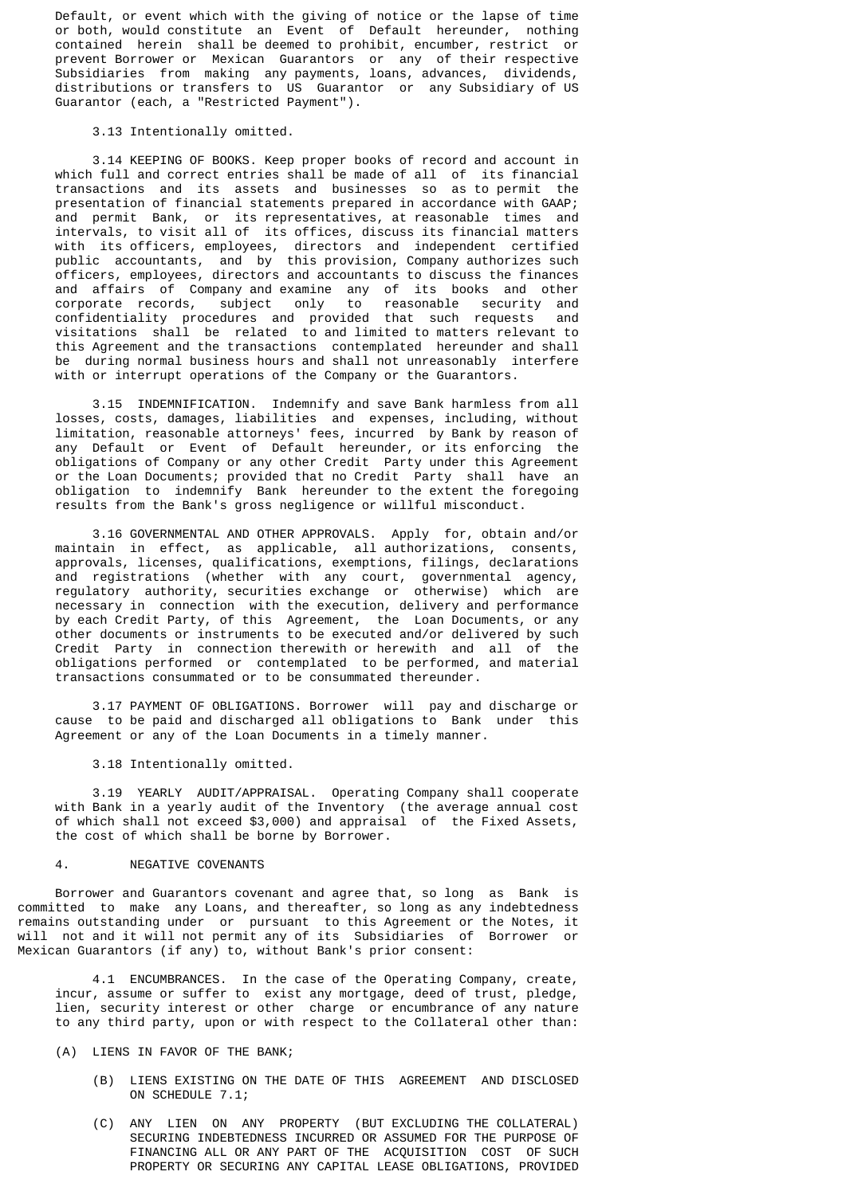Default, or event which with the giving of notice or the lapse of time or both, would constitute an Event of Default hereunder, nothing contained herein shall be deemed to prohibit, encumber, restrict or prevent Borrower or Mexican Guarantors or any of their respective Subsidiaries from making any payments, loans, advances, dividends, distributions or transfers to US Guarantor or any Subsidiary of US Guarantor (each, a "Restricted Payment").

## 3.13 Intentionally omitted.

 3.14 KEEPING OF BOOKS. Keep proper books of record and account in which full and correct entries shall be made of all of its financial transactions and its assets and businesses so as to permit the presentation of financial statements prepared in accordance with GAAP; and permit Bank, or its representatives, at reasonable times and intervals, to visit all of its offices, discuss its financial matters with its officers, employees, directors and independent certified public accountants, and by this provision, Company authorizes such officers, employees, directors and accountants to discuss the finances and affairs of Company and examine any of its books and other corporate records, subject only to reasonable security and confidentiality procedures and provided that such requests and visitations shall be related to and limited to matters relevant to this Agreement and the transactions contemplated hereunder and shall be during normal business hours and shall not unreasonably interfere with or interrupt operations of the Company or the Guarantors.

 3.15 INDEMNIFICATION. Indemnify and save Bank harmless from all losses, costs, damages, liabilities and expenses, including, without limitation, reasonable attorneys' fees, incurred by Bank by reason of any Default or Event of Default hereunder, or its enforcing the obligations of Company or any other Credit Party under this Agreement or the Loan Documents; provided that no Credit Party shall have an obligation to indemnify Bank hereunder to the extent the foregoing results from the Bank's gross negligence or willful misconduct.

 3.16 GOVERNMENTAL AND OTHER APPROVALS. Apply for, obtain and/or maintain in effect, as applicable, all authorizations, consents, approvals, licenses, qualifications, exemptions, filings, declarations and registrations (whether with any court, governmental agency, regulatory authority, securities exchange or otherwise) which are necessary in connection with the execution, delivery and performance by each Credit Party, of this Agreement, the Loan Documents, or any other documents or instruments to be executed and/or delivered by such Credit Party in connection therewith or herewith and all of the obligations performed or contemplated to be performed, and material transactions consummated or to be consummated thereunder.

 3.17 PAYMENT OF OBLIGATIONS. Borrower will pay and discharge or cause to be paid and discharged all obligations to Bank under this Agreement or any of the Loan Documents in a timely manner.

3.18 Intentionally omitted.

 3.19 YEARLY AUDIT/APPRAISAL. Operating Company shall cooperate with Bank in a yearly audit of the Inventory (the average annual cost of which shall not exceed \$3,000) and appraisal of the Fixed Assets, the cost of which shall be borne by Borrower.

### 4. NEGATIVE COVENANTS

 Borrower and Guarantors covenant and agree that, so long as Bank is committed to make any Loans, and thereafter, so long as any indebtedness remains outstanding under or pursuant to this Agreement or the Notes, it will not and it will not permit any of its Subsidiaries of Borrower or Mexican Guarantors (if any) to, without Bank's prior consent:

 4.1 ENCUMBRANCES. In the case of the Operating Company, create, incur, assume or suffer to exist any mortgage, deed of trust, pledge, lien, security interest or other charge or encumbrance of any nature to any third party, upon or with respect to the Collateral other than:

(A) LIENS IN FAVOR OF THE BANK;

- (B) LIENS EXISTING ON THE DATE OF THIS AGREEMENT AND DISCLOSED ON SCHEDULE 7.1;
- (C) ANY LIEN ON ANY PROPERTY (BUT EXCLUDING THE COLLATERAL) SECURING INDEBTEDNESS INCURRED OR ASSUMED FOR THE PURPOSE OF FINANCING ALL OR ANY PART OF THE ACQUISITION COST OF SUCH PROPERTY OR SECURING ANY CAPITAL LEASE OBLIGATIONS, PROVIDED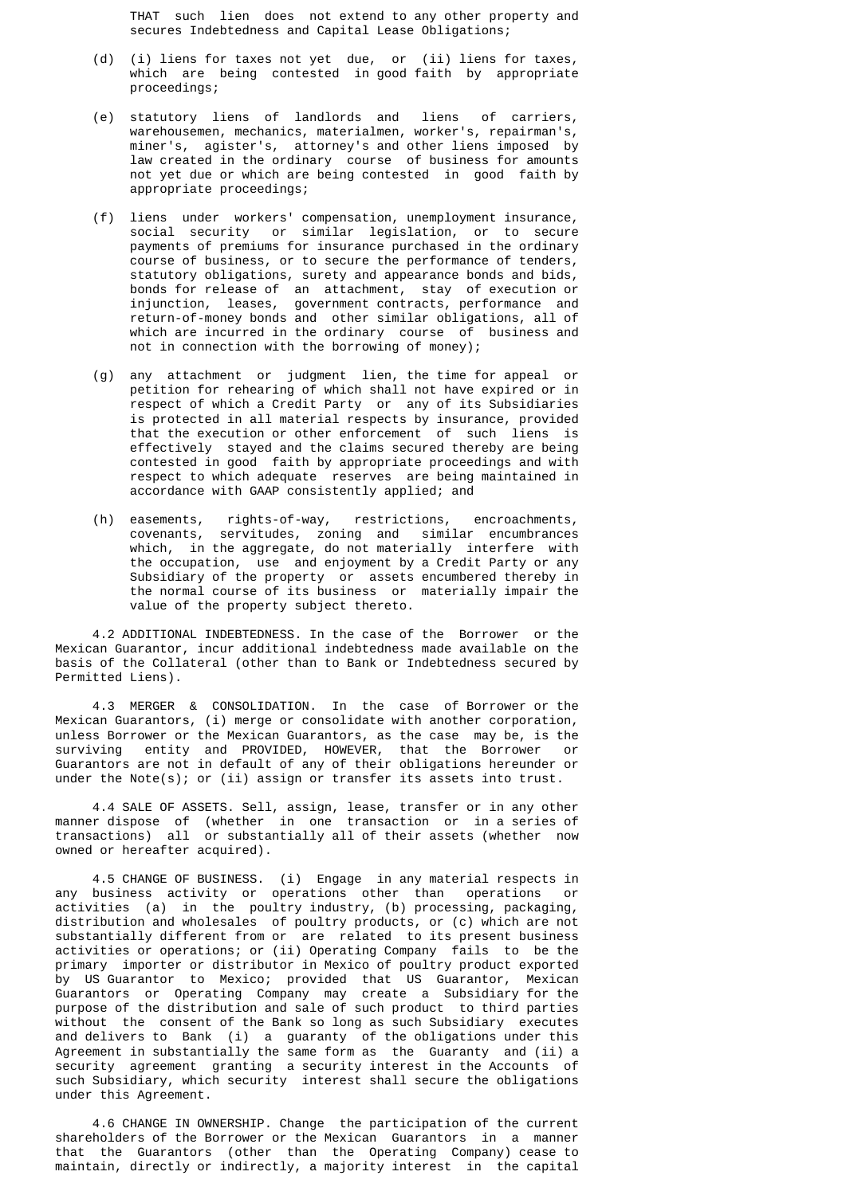THAT such lien does not extend to any other property and secures Indebtedness and Capital Lease Obligations;

- (d) (i) liens for taxes not yet due, or (ii) liens for taxes, which are being contested in good faith by appropriate proceedings;
- (e) statutory liens of landlords and liens of carriers, warehousemen, mechanics, materialmen, worker's, repairman's, miner's, agister's, attorney's and other liens imposed by law created in the ordinary course of business for amounts not yet due or which are being contested in good faith by appropriate proceedings;
- (f) liens under workers' compensation, unemployment insurance, social security or similar legislation, or to secure payments of premiums for insurance purchased in the ordinary course of business, or to secure the performance of tenders, statutory obligations, surety and appearance bonds and bids, bonds for release of an attachment, stay of execution or injunction, leases, government contracts, performance and return-of-money bonds and other similar obligations, all of which are incurred in the ordinary course of business and not in connection with the borrowing of money);
- (g) any attachment or judgment lien, the time for appeal or petition for rehearing of which shall not have expired or in respect of which a Credit Party or any of its Subsidiaries is protected in all material respects by insurance, provided that the execution or other enforcement of such liens is effectively stayed and the claims secured thereby are being contested in good faith by appropriate proceedings and with respect to which adequate reserves are being maintained in accordance with GAAP consistently applied; and
- (h) easements, rights-of-way, restrictions, encroachments, covenants, servitudes, zoning and similar encumbrances which, in the aggregate, do not materially interfere with the occupation, use and enjoyment by a Credit Party or any Subsidiary of the property or assets encumbered thereby in the normal course of its business or materially impair the value of the property subject thereto.

 4.2 ADDITIONAL INDEBTEDNESS. In the case of the Borrower or the Mexican Guarantor, incur additional indebtedness made available on the basis of the Collateral (other than to Bank or Indebtedness secured by Permitted Liens).

 4.3 MERGER & CONSOLIDATION. In the case of Borrower or the Mexican Guarantors, (i) merge or consolidate with another corporation, unless Borrower or the Mexican Guarantors, as the case may be, is the surviving entity and PROVIDED, HOWEVER, that the Borrower or Guarantors are not in default of any of their obligations hereunder or under the Note(s); or (ii) assign or transfer its assets into trust.

 4.4 SALE OF ASSETS. Sell, assign, lease, transfer or in any other manner dispose of (whether in one transaction or in a series of transactions) all or substantially all of their assets (whether now owned or hereafter acquired).

4.5 CHANGE OF BUSINESS. (i) Engage in any material respects in business activity or operations other than operations or any business activity or operations other than operations activities (a) in the poultry industry, (b) processing, packaging, distribution and wholesales of poultry products, or (c) which are not substantially different from or are related to its present business activities or operations; or (ii) Operating Company fails to be the primary importer or distributor in Mexico of poultry product exported by US Guarantor to Mexico; provided that US Guarantor, Mexican Guarantors or Operating Company may create a Subsidiary for the purpose of the distribution and sale of such product to third parties without the consent of the Bank so long as such Subsidiary executes and delivers to Bank (i) a guaranty of the obligations under this Agreement in substantially the same form as the Guaranty and (ii) a security agreement granting a security interest in the Accounts of such Subsidiary, which security interest shall secure the obligations under this Agreement.

 4.6 CHANGE IN OWNERSHIP. Change the participation of the current shareholders of the Borrower or the Mexican Guarantors in a manner that the Guarantors (other than the Operating Company) cease to maintain, directly or indirectly, a majority interest in the capital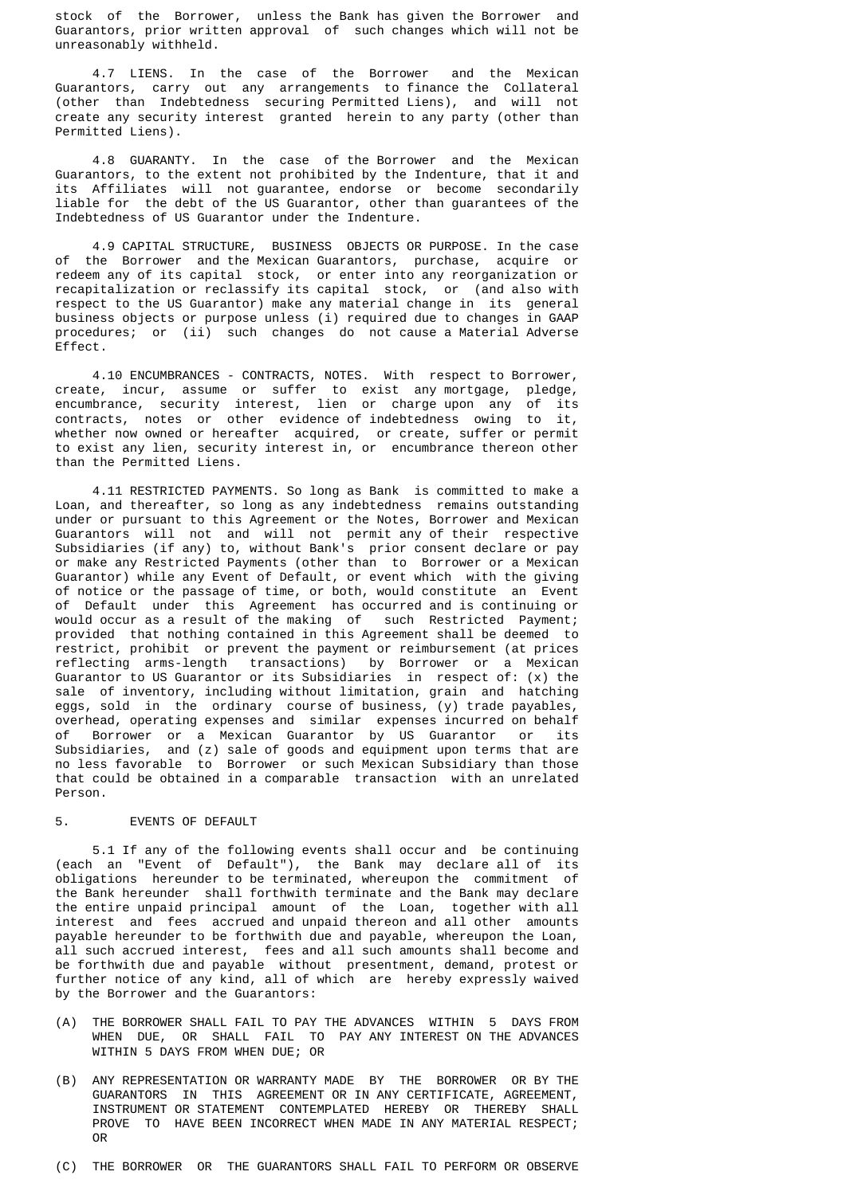stock of the Borrower, unless the Bank has given the Borrower and Guarantors, prior written approval of such changes which will not be unreasonably withheld.

 4.7 LIENS. In the case of the Borrower and the Mexican Guarantors, carry out any arrangements to finance the Collateral (other than Indebtedness securing Permitted Liens), and will not create any security interest granted herein to any party (other than Permitted Liens).

 4.8 GUARANTY. In the case of the Borrower and the Mexican Guarantors, to the extent not prohibited by the Indenture, that it and its Affiliates will not guarantee, endorse or become secondarily liable for the debt of the US Guarantor, other than guarantees of the Indebtedness of US Guarantor under the Indenture.

 4.9 CAPITAL STRUCTURE, BUSINESS OBJECTS OR PURPOSE. In the case of the Borrower and the Mexican Guarantors, purchase, acquire or redeem any of its capital stock, or enter into any reorganization or recapitalization or reclassify its capital stock, or (and also with respect to the US Guarantor) make any material change in its general business objects or purpose unless (i) required due to changes in GAAP procedures; or (ii) such changes do not cause a Material Adverse Effect.

 4.10 ENCUMBRANCES - CONTRACTS, NOTES. With respect to Borrower, create, incur, assume or suffer to exist any mortgage, pledge, encumbrance, security interest, lien or charge upon any of its contracts, notes or other evidence of indebtedness owing to it, whether now owned or hereafter acquired, or create, suffer or permit to exist any lien, security interest in, or encumbrance thereon other than the Permitted Liens.

 4.11 RESTRICTED PAYMENTS. So long as Bank is committed to make a Loan, and thereafter, so long as any indebtedness remains outstanding under or pursuant to this Agreement or the Notes, Borrower and Mexican Guarantors will not and will not permit any of their respective Subsidiaries (if any) to, without Bank's prior consent declare or pay or make any Restricted Payments (other than to Borrower or a Mexican Guarantor) while any Event of Default, or event which with the giving of notice or the passage of time, or both, would constitute an Event of Default under this Agreement has occurred and is continuing or would occur as a result of the making of such Restricted Payment; provided that nothing contained in this Agreement shall be deemed to restrict, prohibit or prevent the payment or reimbursement (at prices reflecting arms-length transactions) by Borrower or a Mexican Guarantor to US Guarantor or its Subsidiaries in respect of: (x) the sale of inventory, including without limitation, grain and hatching eggs, sold in the ordinary course of business, (y) trade payables, overhead, operating expenses and similar expenses incurred on behalf of Borrower or a Mexican Guarantor by US Guarantor or its Subsidiaries, and (z) sale of goods and equipment upon terms that are no less favorable to Borrower or such Mexican Subsidiary than those that could be obtained in a comparable transaction with an unrelated Person.

#### 5. EVENTS OF DEFAULT

 5.1 If any of the following events shall occur and be continuing (each an "Event of Default"), the Bank may declare all of its obligations hereunder to be terminated, whereupon the commitment of the Bank hereunder shall forthwith terminate and the Bank may declare the entire unpaid principal amount of the Loan, together with all interest and fees accrued and unpaid thereon and all other amounts payable hereunder to be forthwith due and payable, whereupon the Loan, all such accrued interest, fees and all such amounts shall become and be forthwith due and payable without presentment, demand, protest or further notice of any kind, all of which are hereby expressly waived by the Borrower and the Guarantors:

- (A) THE BORROWER SHALL FAIL TO PAY THE ADVANCES WITHIN 5 DAYS FROM WHEN DUE, OR SHALL FAIL TO PAY ANY INTEREST ON THE ADVANCES WITHIN 5 DAYS FROM WHEN DUE; OR
- (B) ANY REPRESENTATION OR WARRANTY MADE BY THE BORROWER OR BY THE GUARANTORS IN THIS AGREEMENT OR IN ANY CERTIFICATE, AGREEMENT, INSTRUMENT OR STATEMENT CONTEMPLATED HEREBY OR THEREBY SHALL PROVE TO HAVE BEEN INCORRECT WHEN MADE IN ANY MATERIAL RESPECT; OR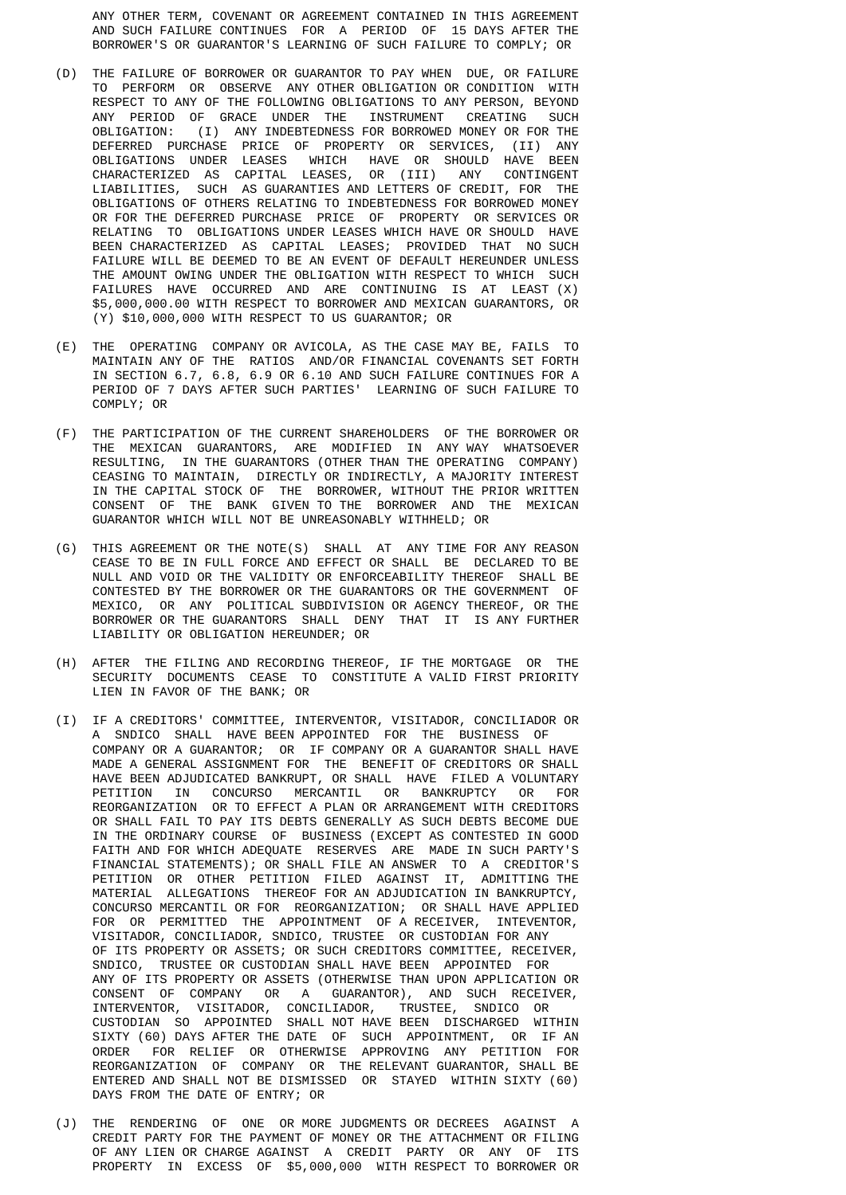ANY OTHER TERM, COVENANT OR AGREEMENT CONTAINED IN THIS AGREEMENT AND SUCH FAILURE CONTINUES FOR A PERIOD OF 15 DAYS AFTER THE BORROWER'S OR GUARANTOR'S LEARNING OF SUCH FAILURE TO COMPLY; OR

- (D) THE FAILURE OF BORROWER OR GUARANTOR TO PAY WHEN DUE, OR FAILURE TO PERFORM OR OBSERVE ANY OTHER OBLIGATION OR CONDITION WITH RESPECT TO ANY OF THE FOLLOWING OBLIGATIONS TO ANY PERSON, BEYOND ANY PERIOD OF GRACE UNDER THE INSTRUMENT CREATING SUCH OBLIGATION: (I) ANY INDERTEDNESS FOR BORROWED MONEY OR FOR THE (I) ANY INDEBTEDNESS FOR BORROWED MONEY OR FOR THE DEFERRED PURCHASE PRICE OF PROPERTY OR SERVICES, (II) ANY OBLIGATIONS UNDER LEASES WHICH HAVE OR SHOULD HAVE BEEN CHARACTERIZED AS CAPITAL LEASES, OR (III) ANY CONTINGENT LIABILITIES, SUCH AS GUARANTIES AND LETTERS OF CREDIT, FOR THE OBLIGATIONS OF OTHERS RELATING TO INDEBTEDNESS FOR BORROWED MONEY OR FOR THE DEFERRED PURCHASE PRICE OF PROPERTY OR SERVICES OR RELATING TO OBLIGATIONS UNDER LEASES WHICH HAVE OR SHOULD HAVE BEEN CHARACTERIZED AS CAPITAL LEASES; PROVIDED THAT NO SUCH FAILURE WILL BE DEEMED TO BE AN EVENT OF DEFAULT HEREUNDER UNLESS THE AMOUNT OWING UNDER THE OBLIGATION WITH RESPECT TO WHICH SUCH FAILURES HAVE OCCURRED AND ARE CONTINUING IS AT LEAST (X) \$5,000,000.00 WITH RESPECT TO BORROWER AND MEXICAN GUARANTORS, OR (Y) \$10,000,000 WITH RESPECT TO US GUARANTOR; OR
- (E) THE OPERATING COMPANY OR AVICOLA, AS THE CASE MAY BE, FAILS TO MAINTAIN ANY OF THE RATIOS AND/OR FINANCIAL COVENANTS SET FORTH IN SECTION 6.7, 6.8, 6.9 OR 6.10 AND SUCH FAILURE CONTINUES FOR A PERIOD OF 7 DAYS AFTER SUCH PARTIES' LEARNING OF SUCH FAILURE TO COMPLY; OR
- (F) THE PARTICIPATION OF THE CURRENT SHAREHOLDERS OF THE BORROWER OR THE MEXICAN GUARANTORS, ARE MODIFIED IN ANY WAY WHATSOEVER RESULTING, IN THE GUARANTORS (OTHER THAN THE OPERATING COMPANY) CEASING TO MAINTAIN, DIRECTLY OR INDIRECTLY, A MAJORITY INTEREST IN THE CAPITAL STOCK OF THE BORROWER, WITHOUT THE PRIOR WRITTEN CONSENT OF THE BANK GIVEN TO THE BORROWER AND THE MEXICAN GUARANTOR WHICH WILL NOT BE UNREASONABLY WITHHELD; OR
- (G) THIS AGREEMENT OR THE NOTE(S) SHALL AT ANY TIME FOR ANY REASON CEASE TO BE IN FULL FORCE AND EFFECT OR SHALL BE DECLARED TO BE NULL AND VOID OR THE VALIDITY OR ENFORCEABILITY THEREOF SHALL BE CONTESTED BY THE BORROWER OR THE GUARANTORS OR THE GOVERNMENT OF MEXICO, OR ANY POLITICAL SUBDIVISION OR AGENCY THEREOF, OR THE BORROWER OR THE GUARANTORS SHALL DENY THAT IT IS ANY FURTHER LIABILITY OR OBLIGATION HEREUNDER; OR
	- (H) AFTER THE FILING AND RECORDING THEREOF, IF THE MORTGAGE OR THE SECURITY DOCUMENTS CEASE TO CONSTITUTE A VALID FIRST PRIORITY LIEN IN FAVOR OF THE BANK; OR
- (I) IF A CREDITORS' COMMITTEE, INTERVENTOR, VISITADOR, CONCILIADOR OR A SNDICO SHALL HAVE BEEN APPOINTED FOR THE BUSINESS OF COMPANY OR A GUARANTOR; OR IF COMPANY OR A GUARANTOR SHALL HAVE MADE A GENERAL ASSIGNMENT FOR THE BENEFIT OF CREDITORS OR SHALL HAVE BEEN ADJUDICATED BANKRUPT, OR SHALL HAVE FILED A VOLUNTARY PETITION IN CONCURSO MERCANTIL OR BANKRUPTCY OR FOR REORGANIZATION OR TO EFFECT A PLAN OR ARRANGEMENT WITH CREDITORS OR SHALL FAIL TO PAY ITS DEBTS GENERALLY AS SUCH DEBTS BECOME DUE IN THE ORDINARY COURSE OF BUSINESS (EXCEPT AS CONTESTED IN GOOD FAITH AND FOR WHICH ADEQUATE RESERVES ARE MADE IN SUCH PARTY'S FINANCIAL STATEMENTS); OR SHALL FILE AN ANSWER TO A CREDITOR'S PETITION OR OTHER PETITION FILED AGAINST IT, ADMITTING THE MATERIAL ALLEGATIONS THEREOF FOR AN ADJUDICATION IN BANKRUPTCY, CONCURSO MERCANTIL OR FOR REORGANIZATION; OR SHALL HAVE APPLIED FOR OR PERMITTED THE APPOINTMENT OF A RECEIVER, INTEVENTOR, VISITADOR, CONCILIADOR, SNDICO, TRUSTEE OR CUSTODIAN FOR ANY OF ITS PROPERTY OR ASSETS; OR SUCH CREDITORS COMMITTEE, RECEIVER, SNDICO, TRUSTEE OR CUSTODIAN SHALL HAVE BEEN APPOINTED FOR ANY OF ITS PROPERTY OR ASSETS (OTHERWISE THAN UPON APPLICATION OR CONSENT OF COMPANY OR A GUARANTOR), AND SUCH RECEIVER, INTERVENTOR, VISITADOR, CONCILIADOR, TRUSTEE, SNDICO OR CUSTODIAN SO APPOINTED SHALL NOT HAVE BEEN DISCHARGED WITHIN SIXTY (60) DAYS AFTER THE DATE OF SUCH APPOINTMENT, OR IF AN ORDER FOR RELIEF OR OTHERWISE APPROVING ANY PETITION FOR REORGANIZATION OF COMPANY OR THE RELEVANT GUARANTOR, SHALL BE ENTERED AND SHALL NOT BE DISMISSED OR STAYED WITHIN SIXTY (60) DAYS FROM THE DATE OF ENTRY; OR
	- (J) THE RENDERING OF ONE OR MORE JUDGMENTS OR DECREES AGAINST A CREDIT PARTY FOR THE PAYMENT OF MONEY OR THE ATTACHMENT OR FILING OF ANY LIEN OR CHARGE AGAINST A CREDIT PARTY OR ANY OF ITS PROPERTY IN EXCESS OF \$5,000,000 WITH RESPECT TO BORROWER OR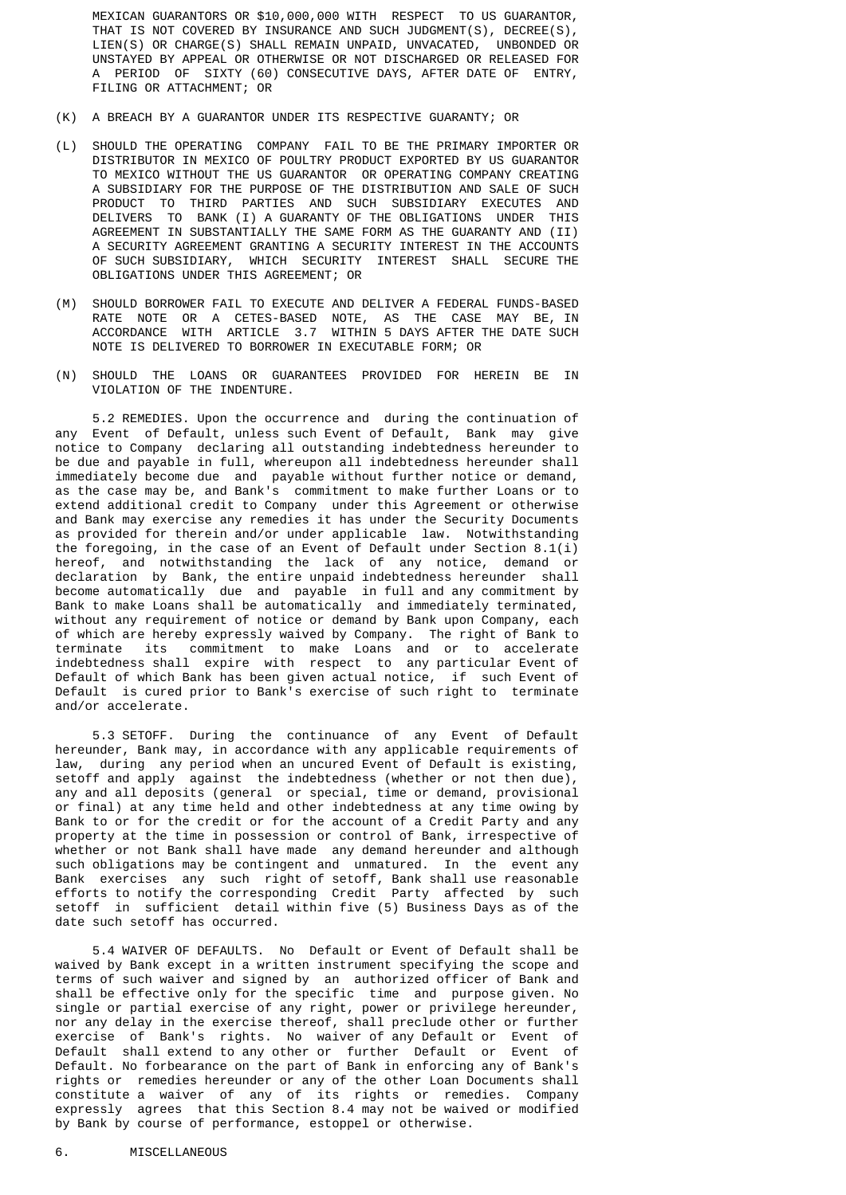MEXICAN GUARANTORS OR \$10,000,000 WITH RESPECT TO US GUARANTOR, THAT IS NOT COVERED BY INSURANCE AND SUCH JUDGMENT(S), DECREE(S), LIEN(S) OR CHARGE(S) SHALL REMAIN UNPAID, UNVACATED, UNBONDED OR UNSTAYED BY APPEAL OR OTHERWISE OR NOT DISCHARGED OR RELEASED FOR A PERIOD OF SIXTY (60) CONSECUTIVE DAYS, AFTER DATE OF ENTRY, FILING OR ATTACHMENT; OR

- (K) A BREACH BY A GUARANTOR UNDER ITS RESPECTIVE GUARANTY; OR
- (L) SHOULD THE OPERATING COMPANY FAIL TO BE THE PRIMARY IMPORTER OR DISTRIBUTOR IN MEXICO OF POULTRY PRODUCT EXPORTED BY US GUARANTOR TO MEXICO WITHOUT THE US GUARANTOR OR OPERATING COMPANY CREATING A SUBSIDIARY FOR THE PURPOSE OF THE DISTRIBUTION AND SALE OF SUCH PRODUCT TO THIRD PARTIES AND SUCH SUBSIDIARY EXECUTES AND DELIVERS TO BANK (I) A GUARANTY OF THE OBLIGATIONS UNDER THIS AGREEMENT IN SUBSTANTIALLY THE SAME FORM AS THE GUARANTY AND (II) A SECURITY AGREEMENT GRANTING A SECURITY INTEREST IN THE ACCOUNTS OF SUCH SUBSIDIARY, WHICH SECURITY INTEREST SHALL SECURE THE OBLIGATIONS UNDER THIS AGREEMENT; OR
	- (M) SHOULD BORROWER FAIL TO EXECUTE AND DELIVER A FEDERAL FUNDS-BASED RATE NOTE OR A CETES-BASED NOTE, AS THE CASE MAY BE, IN ACCORDANCE WITH ARTICLE 3.7 WITHIN 5 DAYS AFTER THE DATE SUCH NOTE IS DELIVERED TO BORROWER IN EXECUTABLE FORM; OR
	- (N) SHOULD THE LOANS OR GUARANTEES PROVIDED FOR HEREIN BE IN VIOLATION OF THE INDENTURE.

 5.2 REMEDIES. Upon the occurrence and during the continuation of any Event of Default, unless such Event of Default, Bank may give notice to Company declaring all outstanding indebtedness hereunder to be due and payable in full, whereupon all indebtedness hereunder shall immediately become due and payable without further notice or demand, as the case may be, and Bank's commitment to make further Loans or to extend additional credit to Company under this Agreement or otherwise and Bank may exercise any remedies it has under the Security Documents as provided for therein and/or under applicable law. Notwithstanding the foregoing, in the case of an Event of Default under Section 8.1(i) hereof, and notwithstanding the lack of any notice, demand or declaration by Bank, the entire unpaid indebtedness hereunder shall become automatically due and payable in full and any commitment by Bank to make Loans shall be automatically and immediately terminated, without any requirement of notice or demand by Bank upon Company, each of which are hereby expressly waived by Company. The right of Bank to terminate its commitment to make Loans and or to accelerate indebtedness shall expire with respect to any particular Event of Default of which Bank has been given actual notice, if such Event of Default is cured prior to Bank's exercise of such right to terminate and/or accelerate.

 5.3 SETOFF. During the continuance of any Event of Default hereunder, Bank may, in accordance with any applicable requirements of law, during any period when an uncured Event of Default is existing, setoff and apply against the indebtedness (whether or not then due), any and all deposits (general or special, time or demand, provisional or final) at any time held and other indebtedness at any time owing by Bank to or for the credit or for the account of a Credit Party and any property at the time in possession or control of Bank, irrespective of whether or not Bank shall have made any demand hereunder and although such obligations may be contingent and unmatured. In the event any Bank exercises any such right of setoff, Bank shall use reasonable efforts to notify the corresponding Credit Party affected by such setoff in sufficient detail within five (5) Business Days as of the date such setoff has occurred.

 5.4 WAIVER OF DEFAULTS. No Default or Event of Default shall be waived by Bank except in a written instrument specifying the scope and terms of such waiver and signed by an authorized officer of Bank and shall be effective only for the specific time and purpose given. No single or partial exercise of any right, power or privilege hereunder, nor any delay in the exercise thereof, shall preclude other or further exercise of Bank's rights. No waiver of any Default or Event of Default shall extend to any other or further Default or Event of Default. No forbearance on the part of Bank in enforcing any of Bank's rights or remedies hereunder or any of the other Loan Documents shall constitute a waiver of any of its rights or remedies. Company expressly agrees that this Section 8.4 may not be waived or modified by Bank by course of performance, estoppel or otherwise.

#### 6. MISCELLANEOUS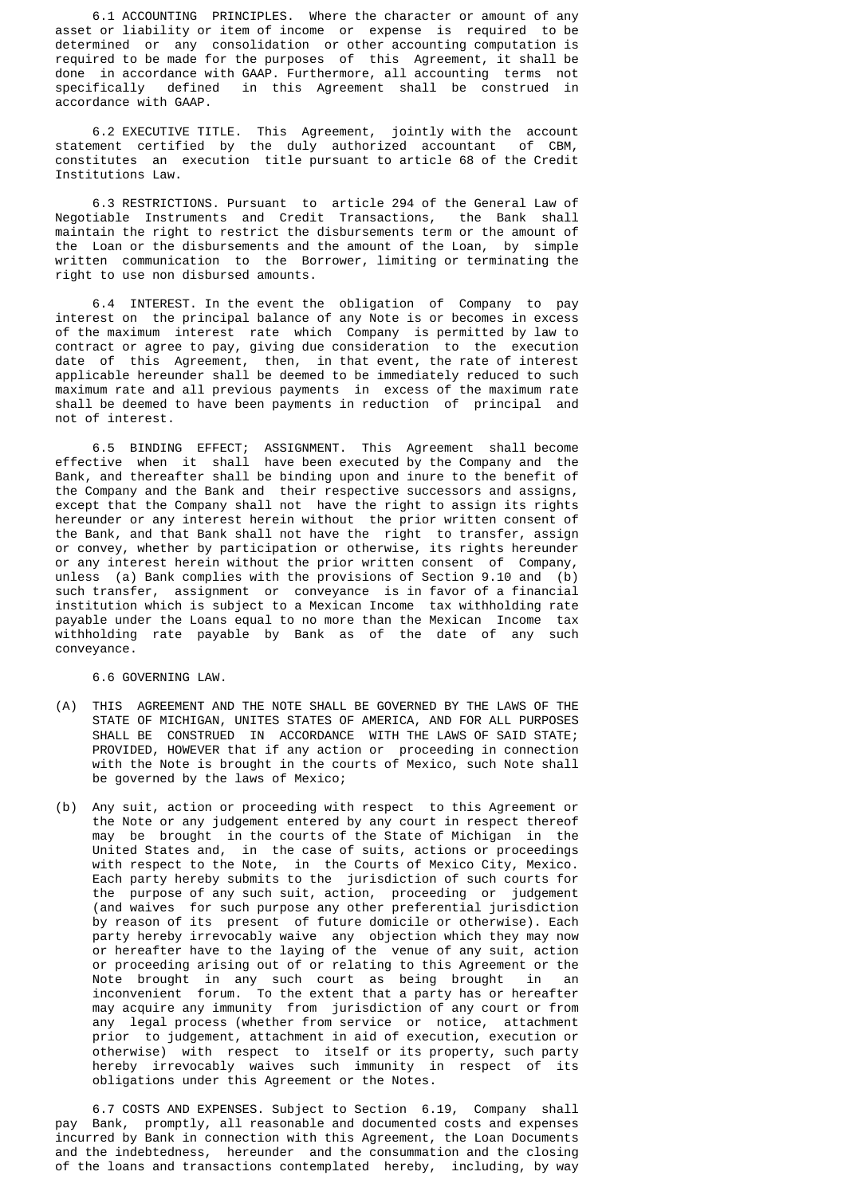6.1 ACCOUNTING PRINCIPLES. Where the character or amount of any asset or liability or item of income or expense is required to be determined or any consolidation or other accounting computation is required to be made for the purposes of this Agreement, it shall be done in accordance with GAAP. Furthermore, all accounting terms not specifically defined in this Agreement shall be construed in accordance with GAAP.

 6.2 EXECUTIVE TITLE. This Agreement, jointly with the account statement certified by the duly authorized accountant of CBM, constitutes an execution title pursuant to article 68 of the Credit Institutions Law.

 6.3 RESTRICTIONS. Pursuant to article 294 of the General Law of Negotiable Instruments and Credit Transactions, the Bank shall maintain the right to restrict the disbursements term or the amount of the Loan or the disbursements and the amount of the Loan, by simple written communication to the Borrower, limiting or terminating the right to use non disbursed amounts.

 6.4 INTEREST. In the event the obligation of Company to pay interest on the principal balance of any Note is or becomes in excess of the maximum interest rate which Company is permitted by law to contract or agree to pay, giving due consideration to the execution date of this Agreement, then, in that event, the rate of interest applicable hereunder shall be deemed to be immediately reduced to such maximum rate and all previous payments in excess of the maximum rate shall be deemed to have been payments in reduction of principal and not of interest.

 6.5 BINDING EFFECT; ASSIGNMENT. This Agreement shall become effective when it shall have been executed by the Company and the Bank, and thereafter shall be binding upon and inure to the benefit of the Company and the Bank and their respective successors and assigns, except that the Company shall not have the right to assign its rights hereunder or any interest herein without the prior written consent of the Bank, and that Bank shall not have the right to transfer, assign or convey, whether by participation or otherwise, its rights hereunder or any interest herein without the prior written consent of Company, unless (a) Bank complies with the provisions of Section 9.10 and (b) such transfer, assignment or conveyance is in favor of a financial institution which is subject to a Mexican Income tax withholding rate payable under the Loans equal to no more than the Mexican Income tax withholding rate payable by Bank as of the date of any such conveyance.

6.6 GOVERNING LAW.

- (A) THIS AGREEMENT AND THE NOTE SHALL BE GOVERNED BY THE LAWS OF THE STATE OF MICHIGAN, UNITES STATES OF AMERICA, AND FOR ALL PURPOSES SHALL BE CONSTRUED IN ACCORDANCE WITH THE LAWS OF SAID STATE; PROVIDED, HOWEVER that if any action or proceeding in connection with the Note is brought in the courts of Mexico, such Note shall be governed by the laws of Mexico;
- (b) Any suit, action or proceeding with respect to this Agreement or the Note or any judgement entered by any court in respect thereof may be brought in the courts of the State of Michigan in the United States and, in the case of suits, actions or proceedings with respect to the Note, in the Courts of Mexico City, Mexico. Each party hereby submits to the jurisdiction of such courts for the purpose of any such suit, action, proceeding or judgement (and waives for such purpose any other preferential jurisdiction by reason of its present of future domicile or otherwise). Each party hereby irrevocably waive any objection which they may now or hereafter have to the laying of the venue of any suit, action or proceeding arising out of or relating to this Agreement or the Note brought in any such court as being brought in an inconvenient forum. To the extent that a party has or hereafter may acquire any immunity from jurisdiction of any court or from any legal process (whether from service or notice, attachment prior to judgement, attachment in aid of execution, execution or otherwise) with respect to itself or its property, such party hereby irrevocably waives such immunity in respect of its obligations under this Agreement or the Notes.

 6.7 COSTS AND EXPENSES. Subject to Section 6.19, Company shall pay Bank, promptly, all reasonable and documented costs and expenses incurred by Bank in connection with this Agreement, the Loan Documents and the indebtedness, hereunder and the consummation and the closing of the loans and transactions contemplated hereby, including, by way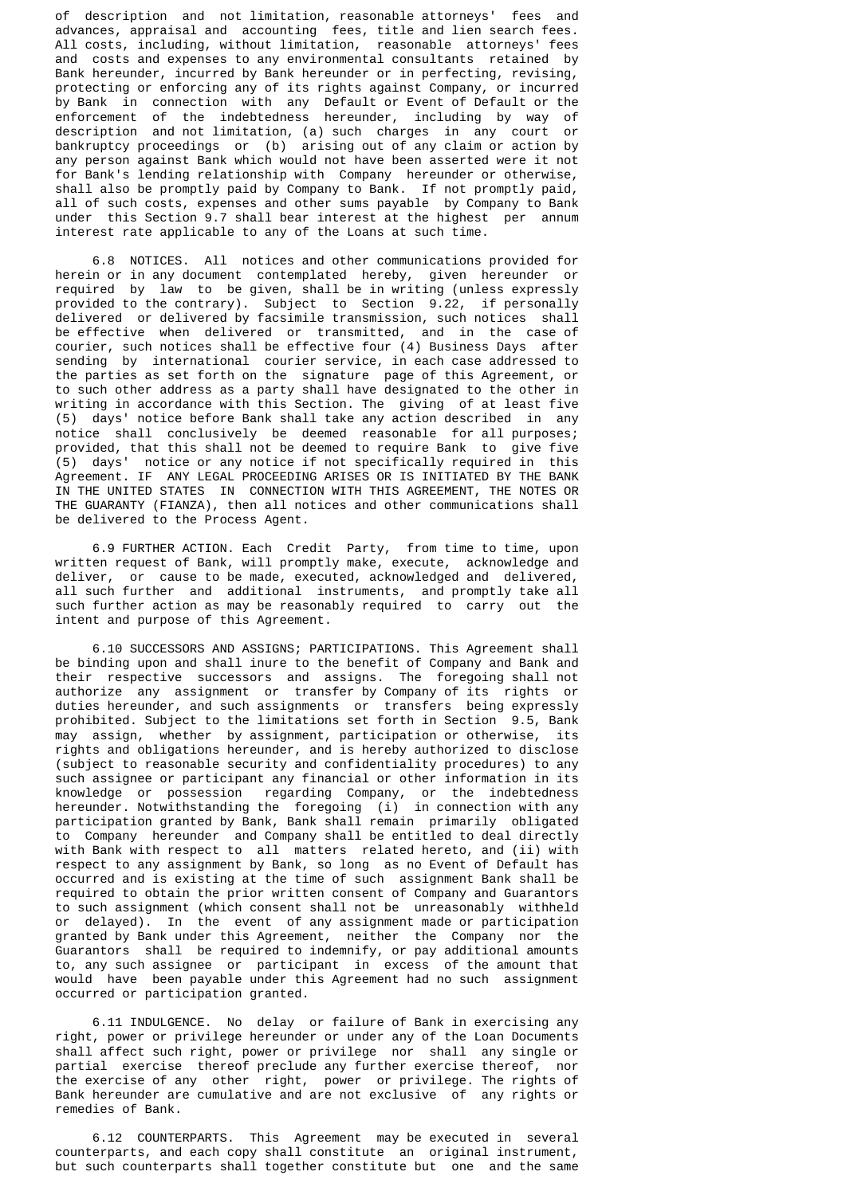of description and not limitation, reasonable attorneys' fees and advances, appraisal and accounting fees, title and lien search fees. All costs, including, without limitation, reasonable attorneys' fees and costs and expenses to any environmental consultants retained by Bank hereunder, incurred by Bank hereunder or in perfecting, revising, protecting or enforcing any of its rights against Company, or incurred by Bank in connection with any Default or Event of Default or the enforcement of the indebtedness hereunder, including by way of description and not limitation, (a) such charges in any court or bankruptcy proceedings or (b) arising out of any claim or action by any person against Bank which would not have been asserted were it not for Bank's lending relationship with Company hereunder or otherwise, shall also be promptly paid by Company to Bank. If not promptly paid, all of such costs, expenses and other sums payable by Company to Bank under this Section 9.7 shall bear interest at the highest per annum interest rate applicable to any of the Loans at such time.

 6.8 NOTICES. All notices and other communications provided for herein or in any document contemplated hereby, given hereunder or required by law to be given, shall be in writing (unless expressly provided to the contrary). Subject to Section 9.22, if personally delivered or delivered by facsimile transmission, such notices shall be effective when delivered or transmitted, and in the case of courier, such notices shall be effective four (4) Business Days after sending by international courier service, in each case addressed to the parties as set forth on the signature page of this Agreement, or to such other address as a party shall have designated to the other in writing in accordance with this Section. The giving of at least five (5) days' notice before Bank shall take any action described in any notice shall conclusively be deemed reasonable for all purposes; provided, that this shall not be deemed to require Bank to give five (5) days' notice or any notice if not specifically required in this Agreement. IF ANY LEGAL PROCEEDING ARISES OR IS INITIATED BY THE BANK IN THE UNITED STATES IN CONNECTION WITH THIS AGREEMENT, THE NOTES OR THE GUARANTY (FIANZA), then all notices and other communications shall be delivered to the Process Agent.

 6.9 FURTHER ACTION. Each Credit Party, from time to time, upon written request of Bank, will promptly make, execute, acknowledge and deliver, or cause to be made, executed, acknowledged and delivered, all such further and additional instruments, and promptly take all such further action as may be reasonably required to carry out the intent and purpose of this Agreement.

 6.10 SUCCESSORS AND ASSIGNS; PARTICIPATIONS. This Agreement shall be binding upon and shall inure to the benefit of Company and Bank and their respective successors and assigns. The foregoing shall not authorize any assignment or transfer by Company of its rights or duties hereunder, and such assignments or transfers being expressly prohibited. Subject to the limitations set forth in Section 9.5, Bank may assign, whether by assignment, participation or otherwise, its rights and obligations hereunder, and is hereby authorized to disclose (subject to reasonable security and confidentiality procedures) to any such assignee or participant any financial or other information in its knowledge or possession regarding Company, or the indebtedness hereunder. Notwithstanding the foregoing (i) in connection with any participation granted by Bank, Bank shall remain primarily obligated to Company hereunder and Company shall be entitled to deal directly with Bank with respect to all matters related hereto, and (ii) with respect to any assignment by Bank, so long as no Event of Default has occurred and is existing at the time of such assignment Bank shall be required to obtain the prior written consent of Company and Guarantors to such assignment (which consent shall not be unreasonably withheld or delayed). In the event of any assignment made or participation granted by Bank under this Agreement, neither the Company nor the Guarantors shall be required to indemnify, or pay additional amounts to, any such assignee or participant in excess of the amount that would have been payable under this Agreement had no such assignment occurred or participation granted.

 6.11 INDULGENCE. No delay or failure of Bank in exercising any right, power or privilege hereunder or under any of the Loan Documents shall affect such right, power or privilege nor shall any single or partial exercise thereof preclude any further exercise thereof, nor the exercise of any other right, power or privilege. The rights of Bank hereunder are cumulative and are not exclusive of any rights or remedies of Bank.

 6.12 COUNTERPARTS. This Agreement may be executed in several counterparts, and each copy shall constitute an original instrument, but such counterparts shall together constitute but one and the same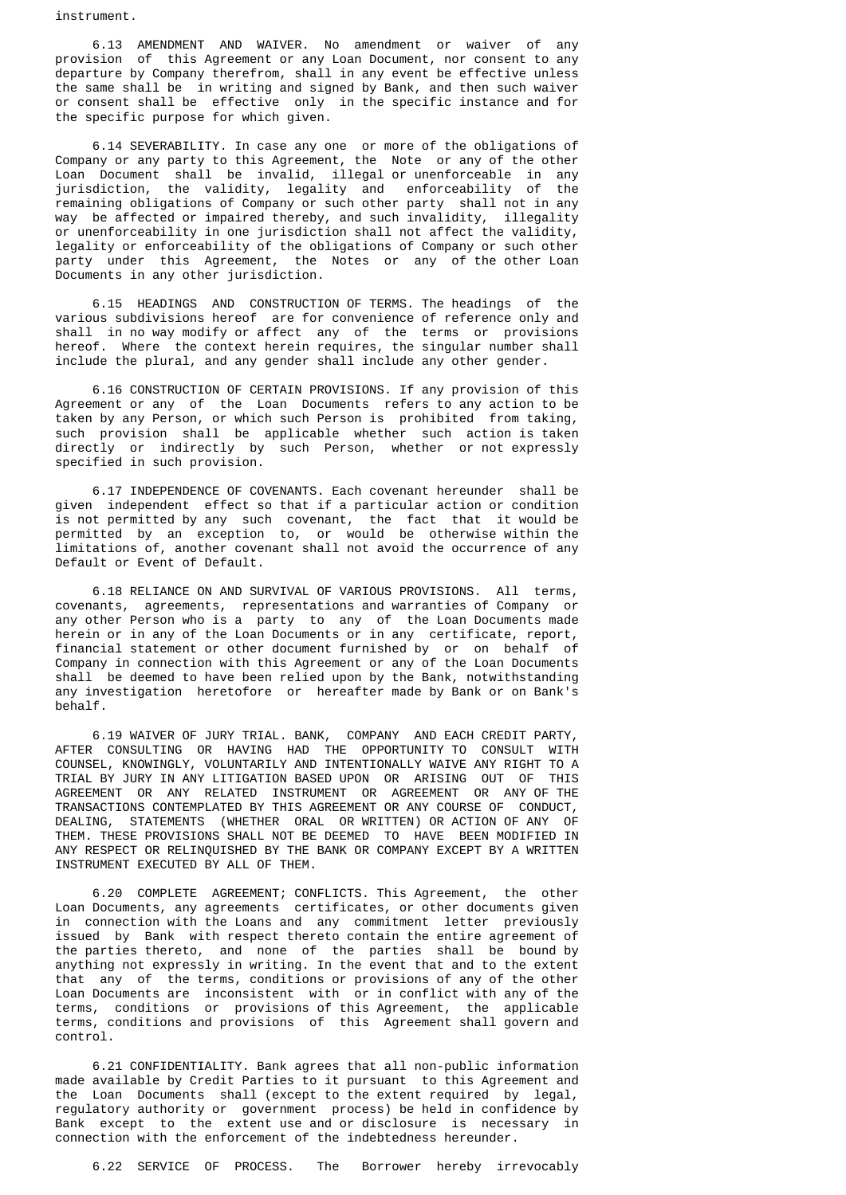instrument.

 6.13 AMENDMENT AND WAIVER. No amendment or waiver of any provision of this Agreement or any Loan Document, nor consent to any departure by Company therefrom, shall in any event be effective unless the same shall be in writing and signed by Bank, and then such waiver or consent shall be effective only in the specific instance and for the specific purpose for which given.

 6.14 SEVERABILITY. In case any one or more of the obligations of Company or any party to this Agreement, the Note or any of the other Loan Document shall be invalid, illegal or unenforceable in any jurisdiction, the validity, legality and enforceability of the remaining obligations of Company or such other party shall not in any way be affected or impaired thereby, and such invalidity, illegality or unenforceability in one jurisdiction shall not affect the validity, legality or enforceability of the obligations of Company or such other party under this Agreement, the Notes or any of the other Loan Documents in any other jurisdiction.

 6.15 HEADINGS AND CONSTRUCTION OF TERMS. The headings of the various subdivisions hereof are for convenience of reference only and shall in no way modify or affect any of the terms or provisions hereof. Where the context herein requires, the singular number shall include the plural, and any gender shall include any other gender.

 6.16 CONSTRUCTION OF CERTAIN PROVISIONS. If any provision of this Agreement or any of the Loan Documents refers to any action to be taken by any Person, or which such Person is prohibited from taking, such provision shall be applicable whether such action is taken directly or indirectly by such Person, whether or not expressly specified in such provision.

 6.17 INDEPENDENCE OF COVENANTS. Each covenant hereunder shall be given independent effect so that if a particular action or condition is not permitted by any such covenant, the fact that it would be permitted by an exception to, or would be otherwise within the limitations of, another covenant shall not avoid the occurrence of any Default or Event of Default.

 6.18 RELIANCE ON AND SURVIVAL OF VARIOUS PROVISIONS. All terms, covenants, agreements, representations and warranties of Company or any other Person who is a party to any of the Loan Documents made herein or in any of the Loan Documents or in any certificate, report, financial statement or other document furnished by or on behalf of Company in connection with this Agreement or any of the Loan Documents shall be deemed to have been relied upon by the Bank, notwithstanding any investigation heretofore or hereafter made by Bank or on Bank's behalf.

 6.19 WAIVER OF JURY TRIAL. BANK, COMPANY AND EACH CREDIT PARTY, AFTER CONSULTING OR HAVING HAD THE OPPORTUNITY TO CONSULT WITH COUNSEL, KNOWINGLY, VOLUNTARILY AND INTENTIONALLY WAIVE ANY RIGHT TO A TRIAL BY JURY IN ANY LITIGATION BASED UPON OR ARISING OUT OF THIS AGREEMENT OR ANY RELATED INSTRUMENT OR AGREEMENT OR ANY OF THE TRANSACTIONS CONTEMPLATED BY THIS AGREEMENT OR ANY COURSE OF CONDUCT, DEALING, STATEMENTS (WHETHER ORAL OR WRITTEN) OR ACTION OF ANY OF THEM. THESE PROVISIONS SHALL NOT BE DEEMED TO HAVE BEEN MODIFIED IN ANY RESPECT OR RELINQUISHED BY THE BANK OR COMPANY EXCEPT BY A WRITTEN INSTRUMENT EXECUTED BY ALL OF THEM.

 6.20 COMPLETE AGREEMENT; CONFLICTS. This Agreement, the other Loan Documents, any agreements certificates, or other documents given in connection with the Loans and any commitment letter previously issued by Bank with respect thereto contain the entire agreement of the parties thereto, and none of the parties shall be bound by anything not expressly in writing. In the event that and to the extent that any of the terms, conditions or provisions of any of the other Loan Documents are inconsistent with or in conflict with any of the terms, conditions or provisions of this Agreement, the applicable terms, conditions and provisions of this Agreement shall govern and control.

 6.21 CONFIDENTIALITY. Bank agrees that all non-public information made available by Credit Parties to it pursuant to this Agreement and the Loan Documents shall (except to the extent required by legal, regulatory authority or government process) be held in confidence by Bank except to the extent use and or disclosure is necessary in connection with the enforcement of the indebtedness hereunder.

6.22 SERVICE OF PROCESS. The Borrower hereby irrevocably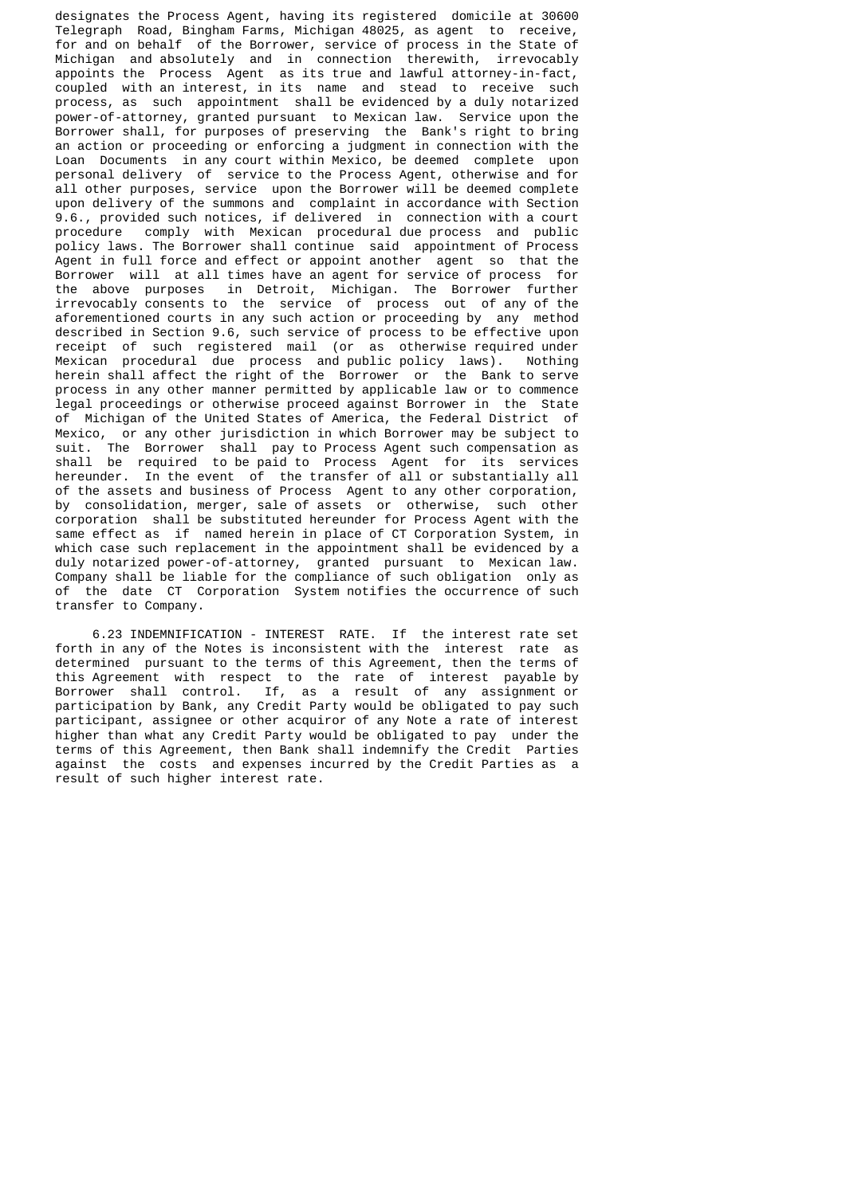designates the Process Agent, having its registered domicile at 30600 Telegraph Road, Bingham Farms, Michigan 48025, as agent to receive, for and on behalf of the Borrower, service of process in the State of Michigan and absolutely and in connection therewith, irrevocably appoints the Process Agent as its true and lawful attorney-in-fact, coupled with an interest, in its name and stead to receive such process, as such appointment shall be evidenced by a duly notarized power-of-attorney, granted pursuant to Mexican law. Service upon the Borrower shall, for purposes of preserving the Bank's right to bring an action or proceeding or enforcing a judgment in connection with the Loan Documents in any court within Mexico, be deemed complete upon personal delivery of service to the Process Agent, otherwise and for all other purposes, service upon the Borrower will be deemed complete upon delivery of the summons and complaint in accordance with Section 9.6., provided such notices, if delivered in connection with a court procedure comply with Mexican procedural due process and public policy laws. The Borrower shall continue said appointment of Process Agent in full force and effect or appoint another agent so that the Borrower will at all times have an agent for service of process for the above purposes in Detroit, Michigan. The Borrower further irrevocably consents to the service of process out of any of the aforementioned courts in any such action or proceeding by any method described in Section 9.6, such service of process to be effective upon receipt of such registered mail (or as otherwise required under Mexican procedural due process and public policy laws). Nothing herein shall affect the right of the Borrower or the Bank to serve process in any other manner permitted by applicable law or to commence legal proceedings or otherwise proceed against Borrower in the State of Michigan of the United States of America, the Federal District of Mexico, or any other jurisdiction in which Borrower may be subject to suit. The Borrower shall pay to Process Agent such compensation as shall be required to be paid to Process Agent for its services hereunder. In the event of the transfer of all or substantially all of the assets and business of Process Agent to any other corporation, by consolidation, merger, sale of assets or otherwise, such other corporation shall be substituted hereunder for Process Agent with the same effect as if named herein in place of CT Corporation System, in which case such replacement in the appointment shall be evidenced by a duly notarized power-of-attorney, granted pursuant to Mexican law. Company shall be liable for the compliance of such obligation only as of the date CT Corporation System notifies the occurrence of such transfer to Company.

 6.23 INDEMNIFICATION - INTEREST RATE. If the interest rate set forth in any of the Notes is inconsistent with the interest rate as determined pursuant to the terms of this Agreement, then the terms of this Agreement with respect to the rate of interest payable by Borrower shall control. If, as a result of any assignment or participation by Bank, any Credit Party would be obligated to pay such participant, assignee or other acquiror of any Note a rate of interest higher than what any Credit Party would be obligated to pay under the terms of this Agreement, then Bank shall indemnify the Credit Parties against the costs and expenses incurred by the Credit Parties as a result of such higher interest rate.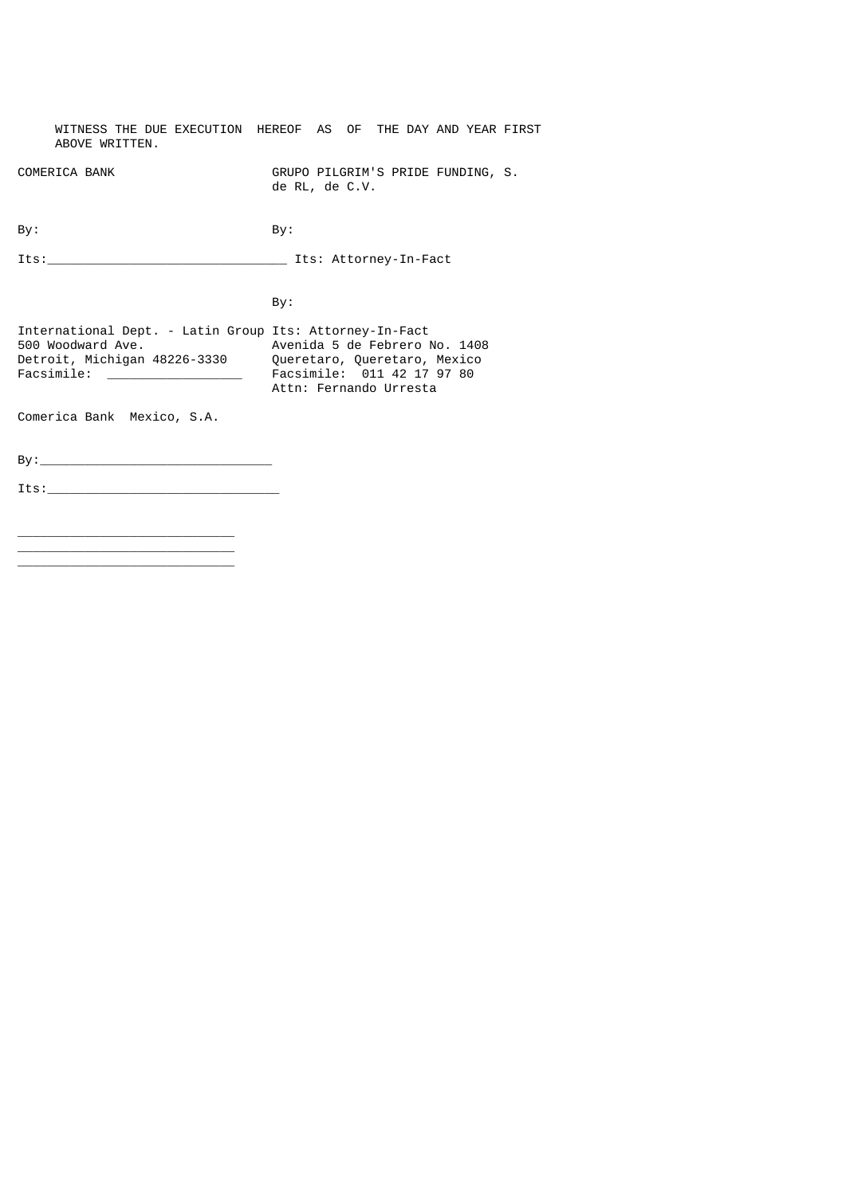WITNESS THE DUE EXECUTION HEREOF AS OF THE DAY AND YEAR FIRST ABOVE WRITTEN. COMERICA BANK GRUPO PILGRIM'S PRIDE FUNDING, S. de RL, de C.V. By: By: Its:\_\_\_\_\_\_\_\_\_\_\_\_\_\_\_\_\_\_\_\_\_\_\_\_\_\_\_\_\_\_\_\_ Its: Attorney-In-Fact By: International Dept. - Latin Group Its: Attorney-In-Fact 500 Woodward Ave. Avenida 5 de Febrero No. 1408 Detroit, Michigan 48226-3330 Queretaro, Queretaro, Mexico Facsimile: \_\_\_\_\_\_\_\_\_\_\_\_\_\_\_\_\_\_ Facsimile: 011 42 17 97 80 Attn: Fernando Urresta Comerica Bank Mexico, S.A. By:\_\_\_\_\_\_\_\_\_\_\_\_\_\_\_\_\_\_\_\_\_\_\_\_\_\_\_\_\_\_\_  $Its:\_$ 

\_\_\_\_\_\_\_\_\_\_\_\_\_\_\_\_\_\_\_\_\_\_\_\_\_\_\_\_\_ \_\_\_\_\_\_\_\_\_\_\_\_\_\_\_\_\_\_\_\_\_\_\_\_\_\_\_\_\_ \_\_\_\_\_\_\_\_\_\_\_\_\_\_\_\_\_\_\_\_\_\_\_\_\_\_\_\_\_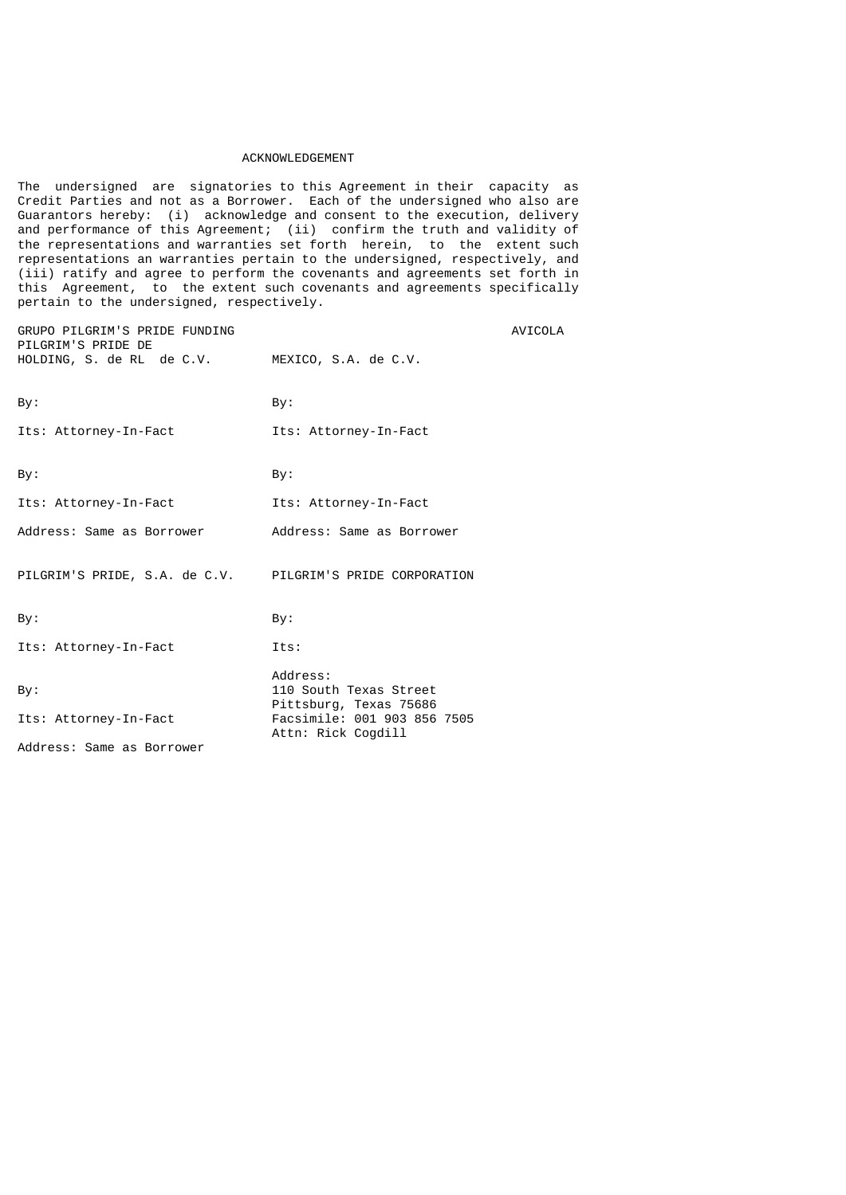#### ACKNOWLEDGEMENT

The undersigned are signatories to this Agreement in their capacity as Credit Parties and not as a Borrower. Each of the undersigned who also are Guarantors hereby: (i) acknowledge and consent to the execution, delivery and performance of this Agreement; (ii) confirm the truth and validity of the representations and warranties set forth herein, to the extent such representations an warranties pertain to the undersigned, respectively, and (iii) ratify and agree to perform the covenants and agreements set forth in this Agreement, to the extent such covenants and agreements specifically pertain to the undersigned, respectively.

| GRUPO PILGRIM'S PRIDE FUNDING<br>PILGRIM'S PRIDE DE<br>HOLDING, S. de RL de C.V. | MEXICO, S.A. de C.V.                                                                                              | <b>AVICOLA</b> |
|----------------------------------------------------------------------------------|-------------------------------------------------------------------------------------------------------------------|----------------|
| By:                                                                              | By:                                                                                                               |                |
| Its: Attorney-In-Fact                                                            | Its: Attorney-In-Fact                                                                                             |                |
| By:                                                                              | By:                                                                                                               |                |
| Its: Attorney-In-Fact                                                            | Its: Attorney-In-Fact                                                                                             |                |
| Address: Same as Borrower                                                        | Address: Same as Borrower                                                                                         |                |
| PILGRIM'S PRIDE, S.A. de C.V. PILGRIM'S PRIDE CORPORATION                        |                                                                                                                   |                |
| By:                                                                              | By:                                                                                                               |                |
| Its: Attorney-In-Fact                                                            | Its:                                                                                                              |                |
| By:<br>Its: Attorney-In-Fact<br>Address: Same as Borrower                        | Address:<br>110 South Texas Street<br>Pittsburg, Texas 75686<br>Facsimile: 001 903 856 7505<br>Attn: Rick Cogdill |                |
|                                                                                  |                                                                                                                   |                |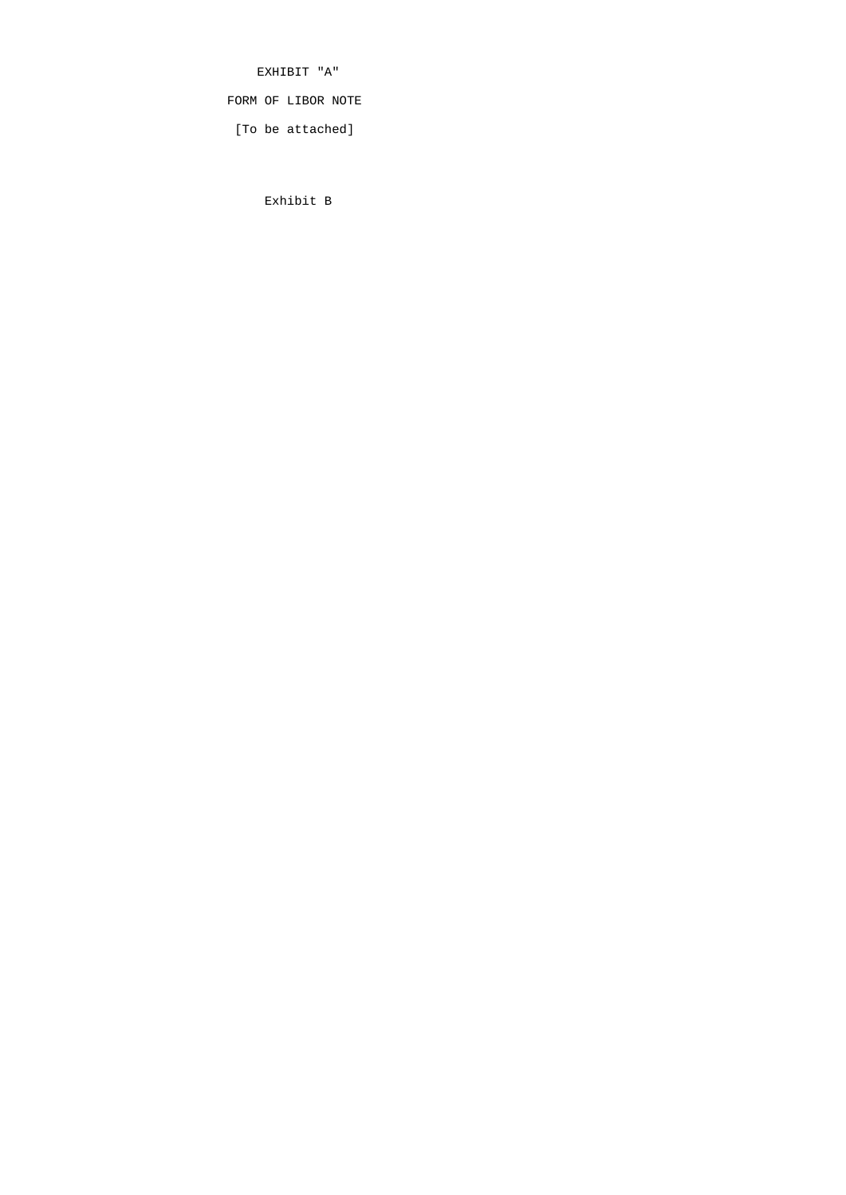EXHIBIT "A"

FORM OF LIBOR NOTE

[To be attached]

Exhibit B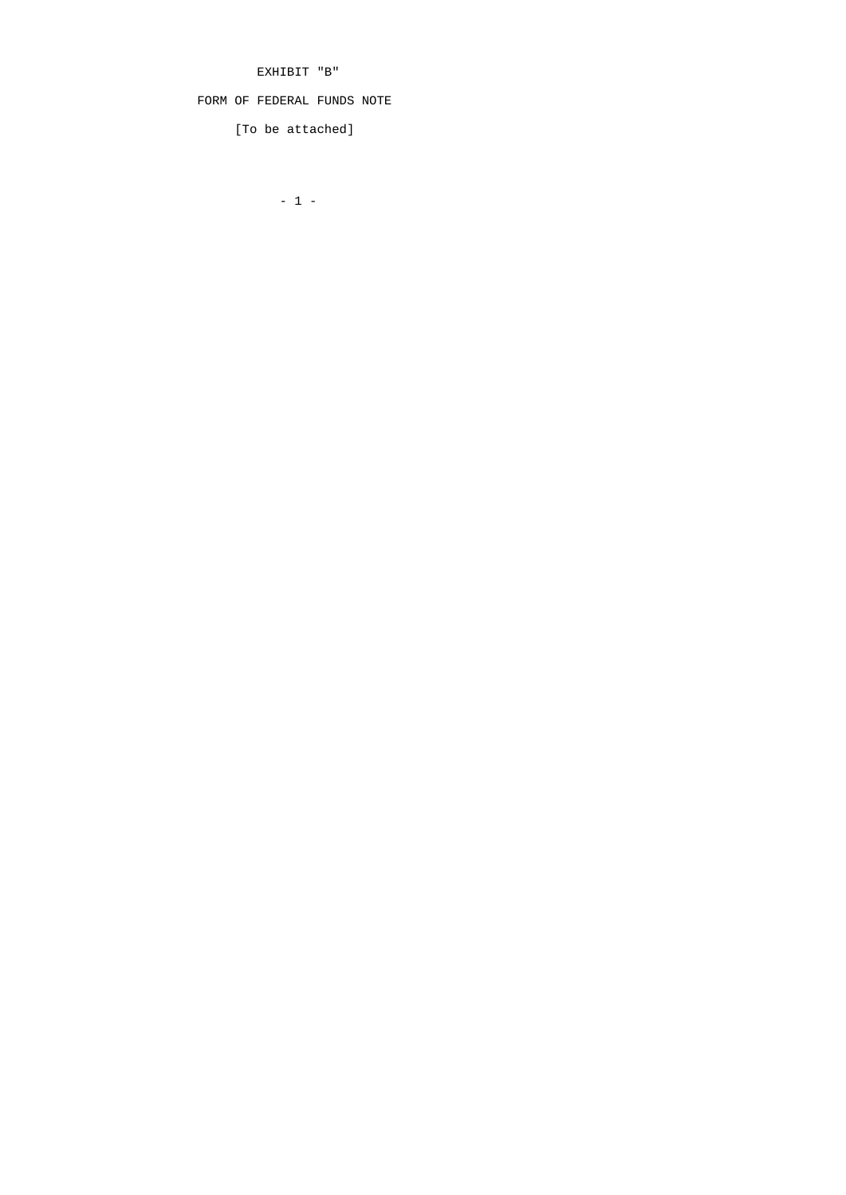EXHIBIT "B"

FORM OF FEDERAL FUNDS NOTE

[To be attached]

- 1 -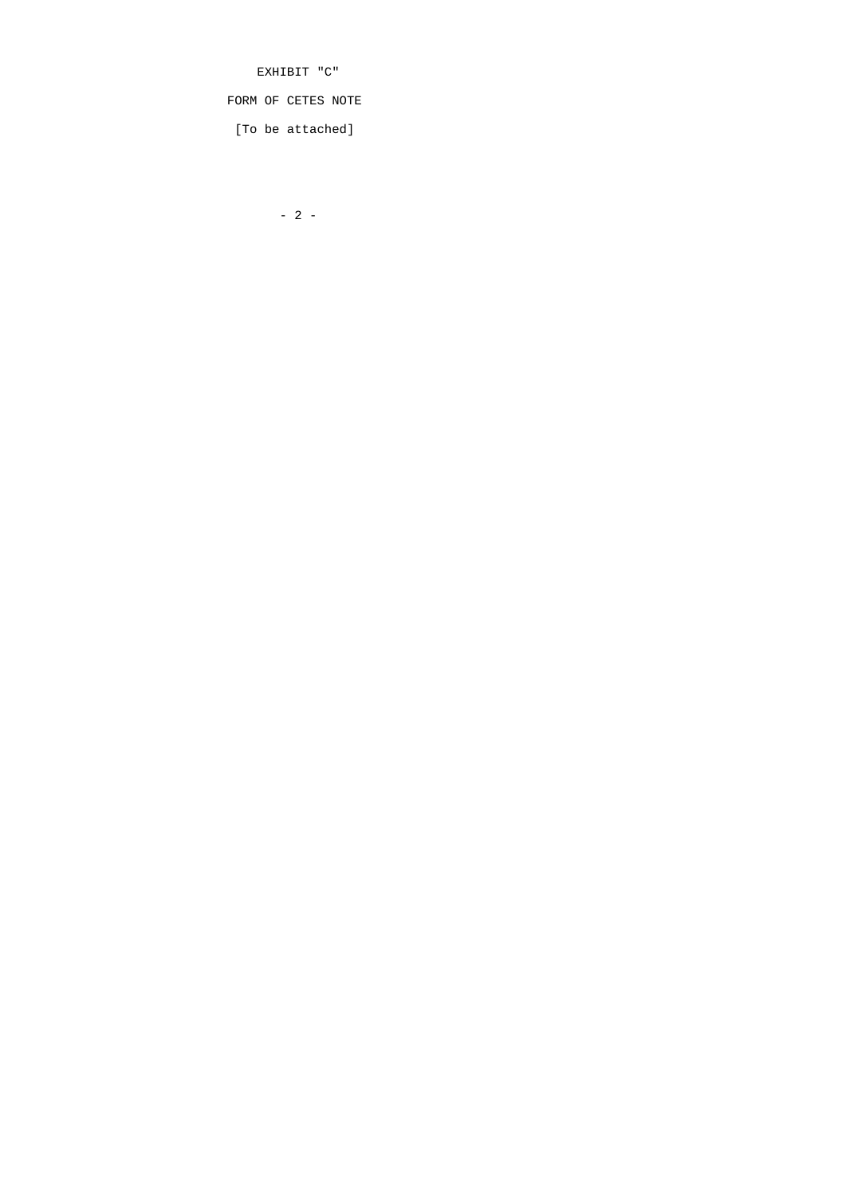EXHIBIT "C"

FORM OF CETES NOTE

[To be attached]

 $- 2 -$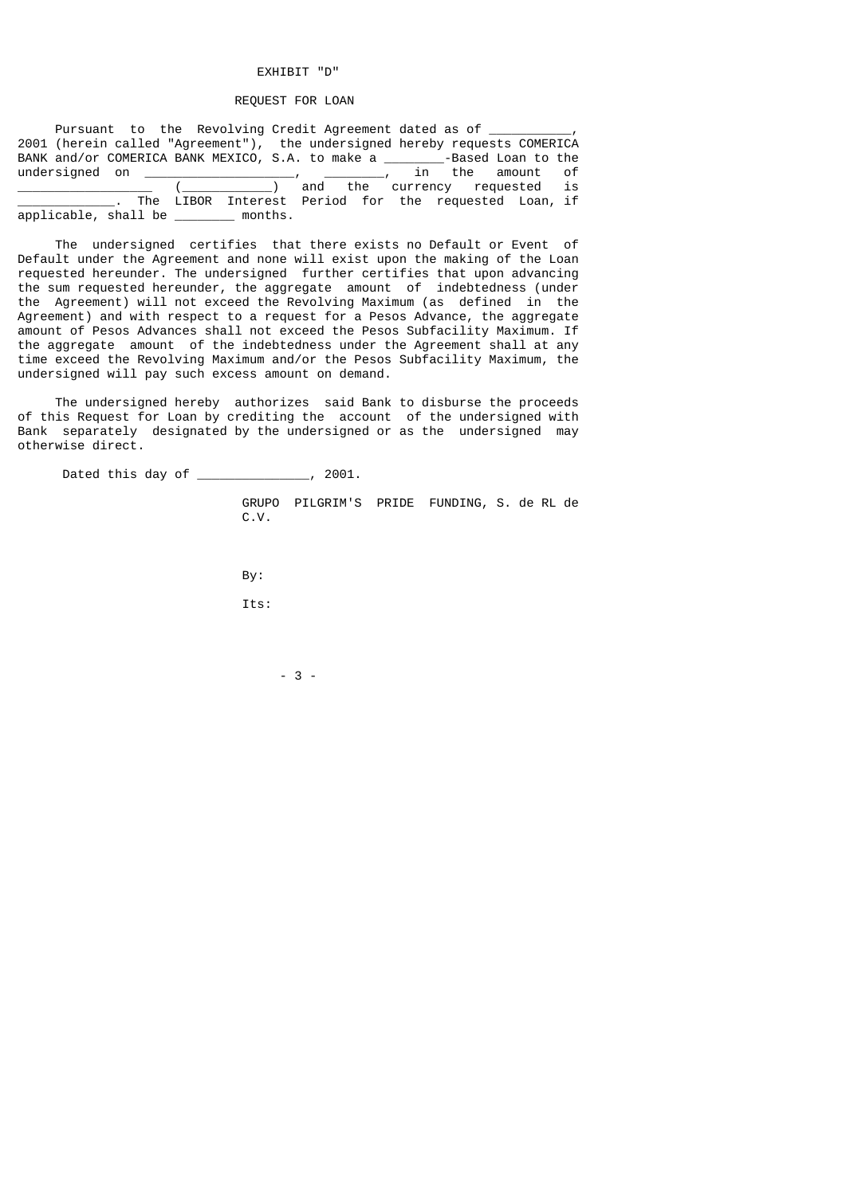### EXHIBIT "D"

## REQUEST FOR LOAN

| Pursuant to the Revolving Credit Agreement dated as of ____________,        |  |  |
|-----------------------------------------------------------------------------|--|--|
| 2001 (herein called "Agreement"), the undersigned hereby requests COMERICA  |  |  |
| BANK and/or COMERICA BANK MEXICO, S.A. to make a ________-Based Loan to the |  |  |
|                                                                             |  |  |
| _________________ (______________) and the currency requested is            |  |  |
| The LIBOR Interest Period for the requested Loan, if                        |  |  |
| applicable, shall be ________ months.                                       |  |  |

 The undersigned certifies that there exists no Default or Event of Default under the Agreement and none will exist upon the making of the Loan requested hereunder. The undersigned further certifies that upon advancing the sum requested hereunder, the aggregate amount of indebtedness (under the Agreement) will not exceed the Revolving Maximum (as defined in the Agreement) and with respect to a request for a Pesos Advance, the aggregate amount of Pesos Advances shall not exceed the Pesos Subfacility Maximum. If the aggregate amount of the indebtedness under the Agreement shall at any time exceed the Revolving Maximum and/or the Pesos Subfacility Maximum, the undersigned will pay such excess amount on demand.

 The undersigned hereby authorizes said Bank to disburse the proceeds of this Request for Loan by crediting the account of the undersigned with Bank separately designated by the undersigned or as the undersigned may otherwise direct.

Dated this day of \_\_\_\_\_\_\_\_\_\_\_\_\_\_\_, 2001.

 GRUPO PILGRIM'S PRIDE FUNDING, S. de RL de C.V.

By:

Its:

 $-3$  -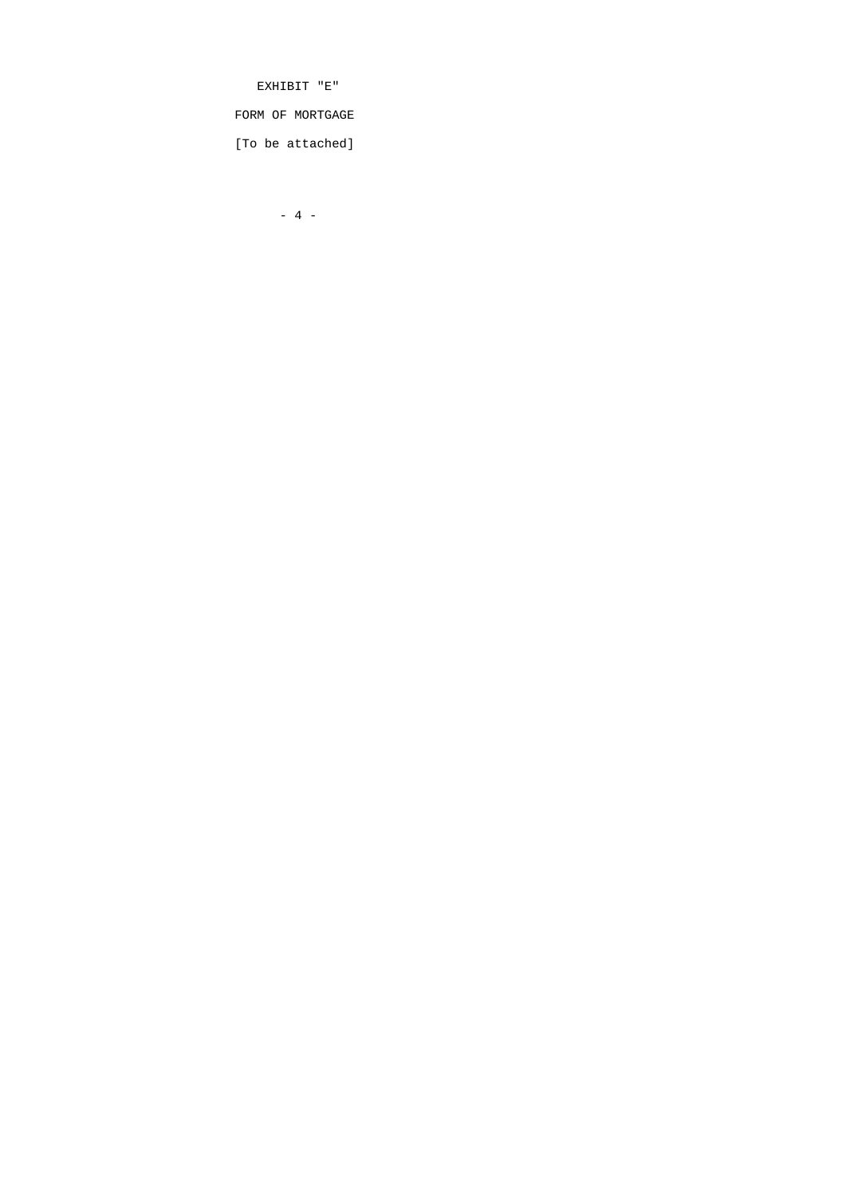EXHIBIT "E"

FORM OF MORTGAGE

[To be attached]

- 4 -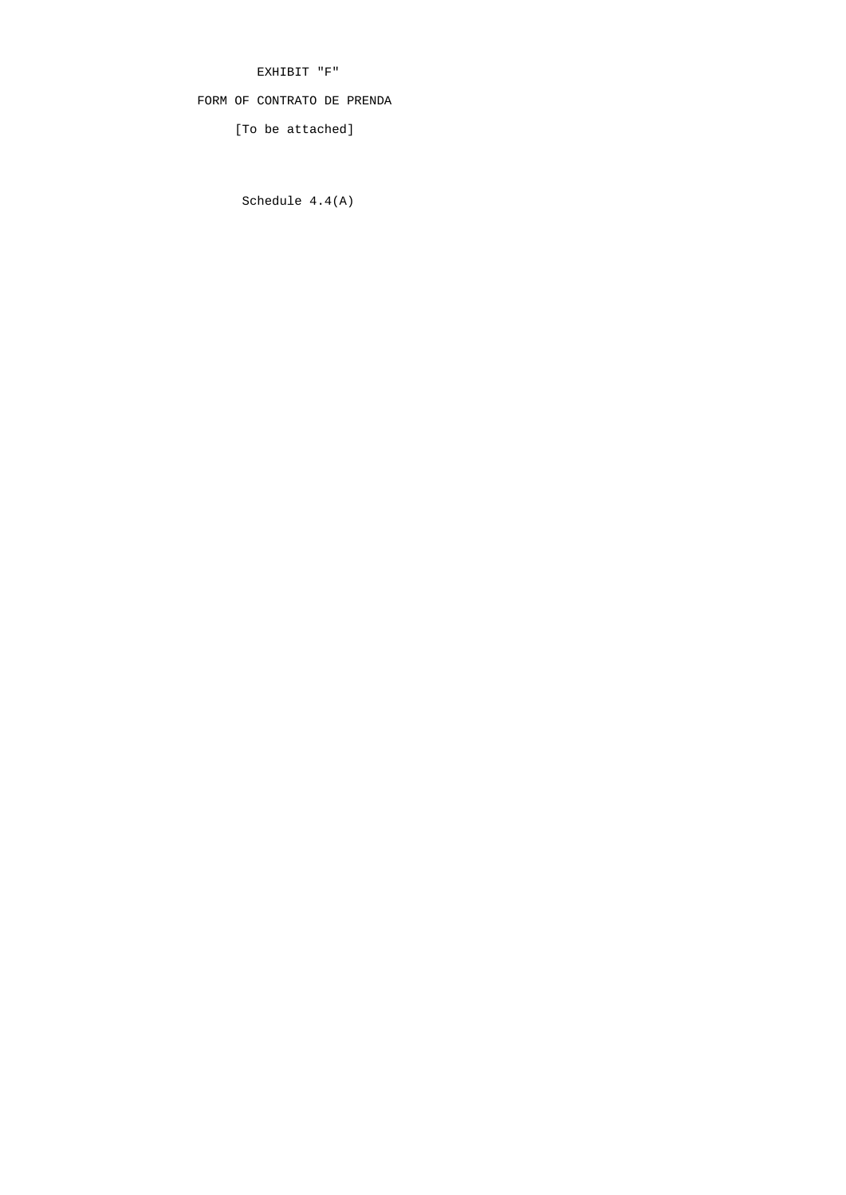EXHIBIT "F"

# FORM OF CONTRATO DE PRENDA

[To be attached]

Schedule 4.4(A)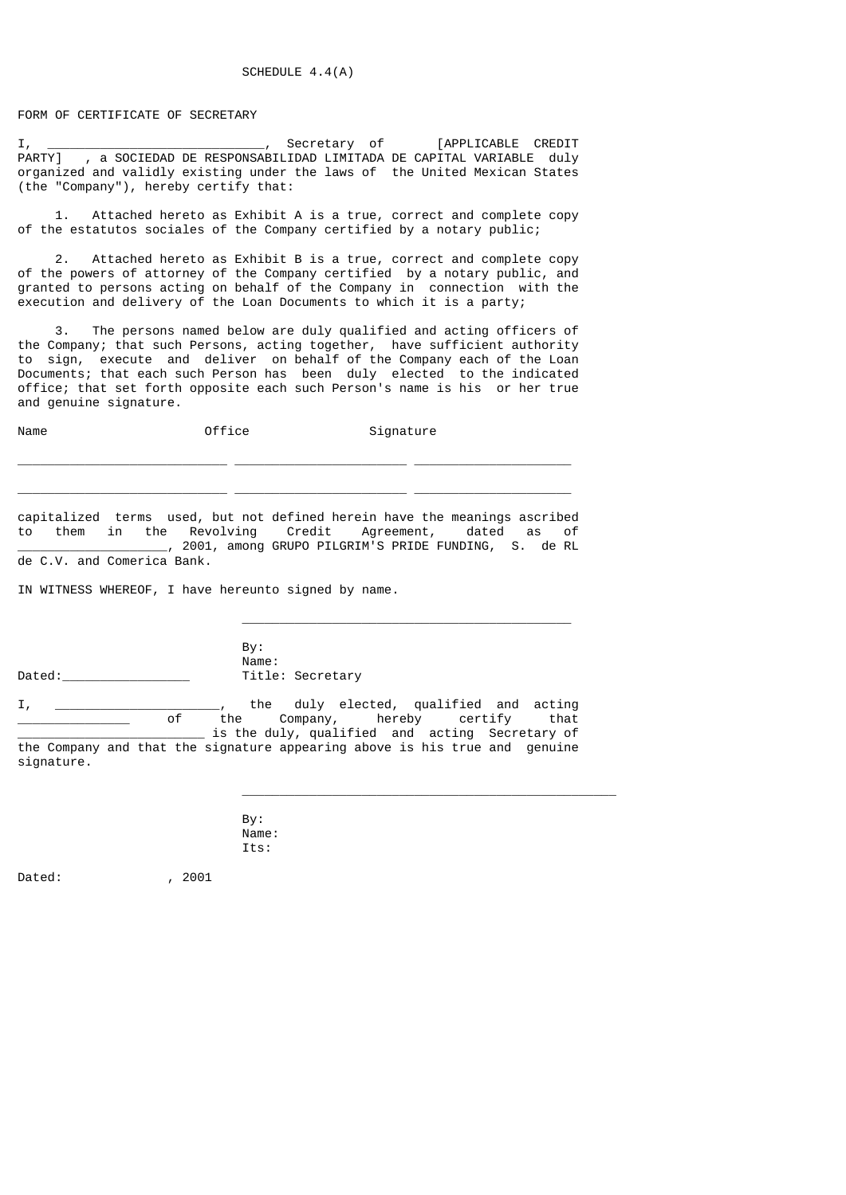FORM OF CERTIFICATE OF SECRETARY

I, \_\_\_\_\_\_\_\_\_\_\_\_\_\_\_\_\_\_\_\_\_\_\_\_\_\_\_\_\_, Secretary of [APPLICABLE CREDIT PARTY] , a SOCIEDAD DE RESPONSABILIDAD LIMITADA DE CAPITAL VARIABLE duly organized and validly existing under the laws of the United Mexican States (the "Company"), hereby certify that:

 1. Attached hereto as Exhibit A is a true, correct and complete copy of the estatutos sociales of the Company certified by a notary public;

 2. Attached hereto as Exhibit B is a true, correct and complete copy of the powers of attorney of the Company certified by a notary public, and granted to persons acting on behalf of the Company in connection with the execution and delivery of the Loan Documents to which it is a party;

 3. The persons named below are duly qualified and acting officers of the Company; that such Persons, acting together, have sufficient authority to sign, execute and deliver on behalf of the Company each of the Loan Documents; that each such Person has been duly elected to the indicated office; that set forth opposite each such Person's name is his or her true and genuine signature.

Name **Office Office** Signature

capitalized terms used, but not defined herein have the meanings ascribed to them in the Revolving Credit Agreement, dated as of \_\_\_\_\_\_\_\_\_\_\_\_\_\_\_\_\_\_\_\_, 2001, among GRUPO PILGRIM'S PRIDE FUNDING, S. de RL de C.V. and Comerica Bank.

 $\_$ 

\_\_\_\_\_\_\_\_\_\_\_\_\_\_\_\_\_\_\_\_\_\_\_\_\_\_\_\_ \_\_\_\_\_\_\_\_\_\_\_\_\_\_\_\_\_\_\_\_\_\_\_ \_\_\_\_\_\_\_\_\_\_\_\_\_\_\_\_\_\_\_\_\_

\_\_\_\_\_\_\_\_\_\_\_\_\_\_\_\_\_\_\_\_\_\_\_\_\_\_\_\_ \_\_\_\_\_\_\_\_\_\_\_\_\_\_\_\_\_\_\_\_\_\_\_ \_\_\_\_\_\_\_\_\_\_\_\_\_\_\_\_\_\_\_\_\_

IN WITNESS WHEREOF, I have hereunto signed by name.

 By: Name:<br>Title: Secretary Dated:\_\_\_\_\_\_\_\_\_\_\_\_\_\_\_\_\_ Title: Secretary

I, \_\_\_\_\_\_\_\_\_\_\_\_\_\_\_\_\_\_\_\_\_\_, the duly elected, qualified and acting \_\_\_\_\_\_\_\_\_\_\_\_\_\_\_ of the Company, hereby certify that \_\_\_\_\_\_\_\_\_\_\_\_\_\_\_\_\_\_\_\_\_\_\_\_\_ is the duly, qualified and acting Secretary of the Company and that the signature appearing above is his true and genuine signature.

 $\frac{1}{2}$  ,  $\frac{1}{2}$  ,  $\frac{1}{2}$  ,  $\frac{1}{2}$  ,  $\frac{1}{2}$  ,  $\frac{1}{2}$  ,  $\frac{1}{2}$  ,  $\frac{1}{2}$  ,  $\frac{1}{2}$  ,  $\frac{1}{2}$  ,  $\frac{1}{2}$  ,  $\frac{1}{2}$  ,  $\frac{1}{2}$  ,  $\frac{1}{2}$  ,  $\frac{1}{2}$  ,  $\frac{1}{2}$  ,  $\frac{1}{2}$  ,  $\frac{1}{2}$  ,  $\frac{1$ 

 By: Name: Its:

Dated: , 2001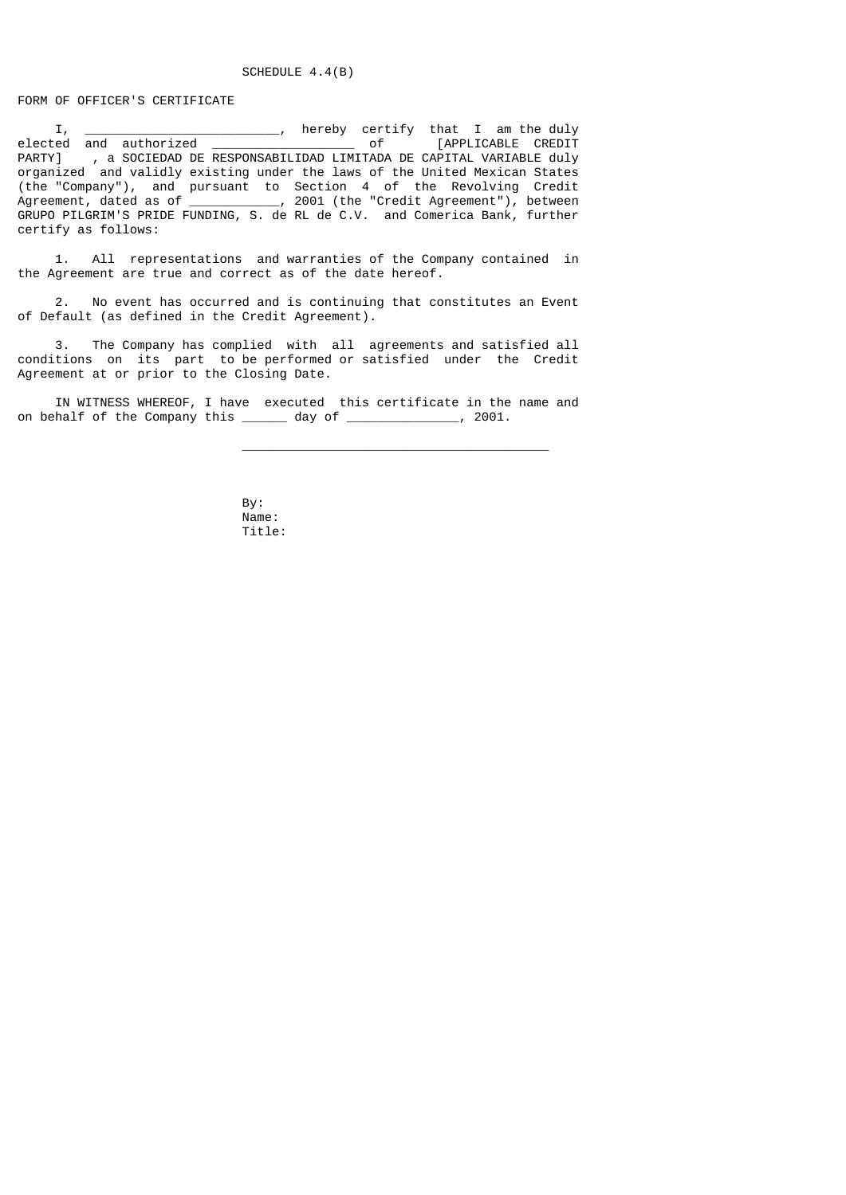## SCHEDULE 4.4(B)

## FORM OF OFFICER'S CERTIFICATE

 I, \_\_\_\_\_\_\_\_\_\_\_\_\_\_\_\_\_\_\_\_\_\_\_\_\_\_, hereby certify that I am the duly elected and authorized \_\_\_\_\_\_\_\_\_\_\_\_\_\_\_\_\_\_\_ of [APPLICABLE CREDIT PARTY] , a SOCIEDAD DE RESPONSABILIDAD LIMITADA DE CAPITAL VARIABLE duly organized and validly existing under the laws of the United Mexican States (the "Company"), and pursuant to Section 4 of the Revolving Credit Agreement, dated as of \_\_\_\_\_\_\_\_\_\_\_\_, 2001 (the "Credit Agreement"), between GRUPO PILGRIM'S PRIDE FUNDING, S. de RL de C.V. and Comerica Bank, further certify as follows:

 1. All representations and warranties of the Company contained in the Agreement are true and correct as of the date hereof.

 2. No event has occurred and is continuing that constitutes an Event of Default (as defined in the Credit Agreement).

 3. The Company has complied with all agreements and satisfied all conditions on its part to be performed or satisfied under the Credit Agreement at or prior to the Closing Date.

 IN WITNESS WHEREOF, I have executed this certificate in the name and on behalf of the Company this \_\_\_\_\_\_\_ day of \_\_\_\_\_\_\_\_\_\_\_\_\_, 2001.

 $\overline{\phantom{a}}$  , and the contract of the contract of the contract of the contract of the contract of the contract of the contract of the contract of the contract of the contract of the contract of the contract of the contrac

 By: Name: Title: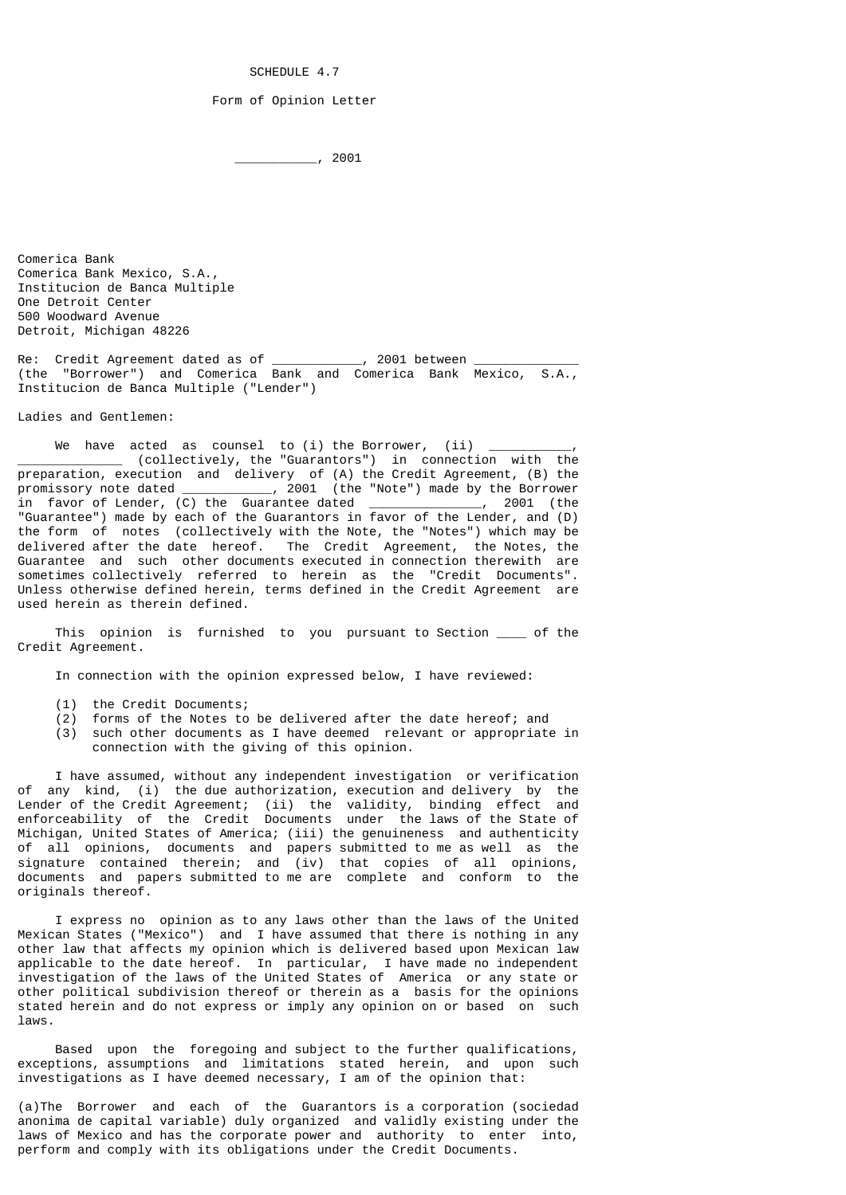SCHEDULE 4.7

### Form of Opinion Letter

\_\_\_\_\_\_\_\_\_\_\_, 2001

Comerica Bank Comerica Bank Mexico, S.A., Institucion de Banca Multiple One Detroit Center 500 Woodward Avenue Detroit, Michigan 48226

Re: Credit Agreement dated as of \_\_\_\_\_\_\_\_\_\_\_\_, 2001 between \_\_\_\_\_\_\_\_\_\_\_\_\_\_ (the "Borrower") and Comerica Bank and Comerica Bank Mexico, S.A., Institucion de Banca Multiple ("Lender")

Ladies and Gentlemen:

We have acted as counsel to  $(i)$  the Borrower,  $(ii)$ \_\_\_\_\_\_\_\_\_\_\_\_\_\_ (collectively, the "Guarantors") in connection with the preparation, execution and delivery of (A) the Credit Agreement, (B) the promissory note dated \_\_\_\_\_\_\_\_\_\_\_\_, 2001 (the "Note") made by the Borrower in favor of Lender, (C) the Guarantee dated \_\_\_\_\_\_\_\_\_\_\_\_\_\_\_, 2001 (the "Guarantee") made by each of the Guarantors in favor of the Lender, and (D) the form of notes (collectively with the Note, the "Notes") which may be delivered after the date hereof. The Credit Agreement, the Notes, the Guarantee and such other documents executed in connection therewith are sometimes collectively referred to herein as the "Credit Documents". Unless otherwise defined herein, terms defined in the Credit Agreement are used herein as therein defined.

This opinion is furnished to you pursuant to Section of the Credit Agreement.

In connection with the opinion expressed below, I have reviewed:

- (1) the Credit Documents;
- (2) forms of the Notes to be delivered after the date hereof; and
- (3) such other documents as I have deemed relevant or appropriate in connection with the giving of this opinion.

 I have assumed, without any independent investigation or verification of any kind, (i) the due authorization, execution and delivery by the Lender of the Credit Agreement; (ii) the validity, binding effect and enforceability of the Credit Documents under the laws of the State of Michigan, United States of America; (iii) the genuineness and authenticity of all opinions, documents and papers submitted to me as well as the signature contained therein; and (iv) that copies of all opinions, documents and papers submitted to me are complete and conform to the originals thereof.

 I express no opinion as to any laws other than the laws of the United Mexican States ("Mexico") and I have assumed that there is nothing in any other law that affects my opinion which is delivered based upon Mexican law applicable to the date hereof. In particular, I have made no independent investigation of the laws of the United States of America or any state or other political subdivision thereof or therein as a basis for the opinions stated herein and do not express or imply any opinion on or based on such laws.

 Based upon the foregoing and subject to the further qualifications, exceptions, assumptions and limitations stated herein, and upon such investigations as I have deemed necessary, I am of the opinion that:

(a)The Borrower and each of the Guarantors is a corporation (sociedad anonima de capital variable) duly organized and validly existing under the laws of Mexico and has the corporate power and authority to enter into, perform and comply with its obligations under the Credit Documents.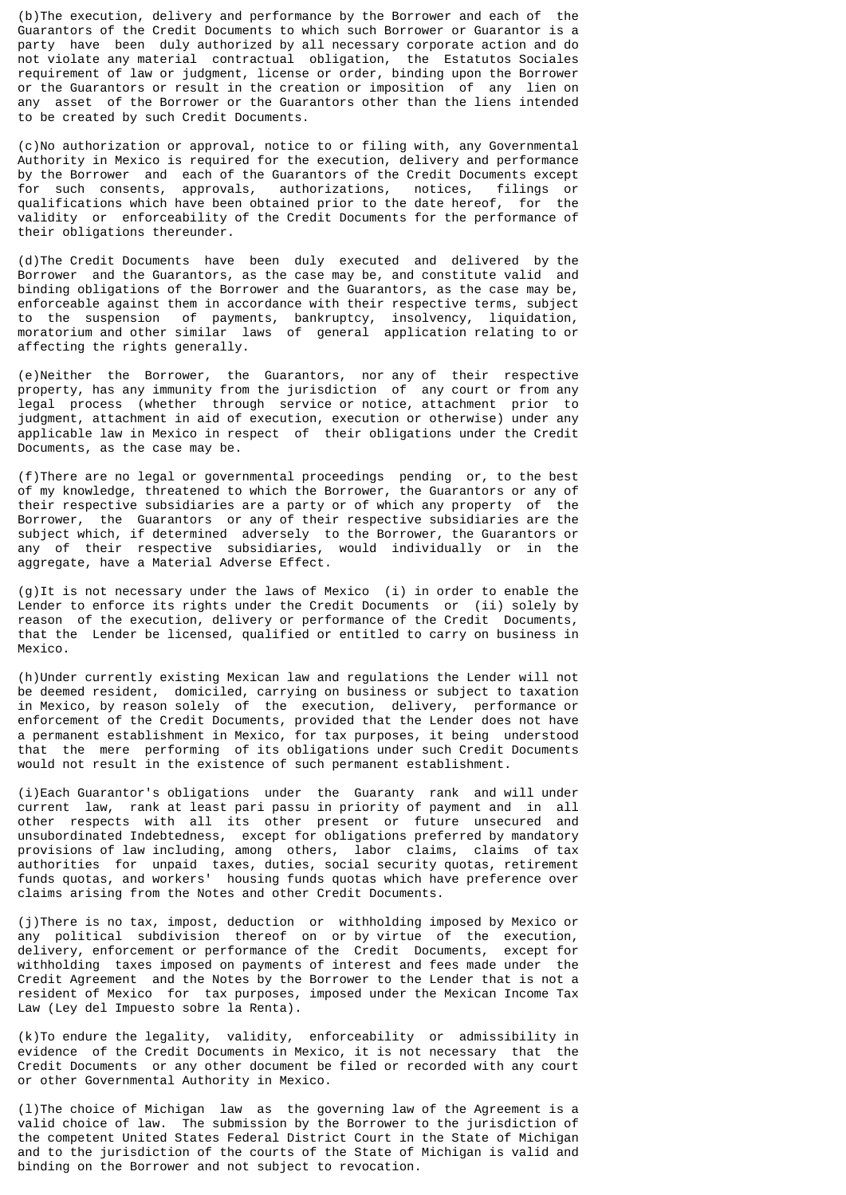(b)The execution, delivery and performance by the Borrower and each of the Guarantors of the Credit Documents to which such Borrower or Guarantor is a party have been duly authorized by all necessary corporate action and do not violate any material contractual obligation, the Estatutos Sociales requirement of law or judgment, license or order, binding upon the Borrower or the Guarantors or result in the creation or imposition of any lien on any asset of the Borrower or the Guarantors other than the liens intended to be created by such Credit Documents.

(c)No authorization or approval, notice to or filing with, any Governmental Authority in Mexico is required for the execution, delivery and performance by the Borrower and each of the Guarantors of the Credit Documents except for such consents, approvals, authorizations, notices, filings or qualifications which have been obtained prior to the date hereof, for the validity or enforceability of the Credit Documents for the performance of their obligations thereunder.

(d)The Credit Documents have been duly executed and delivered by the Borrower and the Guarantors, as the case may be, and constitute valid and binding obligations of the Borrower and the Guarantors, as the case may be, enforceable against them in accordance with their respective terms, subject to the suspension of payments, bankruptcy, insolvency, liquidation, moratorium and other similar laws of general application relating to or affecting the rights generally.

(e)Neither the Borrower, the Guarantors, nor any of their respective property, has any immunity from the jurisdiction of any court or from any legal process (whether through service or notice, attachment prior to judgment, attachment in aid of execution, execution or otherwise) under any applicable law in Mexico in respect of their obligations under the Credit Documents, as the case may be.

(f)There are no legal or governmental proceedings pending or, to the best of my knowledge, threatened to which the Borrower, the Guarantors or any of their respective subsidiaries are a party or of which any property of the Borrower, the Guarantors or any of their respective subsidiaries are the subject which, if determined adversely to the Borrower, the Guarantors or any of their respective subsidiaries, would individually or in the aggregate, have a Material Adverse Effect.

(g)It is not necessary under the laws of Mexico (i) in order to enable the Lender to enforce its rights under the Credit Documents or (ii) solely by reason of the execution, delivery or performance of the Credit Documents, that the Lender be licensed, qualified or entitled to carry on business in Mexico.

(h)Under currently existing Mexican law and regulations the Lender will not be deemed resident, domiciled, carrying on business or subject to taxation in Mexico, by reason solely of the execution, delivery, performance or enforcement of the Credit Documents, provided that the Lender does not have a permanent establishment in Mexico, for tax purposes, it being understood that the mere performing of its obligations under such Credit Documents would not result in the existence of such permanent establishment.

(i)Each Guarantor's obligations under the Guaranty rank and will under current law, rank at least pari passu in priority of payment and in all other respects with all its other present or future unsecured and unsubordinated Indebtedness, except for obligations preferred by mandatory provisions of law including, among others, labor claims, claims of tax authorities for unpaid taxes, duties, social security quotas, retirement funds quotas, and workers' housing funds quotas which have preference over claims arising from the Notes and other Credit Documents.

(j)There is no tax, impost, deduction or withholding imposed by Mexico or any political subdivision thereof on or by virtue of the execution, delivery, enforcement or performance of the Credit Documents, except for withholding taxes imposed on payments of interest and fees made under the Credit Agreement and the Notes by the Borrower to the Lender that is not a resident of Mexico for tax purposes, imposed under the Mexican Income Tax Law (Ley del Impuesto sobre la Renta).

(k)To endure the legality, validity, enforceability or admissibility in evidence of the Credit Documents in Mexico, it is not necessary that the Credit Documents or any other document be filed or recorded with any court or other Governmental Authority in Mexico.

(l)The choice of Michigan law as the governing law of the Agreement is a valid choice of law. The submission by the Borrower to the jurisdiction of the competent United States Federal District Court in the State of Michigan and to the jurisdiction of the courts of the State of Michigan is valid and binding on the Borrower and not subject to revocation.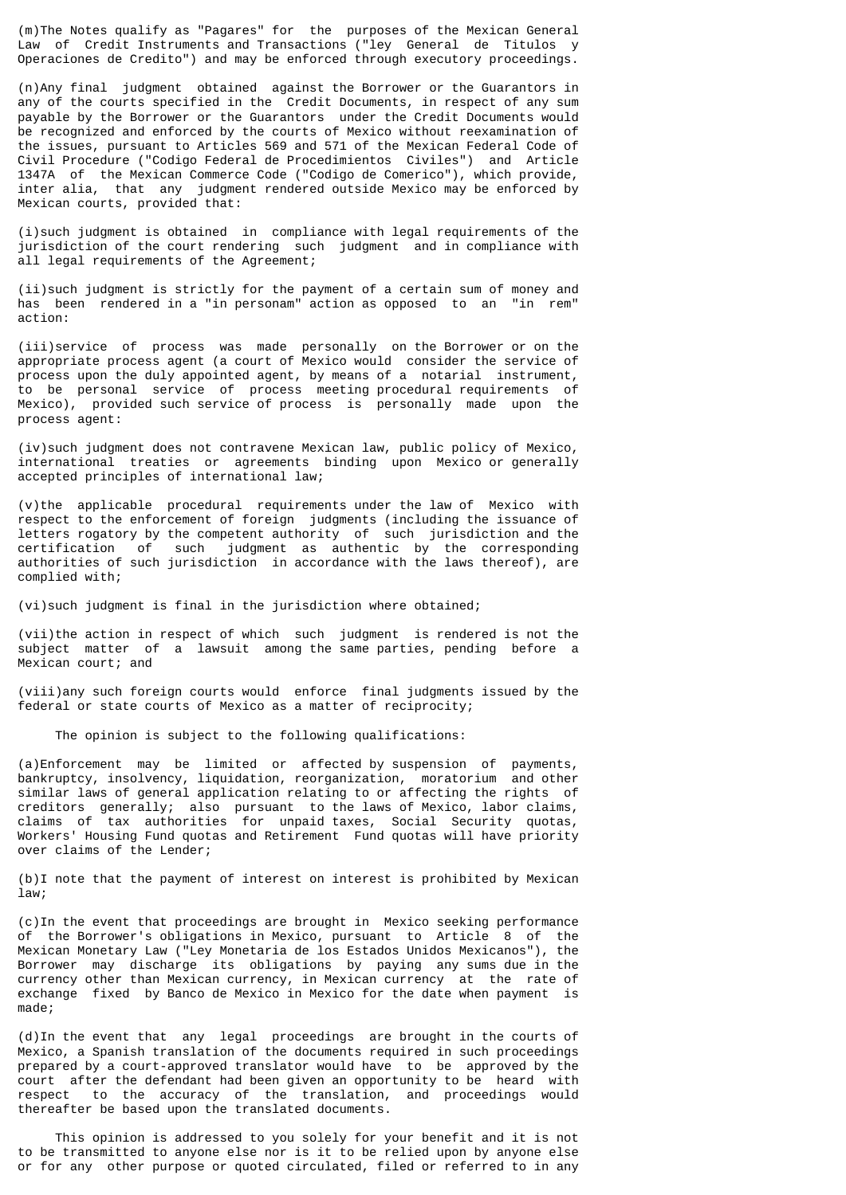(m)The Notes qualify as "Pagares" for the purposes of the Mexican General Law of Credit Instruments and Transactions ("ley General de Titulos y Operaciones de Credito") and may be enforced through executory proceedings.

(n)Any final judgment obtained against the Borrower or the Guarantors in any of the courts specified in the Credit Documents, in respect of any sum payable by the Borrower or the Guarantors under the Credit Documents would be recognized and enforced by the courts of Mexico without reexamination of the issues, pursuant to Articles 569 and 571 of the Mexican Federal Code of Civil Procedure ("Codigo Federal de Procedimientos Civiles") and Article 1347A of the Mexican Commerce Code ("Codigo de Comerico"), which provide, inter alia, that any judgment rendered outside Mexico may be enforced by Mexican courts, provided that:

(i)such judgment is obtained in compliance with legal requirements of the jurisdiction of the court rendering such judgment and in compliance with all legal requirements of the Agreement;

(ii)such judgment is strictly for the payment of a certain sum of money and has been rendered in a "in personam" action as opposed to an "in rem" action:

(iii)service of process was made personally on the Borrower or on the appropriate process agent (a court of Mexico would consider the service of process upon the duly appointed agent, by means of a notarial instrument, to be personal service of process meeting procedural requirements of Mexico), provided such service of process is personally made upon the process agent:

(iv)such judgment does not contravene Mexican law, public policy of Mexico, international treaties or agreements binding upon Mexico or generally accepted principles of international law;

(v)the applicable procedural requirements under the law of Mexico with respect to the enforcement of foreign judgments (including the issuance of letters rogatory by the competent authority of such jurisdiction and the certification of such judgment as authentic by the corresponding authorities of such jurisdiction in accordance with the laws thereof), are complied with;

(vi)such judgment is final in the jurisdiction where obtained;

(vii)the action in respect of which such judgment is rendered is not the subject matter of a lawsuit among the same parties, pending before a Mexican court; and

(viii)any such foreign courts would enforce final judgments issued by the federal or state courts of Mexico as a matter of reciprocity;

The opinion is subject to the following qualifications:

(a)Enforcement may be limited or affected by suspension of payments, bankruptcy, insolvency, liquidation, reorganization, moratorium and other similar laws of general application relating to or affecting the rights of creditors generally; also pursuant to the laws of Mexico, labor claims, claims of tax authorities for unpaid taxes, Social Security quotas, Workers' Housing Fund quotas and Retirement Fund quotas will have priority over claims of the Lender;

(b)I note that the payment of interest on interest is prohibited by Mexican law;

(c)In the event that proceedings are brought in Mexico seeking performance of the Borrower's obligations in Mexico, pursuant to Article 8 of the Mexican Monetary Law ("Ley Monetaria de los Estados Unidos Mexicanos"), the Borrower may discharge its obligations by paying any sums due in the currency other than Mexican currency, in Mexican currency at the rate of exchange fixed by Banco de Mexico in Mexico for the date when payment is made;

(d)In the event that any legal proceedings are brought in the courts of Mexico, a Spanish translation of the documents required in such proceedings prepared by a court-approved translator would have to be approved by the court after the defendant had been given an opportunity to be heard with respect to the accuracy of the translation, and proceedings would thereafter be based upon the translated documents.

 This opinion is addressed to you solely for your benefit and it is not to be transmitted to anyone else nor is it to be relied upon by anyone else or for any other purpose or quoted circulated, filed or referred to in any